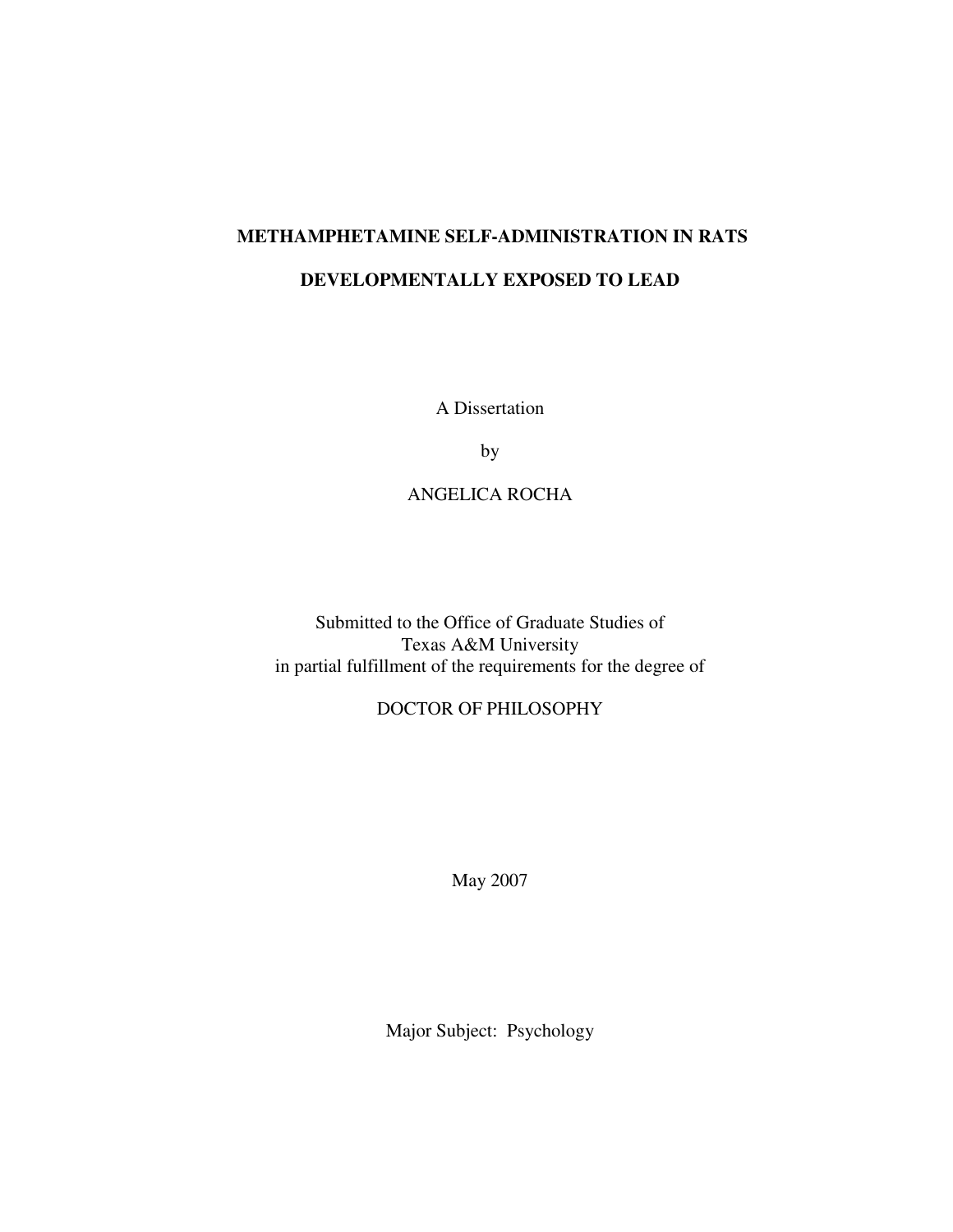# **METHAMPHETAMINE SELF-ADMINISTRATION IN RATS DEVELOPMENTALLY EXPOSED TO LEAD**

A Dissertation

by

# ANGELICA ROCHA

Submitted to the Office of Graduate Studies of Texas A&M University in partial fulfillment of the requirements for the degree of

# DOCTOR OF PHILOSOPHY

May 2007

Major Subject: Psychology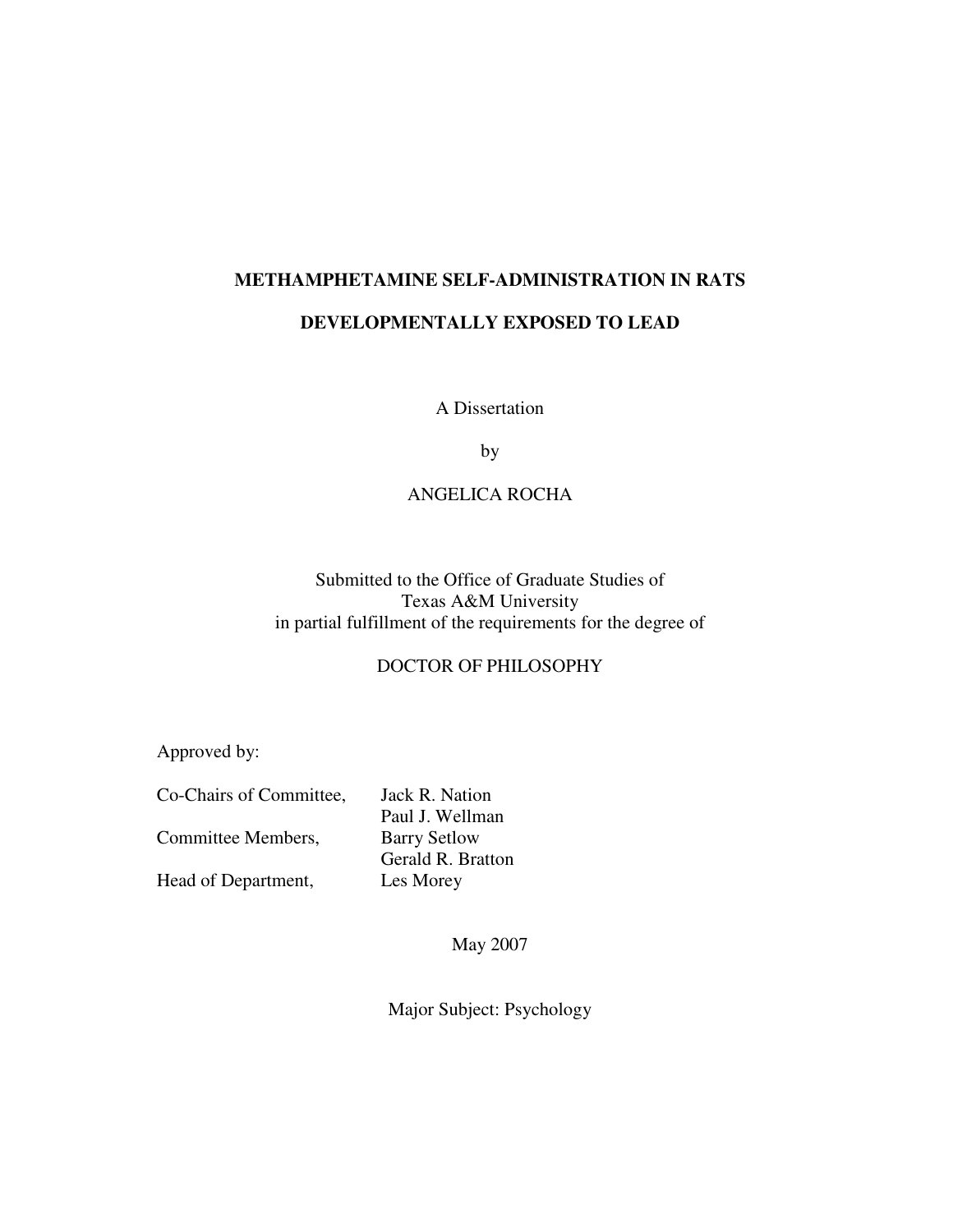### **METHAMPHETAMINE SELF-ADMINISTRATION IN RATS**

### **DEVELOPMENTALLY EXPOSED TO LEAD**

A Dissertation

by

# ANGELICA ROCHA

# Submitted to the Office of Graduate Studies of Texas A&M University in partial fulfillment of the requirements for the degree of

# DOCTOR OF PHILOSOPHY

Approved by:

| Co-Chairs of Committee, | Jack R. Nation      |
|-------------------------|---------------------|
|                         | Paul J. Wellman     |
| Committee Members,      | <b>Barry Setlow</b> |
|                         | Gerald R. Bratton   |
| Head of Department,     | Les Morey           |

May 2007

Major Subject: Psychology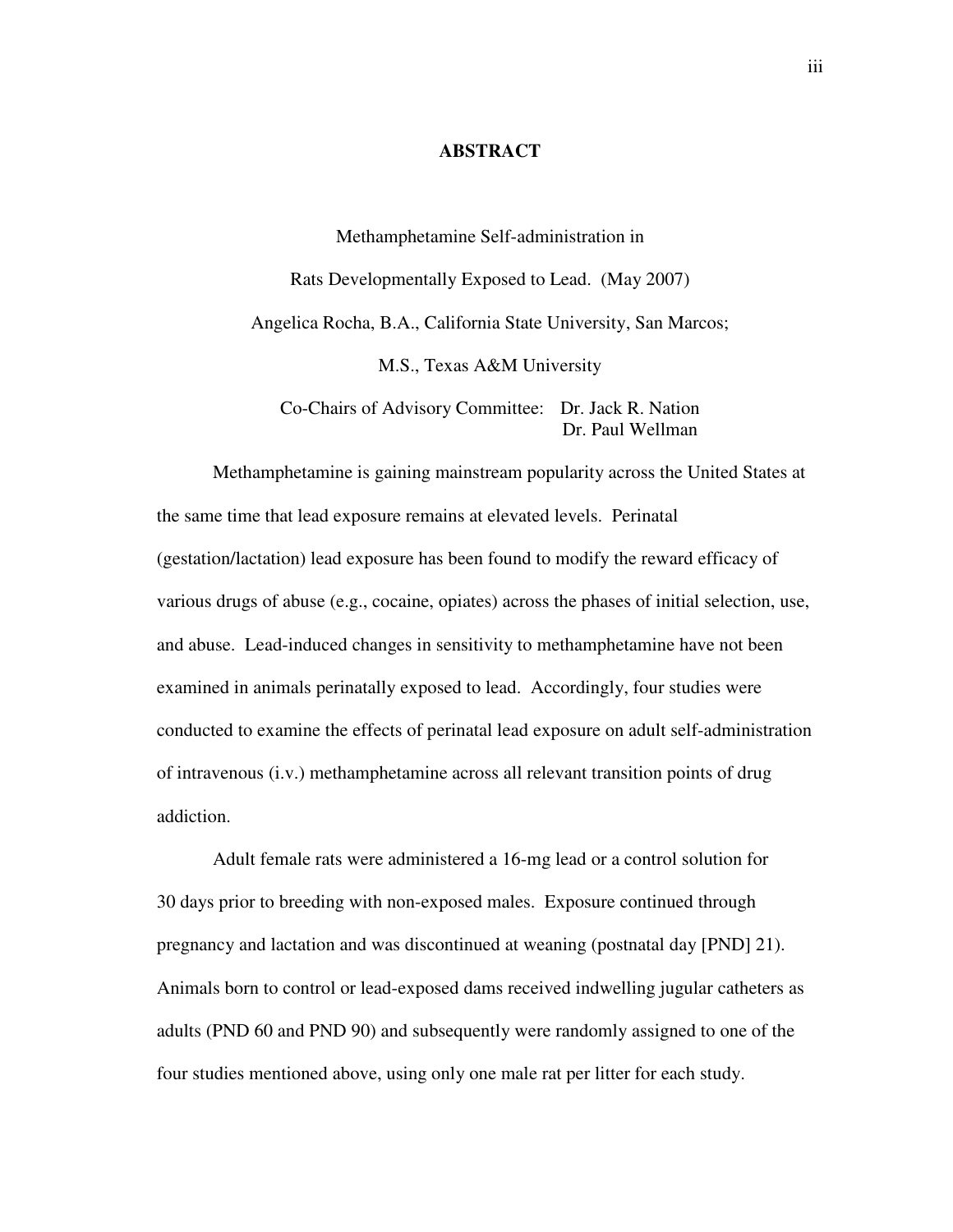#### **ABSTRACT**

Methamphetamine Self-administration in Rats Developmentally Exposed to Lead. (May 2007) Angelica Rocha, B.A., California State University, San Marcos; M.S., Texas A&M University

Co-Chairs of Advisory Committee: Dr. Jack R. Nation Dr. Paul Wellman

Methamphetamine is gaining mainstream popularity across the United States at the same time that lead exposure remains at elevated levels. Perinatal (gestation/lactation) lead exposure has been found to modify the reward efficacy of various drugs of abuse (e.g., cocaine, opiates) across the phases of initial selection, use, and abuse. Lead-induced changes in sensitivity to methamphetamine have not been examined in animals perinatally exposed to lead. Accordingly, four studies were conducted to examine the effects of perinatal lead exposure on adult self-administration of intravenous (i.v.) methamphetamine across all relevant transition points of drug addiction.

Adult female rats were administered a 16-mg lead or a control solution for 30 days prior to breeding with non-exposed males. Exposure continued through pregnancy and lactation and was discontinued at weaning (postnatal day [PND] 21). Animals born to control or lead-exposed dams received indwelling jugular catheters as adults (PND 60 and PND 90) and subsequently were randomly assigned to one of the four studies mentioned above, using only one male rat per litter for each study.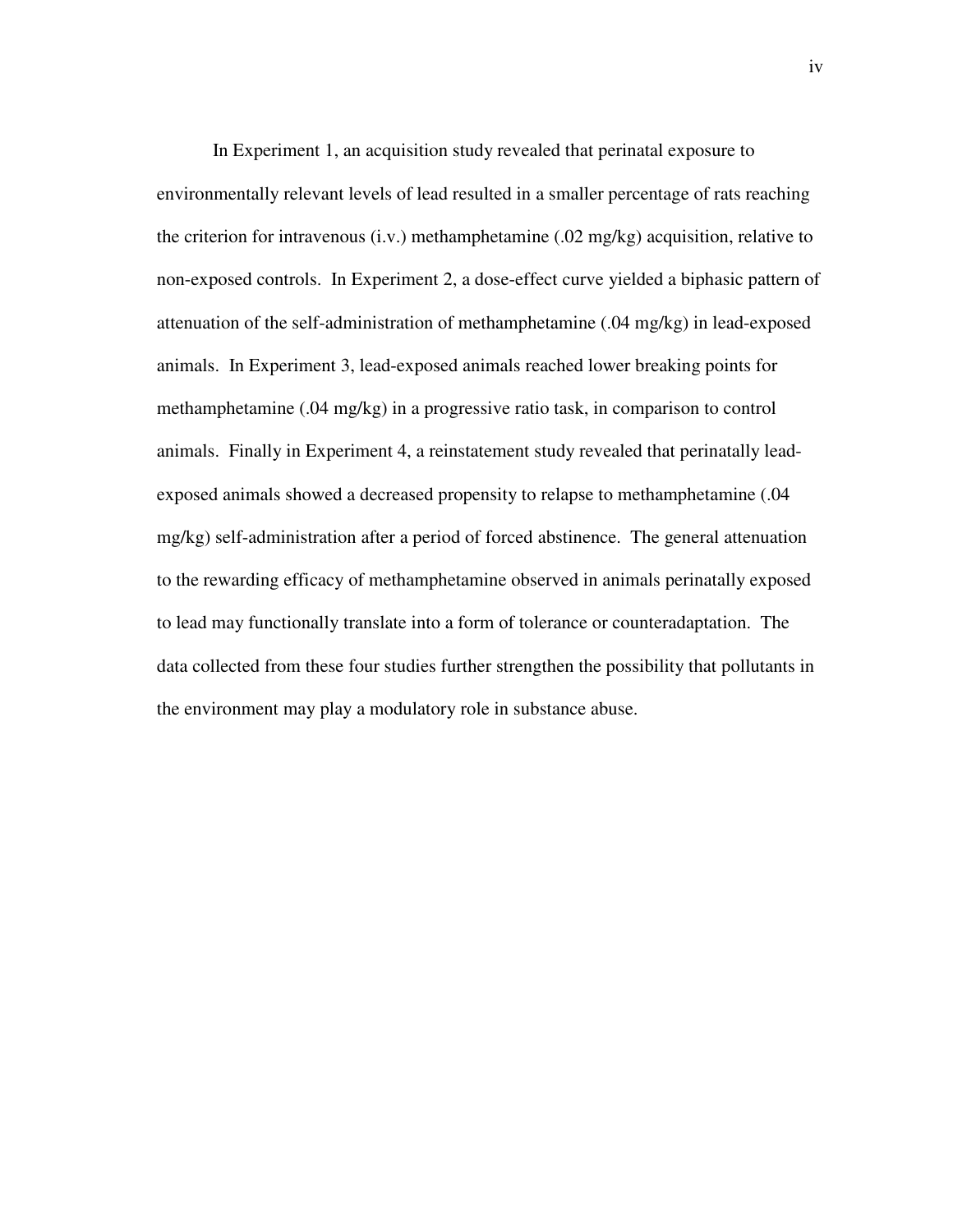In Experiment 1, an acquisition study revealed that perinatal exposure to environmentally relevant levels of lead resulted in a smaller percentage of rats reaching the criterion for intravenous (i.v.) methamphetamine (.02 mg/kg) acquisition, relative to non-exposed controls. In Experiment 2, a dose-effect curve yielded a biphasic pattern of attenuation of the self-administration of methamphetamine (.04 mg/kg) in lead-exposed animals. In Experiment 3, lead-exposed animals reached lower breaking points for methamphetamine (.04 mg/kg) in a progressive ratio task, in comparison to control animals. Finally in Experiment 4, a reinstatement study revealed that perinatally leadexposed animals showed a decreased propensity to relapse to methamphetamine (.04 mg/kg) self-administration after a period of forced abstinence. The general attenuation to the rewarding efficacy of methamphetamine observed in animals perinatally exposed to lead may functionally translate into a form of tolerance or counteradaptation. The data collected from these four studies further strengthen the possibility that pollutants in the environment may play a modulatory role in substance abuse.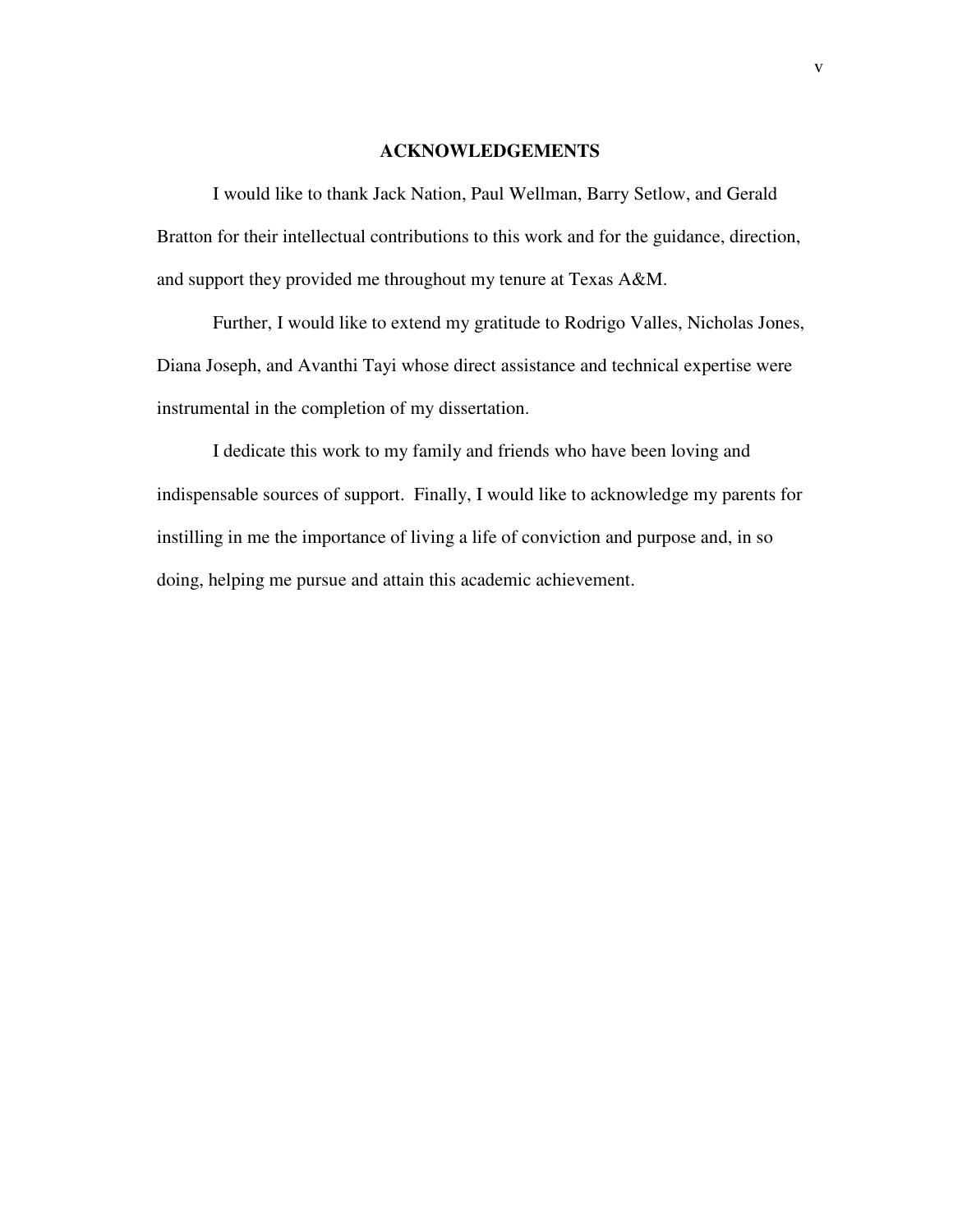#### **ACKNOWLEDGEMENTS**

I would like to thank Jack Nation, Paul Wellman, Barry Setlow, and Gerald Bratton for their intellectual contributions to this work and for the guidance, direction, and support they provided me throughout my tenure at Texas A&M.

Further, I would like to extend my gratitude to Rodrigo Valles, Nicholas Jones, Diana Joseph, and Avanthi Tayi whose direct assistance and technical expertise were instrumental in the completion of my dissertation.

I dedicate this work to my family and friends who have been loving and indispensable sources of support. Finally, I would like to acknowledge my parents for instilling in me the importance of living a life of conviction and purpose and, in so doing, helping me pursue and attain this academic achievement.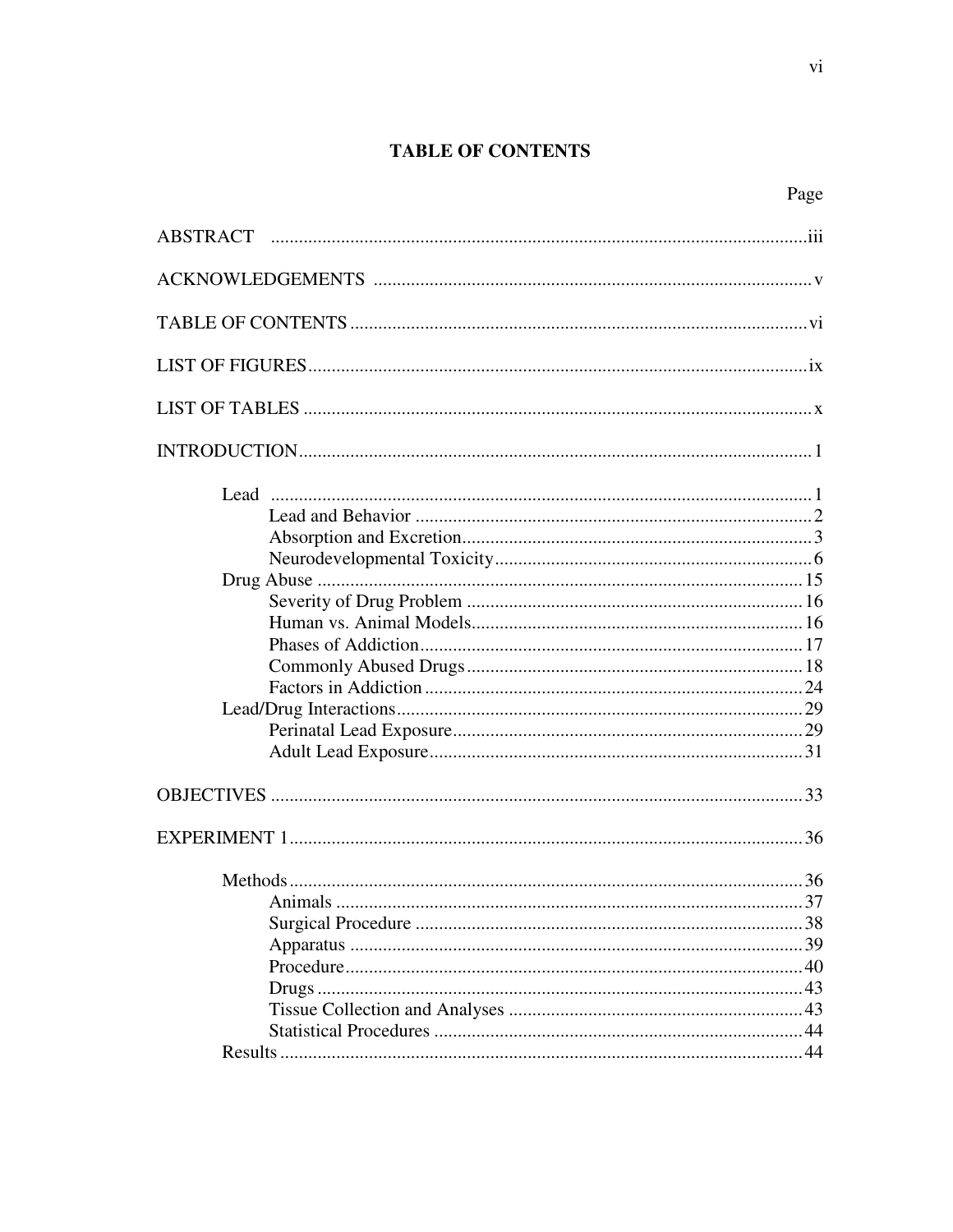# **TABLE OF CONTENTS**

vi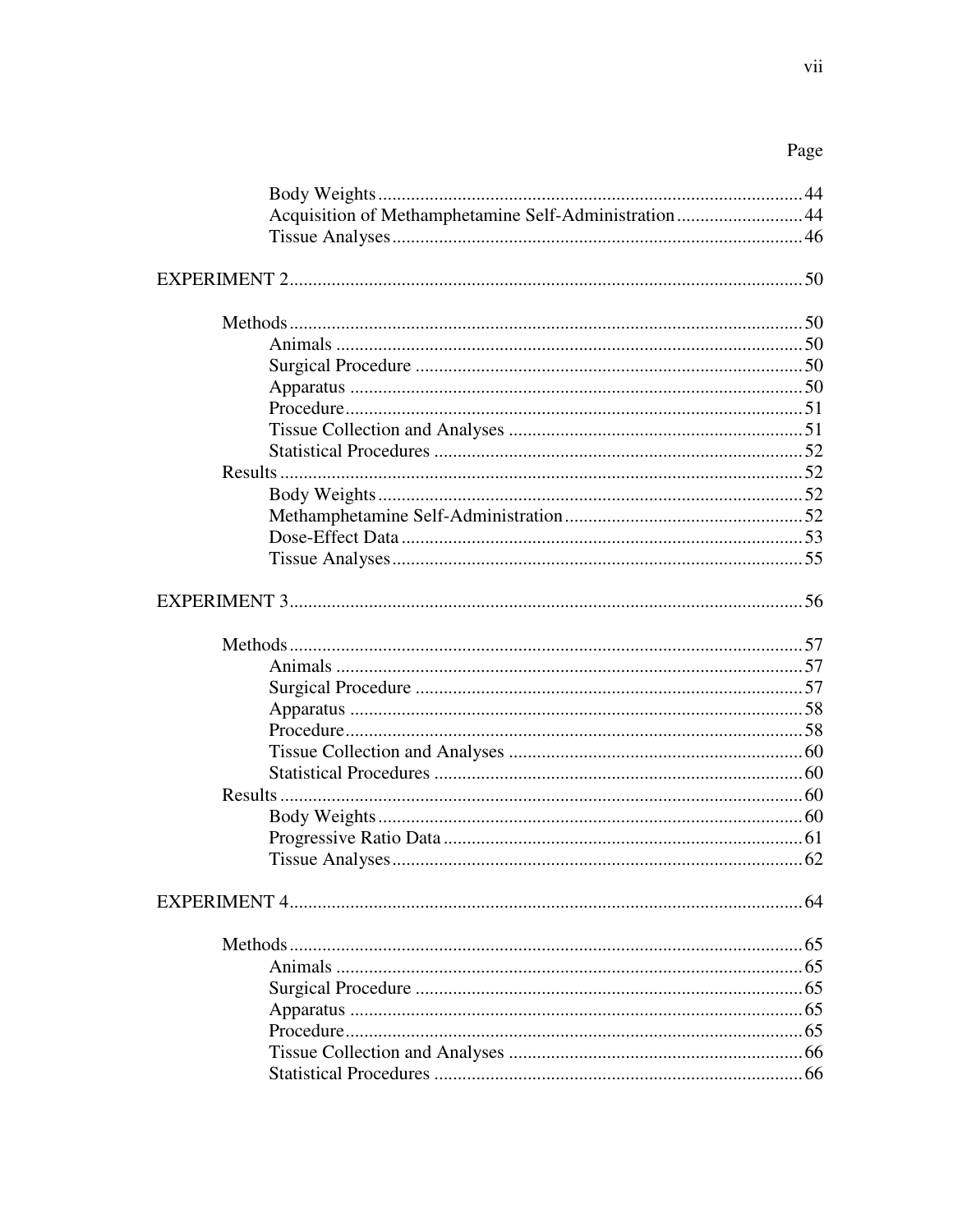# Page

| Acquisition of Methamphetamine Self-Administration44 |  |
|------------------------------------------------------|--|
|                                                      |  |
|                                                      |  |
|                                                      |  |
|                                                      |  |
|                                                      |  |
|                                                      |  |
|                                                      |  |
|                                                      |  |
|                                                      |  |
|                                                      |  |
|                                                      |  |
|                                                      |  |
|                                                      |  |
|                                                      |  |
|                                                      |  |
|                                                      |  |
|                                                      |  |
|                                                      |  |
|                                                      |  |
|                                                      |  |
|                                                      |  |
|                                                      |  |
|                                                      |  |
|                                                      |  |
|                                                      |  |
|                                                      |  |
|                                                      |  |
|                                                      |  |
|                                                      |  |
|                                                      |  |
|                                                      |  |
|                                                      |  |
|                                                      |  |
|                                                      |  |
|                                                      |  |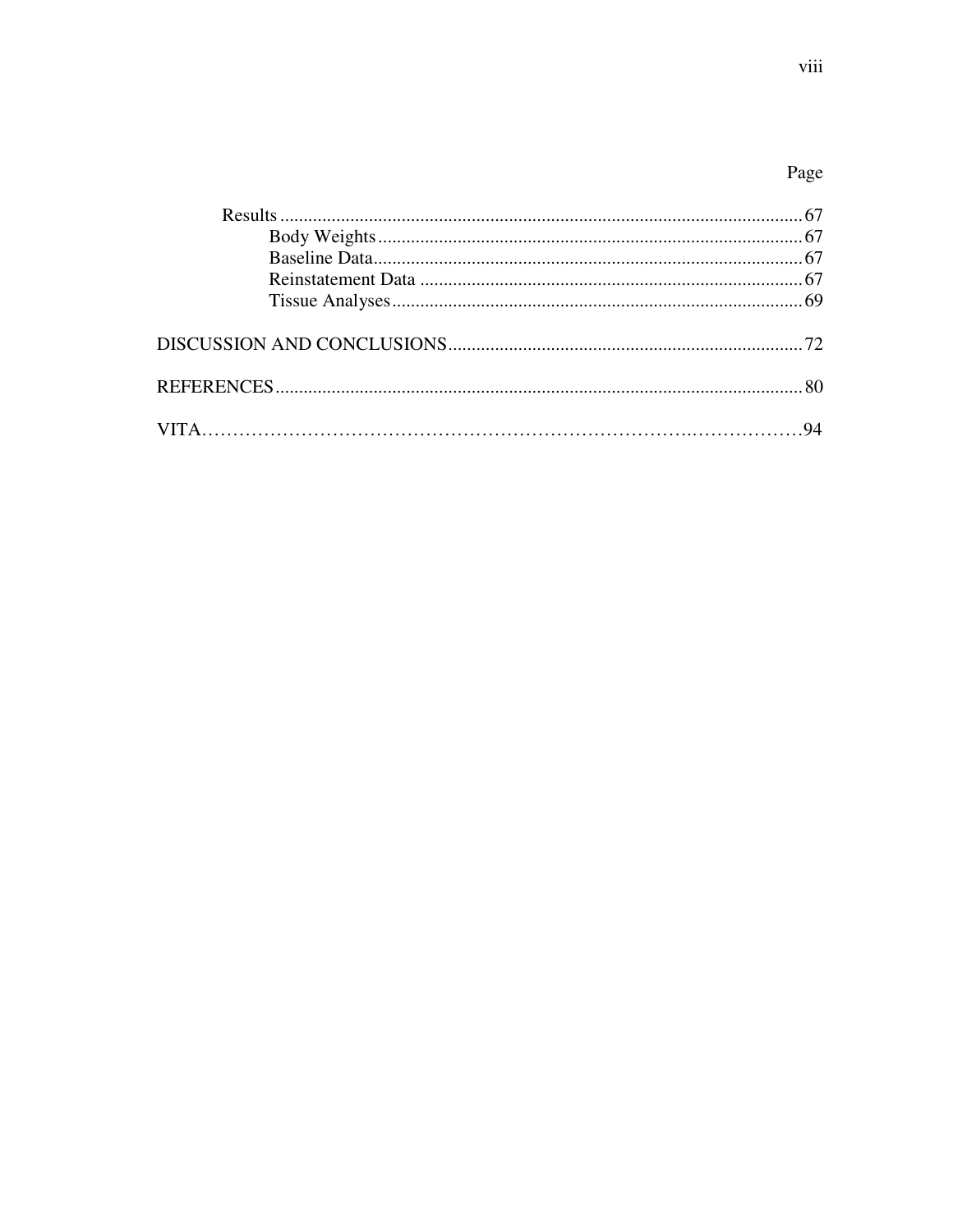# Page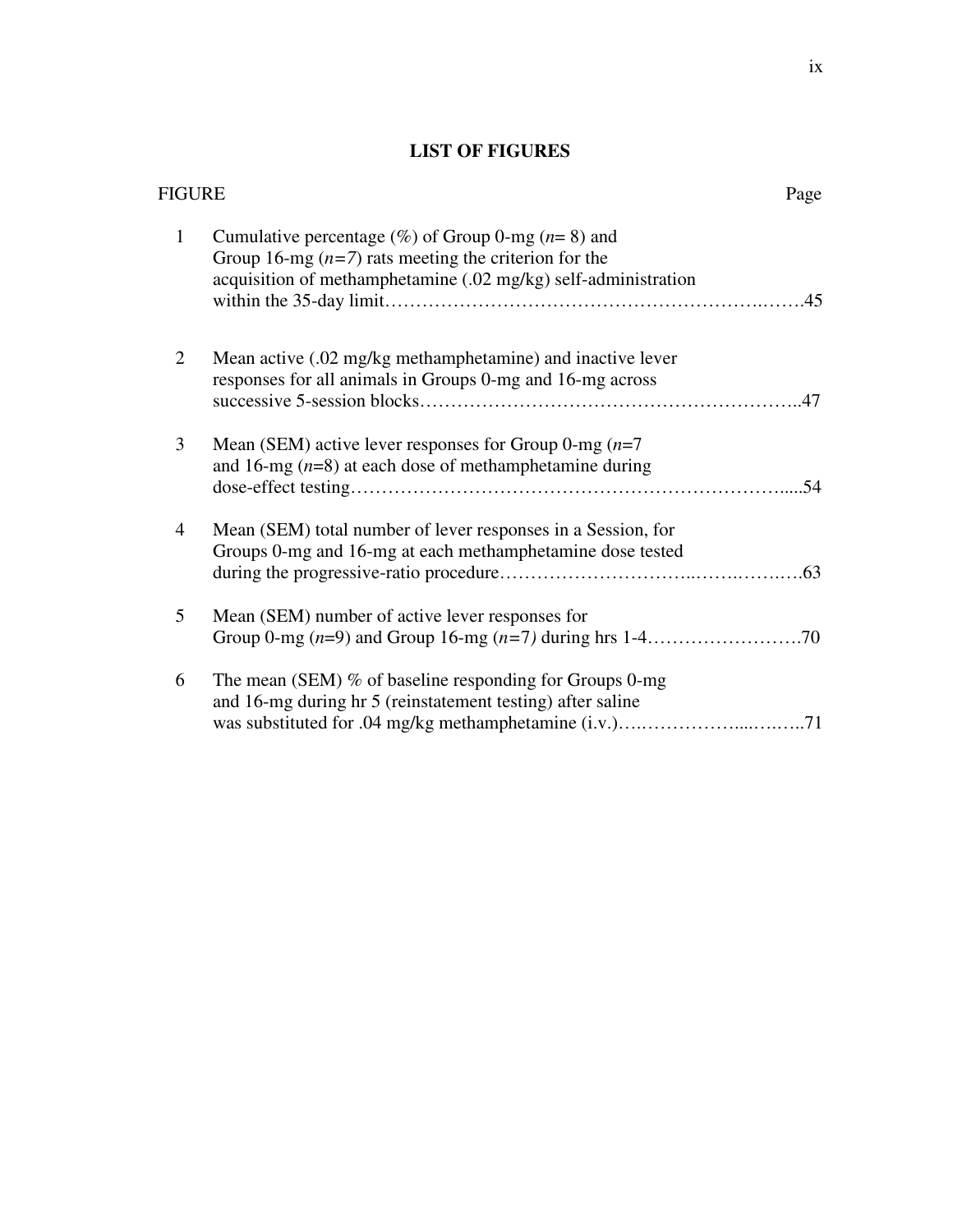# **LIST OF FIGURES**

|                | FIGURE                                                                                                                                                                             |     |
|----------------|------------------------------------------------------------------------------------------------------------------------------------------------------------------------------------|-----|
| $\mathbf{1}$   | Cumulative percentage $(\%)$ of Group 0-mg $(n=8)$ and<br>Group 16-mg $(n=7)$ rats meeting the criterion for the<br>acquisition of methamphetamine (.02 mg/kg) self-administration |     |
| $\overline{2}$ | Mean active (.02 mg/kg methamphetamine) and inactive lever<br>responses for all animals in Groups 0-mg and 16-mg across                                                            |     |
| 3              | Mean (SEM) active lever responses for Group 0-mg $(n=7)$<br>and 16-mg $(n=8)$ at each dose of methamphetamine during                                                               | .54 |
| $\overline{4}$ | Mean (SEM) total number of lever responses in a Session, for<br>Groups 0-mg and 16-mg at each methamphetamine dose tested                                                          |     |
| 5              | Mean (SEM) number of active lever responses for                                                                                                                                    |     |
| 6              | The mean (SEM) % of baseline responding for Groups 0-mg<br>and 16-mg during hr 5 (reinstatement testing) after saline                                                              |     |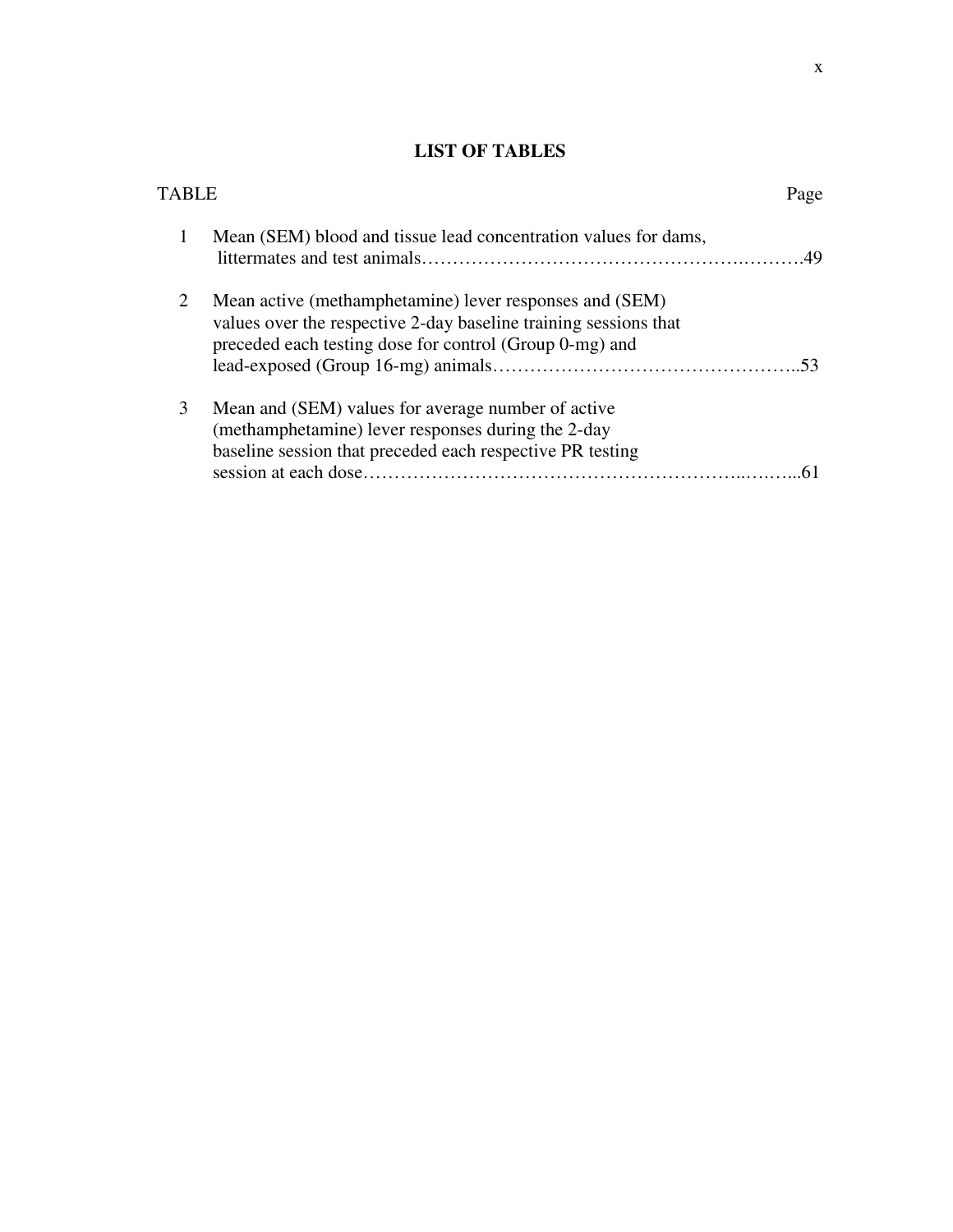# **LIST OF TABLES**

| TARI F |                                                                                                                                                                                        | Page |
|--------|----------------------------------------------------------------------------------------------------------------------------------------------------------------------------------------|------|
| 1      | Mean (SEM) blood and tissue lead concentration values for dams,                                                                                                                        |      |
| 2      | Mean active (methamphetamine) lever responses and (SEM)<br>values over the respective 2-day baseline training sessions that<br>preceded each testing dose for control (Group 0-mg) and |      |
| 3      | Mean and (SEM) values for average number of active<br>(methamphetamine) lever responses during the 2-day<br>baseline session that preceded each respective PR testing                  |      |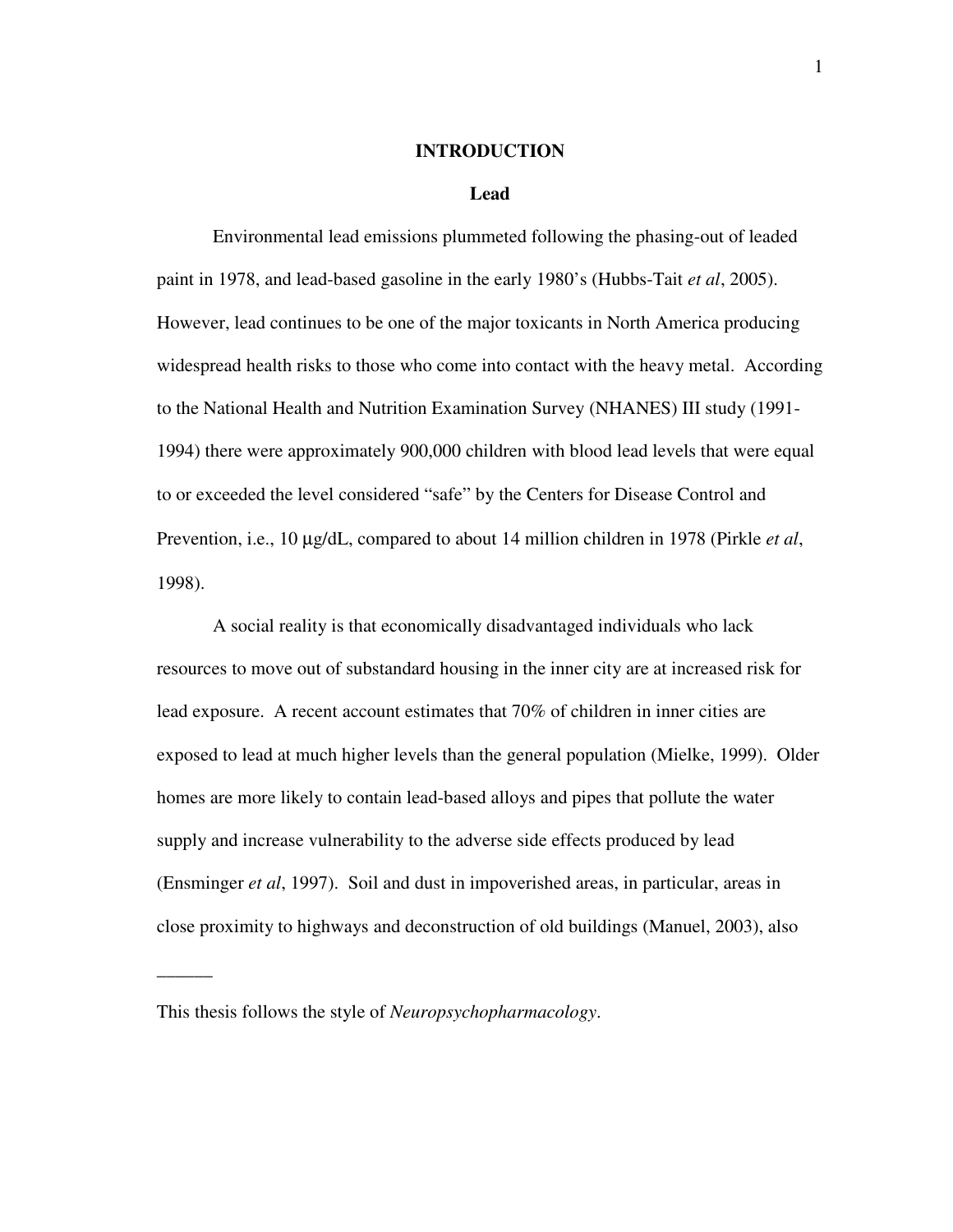#### **INTRODUCTION**

#### **Lead**

Environmental lead emissions plummeted following the phasing-out of leaded paint in 1978, and lead-based gasoline in the early 1980's (Hubbs-Tait *et al*, 2005). However, lead continues to be one of the major toxicants in North America producing widespread health risks to those who come into contact with the heavy metal. According to the National Health and Nutrition Examination Survey (NHANES) III study (1991- 1994) there were approximately 900,000 children with blood lead levels that were equal to or exceeded the level considered "safe" by the Centers for Disease Control and Prevention, i.e., 10 µg/dL, compared to about 14 million children in 1978 (Pirkle *et al*, 1998).

A social reality is that economically disadvantaged individuals who lack resources to move out of substandard housing in the inner city are at increased risk for lead exposure. A recent account estimates that 70% of children in inner cities are exposed to lead at much higher levels than the general population (Mielke, 1999). Older homes are more likely to contain lead-based alloys and pipes that pollute the water supply and increase vulnerability to the adverse side effects produced by lead (Ensminger *et al*, 1997). Soil and dust in impoverished areas, in particular, areas in close proximity to highways and deconstruction of old buildings (Manuel, 2003), also

 $\overline{\phantom{a}}$ 

This thesis follows the style of *Neuropsychopharmacology*.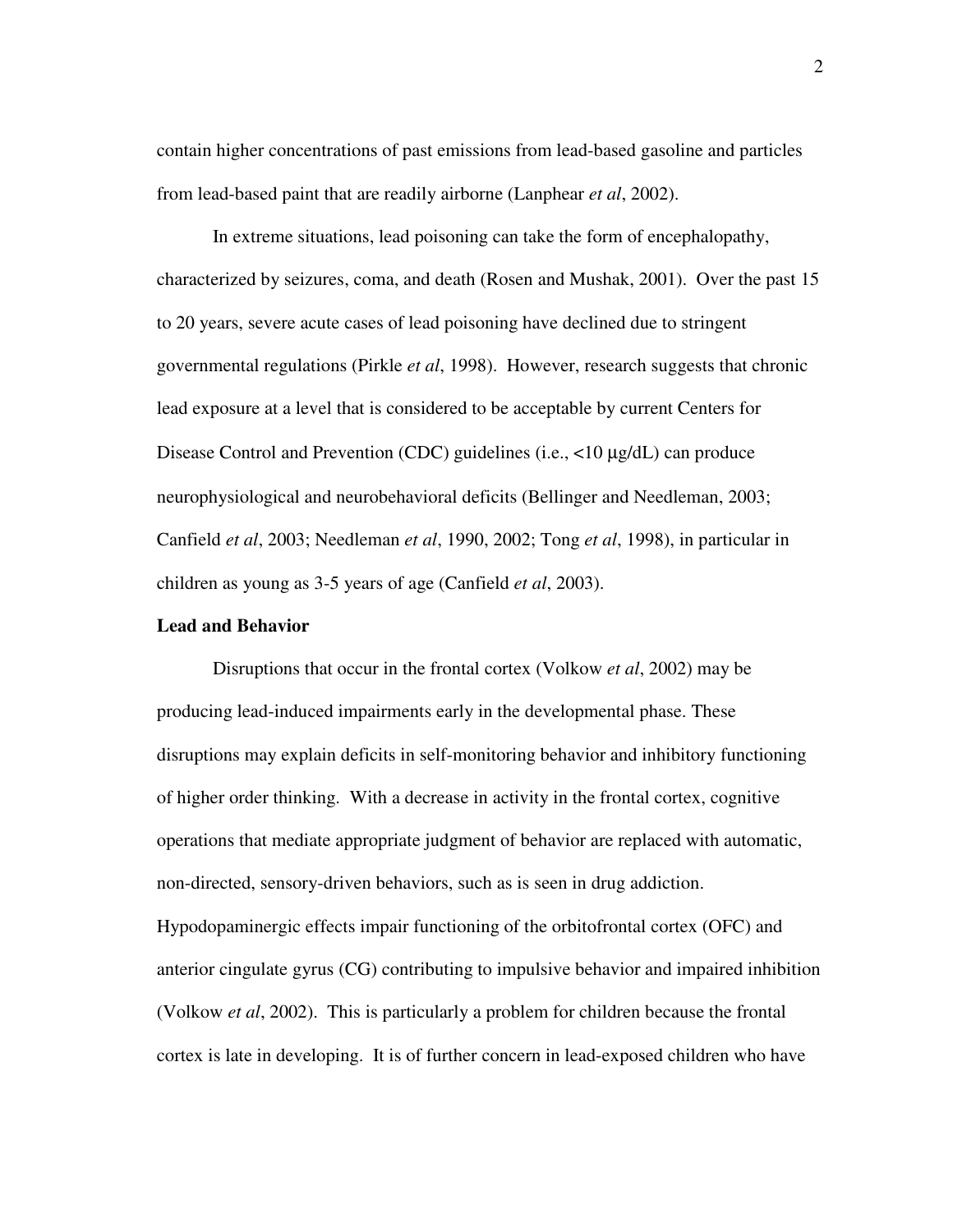contain higher concentrations of past emissions from lead-based gasoline and particles from lead-based paint that are readily airborne (Lanphear *et al*, 2002).

In extreme situations, lead poisoning can take the form of encephalopathy, characterized by seizures, coma, and death (Rosen and Mushak, 2001). Over the past 15 to 20 years, severe acute cases of lead poisoning have declined due to stringent governmental regulations (Pirkle *et al*, 1998). However, research suggests that chronic lead exposure at a level that is considered to be acceptable by current Centers for Disease Control and Prevention (CDC) guidelines (i.e., <10 µg/dL) can produce neurophysiological and neurobehavioral deficits (Bellinger and Needleman, 2003; Canfield *et al*, 2003; Needleman *et al*, 1990, 2002; Tong *et al*, 1998), in particular in children as young as 3-5 years of age (Canfield *et al*, 2003).

### **Lead and Behavior**

Disruptions that occur in the frontal cortex (Volkow *et al*, 2002) may be producing lead-induced impairments early in the developmental phase. These disruptions may explain deficits in self-monitoring behavior and inhibitory functioning of higher order thinking. With a decrease in activity in the frontal cortex, cognitive operations that mediate appropriate judgment of behavior are replaced with automatic, non-directed, sensory-driven behaviors, such as is seen in drug addiction. Hypodopaminergic effects impair functioning of the orbitofrontal cortex (OFC) and anterior cingulate gyrus (CG) contributing to impulsive behavior and impaired inhibition (Volkow *et al*, 2002). This is particularly a problem for children because the frontal cortex is late in developing. It is of further concern in lead-exposed children who have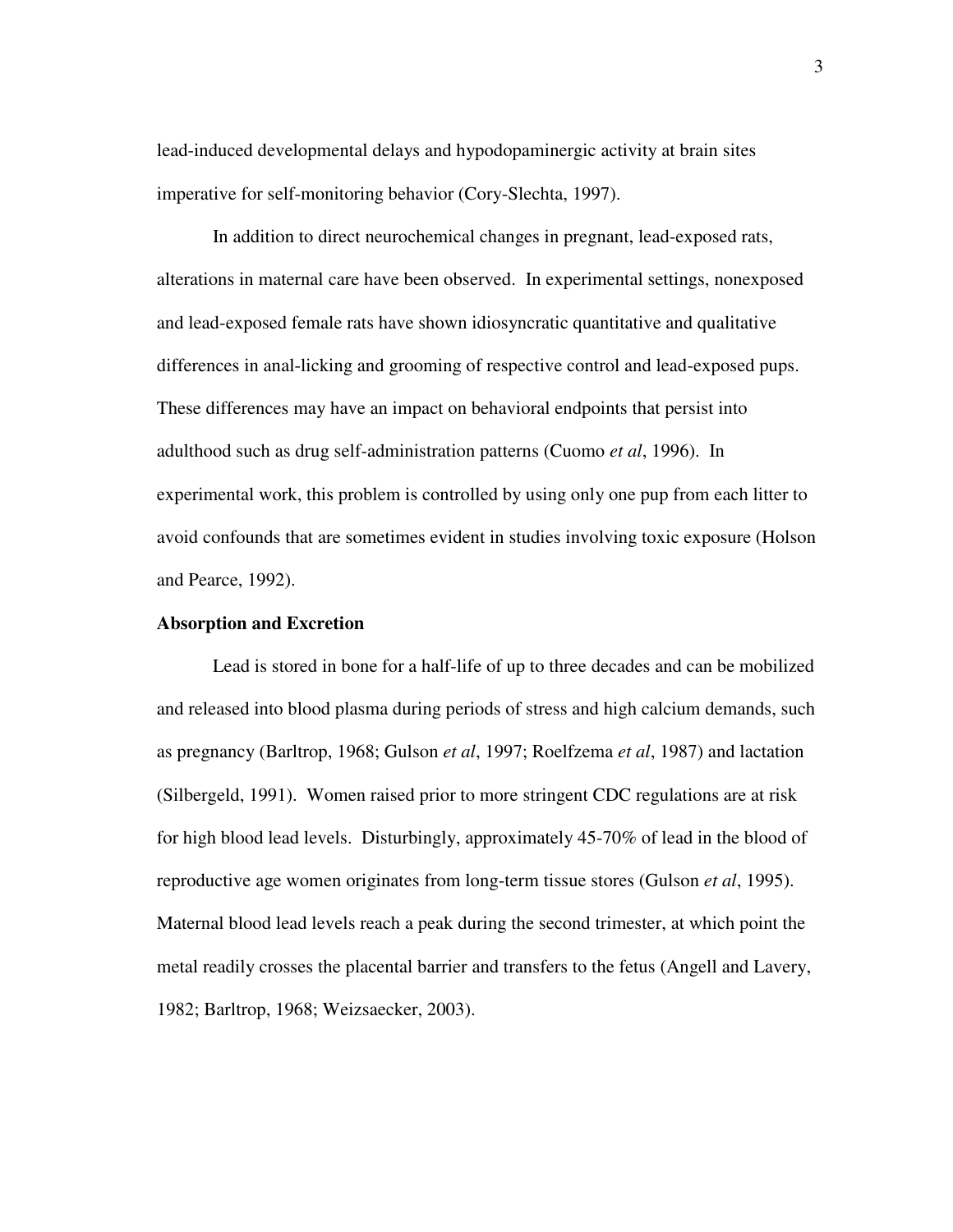lead-induced developmental delays and hypodopaminergic activity at brain sites imperative for self-monitoring behavior (Cory-Slechta, 1997).

In addition to direct neurochemical changes in pregnant, lead-exposed rats, alterations in maternal care have been observed. In experimental settings, nonexposed and lead-exposed female rats have shown idiosyncratic quantitative and qualitative differences in anal-licking and grooming of respective control and lead-exposed pups. These differences may have an impact on behavioral endpoints that persist into adulthood such as drug self-administration patterns (Cuomo *et al*, 1996). In experimental work, this problem is controlled by using only one pup from each litter to avoid confounds that are sometimes evident in studies involving toxic exposure (Holson and Pearce, 1992).

#### **Absorption and Excretion**

Lead is stored in bone for a half-life of up to three decades and can be mobilized and released into blood plasma during periods of stress and high calcium demands, such as pregnancy (Barltrop, 1968; Gulson *et al*, 1997; Roelfzema *et al*, 1987) and lactation (Silbergeld, 1991). Women raised prior to more stringent CDC regulations are at risk for high blood lead levels. Disturbingly, approximately 45-70% of lead in the blood of reproductive age women originates from long-term tissue stores (Gulson *et al*, 1995). Maternal blood lead levels reach a peak during the second trimester, at which point the metal readily crosses the placental barrier and transfers to the fetus (Angell and Lavery, 1982; Barltrop, 1968; Weizsaecker, 2003).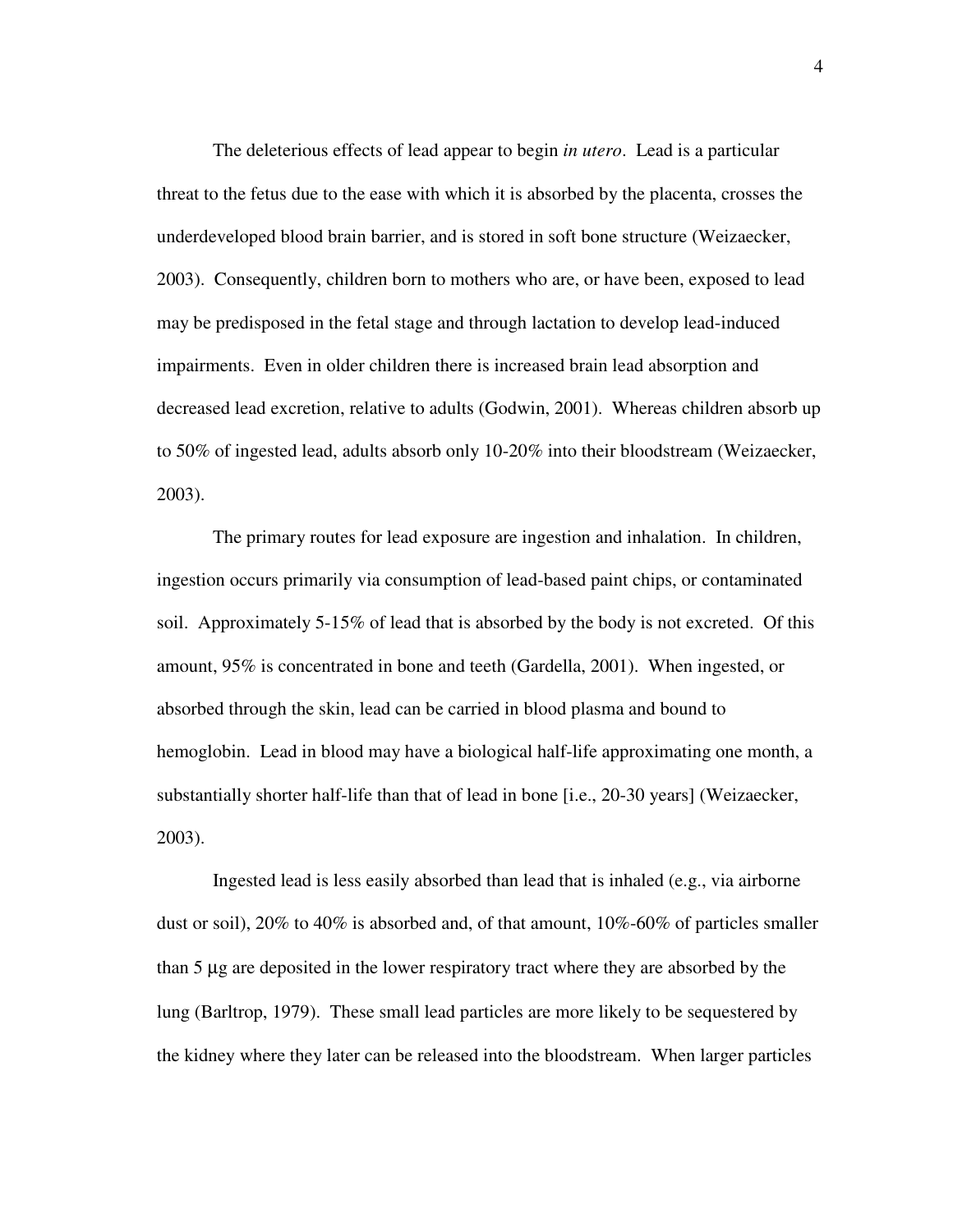The deleterious effects of lead appear to begin *in utero*. Lead is a particular threat to the fetus due to the ease with which it is absorbed by the placenta, crosses the underdeveloped blood brain barrier, and is stored in soft bone structure (Weizaecker, 2003). Consequently, children born to mothers who are, or have been, exposed to lead may be predisposed in the fetal stage and through lactation to develop lead-induced impairments. Even in older children there is increased brain lead absorption and decreased lead excretion, relative to adults (Godwin, 2001). Whereas children absorb up to 50% of ingested lead, adults absorb only 10-20% into their bloodstream (Weizaecker, 2003).

The primary routes for lead exposure are ingestion and inhalation. In children, ingestion occurs primarily via consumption of lead-based paint chips, or contaminated soil. Approximately 5-15% of lead that is absorbed by the body is not excreted. Of this amount, 95% is concentrated in bone and teeth (Gardella, 2001). When ingested, or absorbed through the skin, lead can be carried in blood plasma and bound to hemoglobin. Lead in blood may have a biological half-life approximating one month, a substantially shorter half-life than that of lead in bone [i.e., 20-30 years] (Weizaecker, 2003).

Ingested lead is less easily absorbed than lead that is inhaled (e.g., via airborne dust or soil), 20% to 40% is absorbed and, of that amount, 10%-60% of particles smaller than 5 µg are deposited in the lower respiratory tract where they are absorbed by the lung (Barltrop, 1979). These small lead particles are more likely to be sequestered by the kidney where they later can be released into the bloodstream. When larger particles

4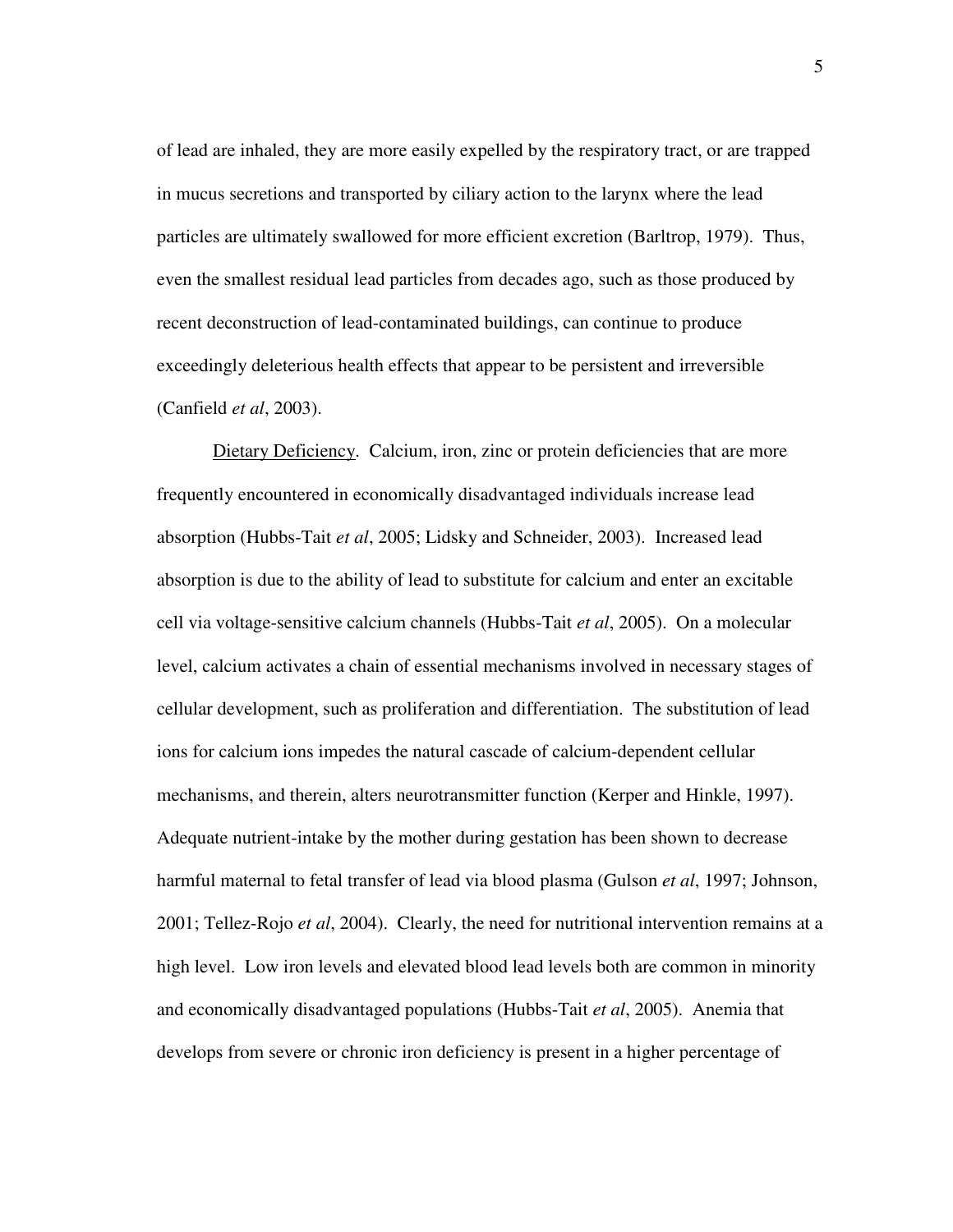of lead are inhaled, they are more easily expelled by the respiratory tract, or are trapped in mucus secretions and transported by ciliary action to the larynx where the lead particles are ultimately swallowed for more efficient excretion (Barltrop, 1979). Thus, even the smallest residual lead particles from decades ago, such as those produced by recent deconstruction of lead-contaminated buildings, can continue to produce exceedingly deleterious health effects that appear to be persistent and irreversible (Canfield *et al*, 2003).

Dietary Deficiency. Calcium, iron, zinc or protein deficiencies that are more frequently encountered in economically disadvantaged individuals increase lead absorption (Hubbs-Tait *et al*, 2005; Lidsky and Schneider, 2003). Increased lead absorption is due to the ability of lead to substitute for calcium and enter an excitable cell via voltage-sensitive calcium channels (Hubbs-Tait *et al*, 2005). On a molecular level, calcium activates a chain of essential mechanisms involved in necessary stages of cellular development, such as proliferation and differentiation. The substitution of lead ions for calcium ions impedes the natural cascade of calcium-dependent cellular mechanisms, and therein, alters neurotransmitter function (Kerper and Hinkle, 1997). Adequate nutrient-intake by the mother during gestation has been shown to decrease harmful maternal to fetal transfer of lead via blood plasma (Gulson *et al*, 1997; Johnson, 2001; Tellez-Rojo *et al*, 2004). Clearly, the need for nutritional intervention remains at a high level. Low iron levels and elevated blood lead levels both are common in minority and economically disadvantaged populations (Hubbs-Tait *et al*, 2005). Anemia that develops from severe or chronic iron deficiency is present in a higher percentage of

5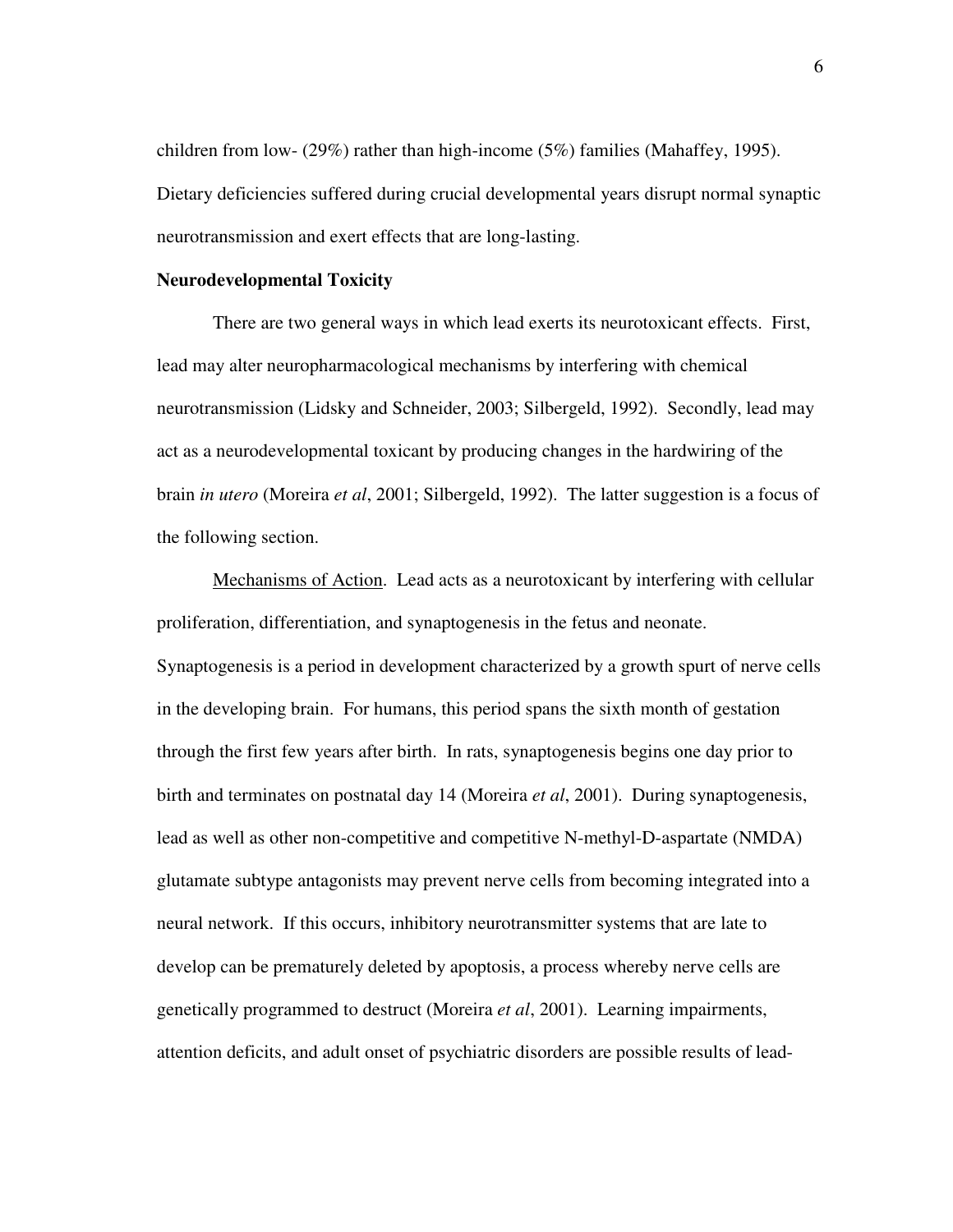children from low- (29%) rather than high-income (5%) families (Mahaffey, 1995). Dietary deficiencies suffered during crucial developmental years disrupt normal synaptic neurotransmission and exert effects that are long-lasting.

#### **Neurodevelopmental Toxicity**

There are two general ways in which lead exerts its neurotoxicant effects. First, lead may alter neuropharmacological mechanisms by interfering with chemical neurotransmission (Lidsky and Schneider, 2003; Silbergeld, 1992). Secondly, lead may act as a neurodevelopmental toxicant by producing changes in the hardwiring of the brain *in utero* (Moreira *et al*, 2001; Silbergeld, 1992). The latter suggestion is a focus of the following section.

Mechanisms of Action. Lead acts as a neurotoxicant by interfering with cellular proliferation, differentiation, and synaptogenesis in the fetus and neonate. Synaptogenesis is a period in development characterized by a growth spurt of nerve cells in the developing brain. For humans, this period spans the sixth month of gestation through the first few years after birth. In rats, synaptogenesis begins one day prior to birth and terminates on postnatal day 14 (Moreira *et al*, 2001). During synaptogenesis, lead as well as other non-competitive and competitive N-methyl-D-aspartate (NMDA) glutamate subtype antagonists may prevent nerve cells from becoming integrated into a neural network. If this occurs, inhibitory neurotransmitter systems that are late to develop can be prematurely deleted by apoptosis, a process whereby nerve cells are genetically programmed to destruct (Moreira *et al*, 2001). Learning impairments, attention deficits, and adult onset of psychiatric disorders are possible results of lead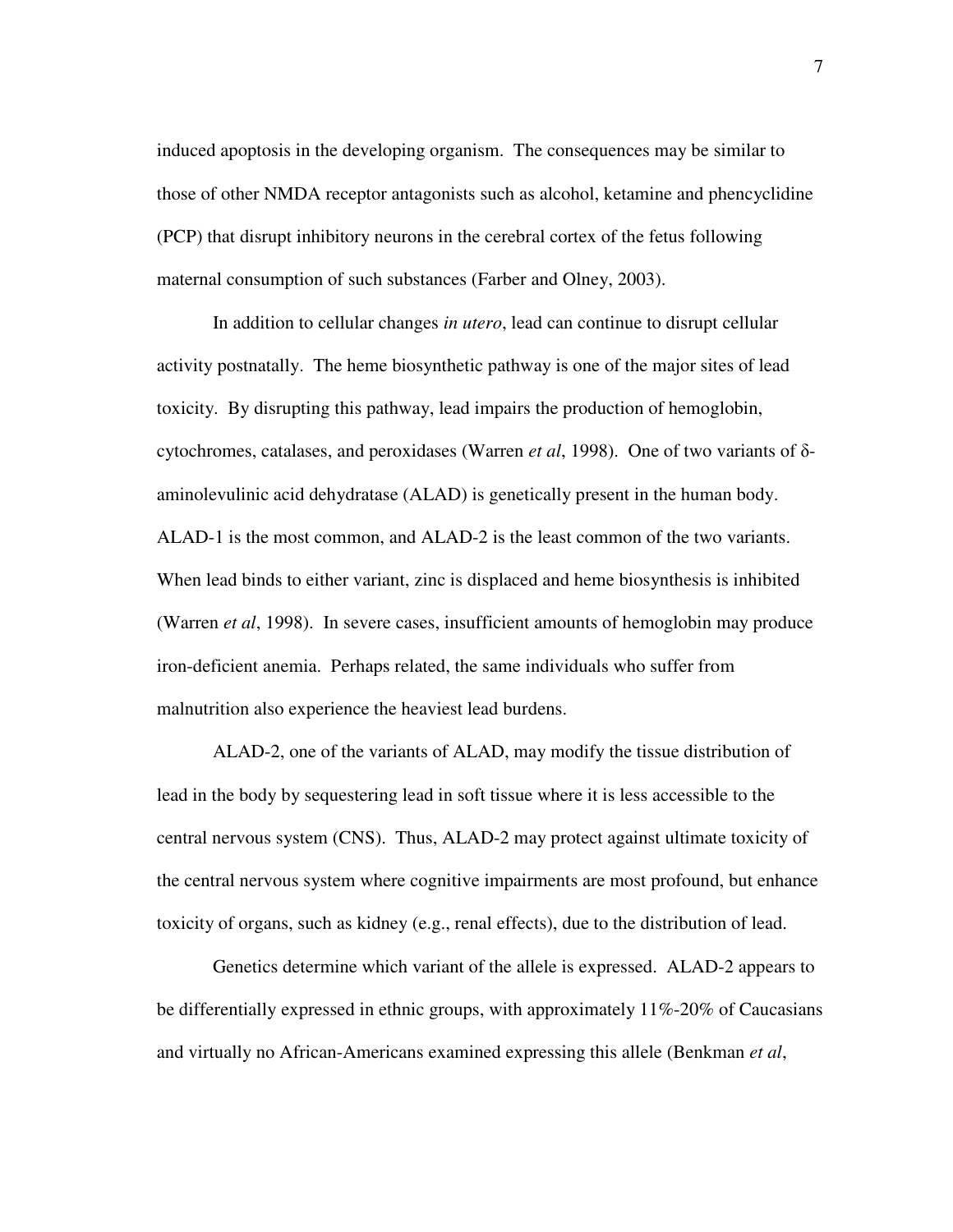induced apoptosis in the developing organism. The consequences may be similar to those of other NMDA receptor antagonists such as alcohol, ketamine and phencyclidine (PCP) that disrupt inhibitory neurons in the cerebral cortex of the fetus following maternal consumption of such substances (Farber and Olney, 2003).

In addition to cellular changes *in utero*, lead can continue to disrupt cellular activity postnatally. The heme biosynthetic pathway is one of the major sites of lead toxicity. By disrupting this pathway, lead impairs the production of hemoglobin, cytochromes, catalases, and peroxidases (Warren *et al.* 1998). One of two variants of  $\delta$ aminolevulinic acid dehydratase (ALAD) is genetically present in the human body. ALAD-1 is the most common, and ALAD-2 is the least common of the two variants. When lead binds to either variant, zinc is displaced and heme biosynthesis is inhibited (Warren *et al*, 1998). In severe cases, insufficient amounts of hemoglobin may produce iron-deficient anemia. Perhaps related, the same individuals who suffer from malnutrition also experience the heaviest lead burdens.

ALAD-2, one of the variants of ALAD, may modify the tissue distribution of lead in the body by sequestering lead in soft tissue where it is less accessible to the central nervous system (CNS). Thus, ALAD-2 may protect against ultimate toxicity of the central nervous system where cognitive impairments are most profound, but enhance toxicity of organs, such as kidney (e.g., renal effects), due to the distribution of lead.

Genetics determine which variant of the allele is expressed. ALAD-2 appears to be differentially expressed in ethnic groups, with approximately 11%-20% of Caucasians and virtually no African-Americans examined expressing this allele (Benkman *et al*,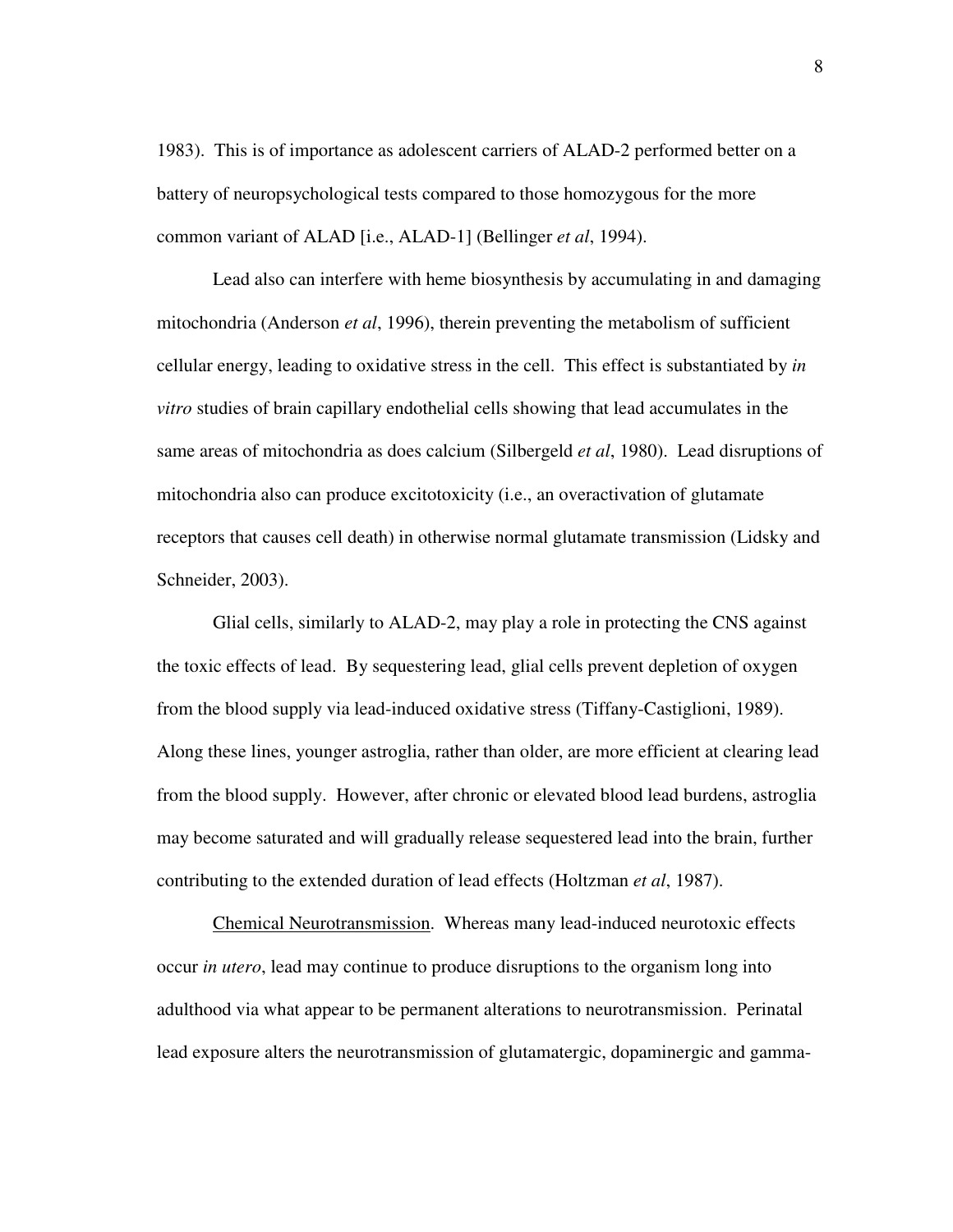1983). This is of importance as adolescent carriers of ALAD-2 performed better on a battery of neuropsychological tests compared to those homozygous for the more common variant of ALAD [i.e., ALAD-1] (Bellinger *et al*, 1994).

Lead also can interfere with heme biosynthesis by accumulating in and damaging mitochondria (Anderson *et al*, 1996), therein preventing the metabolism of sufficient cellular energy, leading to oxidative stress in the cell. This effect is substantiated by *in vitro* studies of brain capillary endothelial cells showing that lead accumulates in the same areas of mitochondria as does calcium (Silbergeld *et al*, 1980). Lead disruptions of mitochondria also can produce excitotoxicity (i.e., an overactivation of glutamate receptors that causes cell death) in otherwise normal glutamate transmission (Lidsky and Schneider, 2003).

Glial cells, similarly to ALAD-2, may play a role in protecting the CNS against the toxic effects of lead. By sequestering lead, glial cells prevent depletion of oxygen from the blood supply via lead-induced oxidative stress (Tiffany-Castiglioni, 1989). Along these lines, younger astroglia, rather than older, are more efficient at clearing lead from the blood supply. However, after chronic or elevated blood lead burdens, astroglia may become saturated and will gradually release sequestered lead into the brain, further contributing to the extended duration of lead effects (Holtzman *et al*, 1987).

Chemical Neurotransmission. Whereas many lead-induced neurotoxic effects occur *in utero*, lead may continue to produce disruptions to the organism long into adulthood via what appear to be permanent alterations to neurotransmission. Perinatal lead exposure alters the neurotransmission of glutamatergic, dopaminergic and gamma-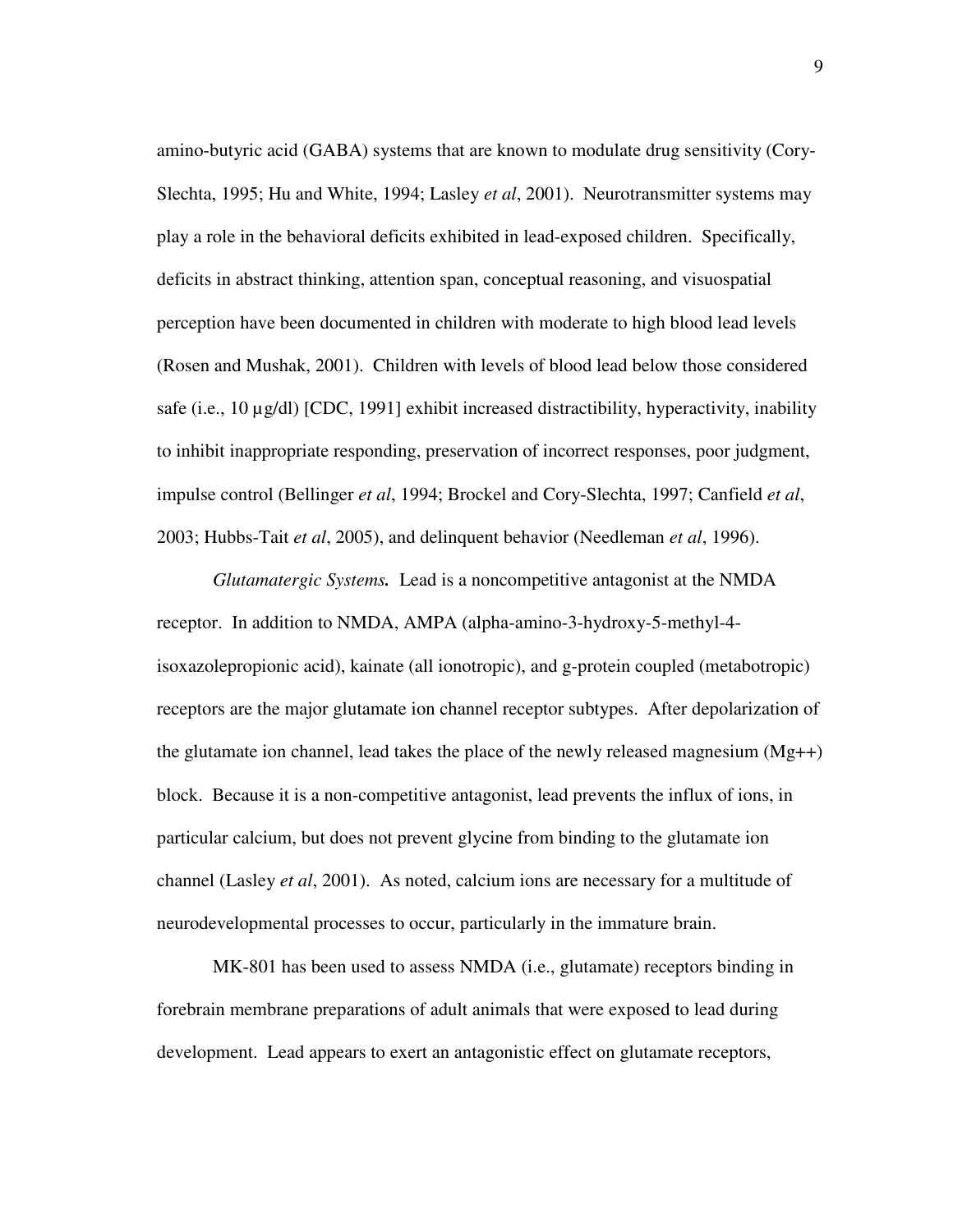amino-butyric acid (GABA) systems that are known to modulate drug sensitivity (Cory-Slechta, 1995; Hu and White, 1994; Lasley *et al*, 2001). Neurotransmitter systems may play a role in the behavioral deficits exhibited in lead-exposed children. Specifically, deficits in abstract thinking, attention span, conceptual reasoning, and visuospatial perception have been documented in children with moderate to high blood lead levels (Rosen and Mushak, 2001). Children with levels of blood lead below those considered safe (i.e.,  $10 \mu g/dl$ ) [CDC,  $1991$ ] exhibit increased distractibility, hyperactivity, inability to inhibit inappropriate responding, preservation of incorrect responses, poor judgment, impulse control (Bellinger *et al*, 1994; Brockel and Cory-Slechta, 1997; Canfield *et al*, 2003; Hubbs-Tait *et al*, 2005), and delinquent behavior (Needleman *et al*, 1996).

*Glutamatergic Systems.* Lead is a noncompetitive antagonist at the NMDA receptor. In addition to NMDA, AMPA (alpha-amino-3-hydroxy-5-methyl-4 isoxazolepropionic acid), kainate (all ionotropic), and g-protein coupled (metabotropic) receptors are the major glutamate ion channel receptor subtypes. After depolarization of the glutamate ion channel, lead takes the place of the newly released magnesium (Mg++) block. Because it is a non-competitive antagonist, lead prevents the influx of ions, in particular calcium, but does not prevent glycine from binding to the glutamate ion channel (Lasley *et al*, 2001). As noted, calcium ions are necessary for a multitude of neurodevelopmental processes to occur, particularly in the immature brain.

MK-801 has been used to assess NMDA (i.e., glutamate) receptors binding in forebrain membrane preparations of adult animals that were exposed to lead during development. Lead appears to exert an antagonistic effect on glutamate receptors,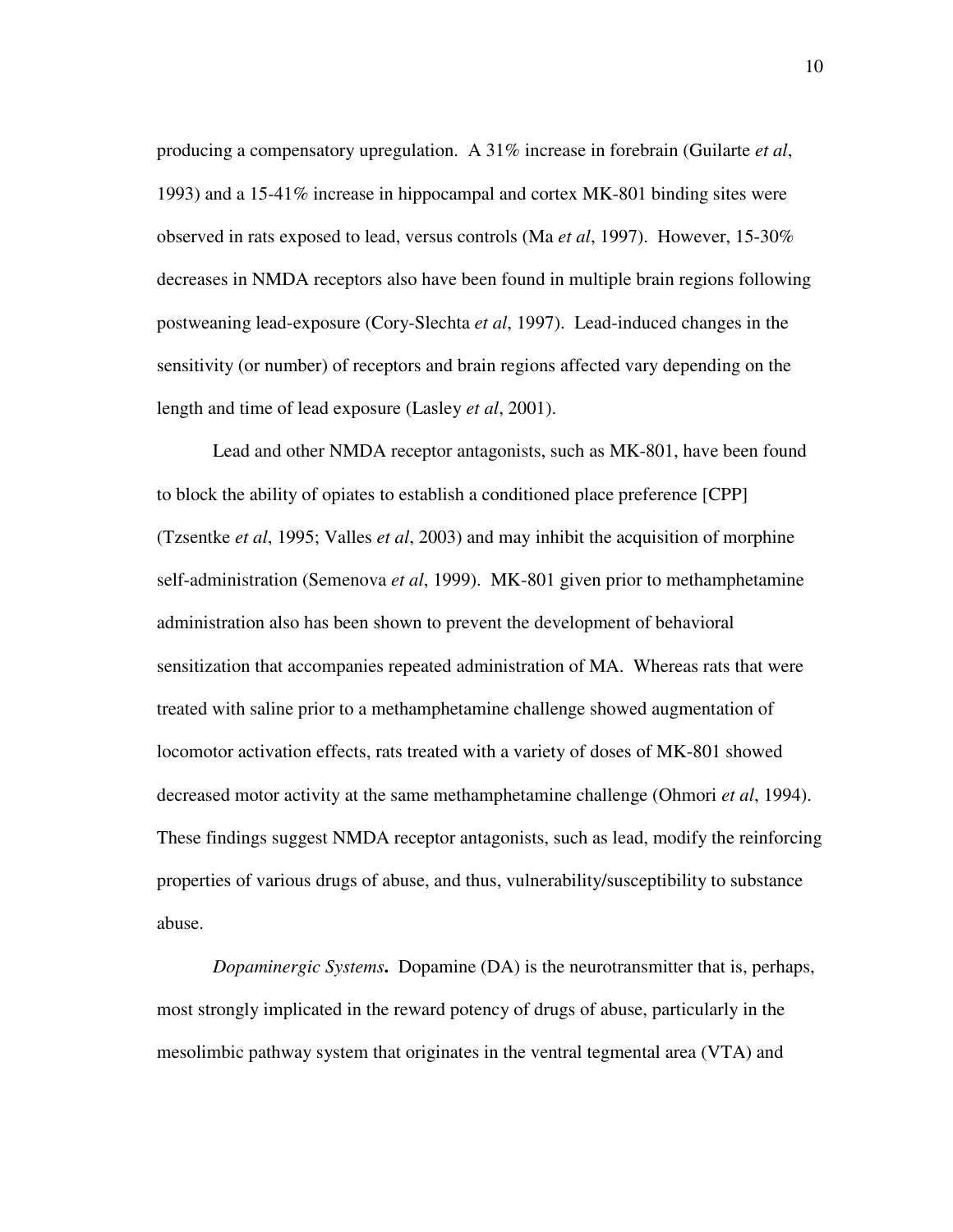producing a compensatory upregulation. A 31% increase in forebrain (Guilarte *et al*, 1993) and a 15-41% increase in hippocampal and cortex MK-801 binding sites were observed in rats exposed to lead, versus controls (Ma *et al*, 1997). However, 15-30% decreases in NMDA receptors also have been found in multiple brain regions following postweaning lead-exposure (Cory-Slechta *et al*, 1997). Lead-induced changes in the sensitivity (or number) of receptors and brain regions affected vary depending on the length and time of lead exposure (Lasley *et al*, 2001).

Lead and other NMDA receptor antagonists, such as MK-801, have been found to block the ability of opiates to establish a conditioned place preference [CPP] (Tzsentke *et al*, 1995; Valles *et al*, 2003) and may inhibit the acquisition of morphine self-administration (Semenova *et al*, 1999). MK-801 given prior to methamphetamine administration also has been shown to prevent the development of behavioral sensitization that accompanies repeated administration of MA. Whereas rats that were treated with saline prior to a methamphetamine challenge showed augmentation of locomotor activation effects, rats treated with a variety of doses of MK-801 showed decreased motor activity at the same methamphetamine challenge (Ohmori *et al*, 1994). These findings suggest NMDA receptor antagonists, such as lead, modify the reinforcing properties of various drugs of abuse, and thus, vulnerability/susceptibility to substance abuse.

*Dopaminergic Systems***.** Dopamine (DA) is the neurotransmitter that is, perhaps, most strongly implicated in the reward potency of drugs of abuse, particularly in the mesolimbic pathway system that originates in the ventral tegmental area (VTA) and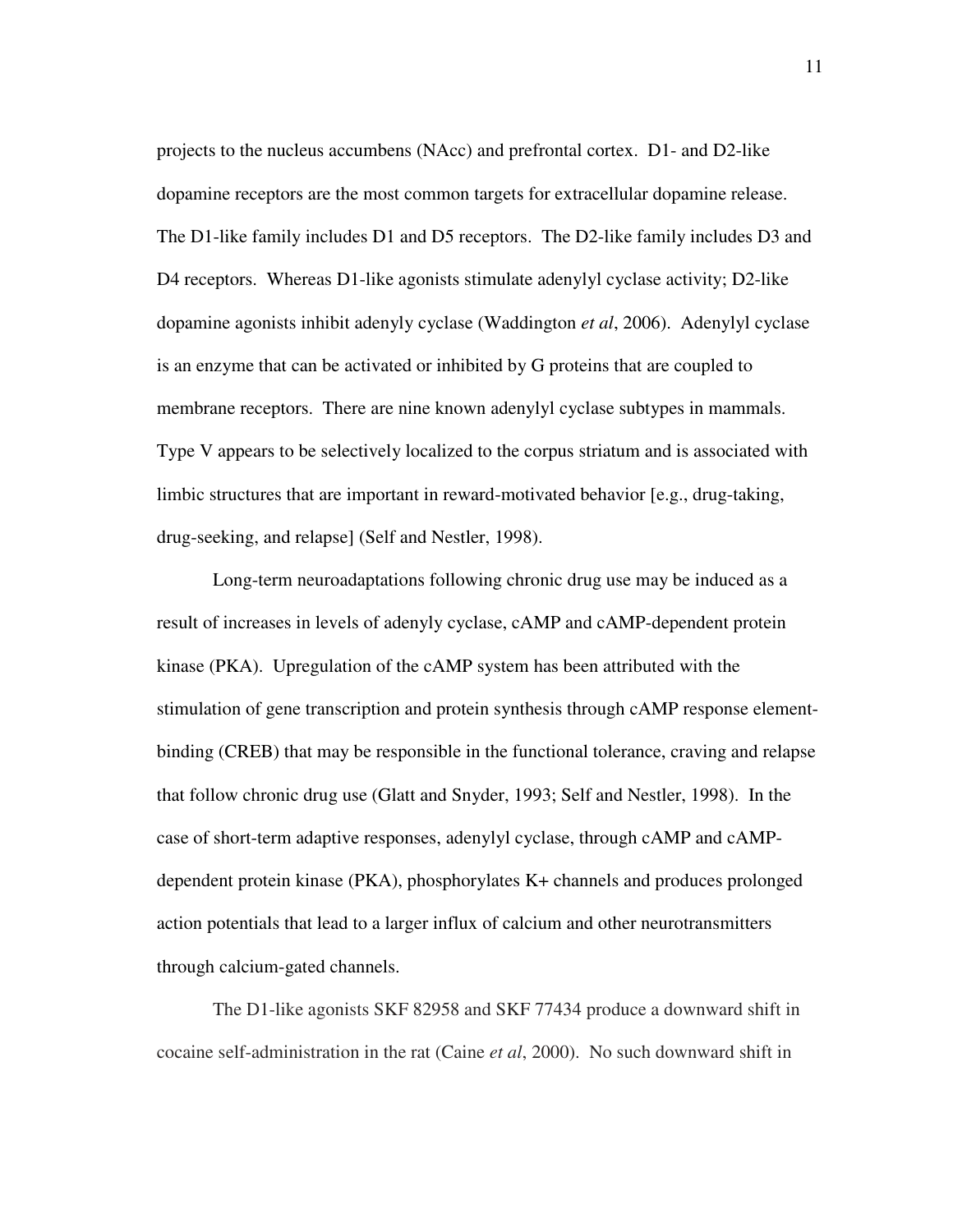projects to the nucleus accumbens (NAcc) and prefrontal cortex. D1- and D2-like dopamine receptors are the most common targets for extracellular dopamine release. The D1-like family includes D1 and D5 receptors. The D2-like family includes D3 and D4 receptors. Whereas D1-like agonists stimulate adenylyl cyclase activity; D2-like dopamine agonists inhibit adenyly cyclase (Waddington *et al*, 2006). Adenylyl cyclase is an enzyme that can be activated or inhibited by G proteins that are coupled to membrane receptors. There are nine known adenylyl cyclase subtypes in mammals. Type V appears to be selectively localized to the corpus striatum and is associated with limbic structures that are important in reward-motivated behavior [e.g., drug-taking, drug-seeking, and relapse] (Self and Nestler, 1998).

Long-term neuroadaptations following chronic drug use may be induced as a result of increases in levels of adenyly cyclase, cAMP and cAMP-dependent protein kinase (PKA). Upregulation of the cAMP system has been attributed with the stimulation of gene transcription and protein synthesis through cAMP response elementbinding (CREB) that may be responsible in the functional tolerance, craving and relapse that follow chronic drug use (Glatt and Snyder, 1993; Self and Nestler, 1998). In the case of short-term adaptive responses, adenylyl cyclase, through cAMP and cAMPdependent protein kinase (PKA), phosphorylates K+ channels and produces prolonged action potentials that lead to a larger influx of calcium and other neurotransmitters through calcium-gated channels.

The D1-like agonists SKF 82958 and SKF 77434 produce a downward shift in cocaine self-administration in the rat (Caine *et al*, 2000). No such downward shift in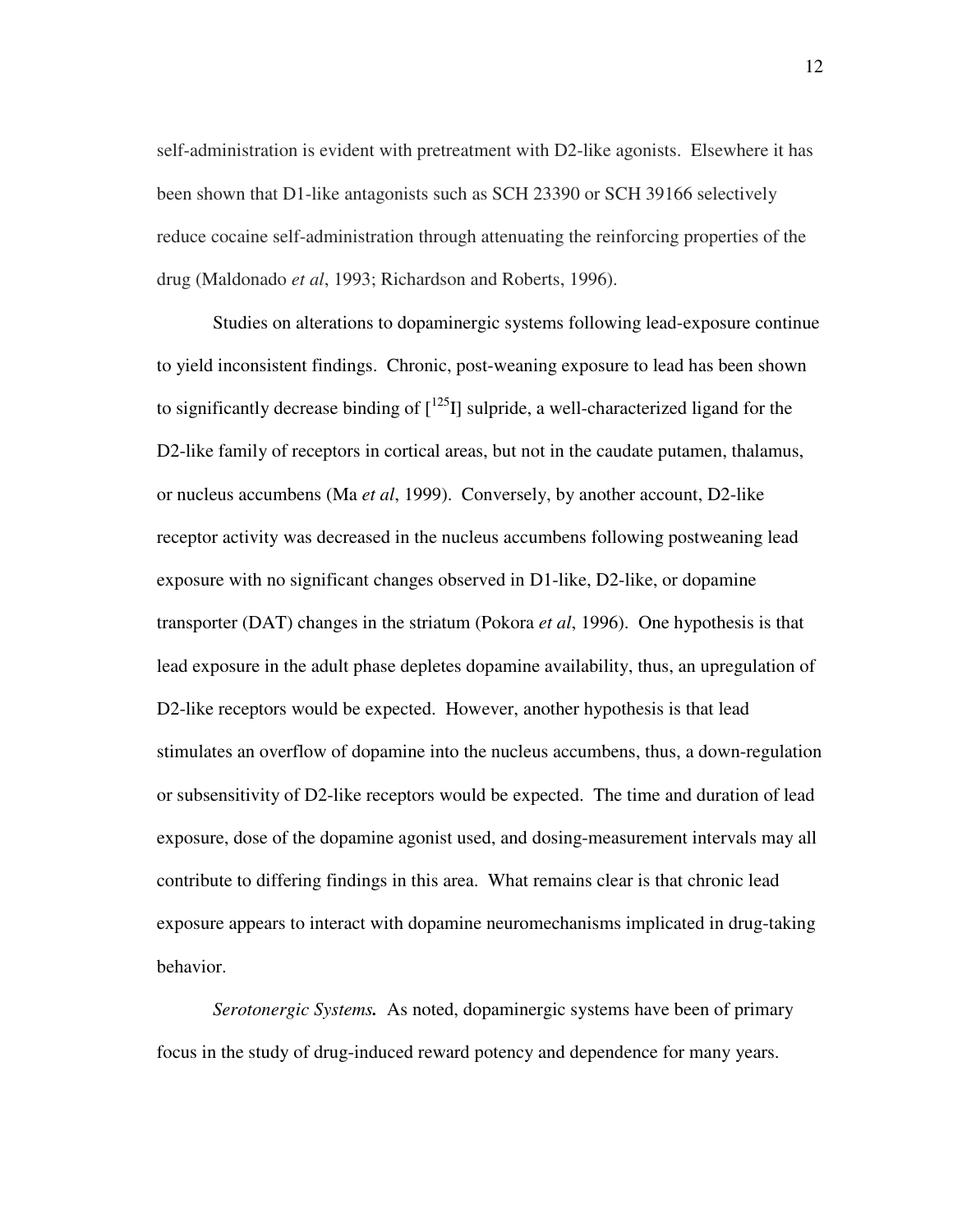self-administration is evident with pretreatment with D2-like agonists. Elsewhere it has been shown that D1-like antagonists such as SCH 23390 or SCH 39166 selectively reduce cocaine self-administration through attenuating the reinforcing properties of the drug (Maldonado *et al*, 1993; Richardson and Roberts, 1996).

Studies on alterations to dopaminergic systems following lead-exposure continue to yield inconsistent findings. Chronic, post-weaning exposure to lead has been shown to significantly decrease binding of  $\left[1^{25}I\right]$  sulpride, a well-characterized ligand for the D2-like family of receptors in cortical areas, but not in the caudate putamen, thalamus, or nucleus accumbens (Ma *et al*, 1999). Conversely, by another account, D2-like receptor activity was decreased in the nucleus accumbens following postweaning lead exposure with no significant changes observed in D1-like, D2-like, or dopamine transporter (DAT) changes in the striatum (Pokora *et al*, 1996). One hypothesis is that lead exposure in the adult phase depletes dopamine availability, thus, an upregulation of D2-like receptors would be expected. However, another hypothesis is that lead stimulates an overflow of dopamine into the nucleus accumbens, thus, a down-regulation or subsensitivity of D2-like receptors would be expected. The time and duration of lead exposure, dose of the dopamine agonist used, and dosing-measurement intervals may all contribute to differing findings in this area. What remains clear is that chronic lead exposure appears to interact with dopamine neuromechanisms implicated in drug-taking behavior.

*Serotonergic Systems.* As noted, dopaminergic systems have been of primary focus in the study of drug-induced reward potency and dependence for many years.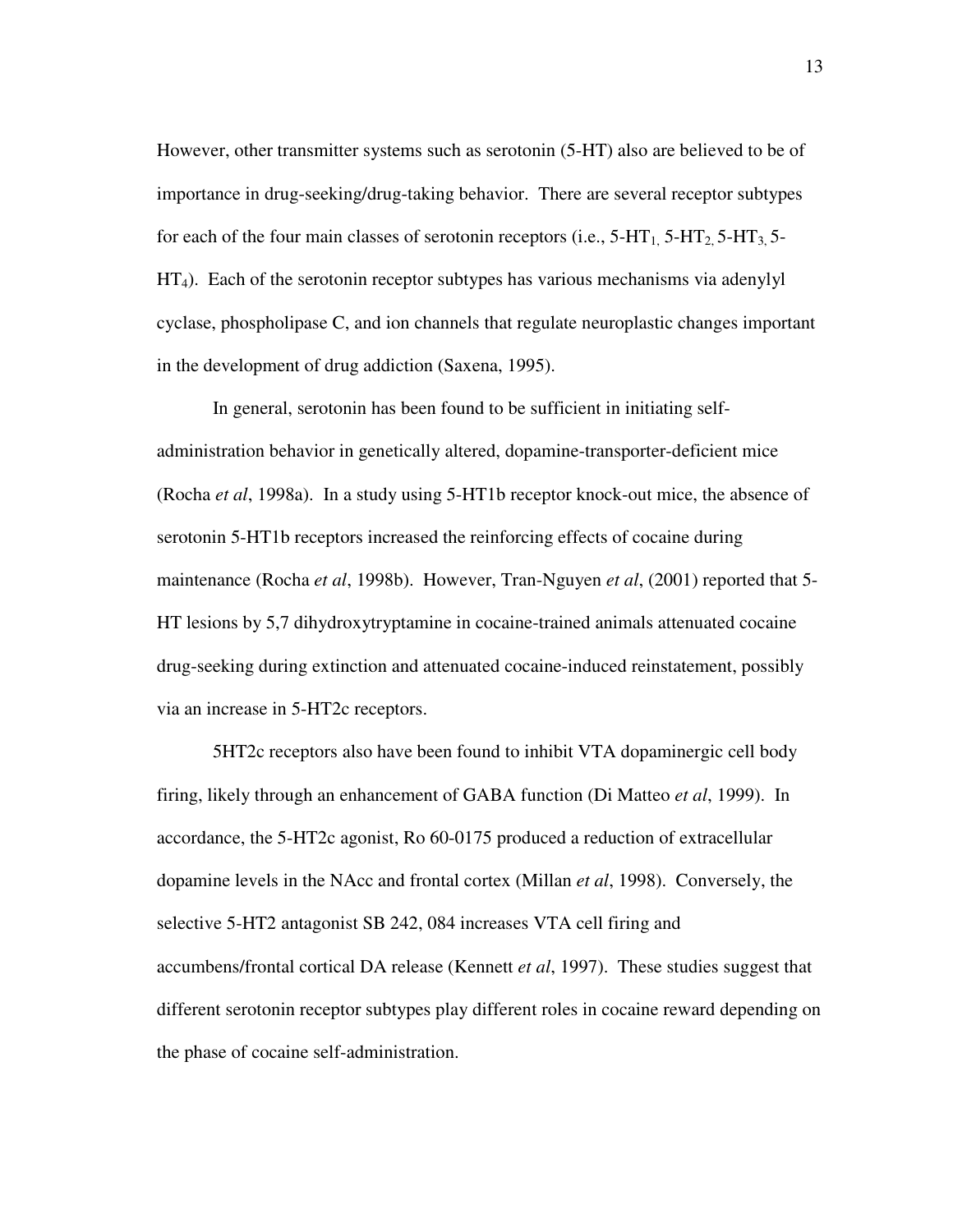However, other transmitter systems such as serotonin (5-HT) also are believed to be of importance in drug-seeking/drug-taking behavior. There are several receptor subtypes for each of the four main classes of serotonin receptors (i.e.,  $5-HT_1$ ,  $5-HT_2$ ,  $5-HT_3$ ,  $5-HT_4$  $HT<sub>4</sub>$ ). Each of the serotonin receptor subtypes has various mechanisms via adenylyl cyclase, phospholipase C, and ion channels that regulate neuroplastic changes important in the development of drug addiction (Saxena, 1995).

In general, serotonin has been found to be sufficient in initiating selfadministration behavior in genetically altered, dopamine-transporter-deficient mice (Rocha *et al*, 1998a). In a study using 5-HT1b receptor knock-out mice, the absence of serotonin 5-HT1b receptors increased the reinforcing effects of cocaine during maintenance (Rocha *et al*, 1998b). However, Tran-Nguyen *et al*, (2001) reported that 5- HT lesions by 5,7 dihydroxytryptamine in cocaine-trained animals attenuated cocaine drug-seeking during extinction and attenuated cocaine-induced reinstatement, possibly via an increase in 5-HT2c receptors.

5HT2c receptors also have been found to inhibit VTA dopaminergic cell body firing, likely through an enhancement of GABA function (Di Matteo *et al*, 1999). In accordance, the 5-HT2c agonist, Ro 60-0175 produced a reduction of extracellular dopamine levels in the NAcc and frontal cortex (Millan *et al*, 1998). Conversely, the selective 5-HT2 antagonist SB 242, 084 increases VTA cell firing and accumbens/frontal cortical DA release (Kennett *et al*, 1997). These studies suggest that different serotonin receptor subtypes play different roles in cocaine reward depending on the phase of cocaine self-administration.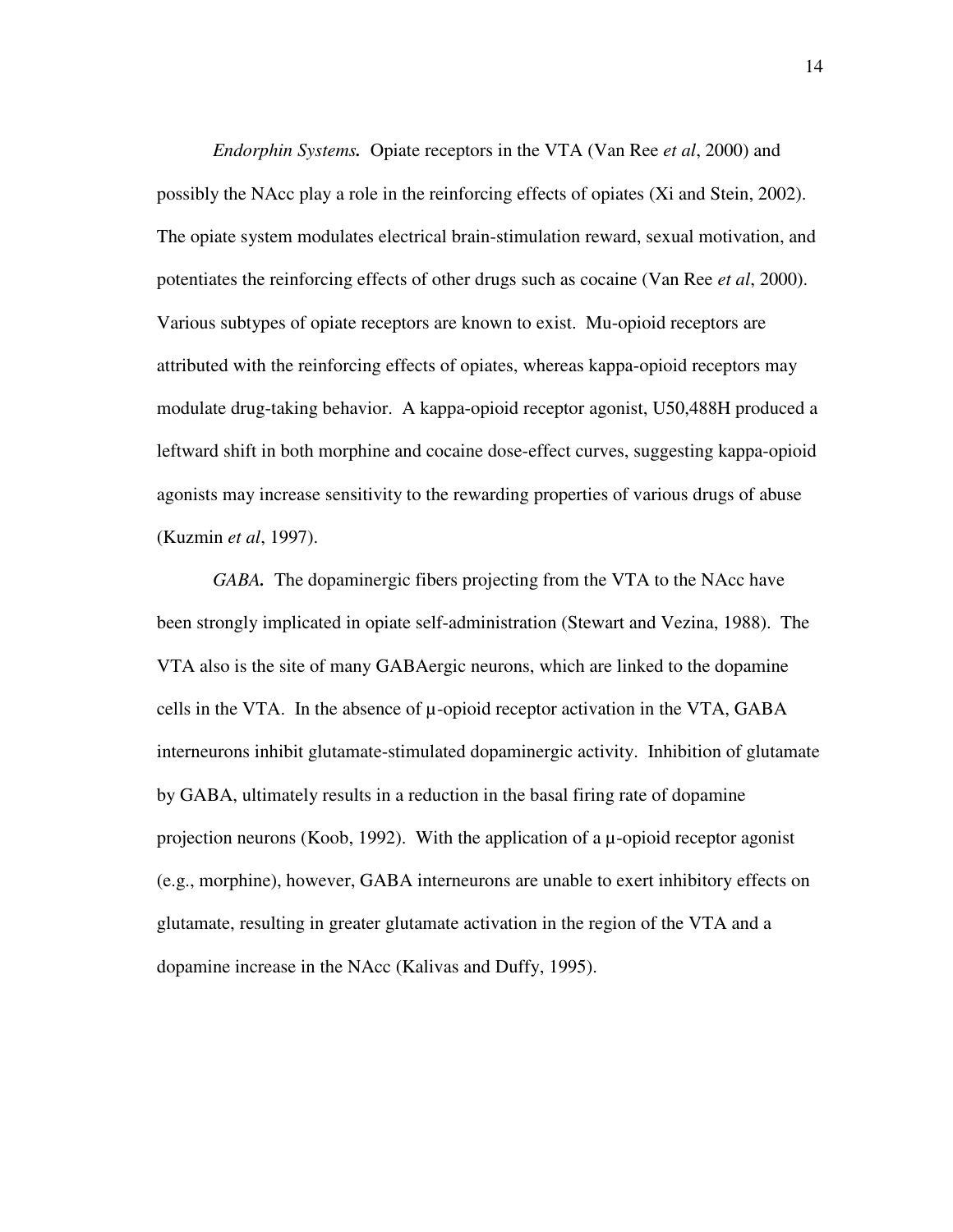*Endorphin Systems.* Opiate receptors in the VTA (Van Ree *et al*, 2000) and possibly the NAcc play a role in the reinforcing effects of opiates (Xi and Stein, 2002). The opiate system modulates electrical brain-stimulation reward, sexual motivation, and potentiates the reinforcing effects of other drugs such as cocaine (Van Ree *et al*, 2000). Various subtypes of opiate receptors are known to exist. Mu-opioid receptors are attributed with the reinforcing effects of opiates, whereas kappa-opioid receptors may modulate drug-taking behavior. A kappa-opioid receptor agonist, U50,488H produced a leftward shift in both morphine and cocaine dose-effect curves, suggesting kappa-opioid agonists may increase sensitivity to the rewarding properties of various drugs of abuse (Kuzmin *et al*, 1997).

*GABA.* The dopaminergic fibers projecting from the VTA to the NAcc have been strongly implicated in opiate self-administration (Stewart and Vezina, 1988). The VTA also is the site of many GABAergic neurons, which are linked to the dopamine cells in the VTA. In the absence of  $\mu$ -opioid receptor activation in the VTA, GABA interneurons inhibit glutamate-stimulated dopaminergic activity. Inhibition of glutamate by GABA, ultimately results in a reduction in the basal firing rate of dopamine projection neurons (Koob, 1992). With the application of a  $\mu$ -opioid receptor agonist (e.g., morphine), however, GABA interneurons are unable to exert inhibitory effects on glutamate, resulting in greater glutamate activation in the region of the VTA and a dopamine increase in the NAcc (Kalivas and Duffy, 1995).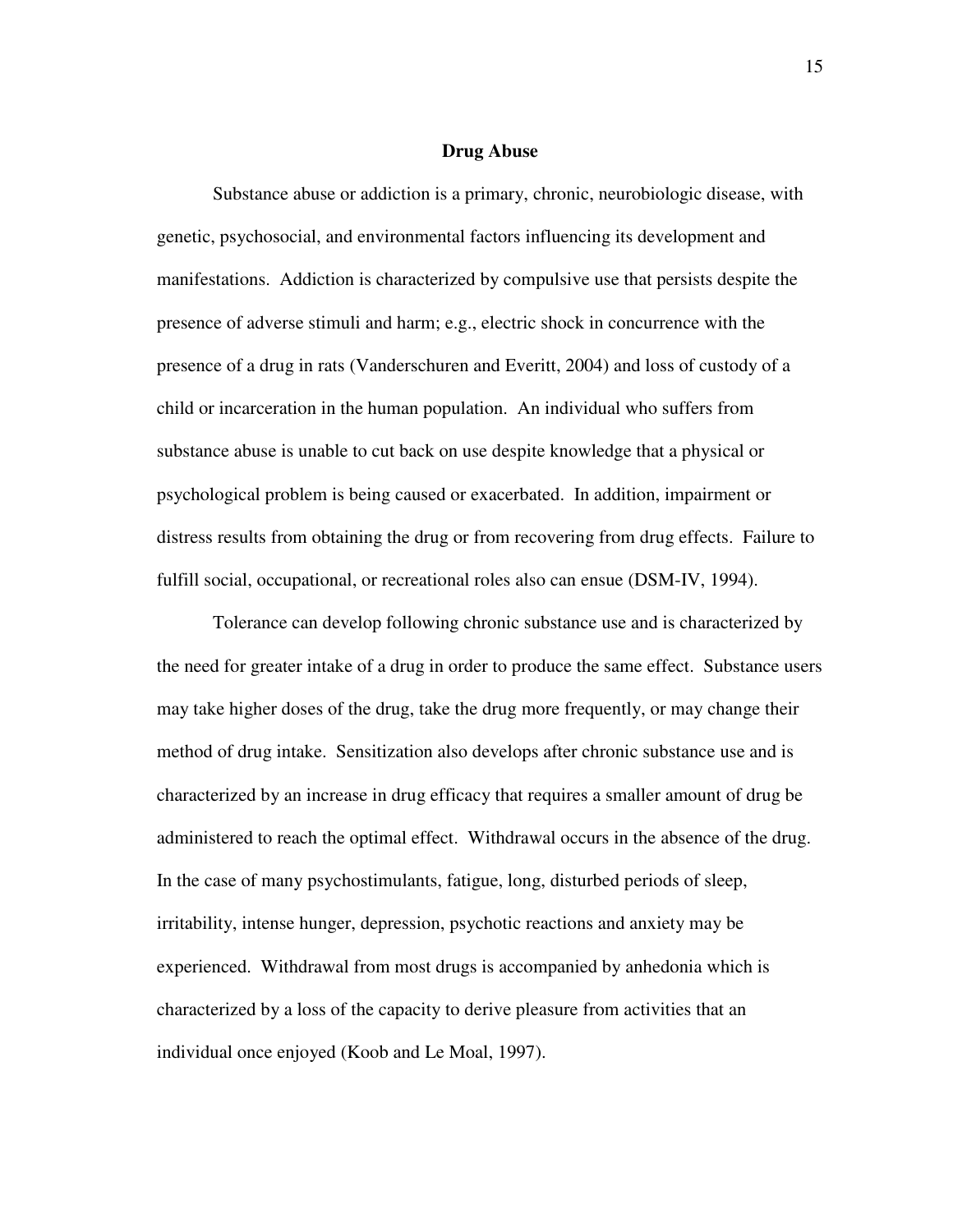#### **Drug Abuse**

Substance abuse or addiction is a primary, chronic, neurobiologic disease, with genetic, psychosocial, and environmental factors influencing its development and manifestations. Addiction is characterized by compulsive use that persists despite the presence of adverse stimuli and harm; e.g., electric shock in concurrence with the presence of a drug in rats (Vanderschuren and Everitt, 2004) and loss of custody of a child or incarceration in the human population. An individual who suffers from substance abuse is unable to cut back on use despite knowledge that a physical or psychological problem is being caused or exacerbated. In addition, impairment or distress results from obtaining the drug or from recovering from drug effects. Failure to fulfill social, occupational, or recreational roles also can ensue (DSM-IV, 1994).

Tolerance can develop following chronic substance use and is characterized by the need for greater intake of a drug in order to produce the same effect. Substance users may take higher doses of the drug, take the drug more frequently, or may change their method of drug intake. Sensitization also develops after chronic substance use and is characterized by an increase in drug efficacy that requires a smaller amount of drug be administered to reach the optimal effect. Withdrawal occurs in the absence of the drug. In the case of many psychostimulants, fatigue, long, disturbed periods of sleep, irritability, intense hunger, depression, psychotic reactions and anxiety may be experienced. Withdrawal from most drugs is accompanied by anhedonia which is characterized by a loss of the capacity to derive pleasure from activities that an individual once enjoyed (Koob and Le Moal, 1997).

15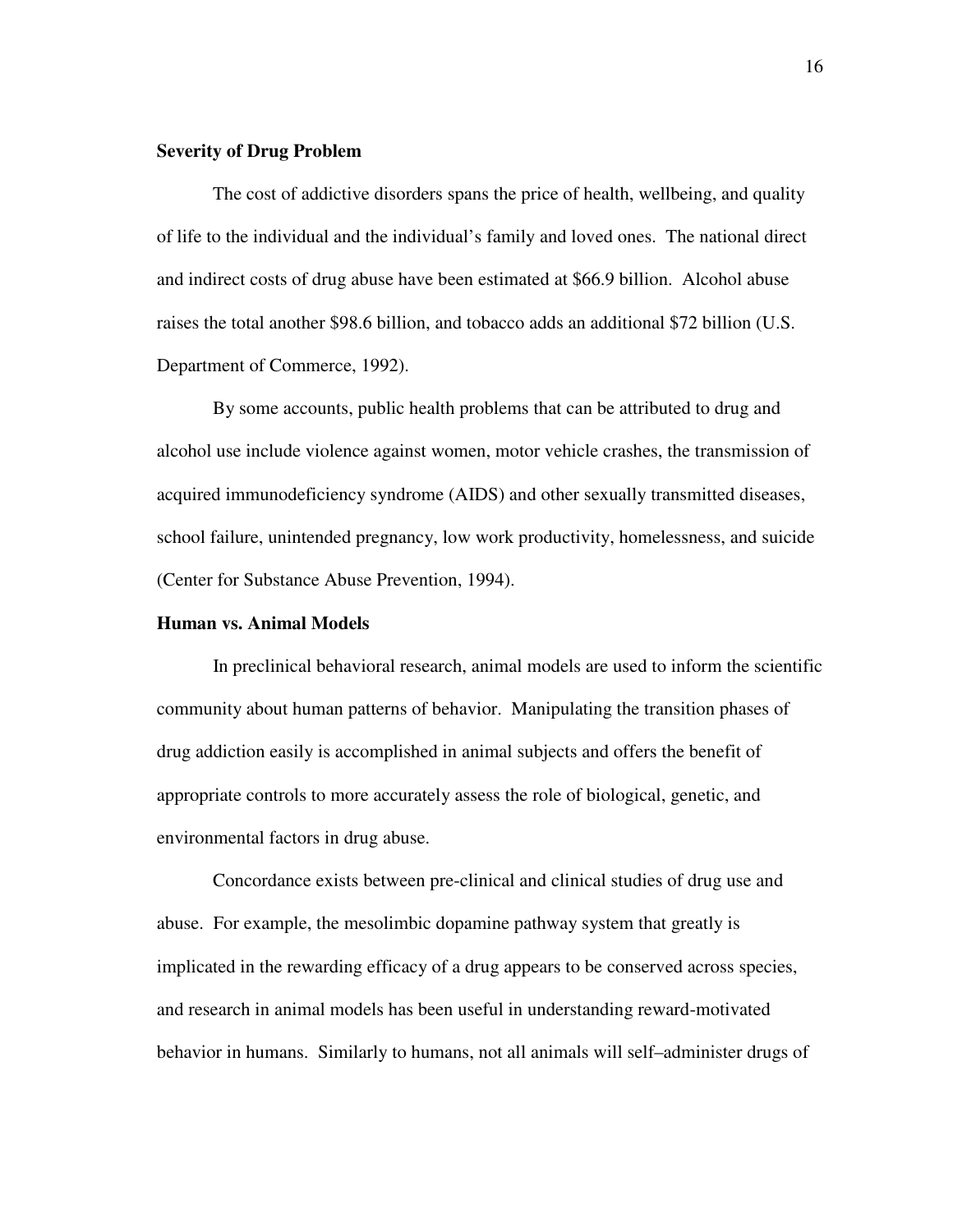### **Severity of Drug Problem**

The cost of addictive disorders spans the price of health, wellbeing, and quality of life to the individual and the individual's family and loved ones. The national direct and indirect costs of drug abuse have been estimated at \$66.9 billion. Alcohol abuse raises the total another \$98.6 billion, and tobacco adds an additional \$72 billion (U.S. Department of Commerce, 1992).

By some accounts, public health problems that can be attributed to drug and alcohol use include violence against women, motor vehicle crashes, the transmission of acquired immunodeficiency syndrome (AIDS) and other sexually transmitted diseases, school failure, unintended pregnancy, low work productivity, homelessness, and suicide (Center for Substance Abuse Prevention, 1994).

### **Human vs. Animal Models**

In preclinical behavioral research, animal models are used to inform the scientific community about human patterns of behavior. Manipulating the transition phases of drug addiction easily is accomplished in animal subjects and offers the benefit of appropriate controls to more accurately assess the role of biological, genetic, and environmental factors in drug abuse.

Concordance exists between pre-clinical and clinical studies of drug use and abuse. For example, the mesolimbic dopamine pathway system that greatly is implicated in the rewarding efficacy of a drug appears to be conserved across species, and research in animal models has been useful in understanding reward-motivated behavior in humans. Similarly to humans, not all animals will self–administer drugs of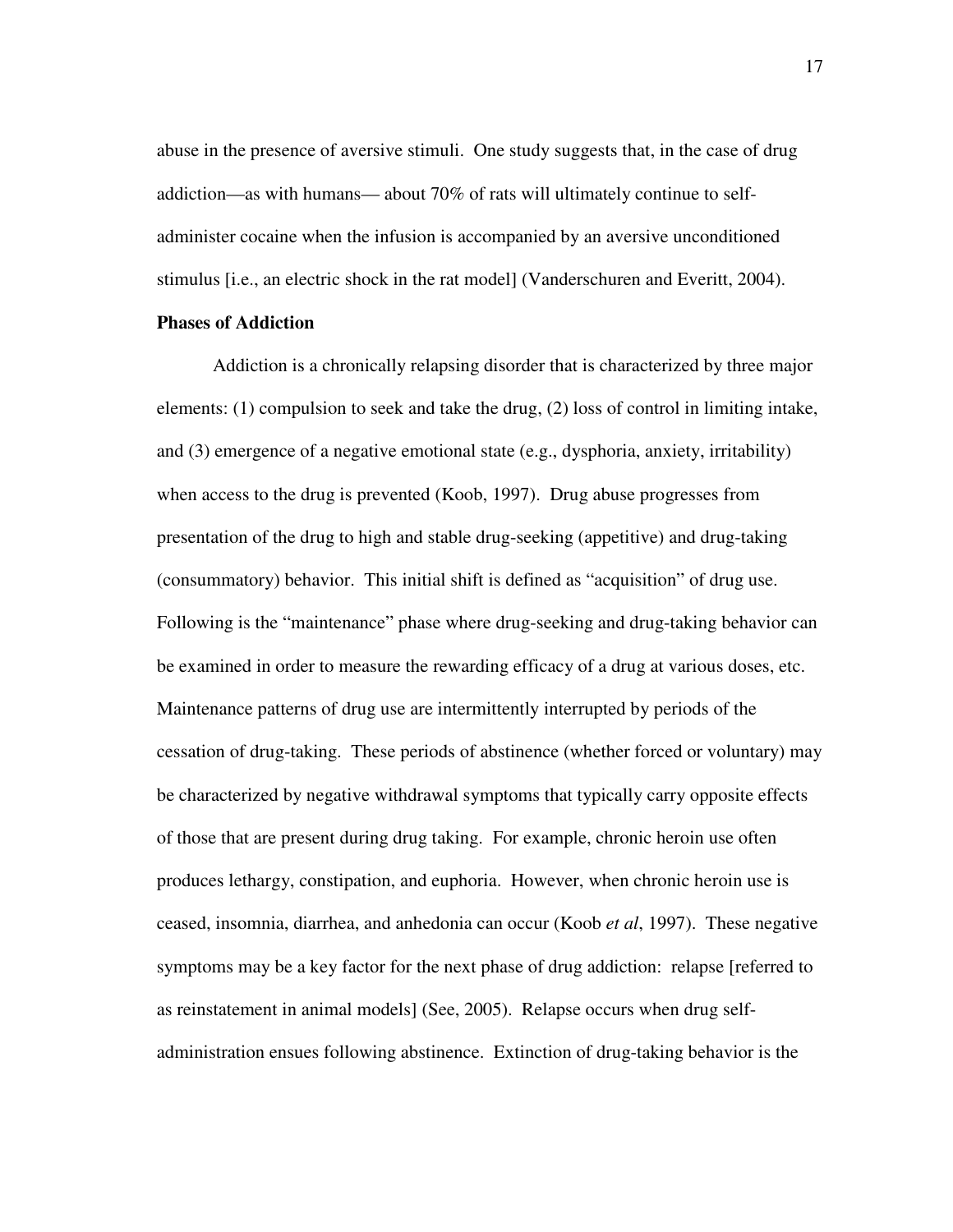abuse in the presence of aversive stimuli. One study suggests that, in the case of drug addiction—as with humans— about 70% of rats will ultimately continue to selfadminister cocaine when the infusion is accompanied by an aversive unconditioned stimulus [i.e., an electric shock in the rat model] (Vanderschuren and Everitt, 2004).

#### **Phases of Addiction**

Addiction is a chronically relapsing disorder that is characterized by three major elements: (1) compulsion to seek and take the drug, (2) loss of control in limiting intake, and (3) emergence of a negative emotional state (e.g., dysphoria, anxiety, irritability) when access to the drug is prevented (Koob, 1997). Drug abuse progresses from presentation of the drug to high and stable drug-seeking (appetitive) and drug-taking (consummatory) behavior. This initial shift is defined as "acquisition" of drug use. Following is the "maintenance" phase where drug-seeking and drug-taking behavior can be examined in order to measure the rewarding efficacy of a drug at various doses, etc. Maintenance patterns of drug use are intermittently interrupted by periods of the cessation of drug-taking. These periods of abstinence (whether forced or voluntary) may be characterized by negative withdrawal symptoms that typically carry opposite effects of those that are present during drug taking. For example, chronic heroin use often produces lethargy, constipation, and euphoria. However, when chronic heroin use is ceased, insomnia, diarrhea, and anhedonia can occur (Koob *et al*, 1997). These negative symptoms may be a key factor for the next phase of drug addiction: relapse [referred to as reinstatement in animal models] (See, 2005). Relapse occurs when drug selfadministration ensues following abstinence. Extinction of drug-taking behavior is the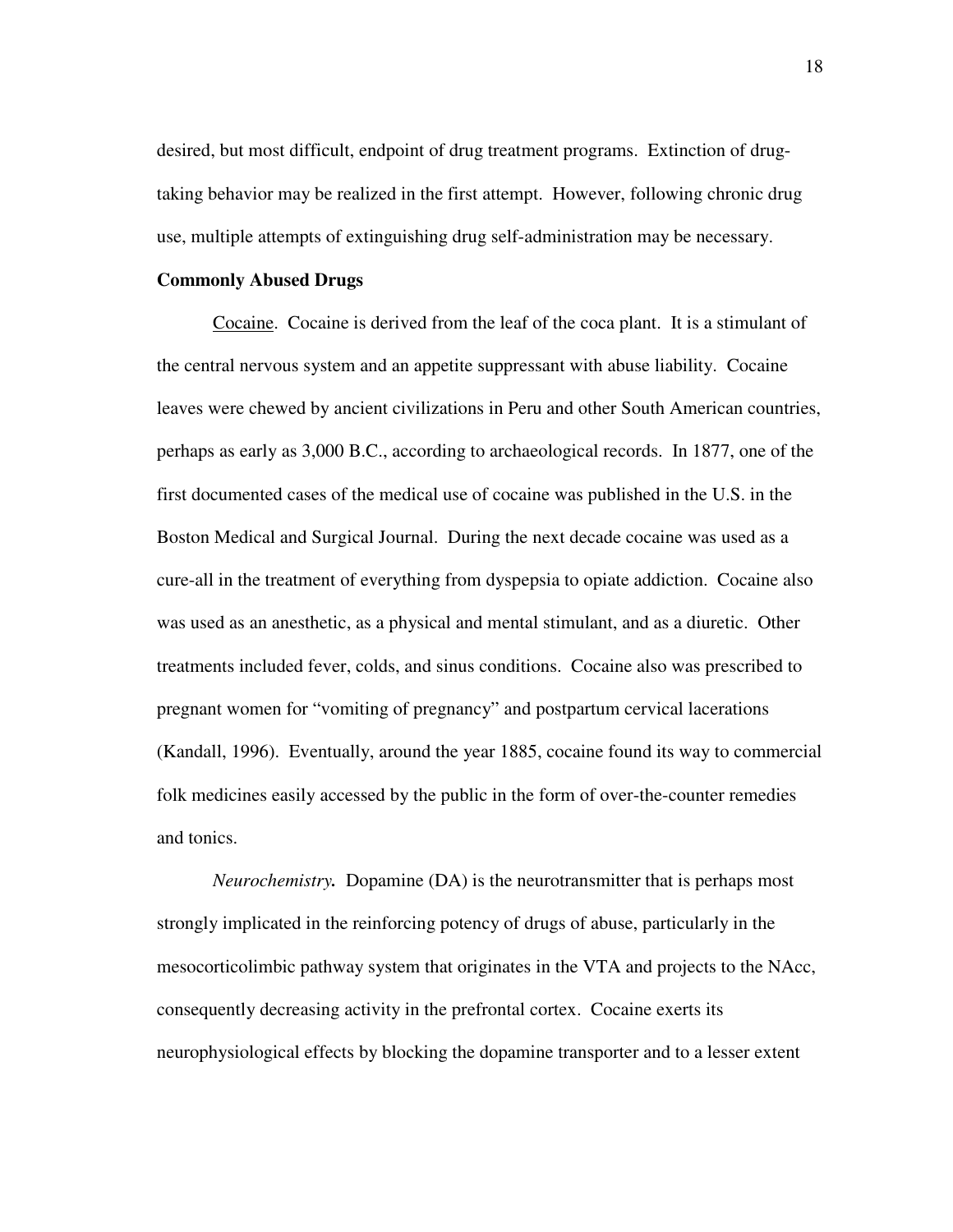desired, but most difficult, endpoint of drug treatment programs. Extinction of drugtaking behavior may be realized in the first attempt. However, following chronic drug use, multiple attempts of extinguishing drug self-administration may be necessary.

#### **Commonly Abused Drugs**

Cocaine. Cocaine is derived from the leaf of the coca plant. It is a stimulant of the central nervous system and an appetite suppressant with abuse liability. Cocaine leaves were chewed by ancient civilizations in Peru and other South American countries, perhaps as early as 3,000 B.C., according to archaeological records. In 1877, one of the first documented cases of the medical use of cocaine was published in the U.S. in the Boston Medical and Surgical Journal. During the next decade cocaine was used as a cure-all in the treatment of everything from dyspepsia to opiate addiction. Cocaine also was used as an anesthetic, as a physical and mental stimulant, and as a diuretic. Other treatments included fever, colds, and sinus conditions. Cocaine also was prescribed to pregnant women for "vomiting of pregnancy" and postpartum cervical lacerations (Kandall, 1996). Eventually, around the year 1885, cocaine found its way to commercial folk medicines easily accessed by the public in the form of over-the-counter remedies and tonics.

*Neurochemistry.* Dopamine (DA) is the neurotransmitter that is perhaps most strongly implicated in the reinforcing potency of drugs of abuse, particularly in the mesocorticolimbic pathway system that originates in the VTA and projects to the NAcc, consequently decreasing activity in the prefrontal cortex. Cocaine exerts its neurophysiological effects by blocking the dopamine transporter and to a lesser extent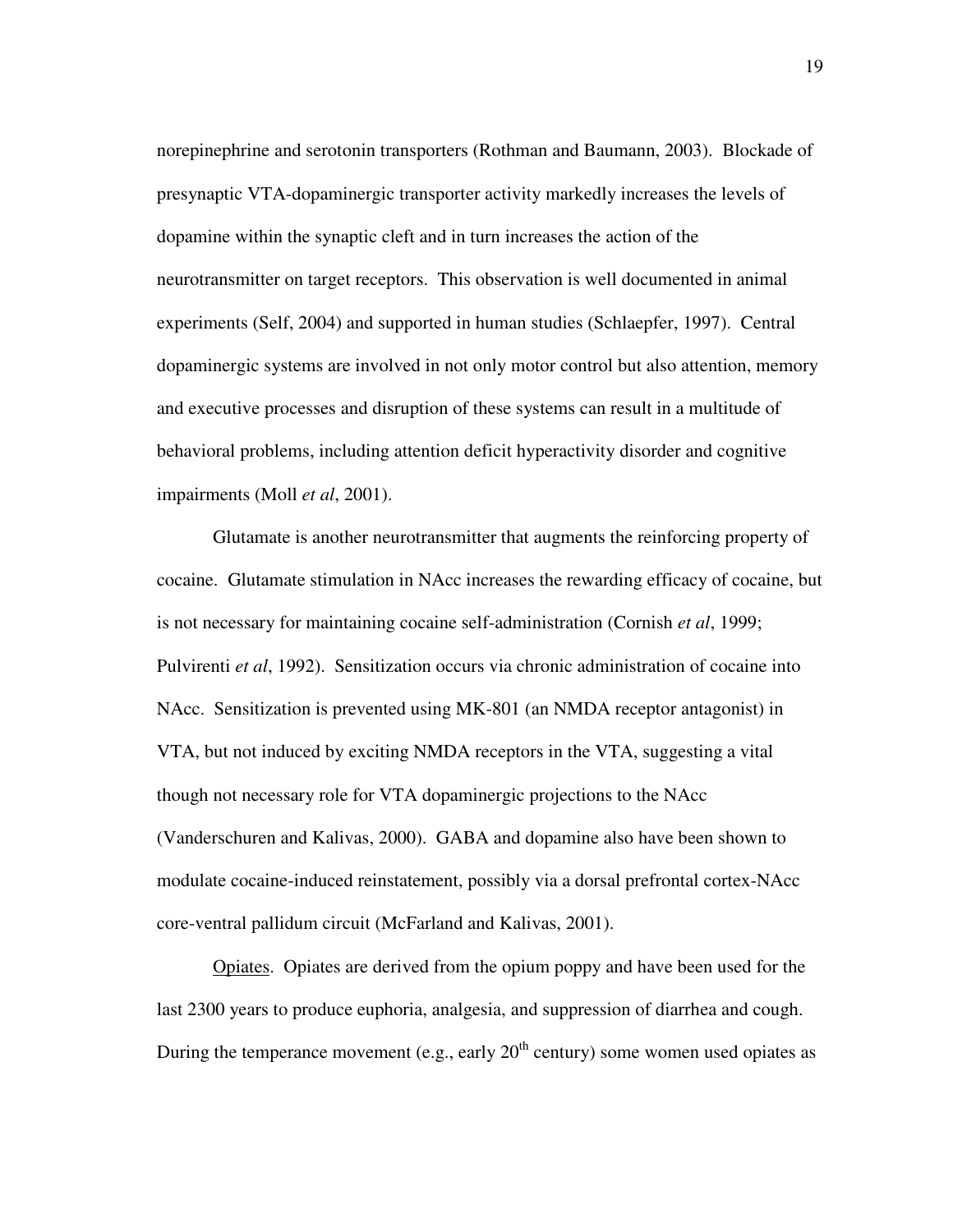norepinephrine and serotonin transporters (Rothman and Baumann, 2003). Blockade of presynaptic VTA-dopaminergic transporter activity markedly increases the levels of dopamine within the synaptic cleft and in turn increases the action of the neurotransmitter on target receptors. This observation is well documented in animal experiments (Self, 2004) and supported in human studies (Schlaepfer, 1997). Central dopaminergic systems are involved in not only motor control but also attention, memory and executive processes and disruption of these systems can result in a multitude of behavioral problems, including attention deficit hyperactivity disorder and cognitive impairments (Moll *et al*, 2001).

Glutamate is another neurotransmitter that augments the reinforcing property of cocaine. Glutamate stimulation in NAcc increases the rewarding efficacy of cocaine, but is not necessary for maintaining cocaine self-administration (Cornish *et al*, 1999; Pulvirenti *et al*, 1992). Sensitization occurs via chronic administration of cocaine into NAcc. Sensitization is prevented using MK-801 (an NMDA receptor antagonist) in VTA, but not induced by exciting NMDA receptors in the VTA, suggesting a vital though not necessary role for VTA dopaminergic projections to the NAcc (Vanderschuren and Kalivas, 2000). GABA and dopamine also have been shown to modulate cocaine-induced reinstatement, possibly via a dorsal prefrontal cortex-NAcc core-ventral pallidum circuit (McFarland and Kalivas, 2001).

Opiates. Opiates are derived from the opium poppy and have been used for the last 2300 years to produce euphoria, analgesia, and suppression of diarrhea and cough. During the temperance movement (e.g., early  $20<sup>th</sup>$  century) some women used opiates as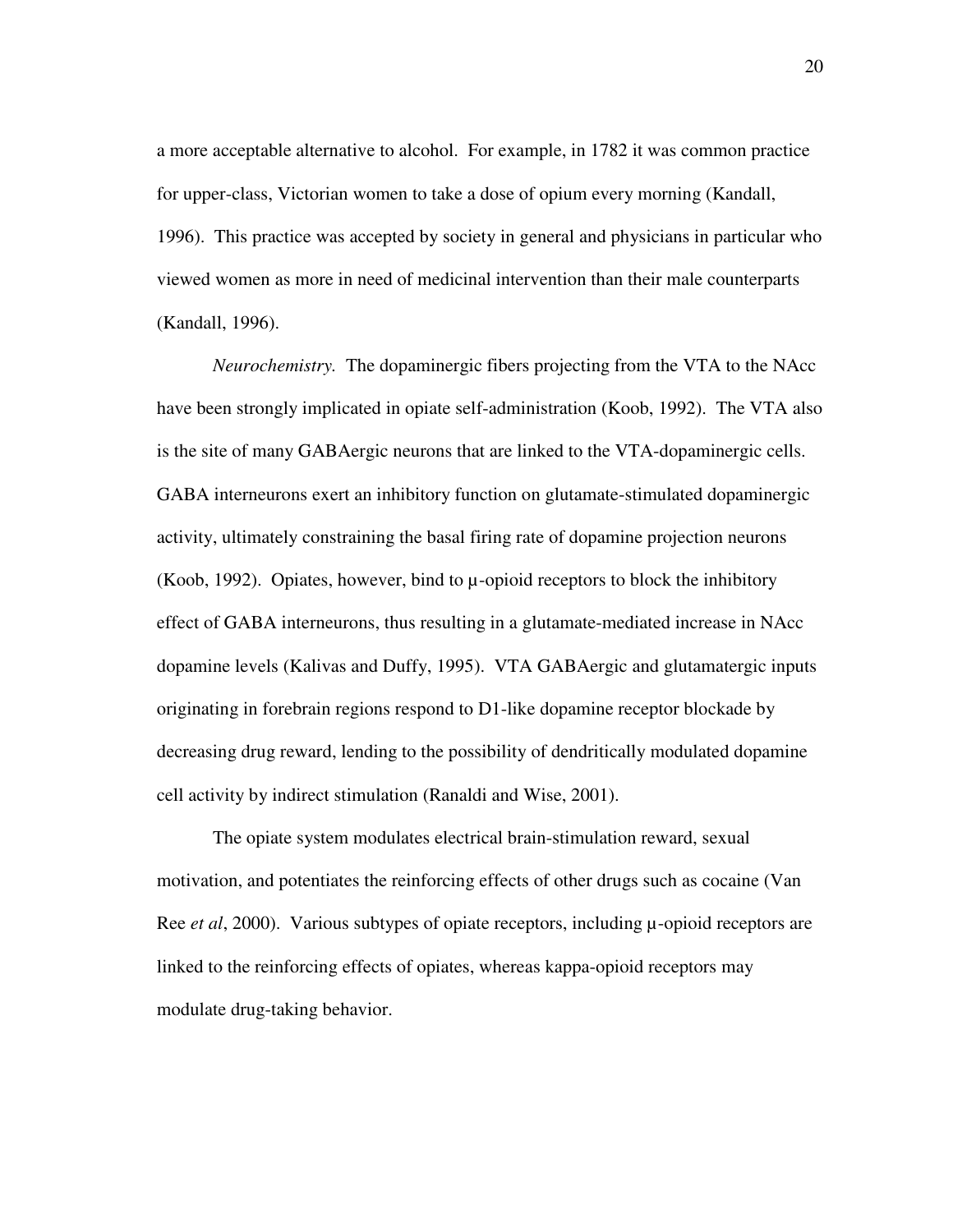a more acceptable alternative to alcohol. For example, in 1782 it was common practice for upper-class, Victorian women to take a dose of opium every morning (Kandall, 1996). This practice was accepted by society in general and physicians in particular who viewed women as more in need of medicinal intervention than their male counterparts (Kandall, 1996).

*Neurochemistry.* The dopaminergic fibers projecting from the VTA to the NAcc have been strongly implicated in opiate self-administration (Koob, 1992). The VTA also is the site of many GABAergic neurons that are linked to the VTA-dopaminergic cells. GABA interneurons exert an inhibitory function on glutamate-stimulated dopaminergic activity, ultimately constraining the basal firing rate of dopamine projection neurons (Koob, 1992). Opiates, however, bind to  $\mu$ -opioid receptors to block the inhibitory effect of GABA interneurons, thus resulting in a glutamate-mediated increase in NAcc dopamine levels (Kalivas and Duffy, 1995). VTA GABAergic and glutamatergic inputs originating in forebrain regions respond to D1-like dopamine receptor blockade by decreasing drug reward, lending to the possibility of dendritically modulated dopamine cell activity by indirect stimulation (Ranaldi and Wise, 2001).

The opiate system modulates electrical brain-stimulation reward, sexual motivation, and potentiates the reinforcing effects of other drugs such as cocaine (Van Ree *et al*, 2000). Various subtypes of opiate receptors, including  $\mu$ -opioid receptors are linked to the reinforcing effects of opiates, whereas kappa-opioid receptors may modulate drug-taking behavior.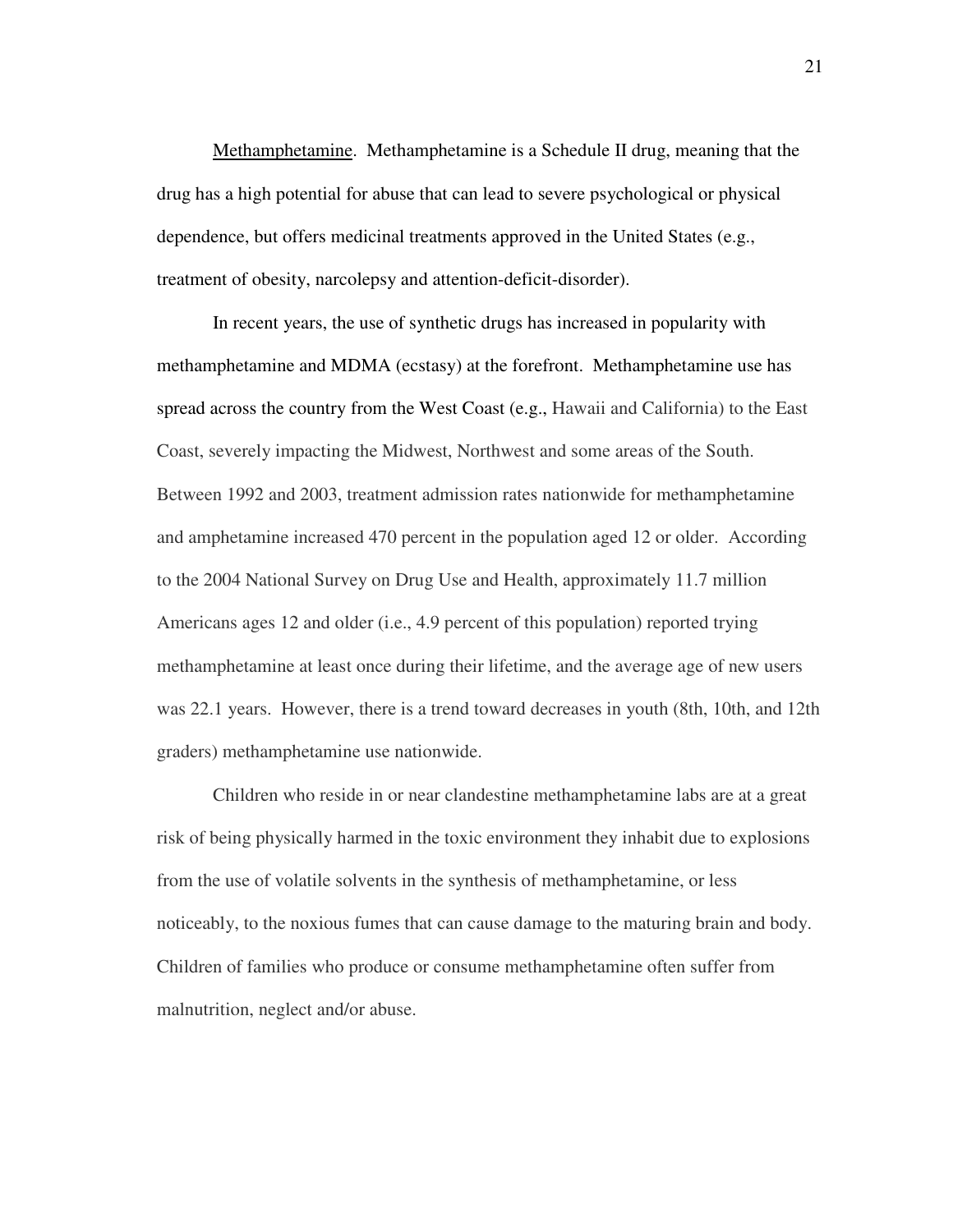Methamphetamine. Methamphetamine is a Schedule II drug, meaning that the drug has a high potential for abuse that can lead to severe psychological or physical dependence, but offers medicinal treatments approved in the United States (e.g., treatment of obesity, narcolepsy and attention-deficit-disorder).

In recent years, the use of synthetic drugs has increased in popularity with methamphetamine and MDMA (ecstasy) at the forefront. Methamphetamine use has spread across the country from the West Coast (e.g., Hawaii and California) to the East Coast, severely impacting the Midwest, Northwest and some areas of the South. Between 1992 and 2003, treatment admission rates nationwide for methamphetamine and amphetamine increased 470 percent in the population aged 12 or older. According to the 2004 National Survey on Drug Use and Health, approximately 11.7 million Americans ages 12 and older (i.e., 4.9 percent of this population) reported trying methamphetamine at least once during their lifetime, and the average age of new users was 22.1 years. However, there is a trend toward decreases in youth (8th, 10th, and 12th graders) methamphetamine use nationwide.

Children who reside in or near clandestine methamphetamine labs are at a great risk of being physically harmed in the toxic environment they inhabit due to explosions from the use of volatile solvents in the synthesis of methamphetamine, or less noticeably, to the noxious fumes that can cause damage to the maturing brain and body. Children of families who produce or consume methamphetamine often suffer from malnutrition, neglect and/or abuse.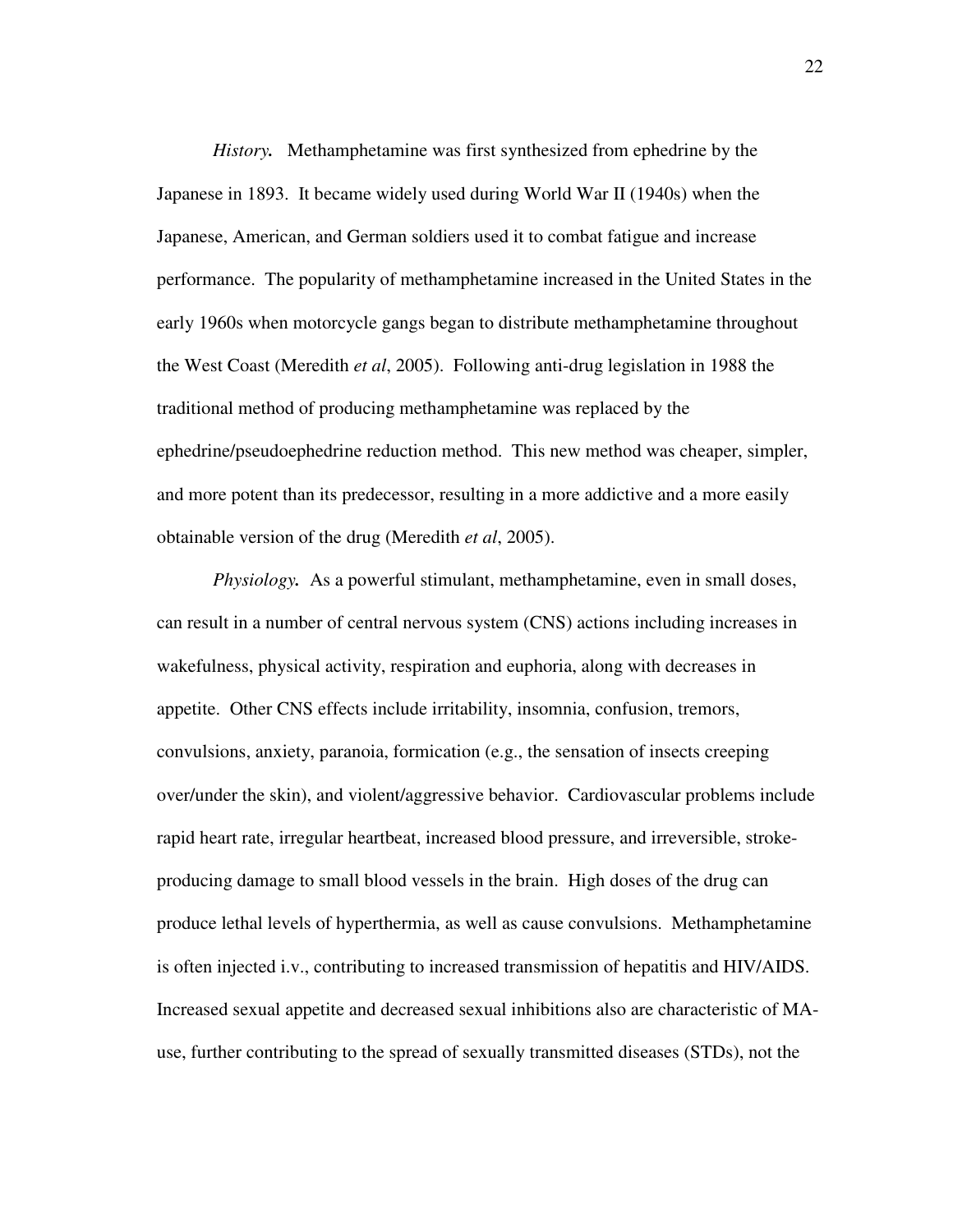*History.* Methamphetamine was first synthesized from ephedrine by the Japanese in 1893. It became widely used during World War II (1940s) when the Japanese, American, and German soldiers used it to combat fatigue and increase performance. The popularity of methamphetamine increased in the United States in the early 1960s when motorcycle gangs began to distribute methamphetamine throughout the West Coast (Meredith *et al*, 2005). Following anti-drug legislation in 1988 the traditional method of producing methamphetamine was replaced by the ephedrine/pseudoephedrine reduction method. This new method was cheaper, simpler, and more potent than its predecessor, resulting in a more addictive and a more easily obtainable version of the drug (Meredith *et al*, 2005).

*Physiology.* As a powerful stimulant, methamphetamine, even in small doses, can result in a number of central nervous system (CNS) actions including increases in wakefulness, physical activity, respiration and euphoria, along with decreases in appetite. Other CNS effects include irritability, insomnia, confusion, tremors, convulsions, anxiety, paranoia, formication (e.g., the sensation of insects creeping over/under the skin), and violent/aggressive behavior. Cardiovascular problems include rapid heart rate, irregular heartbeat, increased blood pressure, and irreversible, strokeproducing damage to small blood vessels in the brain. High doses of the drug can produce lethal levels of hyperthermia, as well as cause convulsions. Methamphetamine is often injected i.v., contributing to increased transmission of hepatitis and HIV/AIDS. Increased sexual appetite and decreased sexual inhibitions also are characteristic of MAuse, further contributing to the spread of sexually transmitted diseases (STDs), not the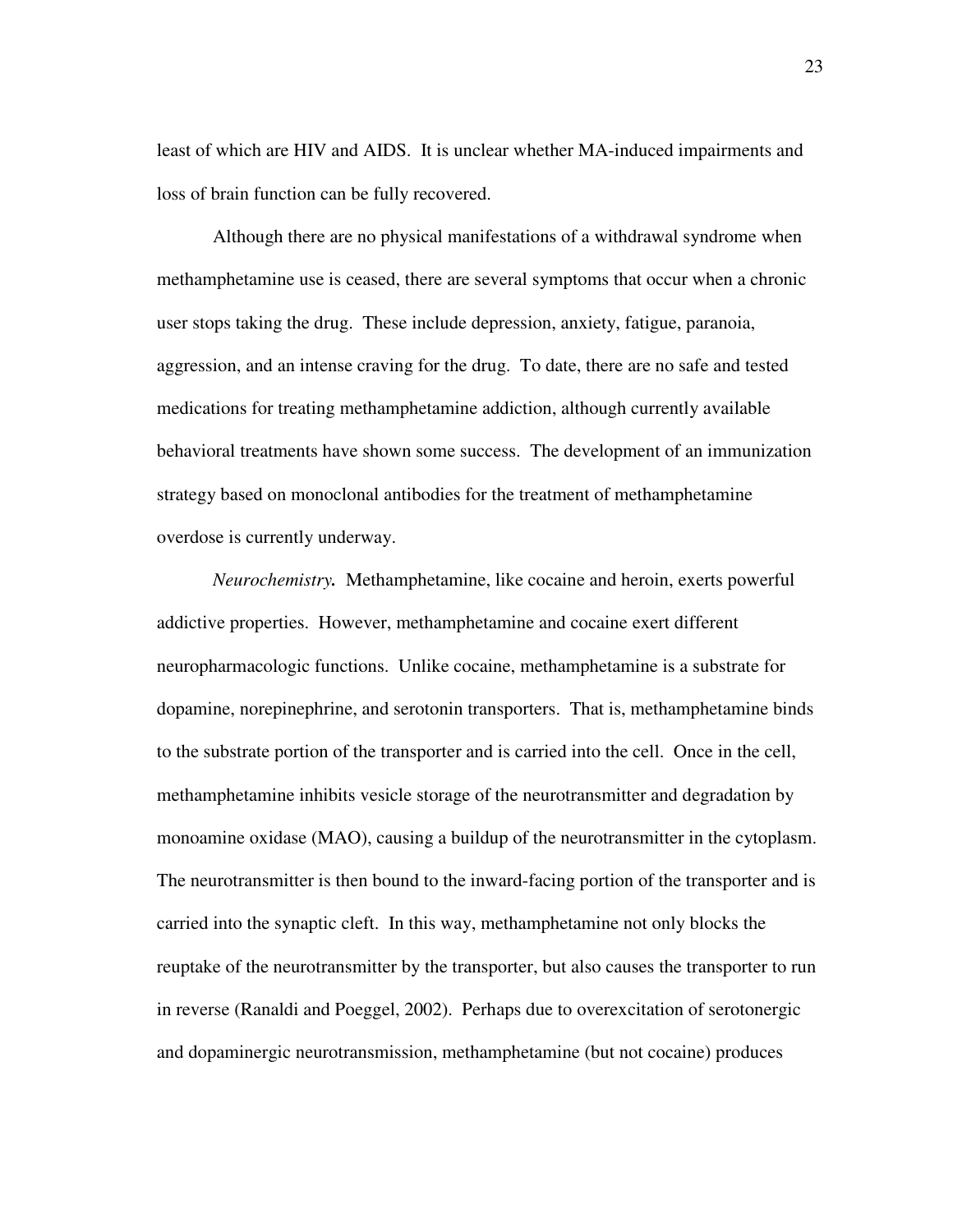least of which are HIV and AIDS. It is unclear whether MA-induced impairments and loss of brain function can be fully recovered.

Although there are no physical manifestations of a withdrawal syndrome when methamphetamine use is ceased, there are several symptoms that occur when a chronic user stops taking the drug. These include depression, anxiety, fatigue, paranoia, aggression, and an intense craving for the drug. To date, there are no safe and tested medications for treating methamphetamine addiction, although currently available behavioral treatments have shown some success. The development of an immunization strategy based on monoclonal antibodies for the treatment of methamphetamine overdose is currently underway.

*Neurochemistry.* Methamphetamine, like cocaine and heroin, exerts powerful addictive properties. However, methamphetamine and cocaine exert different neuropharmacologic functions. Unlike cocaine, methamphetamine is a substrate for dopamine, norepinephrine, and serotonin transporters. That is, methamphetamine binds to the substrate portion of the transporter and is carried into the cell. Once in the cell, methamphetamine inhibits vesicle storage of the neurotransmitter and degradation by monoamine oxidase (MAO), causing a buildup of the neurotransmitter in the cytoplasm. The neurotransmitter is then bound to the inward-facing portion of the transporter and is carried into the synaptic cleft. In this way, methamphetamine not only blocks the reuptake of the neurotransmitter by the transporter, but also causes the transporter to run in reverse (Ranaldi and Poeggel, 2002). Perhaps due to overexcitation of serotonergic and dopaminergic neurotransmission, methamphetamine (but not cocaine) produces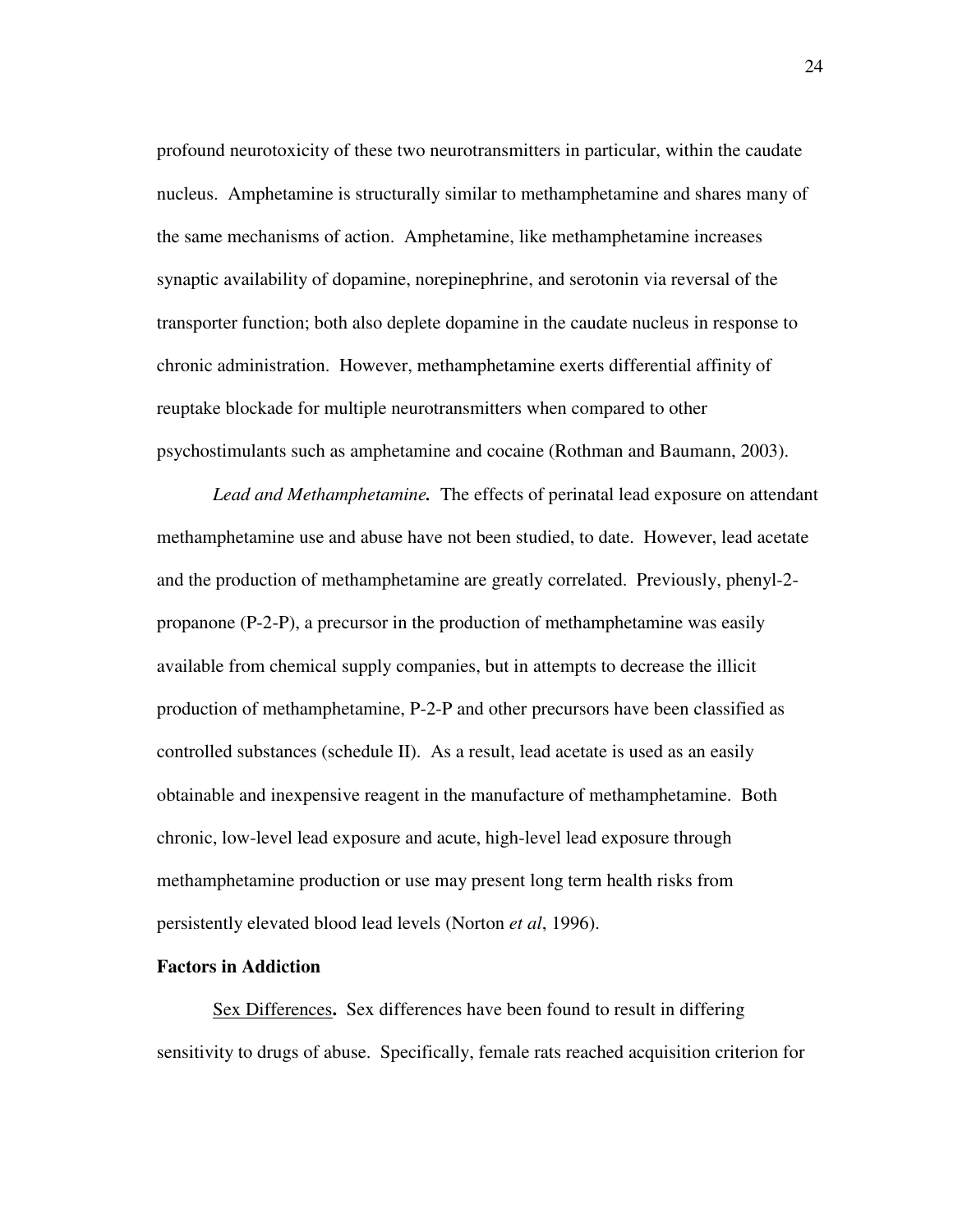profound neurotoxicity of these two neurotransmitters in particular, within the caudate nucleus. Amphetamine is structurally similar to methamphetamine and shares many of the same mechanisms of action. Amphetamine, like methamphetamine increases synaptic availability of dopamine, norepinephrine, and serotonin via reversal of the transporter function; both also deplete dopamine in the caudate nucleus in response to chronic administration. However, methamphetamine exerts differential affinity of reuptake blockade for multiple neurotransmitters when compared to other psychostimulants such as amphetamine and cocaine (Rothman and Baumann, 2003).

*Lead and Methamphetamine.* The effects of perinatal lead exposure on attendant methamphetamine use and abuse have not been studied, to date. However, lead acetate and the production of methamphetamine are greatly correlated. Previously, phenyl-2 propanone (P-2-P), a precursor in the production of methamphetamine was easily available from chemical supply companies, but in attempts to decrease the illicit production of methamphetamine, P-2-P and other precursors have been classified as controlled substances (schedule II). As a result, lead acetate is used as an easily obtainable and inexpensive reagent in the manufacture of methamphetamine. Both chronic, low-level lead exposure and acute, high-level lead exposure through methamphetamine production or use may present long term health risks from persistently elevated blood lead levels (Norton *et al*, 1996).

### **Factors in Addiction**

Sex Differences**.** Sex differences have been found to result in differing sensitivity to drugs of abuse. Specifically, female rats reached acquisition criterion for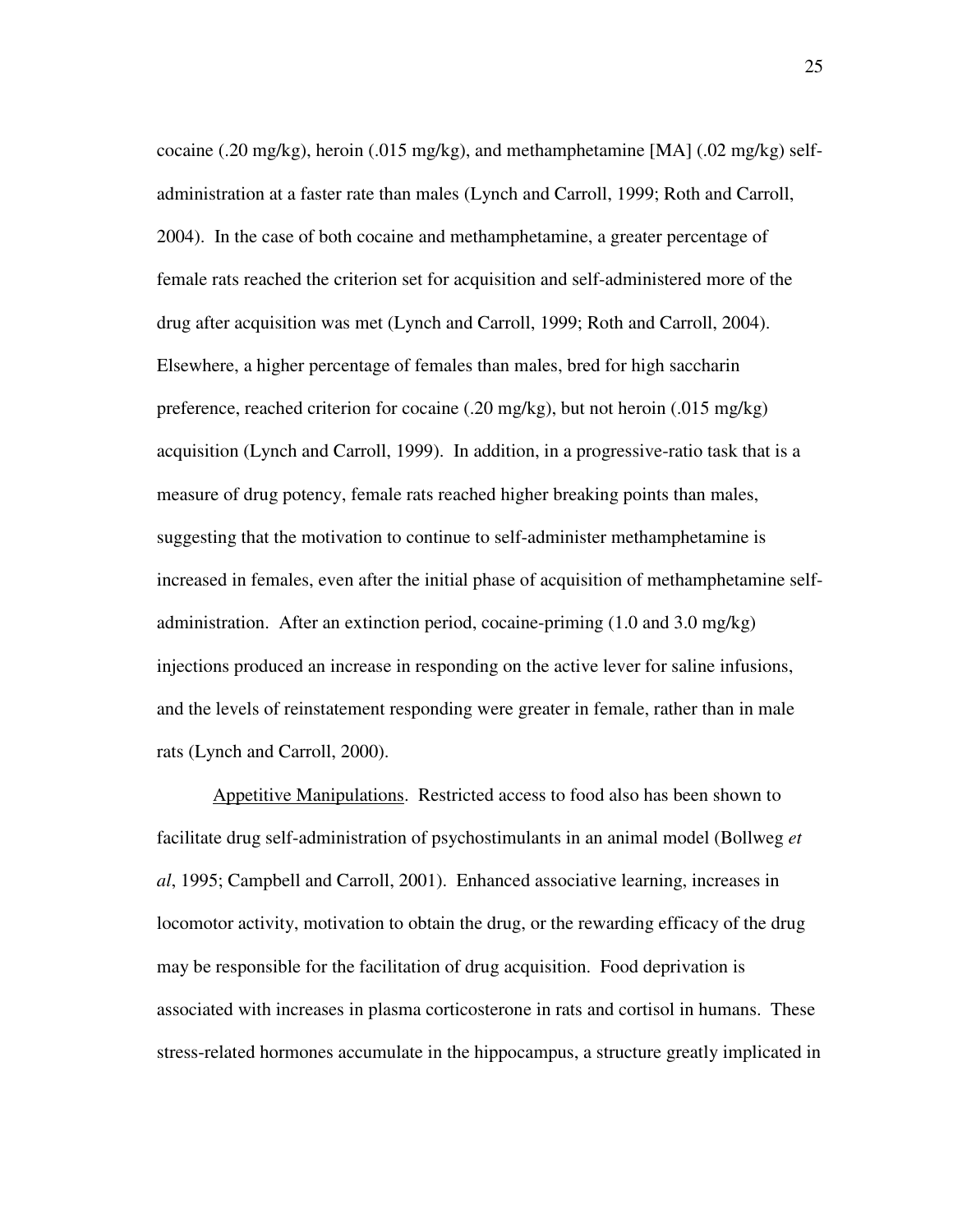cocaine (.20 mg/kg), heroin (.015 mg/kg), and methamphetamine [MA] (.02 mg/kg) selfadministration at a faster rate than males (Lynch and Carroll, 1999; Roth and Carroll, 2004). In the case of both cocaine and methamphetamine, a greater percentage of female rats reached the criterion set for acquisition and self-administered more of the drug after acquisition was met (Lynch and Carroll, 1999; Roth and Carroll, 2004). Elsewhere, a higher percentage of females than males, bred for high saccharin preference, reached criterion for cocaine (.20 mg/kg), but not heroin (.015 mg/kg) acquisition (Lynch and Carroll, 1999). In addition, in a progressive-ratio task that is a measure of drug potency, female rats reached higher breaking points than males, suggesting that the motivation to continue to self-administer methamphetamine is increased in females, even after the initial phase of acquisition of methamphetamine selfadministration. After an extinction period, cocaine-priming (1.0 and 3.0 mg/kg) injections produced an increase in responding on the active lever for saline infusions, and the levels of reinstatement responding were greater in female, rather than in male rats (Lynch and Carroll, 2000).

Appetitive Manipulations. Restricted access to food also has been shown to facilitate drug self-administration of psychostimulants in an animal model (Bollweg *et al*, 1995; Campbell and Carroll, 2001). Enhanced associative learning, increases in locomotor activity, motivation to obtain the drug, or the rewarding efficacy of the drug may be responsible for the facilitation of drug acquisition. Food deprivation is associated with increases in plasma corticosterone in rats and cortisol in humans. These stress-related hormones accumulate in the hippocampus, a structure greatly implicated in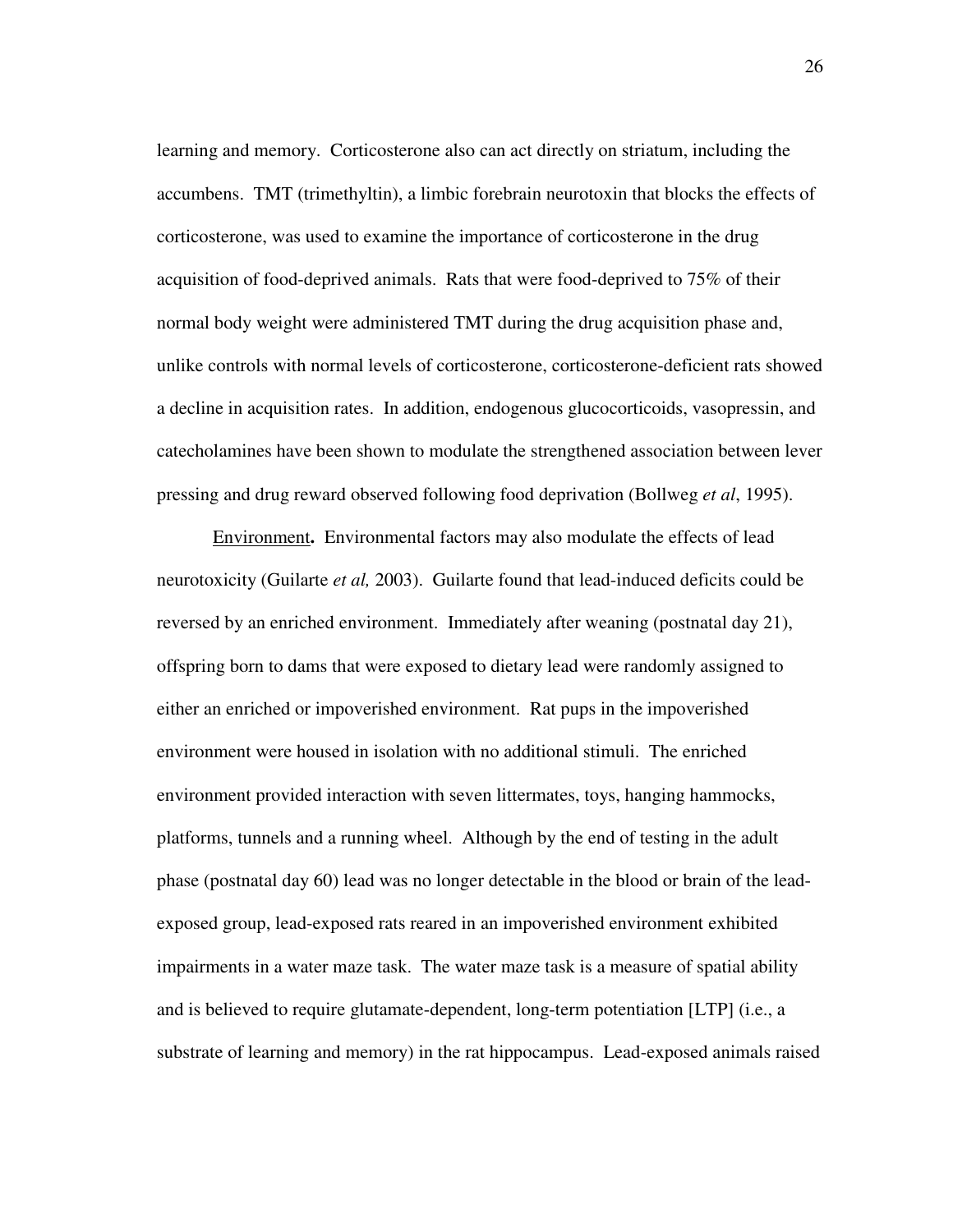learning and memory. Corticosterone also can act directly on striatum, including the accumbens. TMT (trimethyltin), a limbic forebrain neurotoxin that blocks the effects of corticosterone, was used to examine the importance of corticosterone in the drug acquisition of food-deprived animals. Rats that were food-deprived to 75% of their normal body weight were administered TMT during the drug acquisition phase and, unlike controls with normal levels of corticosterone, corticosterone-deficient rats showed a decline in acquisition rates. In addition, endogenous glucocorticoids, vasopressin, and catecholamines have been shown to modulate the strengthened association between lever pressing and drug reward observed following food deprivation (Bollweg *et al*, 1995).

Environment**.** Environmental factors may also modulate the effects of lead neurotoxicity (Guilarte *et al,* 2003). Guilarte found that lead-induced deficits could be reversed by an enriched environment. Immediately after weaning (postnatal day 21), offspring born to dams that were exposed to dietary lead were randomly assigned to either an enriched or impoverished environment. Rat pups in the impoverished environment were housed in isolation with no additional stimuli. The enriched environment provided interaction with seven littermates, toys, hanging hammocks, platforms, tunnels and a running wheel. Although by the end of testing in the adult phase (postnatal day 60) lead was no longer detectable in the blood or brain of the leadexposed group, lead-exposed rats reared in an impoverished environment exhibited impairments in a water maze task. The water maze task is a measure of spatial ability and is believed to require glutamate-dependent, long-term potentiation [LTP] (i.e., a substrate of learning and memory) in the rat hippocampus. Lead-exposed animals raised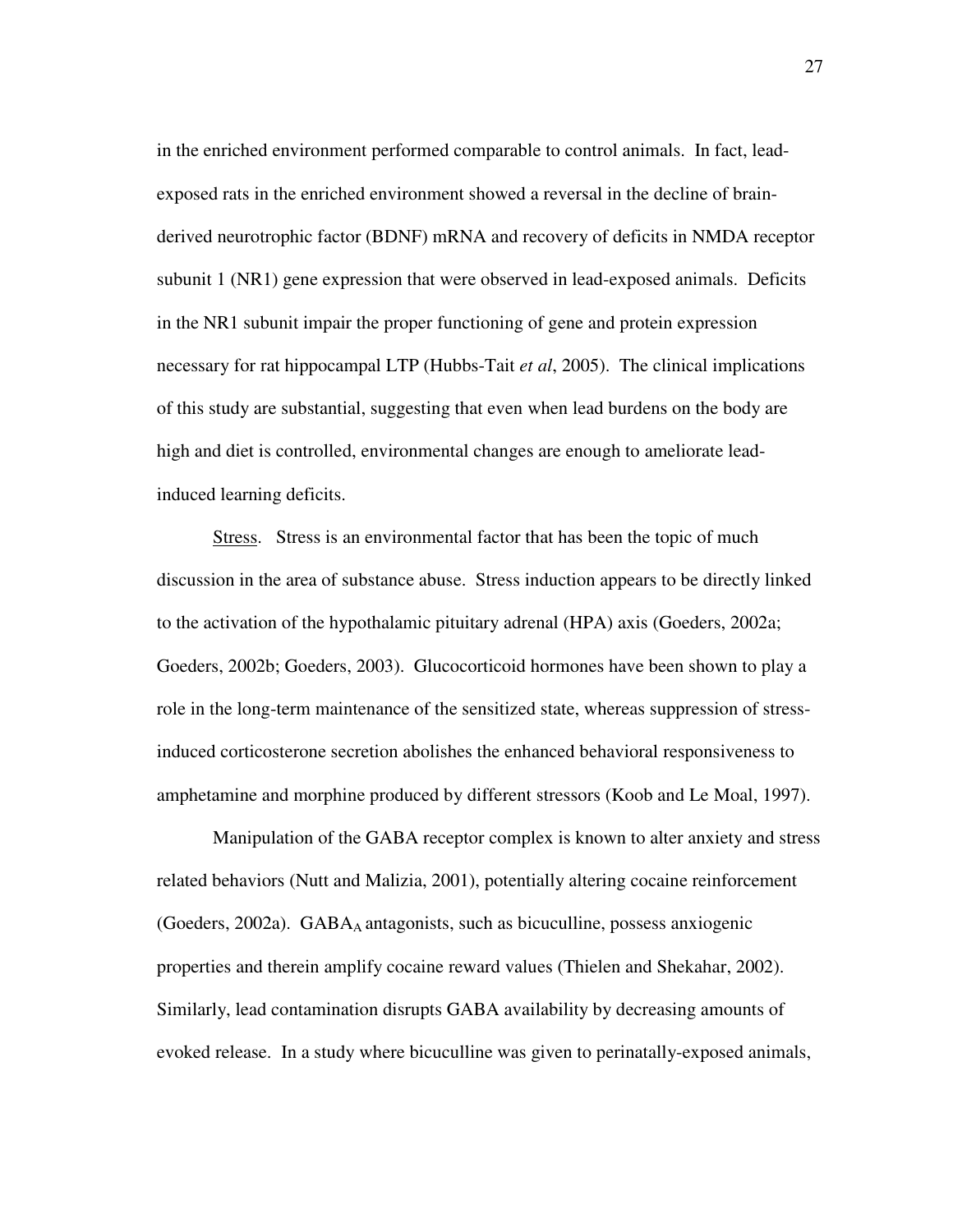in the enriched environment performed comparable to control animals. In fact, leadexposed rats in the enriched environment showed a reversal in the decline of brainderived neurotrophic factor (BDNF) mRNA and recovery of deficits in NMDA receptor subunit 1 (NR1) gene expression that were observed in lead-exposed animals. Deficits in the NR1 subunit impair the proper functioning of gene and protein expression necessary for rat hippocampal LTP (Hubbs-Tait *et al*, 2005). The clinical implications of this study are substantial, suggesting that even when lead burdens on the body are high and diet is controlled, environmental changes are enough to ameliorate leadinduced learning deficits.

Stress. Stress is an environmental factor that has been the topic of much discussion in the area of substance abuse. Stress induction appears to be directly linked to the activation of the hypothalamic pituitary adrenal (HPA) axis (Goeders, 2002a; Goeders, 2002b; Goeders, 2003). Glucocorticoid hormones have been shown to play a role in the long-term maintenance of the sensitized state, whereas suppression of stressinduced corticosterone secretion abolishes the enhanced behavioral responsiveness to amphetamine and morphine produced by different stressors (Koob and Le Moal, 1997).

Manipulation of the GABA receptor complex is known to alter anxiety and stress related behaviors (Nutt and Malizia, 2001), potentially altering cocaine reinforcement (Goeders, 2002a). GABA<sub>A</sub> antagonists, such as bicuculline, possess anxiogenic properties and therein amplify cocaine reward values (Thielen and Shekahar, 2002). Similarly, lead contamination disrupts GABA availability by decreasing amounts of evoked release. In a study where bicuculline was given to perinatally-exposed animals,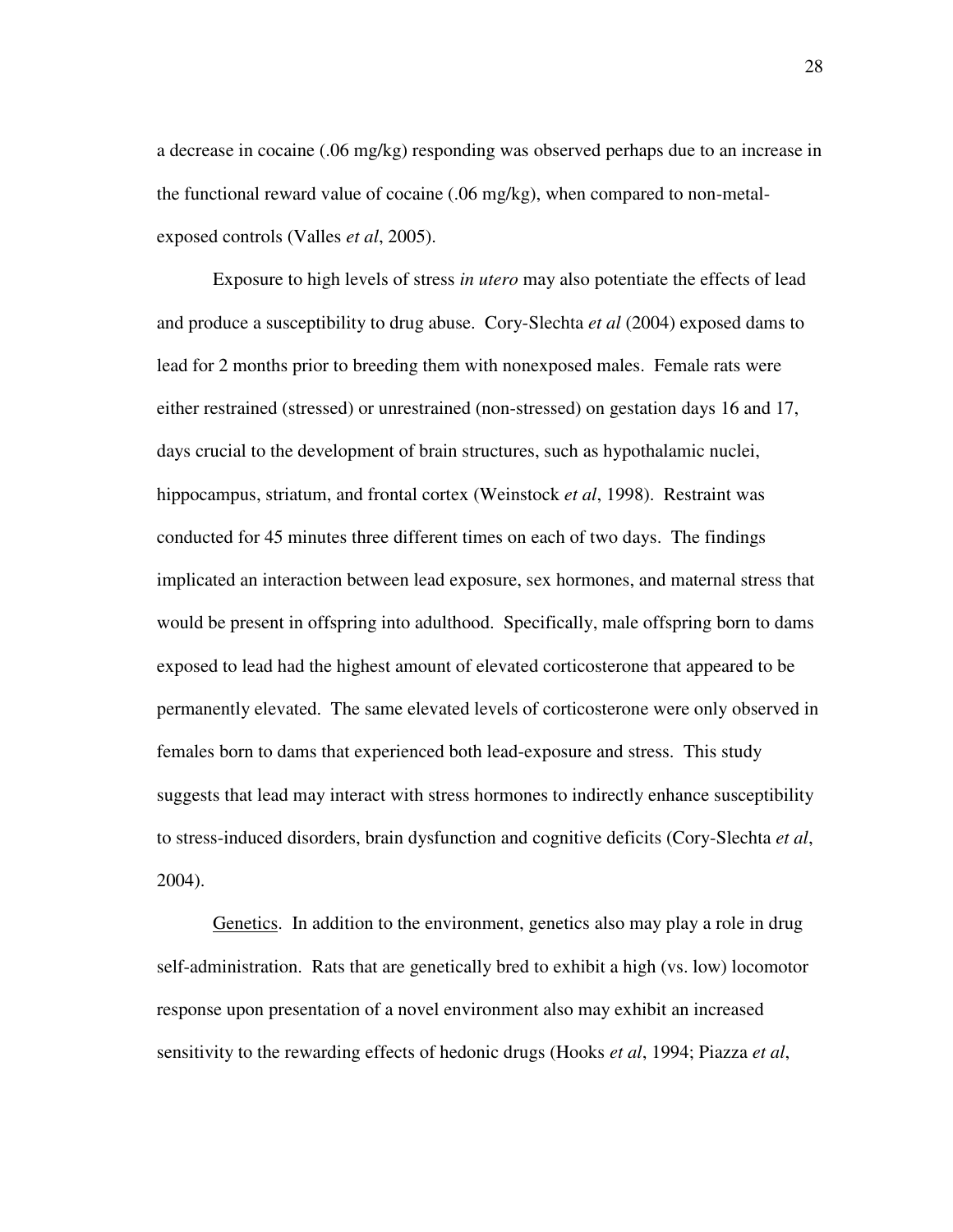a decrease in cocaine (.06 mg/kg) responding was observed perhaps due to an increase in the functional reward value of cocaine (.06 mg/kg), when compared to non-metalexposed controls (Valles *et al*, 2005).

Exposure to high levels of stress *in utero* may also potentiate the effects of lead and produce a susceptibility to drug abuse. Cory-Slechta *et al* (2004) exposed dams to lead for 2 months prior to breeding them with nonexposed males. Female rats were either restrained (stressed) or unrestrained (non-stressed) on gestation days 16 and 17, days crucial to the development of brain structures, such as hypothalamic nuclei, hippocampus, striatum, and frontal cortex (Weinstock *et al*, 1998). Restraint was conducted for 45 minutes three different times on each of two days. The findings implicated an interaction between lead exposure, sex hormones, and maternal stress that would be present in offspring into adulthood. Specifically, male offspring born to dams exposed to lead had the highest amount of elevated corticosterone that appeared to be permanently elevated. The same elevated levels of corticosterone were only observed in females born to dams that experienced both lead-exposure and stress. This study suggests that lead may interact with stress hormones to indirectly enhance susceptibility to stress-induced disorders, brain dysfunction and cognitive deficits (Cory-Slechta *et al*, 2004).

Genetics. In addition to the environment, genetics also may play a role in drug self-administration. Rats that are genetically bred to exhibit a high (vs. low) locomotor response upon presentation of a novel environment also may exhibit an increased sensitivity to the rewarding effects of hedonic drugs (Hooks *et al*, 1994; Piazza *et al*,

28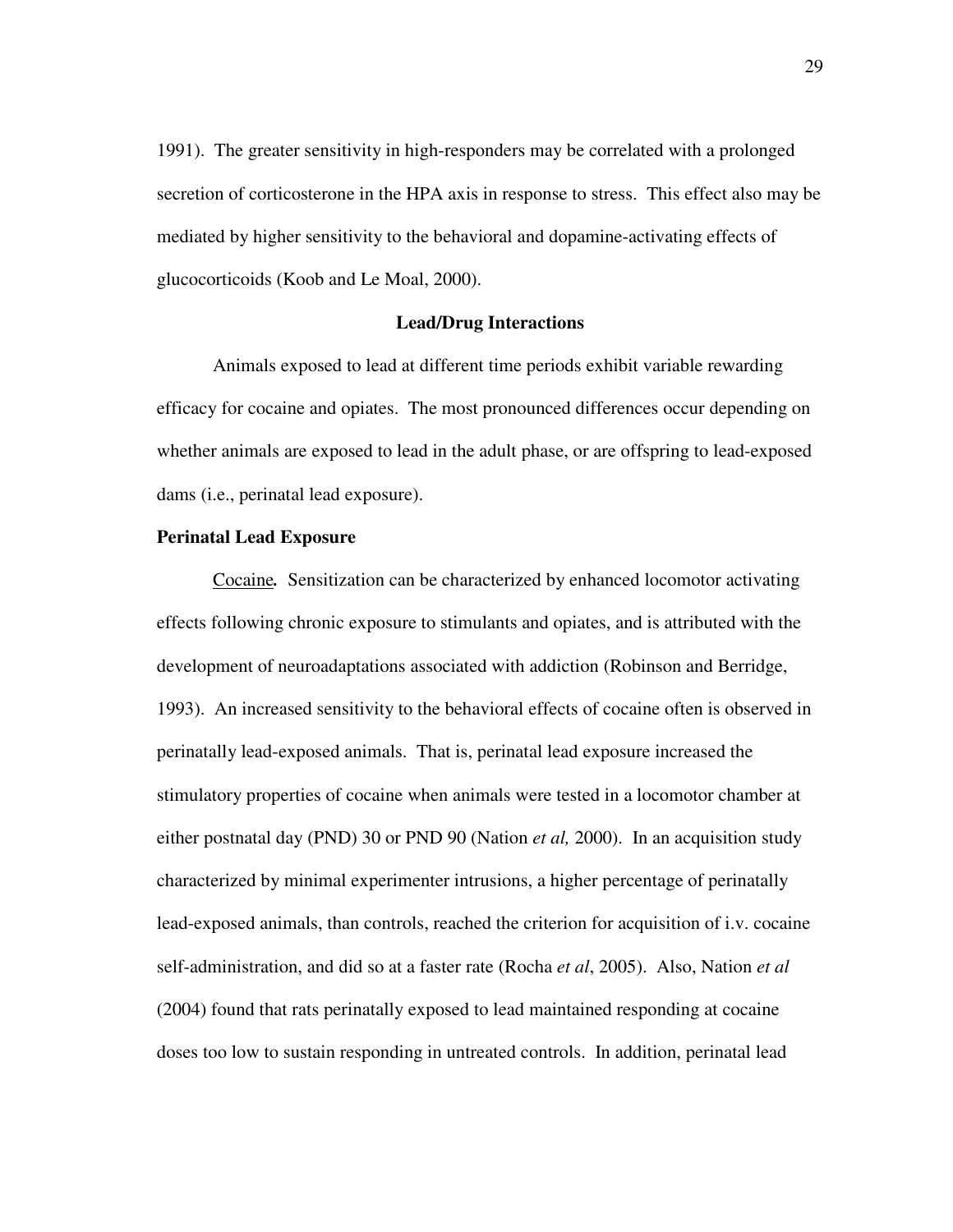1991). The greater sensitivity in high-responders may be correlated with a prolonged secretion of corticosterone in the HPA axis in response to stress. This effect also may be mediated by higher sensitivity to the behavioral and dopamine-activating effects of glucocorticoids (Koob and Le Moal, 2000).

#### **Lead/Drug Interactions**

Animals exposed to lead at different time periods exhibit variable rewarding efficacy for cocaine and opiates. The most pronounced differences occur depending on whether animals are exposed to lead in the adult phase, or are offspring to lead-exposed dams (i.e., perinatal lead exposure).

# **Perinatal Lead Exposure**

Cocaine*.* Sensitization can be characterized by enhanced locomotor activating effects following chronic exposure to stimulants and opiates, and is attributed with the development of neuroadaptations associated with addiction (Robinson and Berridge, 1993). An increased sensitivity to the behavioral effects of cocaine often is observed in perinatally lead-exposed animals. That is, perinatal lead exposure increased the stimulatory properties of cocaine when animals were tested in a locomotor chamber at either postnatal day (PND) 30 or PND 90 (Nation *et al,* 2000). In an acquisition study characterized by minimal experimenter intrusions, a higher percentage of perinatally lead-exposed animals, than controls, reached the criterion for acquisition of i.v. cocaine self-administration, and did so at a faster rate (Rocha *et al*, 2005). Also, Nation *et al* (2004) found that rats perinatally exposed to lead maintained responding at cocaine doses too low to sustain responding in untreated controls. In addition, perinatal lead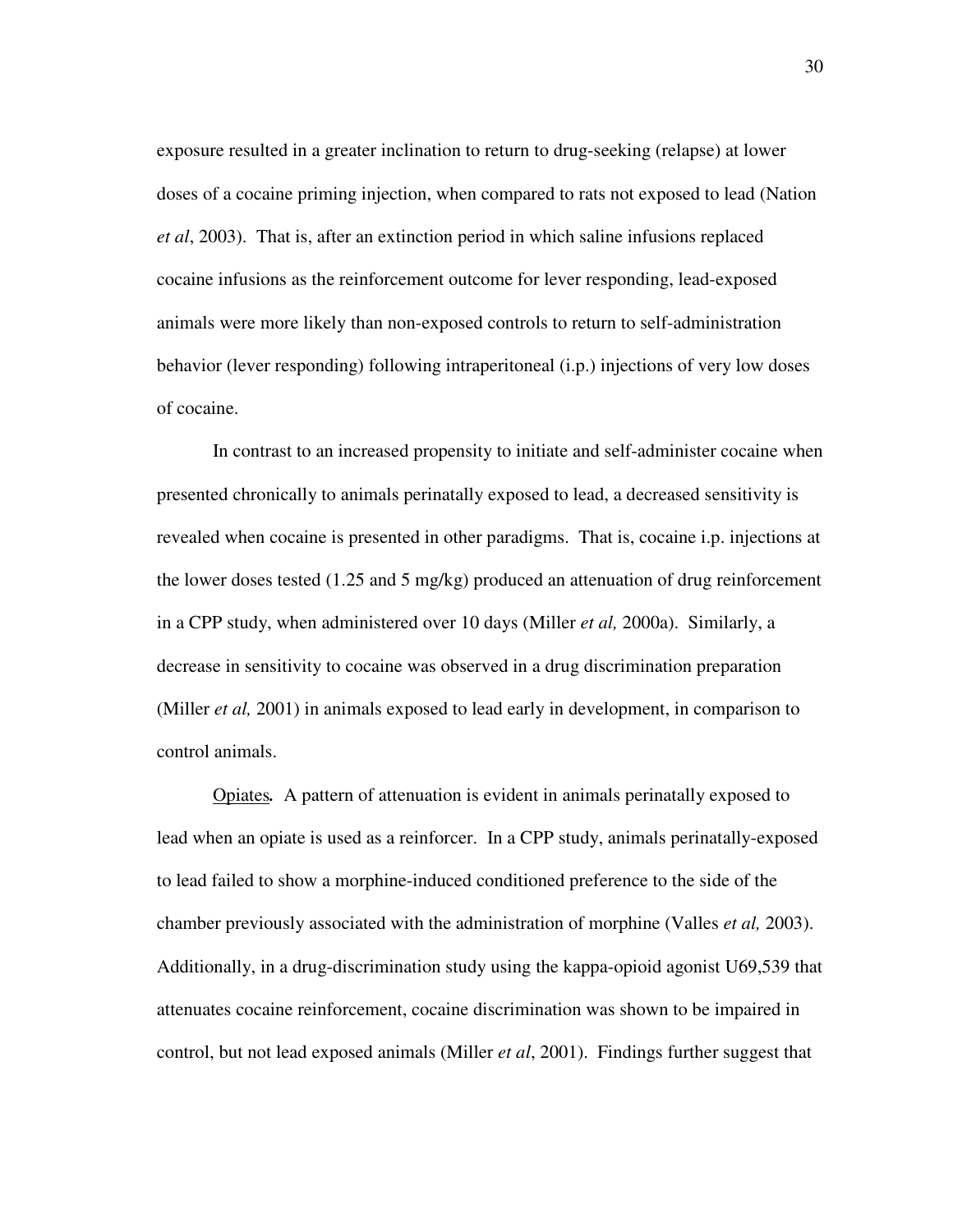exposure resulted in a greater inclination to return to drug-seeking (relapse) at lower doses of a cocaine priming injection, when compared to rats not exposed to lead (Nation *et al*, 2003). That is, after an extinction period in which saline infusions replaced cocaine infusions as the reinforcement outcome for lever responding, lead-exposed animals were more likely than non-exposed controls to return to self-administration behavior (lever responding) following intraperitoneal (i.p.) injections of very low doses of cocaine.

In contrast to an increased propensity to initiate and self-administer cocaine when presented chronically to animals perinatally exposed to lead, a decreased sensitivity is revealed when cocaine is presented in other paradigms. That is, cocaine i.p. injections at the lower doses tested (1.25 and 5 mg/kg) produced an attenuation of drug reinforcement in a CPP study, when administered over 10 days (Miller *et al,* 2000a). Similarly, a decrease in sensitivity to cocaine was observed in a drug discrimination preparation (Miller *et al,* 2001) in animals exposed to lead early in development, in comparison to control animals.

Opiates*.* A pattern of attenuation is evident in animals perinatally exposed to lead when an opiate is used as a reinforcer. In a CPP study, animals perinatally-exposed to lead failed to show a morphine-induced conditioned preference to the side of the chamber previously associated with the administration of morphine (Valles *et al,* 2003). Additionally, in a drug-discrimination study using the kappa-opioid agonist U69,539 that attenuates cocaine reinforcement, cocaine discrimination was shown to be impaired in control, but not lead exposed animals (Miller *et al*, 2001). Findings further suggest that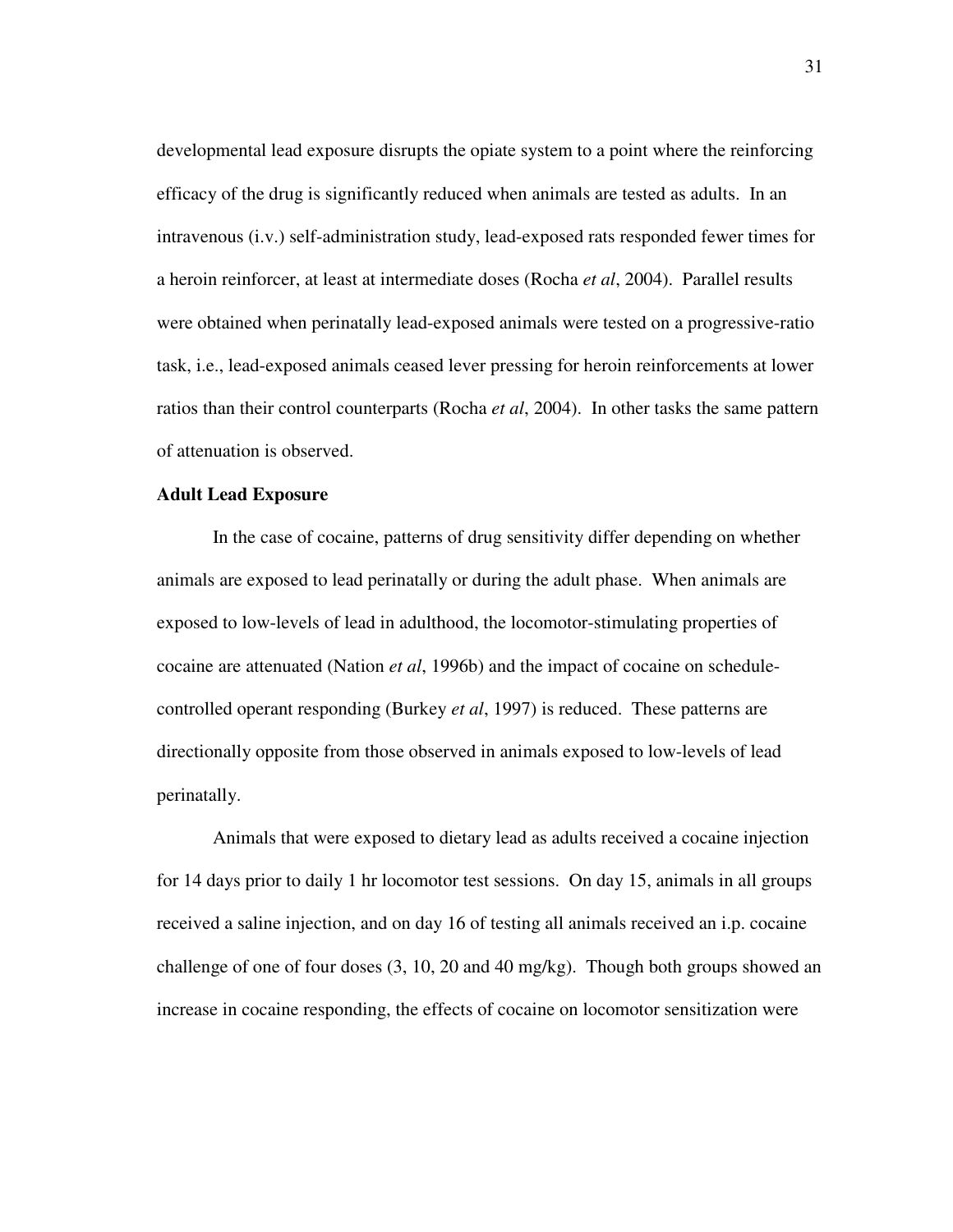developmental lead exposure disrupts the opiate system to a point where the reinforcing efficacy of the drug is significantly reduced when animals are tested as adults. In an intravenous (i.v.) self-administration study, lead-exposed rats responded fewer times for a heroin reinforcer, at least at intermediate doses (Rocha *et al*, 2004). Parallel results were obtained when perinatally lead-exposed animals were tested on a progressive-ratio task, i.e., lead-exposed animals ceased lever pressing for heroin reinforcements at lower ratios than their control counterparts (Rocha *et al*, 2004). In other tasks the same pattern of attenuation is observed.

#### **Adult Lead Exposure**

In the case of cocaine, patterns of drug sensitivity differ depending on whether animals are exposed to lead perinatally or during the adult phase. When animals are exposed to low-levels of lead in adulthood, the locomotor-stimulating properties of cocaine are attenuated (Nation *et al*, 1996b) and the impact of cocaine on schedulecontrolled operant responding (Burkey *et al*, 1997) is reduced. These patterns are directionally opposite from those observed in animals exposed to low-levels of lead perinatally.

Animals that were exposed to dietary lead as adults received a cocaine injection for 14 days prior to daily 1 hr locomotor test sessions. On day 15, animals in all groups received a saline injection, and on day 16 of testing all animals received an i.p. cocaine challenge of one of four doses (3, 10, 20 and 40 mg/kg). Though both groups showed an increase in cocaine responding, the effects of cocaine on locomotor sensitization were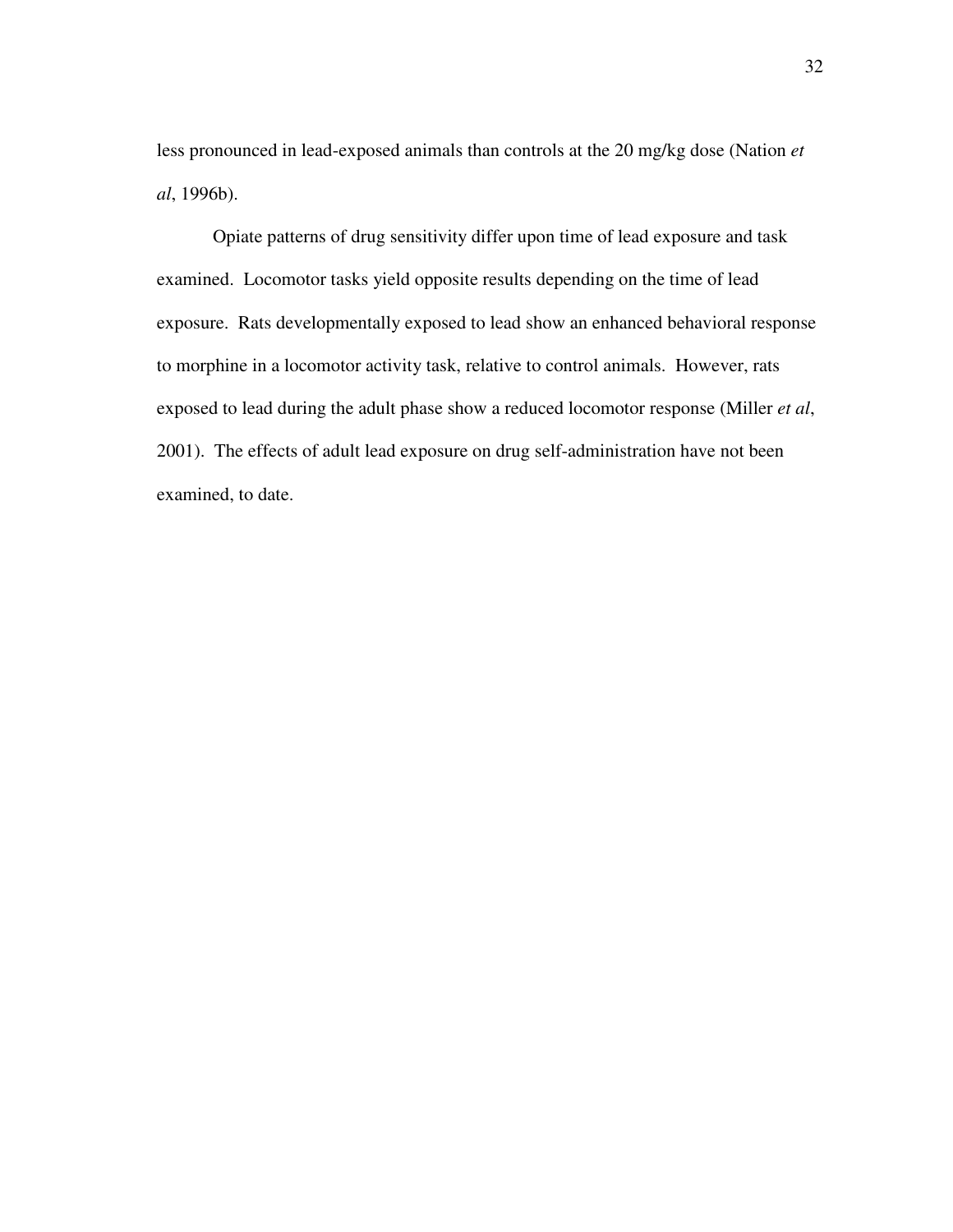less pronounced in lead-exposed animals than controls at the 20 mg/kg dose (Nation *et al*, 1996b).

Opiate patterns of drug sensitivity differ upon time of lead exposure and task examined. Locomotor tasks yield opposite results depending on the time of lead exposure. Rats developmentally exposed to lead show an enhanced behavioral response to morphine in a locomotor activity task, relative to control animals. However, rats exposed to lead during the adult phase show a reduced locomotor response (Miller *et al*, 2001). The effects of adult lead exposure on drug self-administration have not been examined, to date.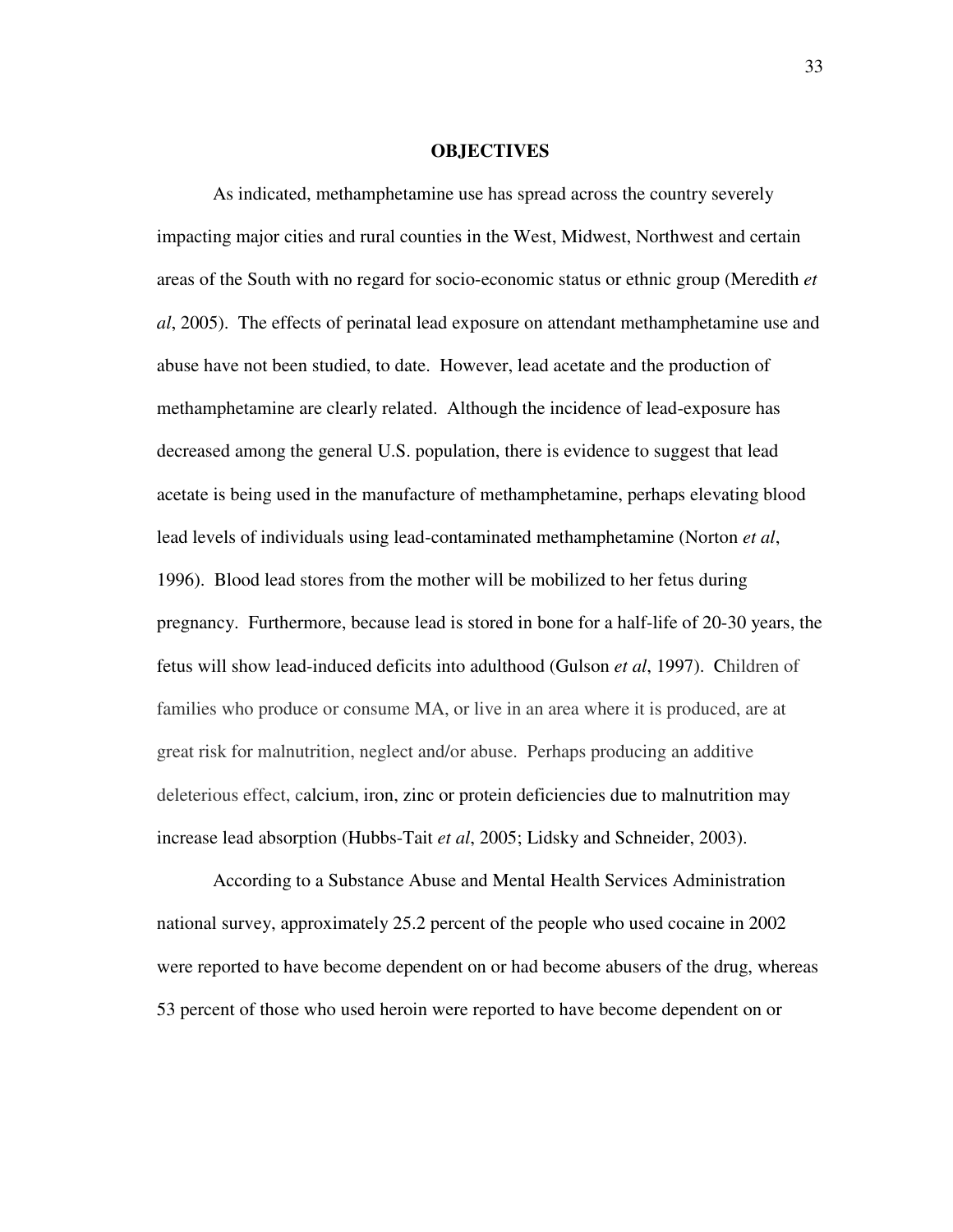#### **OBJECTIVES**

As indicated, methamphetamine use has spread across the country severely impacting major cities and rural counties in the West, Midwest, Northwest and certain areas of the South with no regard for socio-economic status or ethnic group (Meredith *et al*, 2005). The effects of perinatal lead exposure on attendant methamphetamine use and abuse have not been studied, to date. However, lead acetate and the production of methamphetamine are clearly related. Although the incidence of lead-exposure has decreased among the general U.S. population, there is evidence to suggest that lead acetate is being used in the manufacture of methamphetamine, perhaps elevating blood lead levels of individuals using lead-contaminated methamphetamine (Norton *et al*, 1996). Blood lead stores from the mother will be mobilized to her fetus during pregnancy. Furthermore, because lead is stored in bone for a half-life of 20-30 years, the fetus will show lead-induced deficits into adulthood (Gulson *et al*, 1997). Children of families who produce or consume MA, or live in an area where it is produced, are at great risk for malnutrition, neglect and/or abuse. Perhaps producing an additive deleterious effect, calcium, iron, zinc or protein deficiencies due to malnutrition may increase lead absorption (Hubbs-Tait *et al*, 2005; Lidsky and Schneider, 2003).

According to a Substance Abuse and Mental Health Services Administration national survey, approximately 25.2 percent of the people who used cocaine in 2002 were reported to have become dependent on or had become abusers of the drug, whereas 53 percent of those who used heroin were reported to have become dependent on or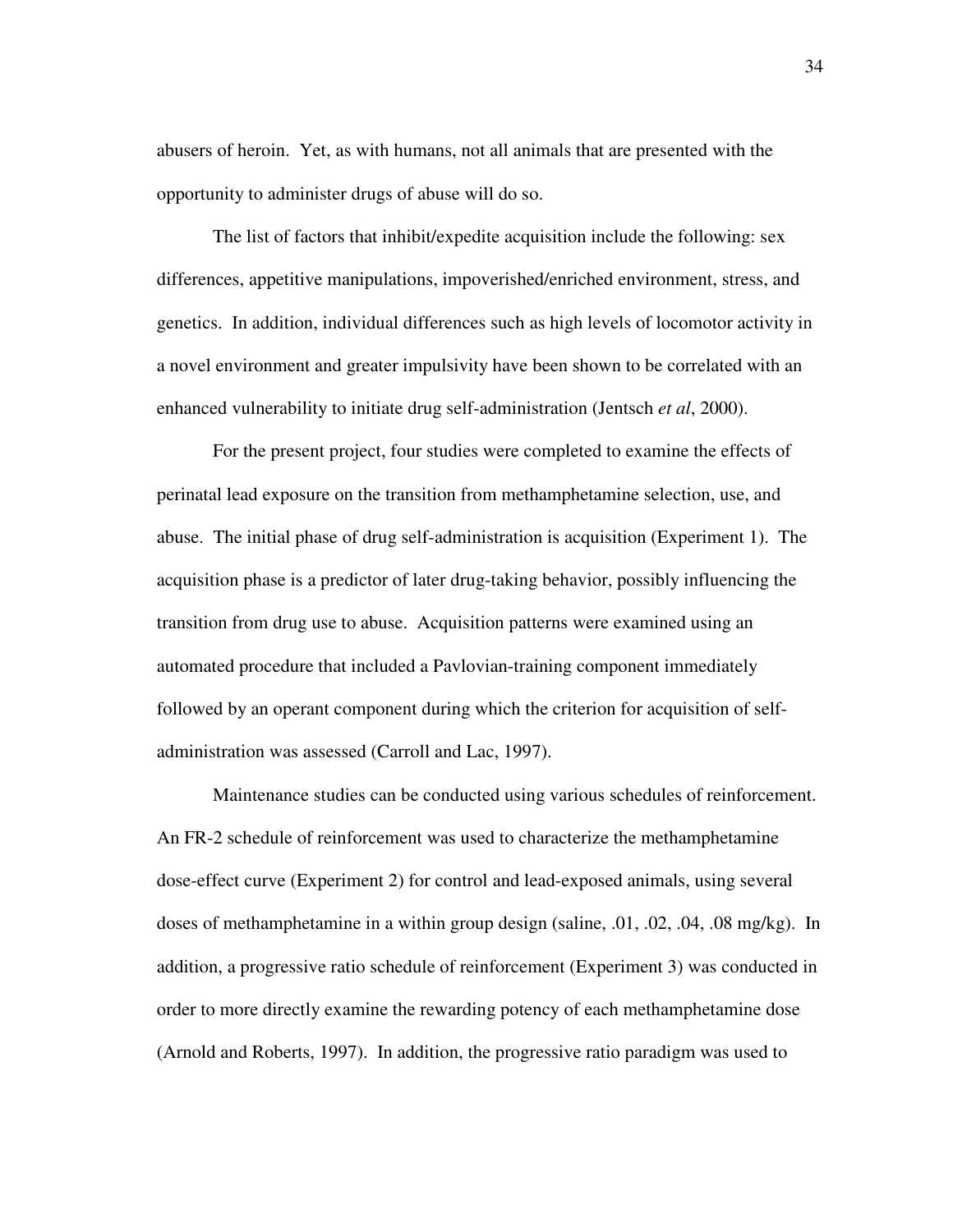abusers of heroin. Yet, as with humans, not all animals that are presented with the opportunity to administer drugs of abuse will do so.

The list of factors that inhibit/expedite acquisition include the following: sex differences, appetitive manipulations, impoverished/enriched environment, stress, and genetics. In addition, individual differences such as high levels of locomotor activity in a novel environment and greater impulsivity have been shown to be correlated with an enhanced vulnerability to initiate drug self-administration (Jentsch *et al*, 2000).

For the present project, four studies were completed to examine the effects of perinatal lead exposure on the transition from methamphetamine selection, use, and abuse. The initial phase of drug self-administration is acquisition (Experiment 1). The acquisition phase is a predictor of later drug-taking behavior, possibly influencing the transition from drug use to abuse. Acquisition patterns were examined using an automated procedure that included a Pavlovian-training component immediately followed by an operant component during which the criterion for acquisition of selfadministration was assessed (Carroll and Lac, 1997).

Maintenance studies can be conducted using various schedules of reinforcement. An FR-2 schedule of reinforcement was used to characterize the methamphetamine dose-effect curve (Experiment 2) for control and lead-exposed animals, using several doses of methamphetamine in a within group design (saline, .01, .02, .04, .08 mg/kg). In addition, a progressive ratio schedule of reinforcement (Experiment 3) was conducted in order to more directly examine the rewarding potency of each methamphetamine dose (Arnold and Roberts, 1997). In addition, the progressive ratio paradigm was used to

34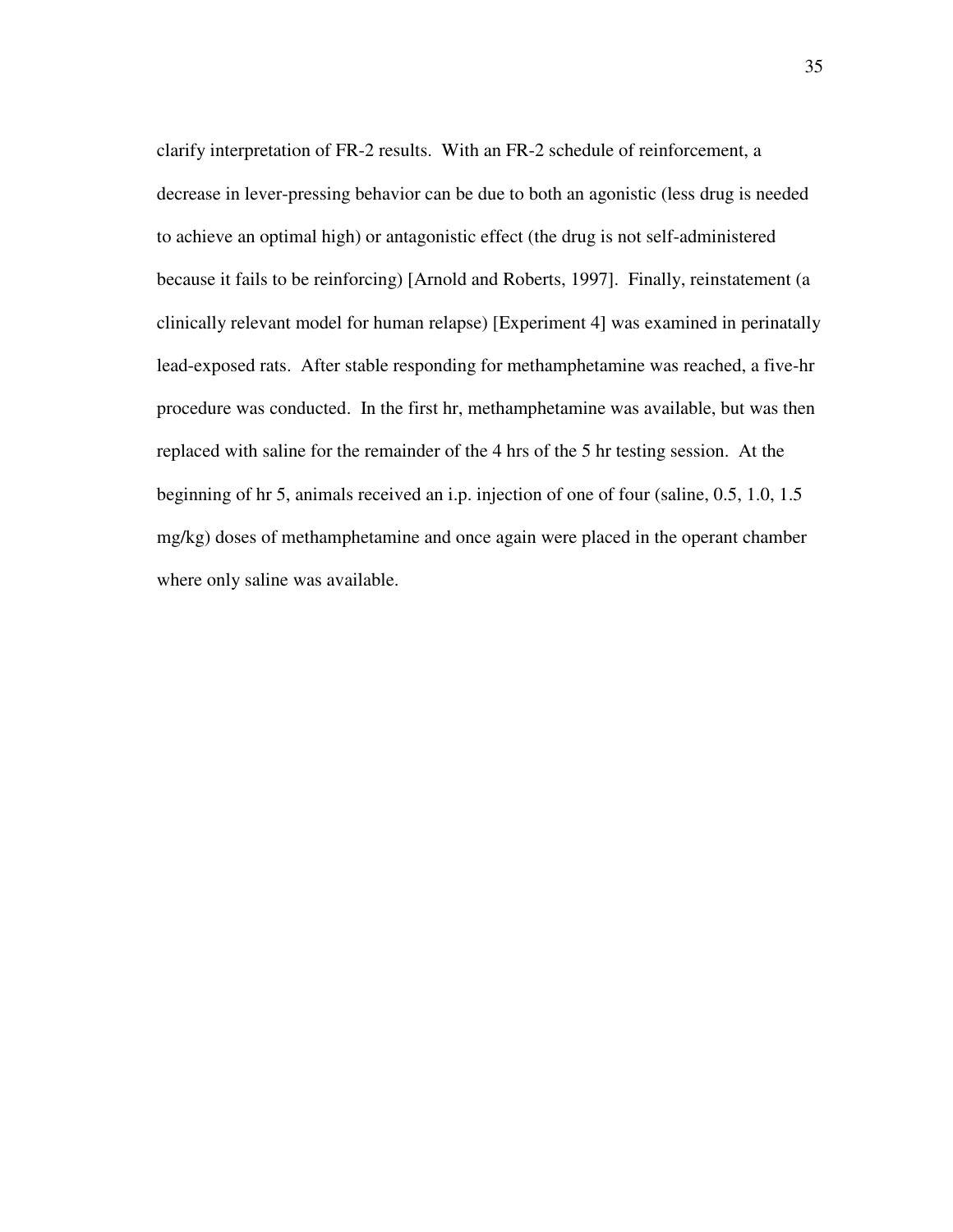clarify interpretation of FR-2 results. With an FR-2 schedule of reinforcement, a decrease in lever-pressing behavior can be due to both an agonistic (less drug is needed to achieve an optimal high) or antagonistic effect (the drug is not self-administered because it fails to be reinforcing) [Arnold and Roberts, 1997]. Finally, reinstatement (a clinically relevant model for human relapse) [Experiment 4] was examined in perinatally lead-exposed rats. After stable responding for methamphetamine was reached, a five-hr procedure was conducted. In the first hr, methamphetamine was available, but was then replaced with saline for the remainder of the 4 hrs of the 5 hr testing session. At the beginning of hr 5, animals received an i.p. injection of one of four (saline, 0.5, 1.0, 1.5 mg/kg) doses of methamphetamine and once again were placed in the operant chamber where only saline was available.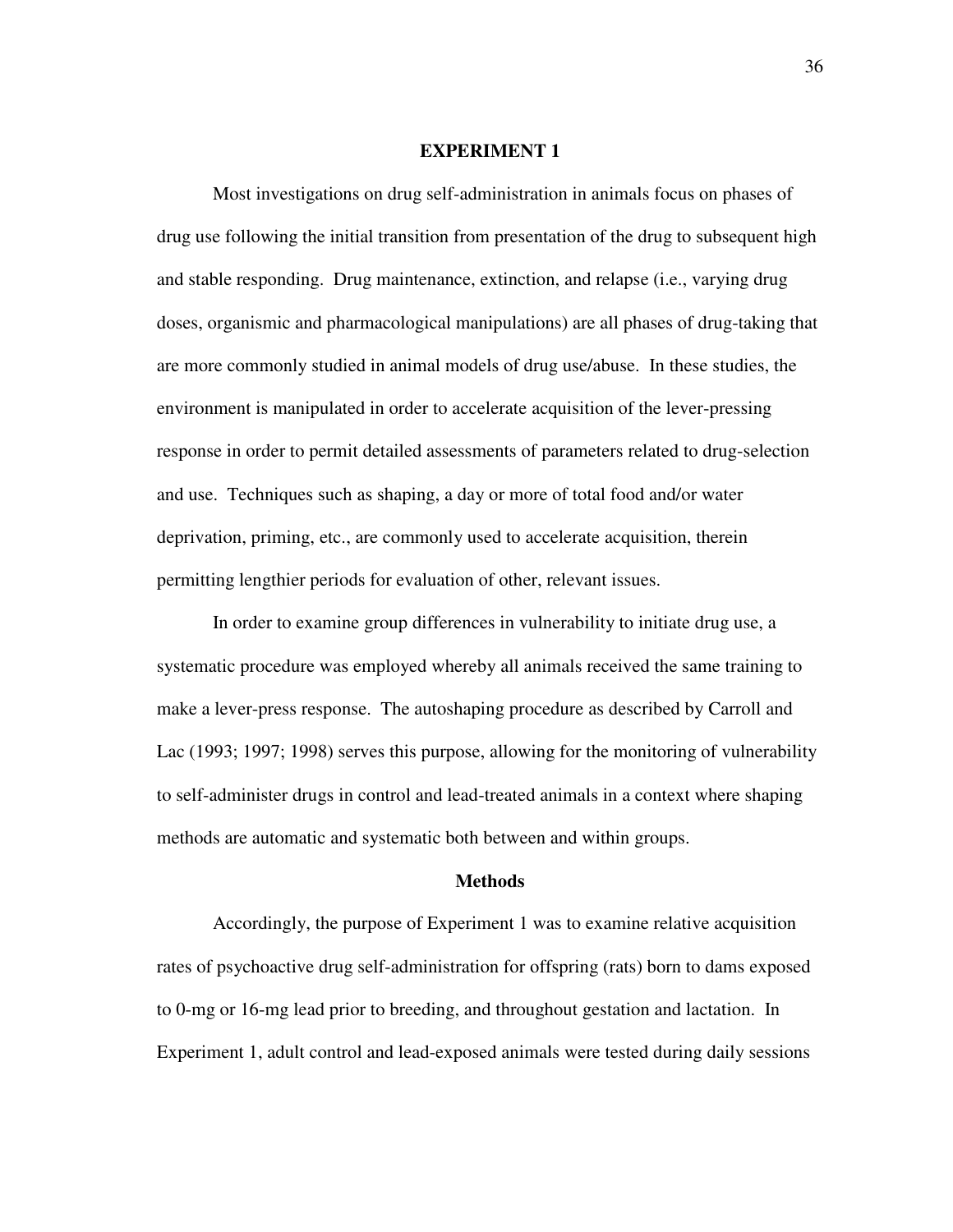#### **EXPERIMENT 1**

Most investigations on drug self-administration in animals focus on phases of drug use following the initial transition from presentation of the drug to subsequent high and stable responding. Drug maintenance, extinction, and relapse (i.e., varying drug doses, organismic and pharmacological manipulations) are all phases of drug-taking that are more commonly studied in animal models of drug use/abuse. In these studies, the environment is manipulated in order to accelerate acquisition of the lever-pressing response in order to permit detailed assessments of parameters related to drug-selection and use. Techniques such as shaping, a day or more of total food and/or water deprivation, priming, etc., are commonly used to accelerate acquisition, therein permitting lengthier periods for evaluation of other, relevant issues.

In order to examine group differences in vulnerability to initiate drug use, a systematic procedure was employed whereby all animals received the same training to make a lever-press response. The autoshaping procedure as described by Carroll and Lac (1993; 1997; 1998) serves this purpose, allowing for the monitoring of vulnerability to self-administer drugs in control and lead-treated animals in a context where shaping methods are automatic and systematic both between and within groups.

#### **Methods**

Accordingly, the purpose of Experiment 1 was to examine relative acquisition rates of psychoactive drug self-administration for offspring (rats) born to dams exposed to 0-mg or 16-mg lead prior to breeding, and throughout gestation and lactation. In Experiment 1, adult control and lead-exposed animals were tested during daily sessions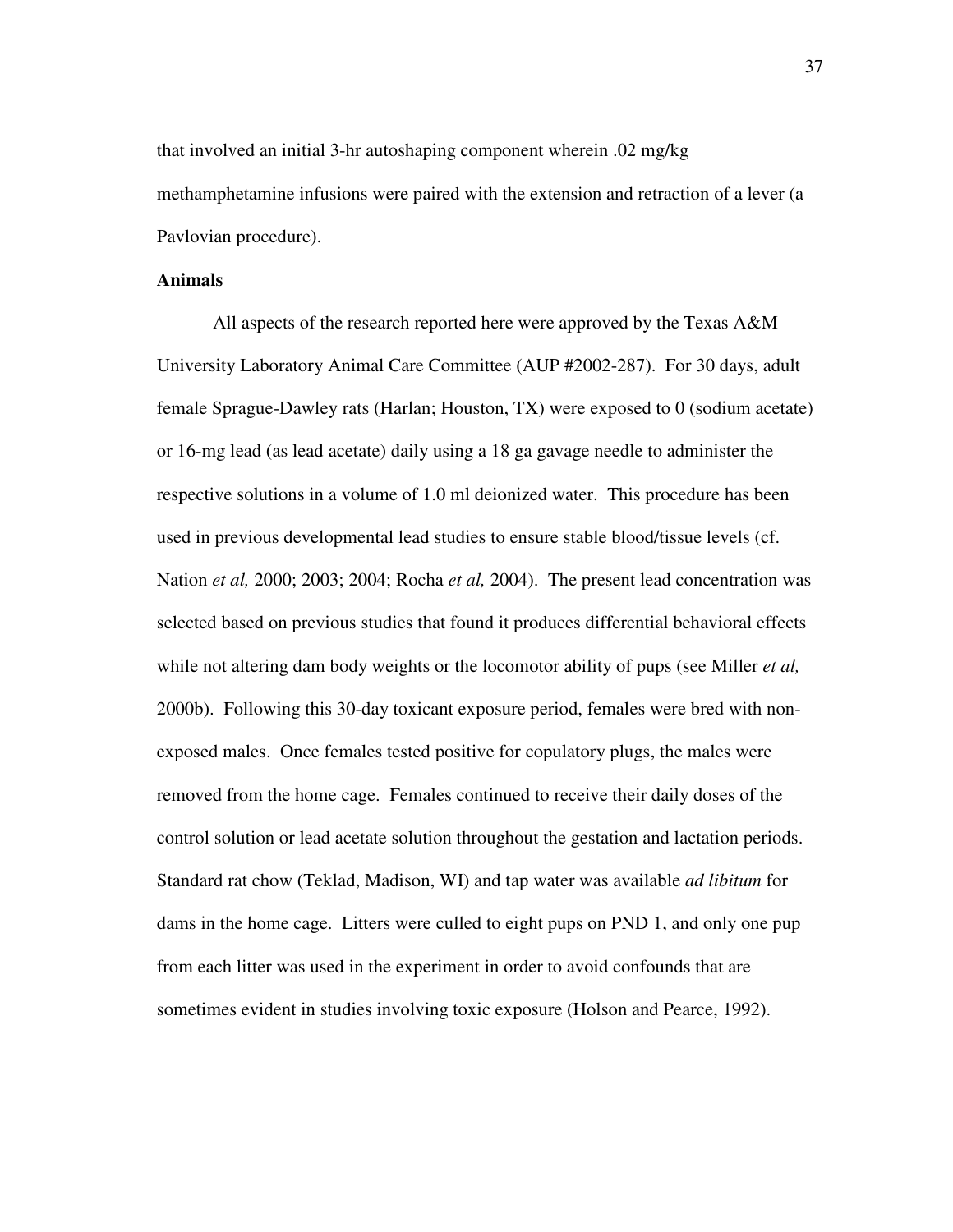that involved an initial 3-hr autoshaping component wherein .02 mg/kg methamphetamine infusions were paired with the extension and retraction of a lever (a Pavlovian procedure).

#### **Animals**

All aspects of the research reported here were approved by the Texas A&M University Laboratory Animal Care Committee (AUP #2002-287). For 30 days, adult female Sprague-Dawley rats (Harlan; Houston, TX) were exposed to 0 (sodium acetate) or 16-mg lead (as lead acetate) daily using a 18 ga gavage needle to administer the respective solutions in a volume of 1.0 ml deionized water. This procedure has been used in previous developmental lead studies to ensure stable blood/tissue levels (cf. Nation *et al,* 2000; 2003; 2004; Rocha *et al,* 2004). The present lead concentration was selected based on previous studies that found it produces differential behavioral effects while not altering dam body weights or the locomotor ability of pups (see Miller *et al,* 2000b). Following this 30-day toxicant exposure period, females were bred with nonexposed males. Once females tested positive for copulatory plugs, the males were removed from the home cage. Females continued to receive their daily doses of the control solution or lead acetate solution throughout the gestation and lactation periods. Standard rat chow (Teklad, Madison, WI) and tap water was available *ad libitum* for dams in the home cage. Litters were culled to eight pups on PND 1, and only one pup from each litter was used in the experiment in order to avoid confounds that are sometimes evident in studies involving toxic exposure (Holson and Pearce, 1992).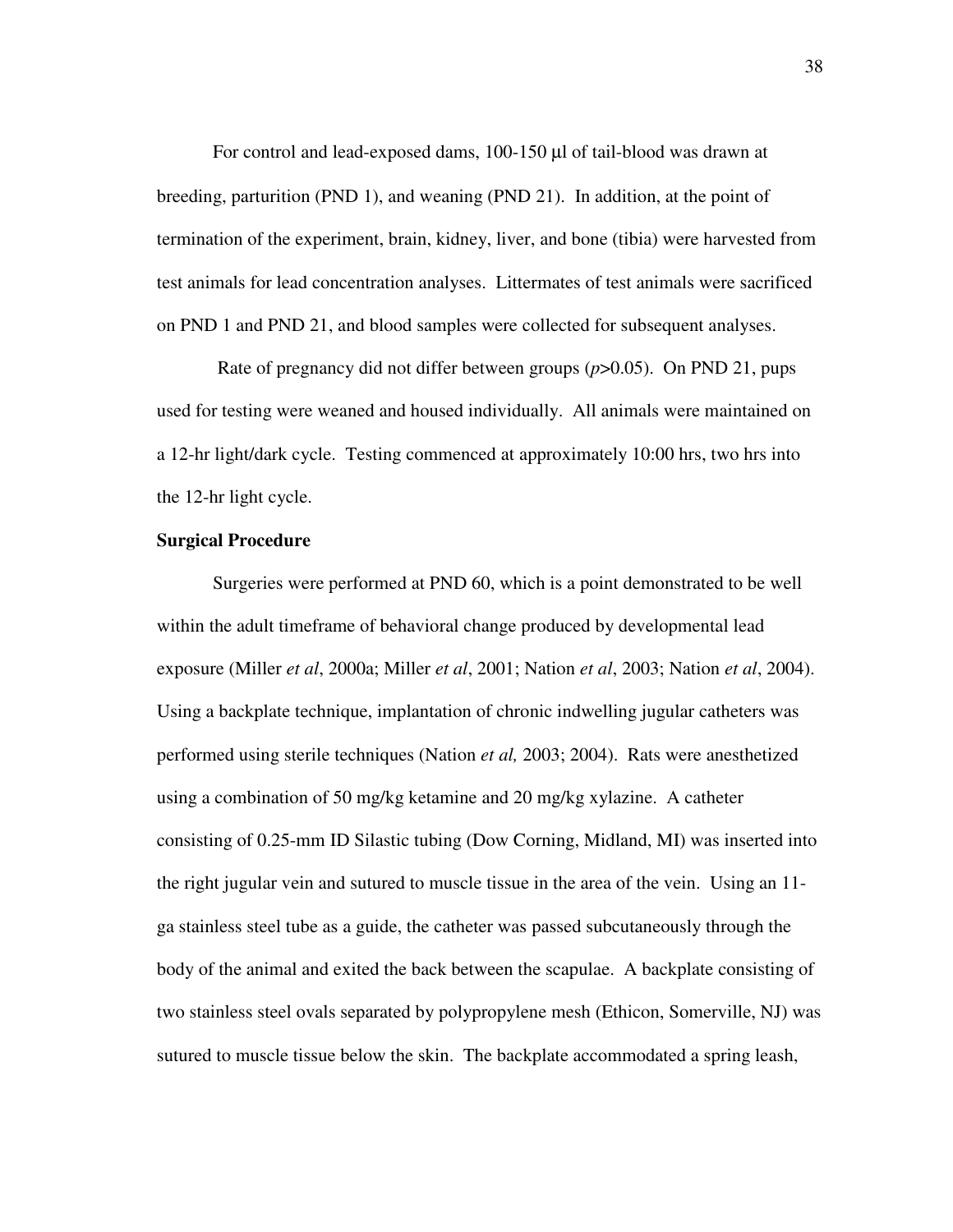For control and lead-exposed dams, 100-150 µl of tail-blood was drawn at breeding, parturition (PND 1), and weaning (PND 21). In addition, at the point of termination of the experiment, brain, kidney, liver, and bone (tibia) were harvested from test animals for lead concentration analyses. Littermates of test animals were sacrificed on PND 1 and PND 21, and blood samples were collected for subsequent analyses.

Rate of pregnancy did not differ between groups (*p*>0.05). On PND 21, pups used for testing were weaned and housed individually. All animals were maintained on a 12-hr light/dark cycle. Testing commenced at approximately 10:00 hrs, two hrs into the 12-hr light cycle.

# **Surgical Procedure**

Surgeries were performed at PND 60, which is a point demonstrated to be well within the adult timeframe of behavioral change produced by developmental lead exposure (Miller *et al*, 2000a; Miller *et al*, 2001; Nation *et al*, 2003; Nation *et al*, 2004). Using a backplate technique, implantation of chronic indwelling jugular catheters was performed using sterile techniques (Nation *et al,* 2003; 2004). Rats were anesthetized using a combination of 50 mg/kg ketamine and 20 mg/kg xylazine. A catheter consisting of 0.25-mm ID Silastic tubing (Dow Corning, Midland, MI) was inserted into the right jugular vein and sutured to muscle tissue in the area of the vein. Using an 11 ga stainless steel tube as a guide, the catheter was passed subcutaneously through the body of the animal and exited the back between the scapulae. A backplate consisting of two stainless steel ovals separated by polypropylene mesh (Ethicon, Somerville, NJ) was sutured to muscle tissue below the skin. The backplate accommodated a spring leash,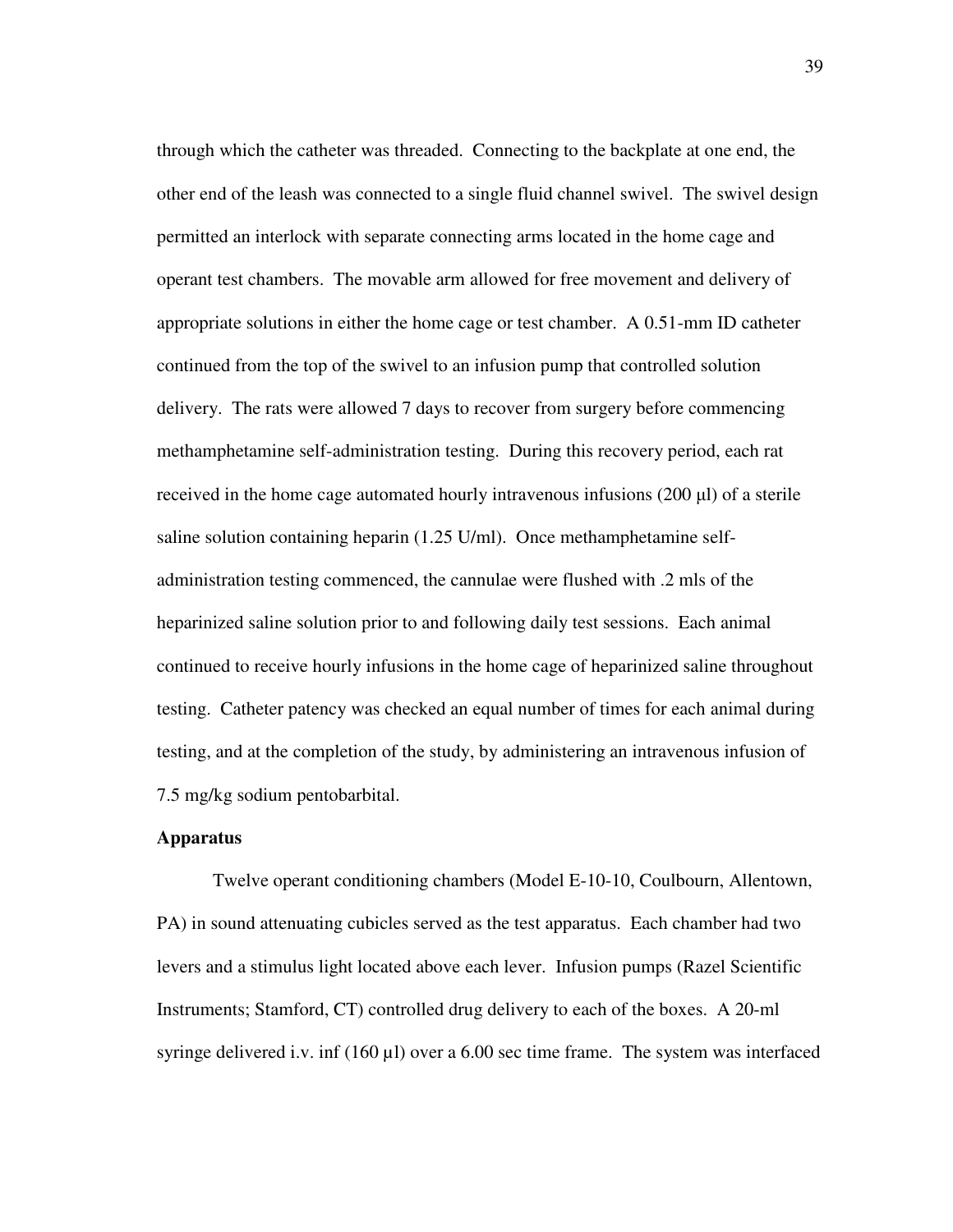through which the catheter was threaded. Connecting to the backplate at one end, the other end of the leash was connected to a single fluid channel swivel. The swivel design permitted an interlock with separate connecting arms located in the home cage and operant test chambers. The movable arm allowed for free movement and delivery of appropriate solutions in either the home cage or test chamber. A 0.51-mm ID catheter continued from the top of the swivel to an infusion pump that controlled solution delivery. The rats were allowed 7 days to recover from surgery before commencing methamphetamine self-administration testing. During this recovery period, each rat received in the home cage automated hourly intravenous infusions  $(200 \mu l)$  of a sterile saline solution containing heparin (1.25 U/ml). Once methamphetamine selfadministration testing commenced, the cannulae were flushed with .2 mls of the heparinized saline solution prior to and following daily test sessions. Each animal continued to receive hourly infusions in the home cage of heparinized saline throughout testing. Catheter patency was checked an equal number of times for each animal during testing, and at the completion of the study, by administering an intravenous infusion of 7.5 mg/kg sodium pentobarbital.

# **Apparatus**

Twelve operant conditioning chambers (Model E-10-10, Coulbourn, Allentown, PA) in sound attenuating cubicles served as the test apparatus. Each chamber had two levers and a stimulus light located above each lever. Infusion pumps (Razel Scientific Instruments; Stamford, CT) controlled drug delivery to each of the boxes. A 20-ml syringe delivered i.v. inf (160 µl) over a 6.00 sec time frame. The system was interfaced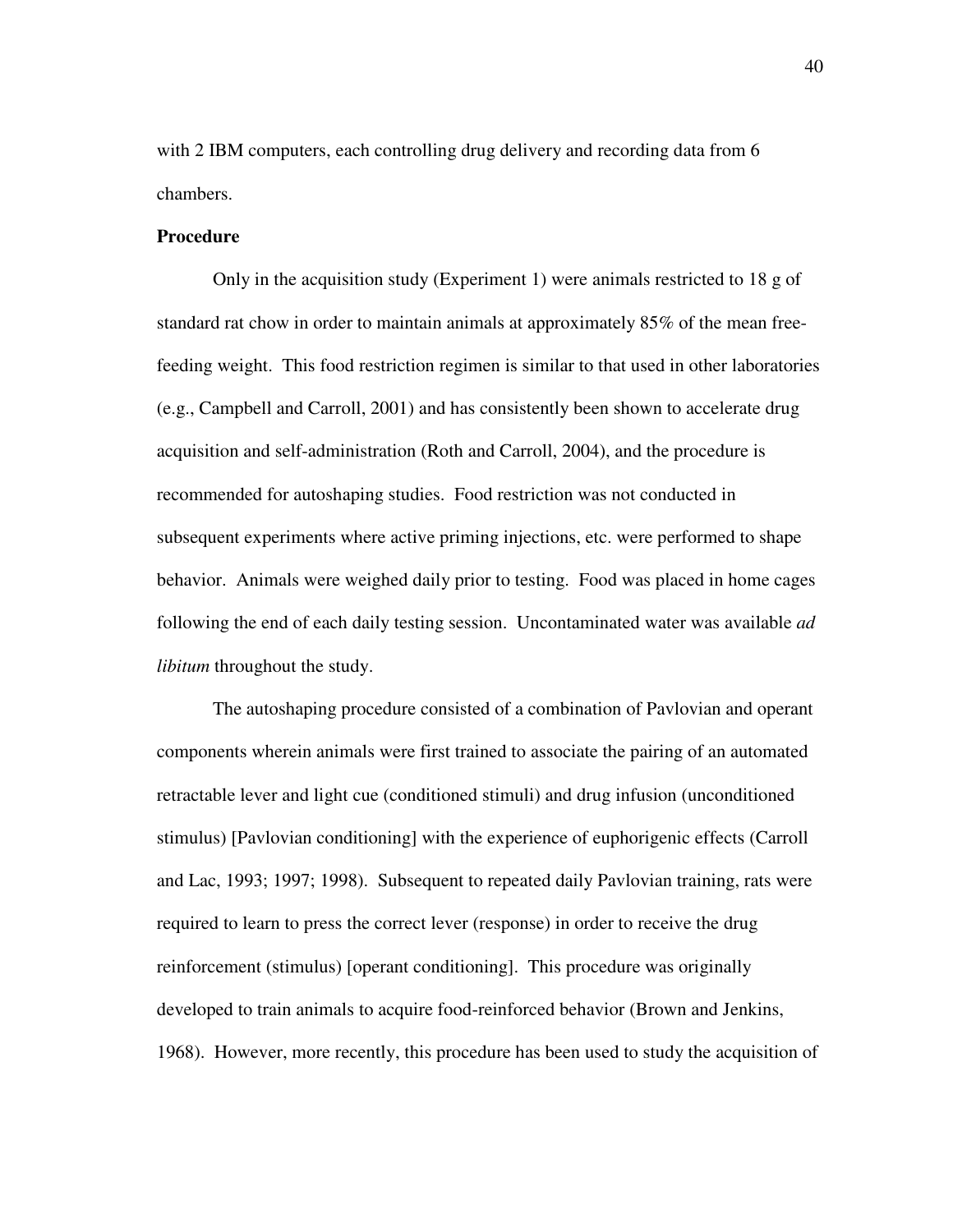with 2 IBM computers, each controlling drug delivery and recording data from 6 chambers.

## **Procedure**

Only in the acquisition study (Experiment 1) were animals restricted to 18 g of standard rat chow in order to maintain animals at approximately 85% of the mean freefeeding weight. This food restriction regimen is similar to that used in other laboratories (e.g., Campbell and Carroll, 2001) and has consistently been shown to accelerate drug acquisition and self-administration (Roth and Carroll, 2004), and the procedure is recommended for autoshaping studies. Food restriction was not conducted in subsequent experiments where active priming injections, etc. were performed to shape behavior. Animals were weighed daily prior to testing. Food was placed in home cages following the end of each daily testing session. Uncontaminated water was available *ad libitum* throughout the study.

The autoshaping procedure consisted of a combination of Pavlovian and operant components wherein animals were first trained to associate the pairing of an automated retractable lever and light cue (conditioned stimuli) and drug infusion (unconditioned stimulus) [Pavlovian conditioning] with the experience of euphorigenic effects (Carroll and Lac, 1993; 1997; 1998). Subsequent to repeated daily Pavlovian training, rats were required to learn to press the correct lever (response) in order to receive the drug reinforcement (stimulus) [operant conditioning]. This procedure was originally developed to train animals to acquire food-reinforced behavior (Brown and Jenkins, 1968). However, more recently, this procedure has been used to study the acquisition of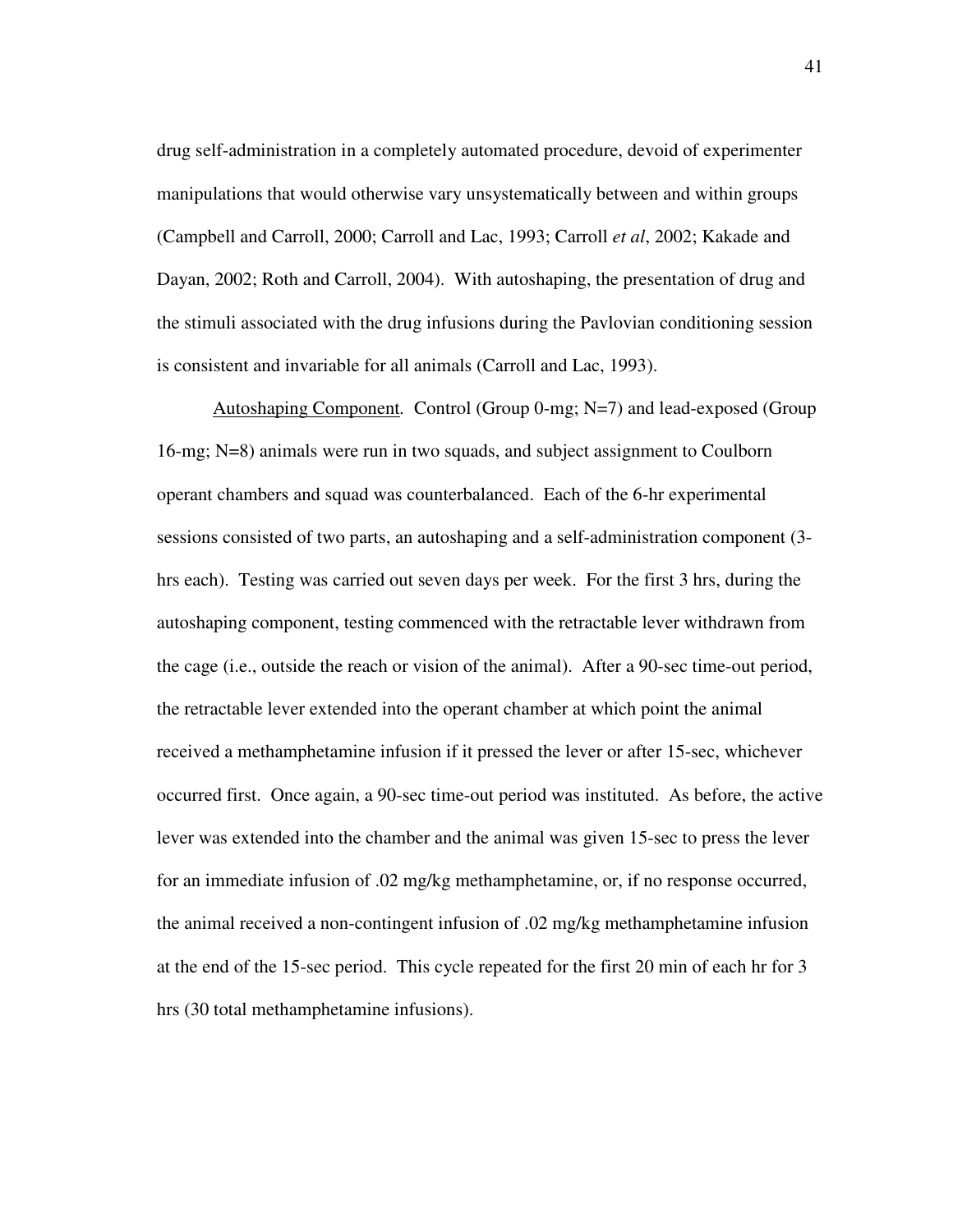drug self-administration in a completely automated procedure, devoid of experimenter manipulations that would otherwise vary unsystematically between and within groups (Campbell and Carroll, 2000; Carroll and Lac, 1993; Carroll *et al*, 2002; Kakade and Dayan, 2002; Roth and Carroll, 2004). With autoshaping, the presentation of drug and the stimuli associated with the drug infusions during the Pavlovian conditioning session is consistent and invariable for all animals (Carroll and Lac, 1993).

Autoshaping Component*.* Control (Group 0-mg; N=7) and lead-exposed (Group 16-mg; N=8) animals were run in two squads, and subject assignment to Coulborn operant chambers and squad was counterbalanced. Each of the 6-hr experimental sessions consisted of two parts, an autoshaping and a self-administration component (3 hrs each). Testing was carried out seven days per week. For the first 3 hrs, during the autoshaping component, testing commenced with the retractable lever withdrawn from the cage (i.e., outside the reach or vision of the animal). After a 90-sec time-out period, the retractable lever extended into the operant chamber at which point the animal received a methamphetamine infusion if it pressed the lever or after 15-sec, whichever occurred first. Once again, a 90-sec time-out period was instituted. As before, the active lever was extended into the chamber and the animal was given 15-sec to press the lever for an immediate infusion of .02 mg/kg methamphetamine, or, if no response occurred, the animal received a non-contingent infusion of .02 mg/kg methamphetamine infusion at the end of the 15-sec period. This cycle repeated for the first 20 min of each hr for 3 hrs (30 total methamphetamine infusions).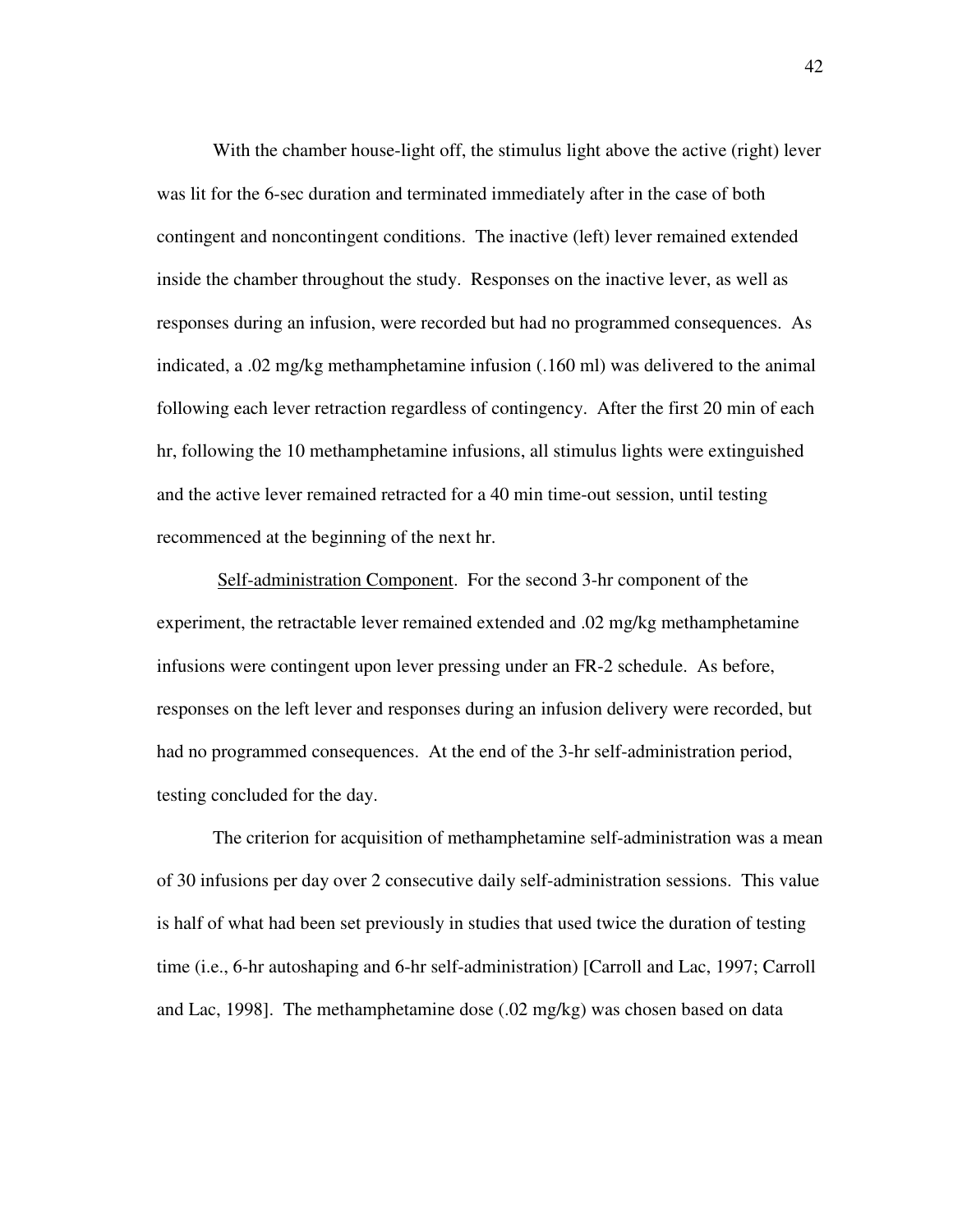With the chamber house-light off, the stimulus light above the active (right) lever was lit for the 6-sec duration and terminated immediately after in the case of both contingent and noncontingent conditions. The inactive (left) lever remained extended inside the chamber throughout the study. Responses on the inactive lever, as well as responses during an infusion, were recorded but had no programmed consequences. As indicated, a .02 mg/kg methamphetamine infusion (.160 ml) was delivered to the animal following each lever retraction regardless of contingency. After the first 20 min of each hr, following the 10 methamphetamine infusions, all stimulus lights were extinguished and the active lever remained retracted for a 40 min time-out session, until testing recommenced at the beginning of the next hr.

Self-administration Component. For the second 3-hr component of the experiment, the retractable lever remained extended and .02 mg/kg methamphetamine infusions were contingent upon lever pressing under an FR-2 schedule. As before, responses on the left lever and responses during an infusion delivery were recorded, but had no programmed consequences. At the end of the 3-hr self-administration period, testing concluded for the day.

The criterion for acquisition of methamphetamine self-administration was a mean of 30 infusions per day over 2 consecutive daily self-administration sessions. This value is half of what had been set previously in studies that used twice the duration of testing time (i.e., 6-hr autoshaping and 6-hr self-administration) [Carroll and Lac, 1997; Carroll and Lac, 1998]. The methamphetamine dose (.02 mg/kg) was chosen based on data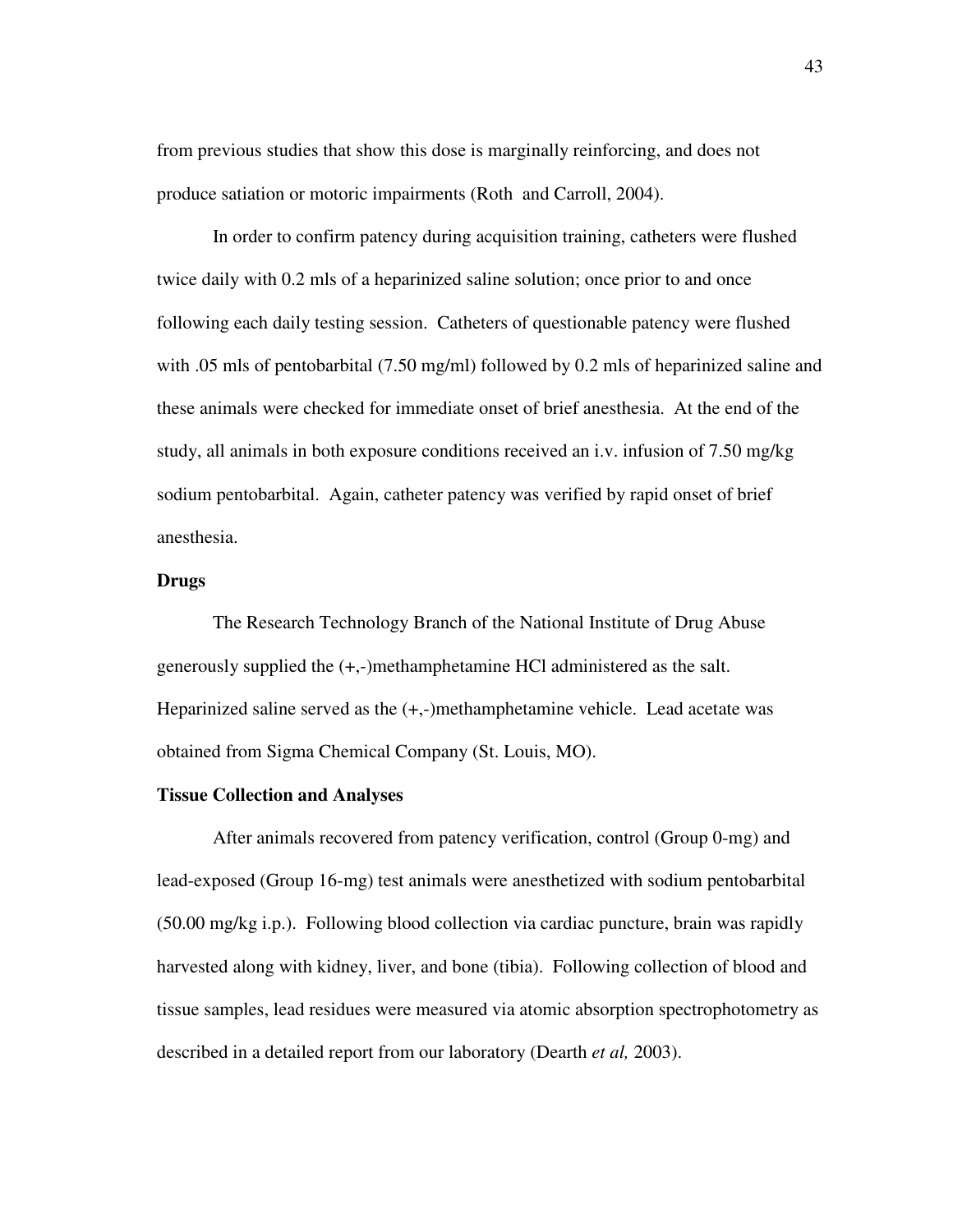from previous studies that show this dose is marginally reinforcing, and does not produce satiation or motoric impairments (Roth and Carroll, 2004).

In order to confirm patency during acquisition training, catheters were flushed twice daily with 0.2 mls of a heparinized saline solution; once prior to and once following each daily testing session. Catheters of questionable patency were flushed with .05 mls of pentobarbital (7.50 mg/ml) followed by 0.2 mls of heparinized saline and these animals were checked for immediate onset of brief anesthesia. At the end of the study, all animals in both exposure conditions received an i.v. infusion of 7.50 mg/kg sodium pentobarbital. Again, catheter patency was verified by rapid onset of brief anesthesia.

# **Drugs**

The Research Technology Branch of the National Institute of Drug Abuse generously supplied the (+,-)methamphetamine HCl administered as the salt. Heparinized saline served as the (+,-)methamphetamine vehicle. Lead acetate was obtained from Sigma Chemical Company (St. Louis, MO).

# **Tissue Collection and Analyses**

After animals recovered from patency verification, control (Group 0-mg) and lead-exposed (Group 16-mg) test animals were anesthetized with sodium pentobarbital (50.00 mg/kg i.p.). Following blood collection via cardiac puncture, brain was rapidly harvested along with kidney, liver, and bone (tibia). Following collection of blood and tissue samples, lead residues were measured via atomic absorption spectrophotometry as described in a detailed report from our laboratory (Dearth *et al,* 2003).

43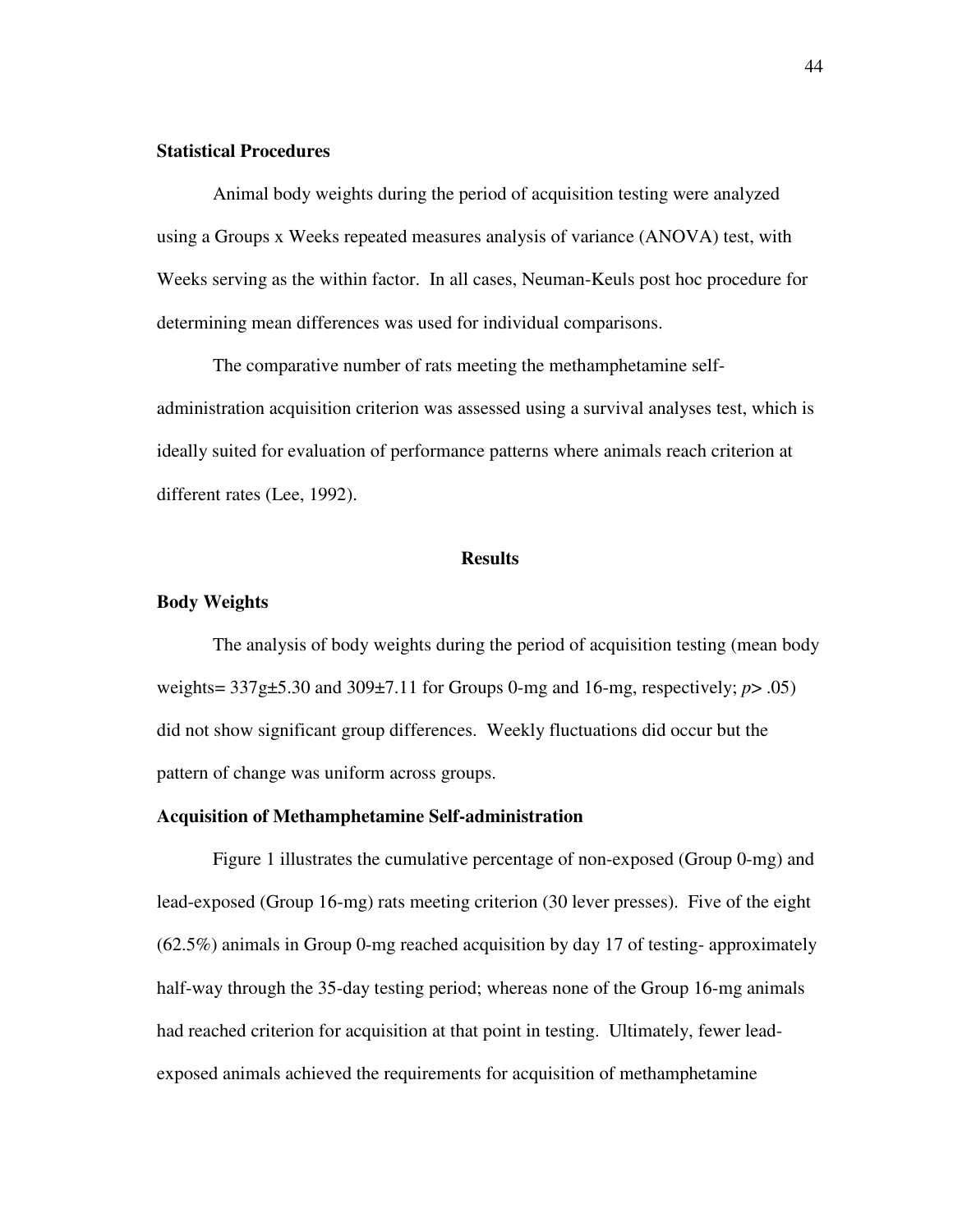# **Statistical Procedures**

Animal body weights during the period of acquisition testing were analyzed using a Groups x Weeks repeated measures analysis of variance (ANOVA) test, with Weeks serving as the within factor. In all cases, Neuman-Keuls post hoc procedure for determining mean differences was used for individual comparisons.

The comparative number of rats meeting the methamphetamine selfadministration acquisition criterion was assessed using a survival analyses test, which is ideally suited for evaluation of performance patterns where animals reach criterion at different rates (Lee, 1992).

#### **Results**

#### **Body Weights**

The analysis of body weights during the period of acquisition testing (mean body weights= 337g±5.30 and 309±7.11 for Groups 0-mg and 16-mg, respectively; *p*> .05) did not show significant group differences. Weekly fluctuations did occur but the pattern of change was uniform across groups.

# **Acquisition of Methamphetamine Self-administration**

Figure 1 illustrates the cumulative percentage of non-exposed (Group 0-mg) and lead-exposed (Group 16-mg) rats meeting criterion (30 lever presses). Five of the eight  $(62.5%)$  animals in Group 0-mg reached acquisition by day 17 of testing-approximately half-way through the 35-day testing period; whereas none of the Group 16-mg animals had reached criterion for acquisition at that point in testing. Ultimately, fewer leadexposed animals achieved the requirements for acquisition of methamphetamine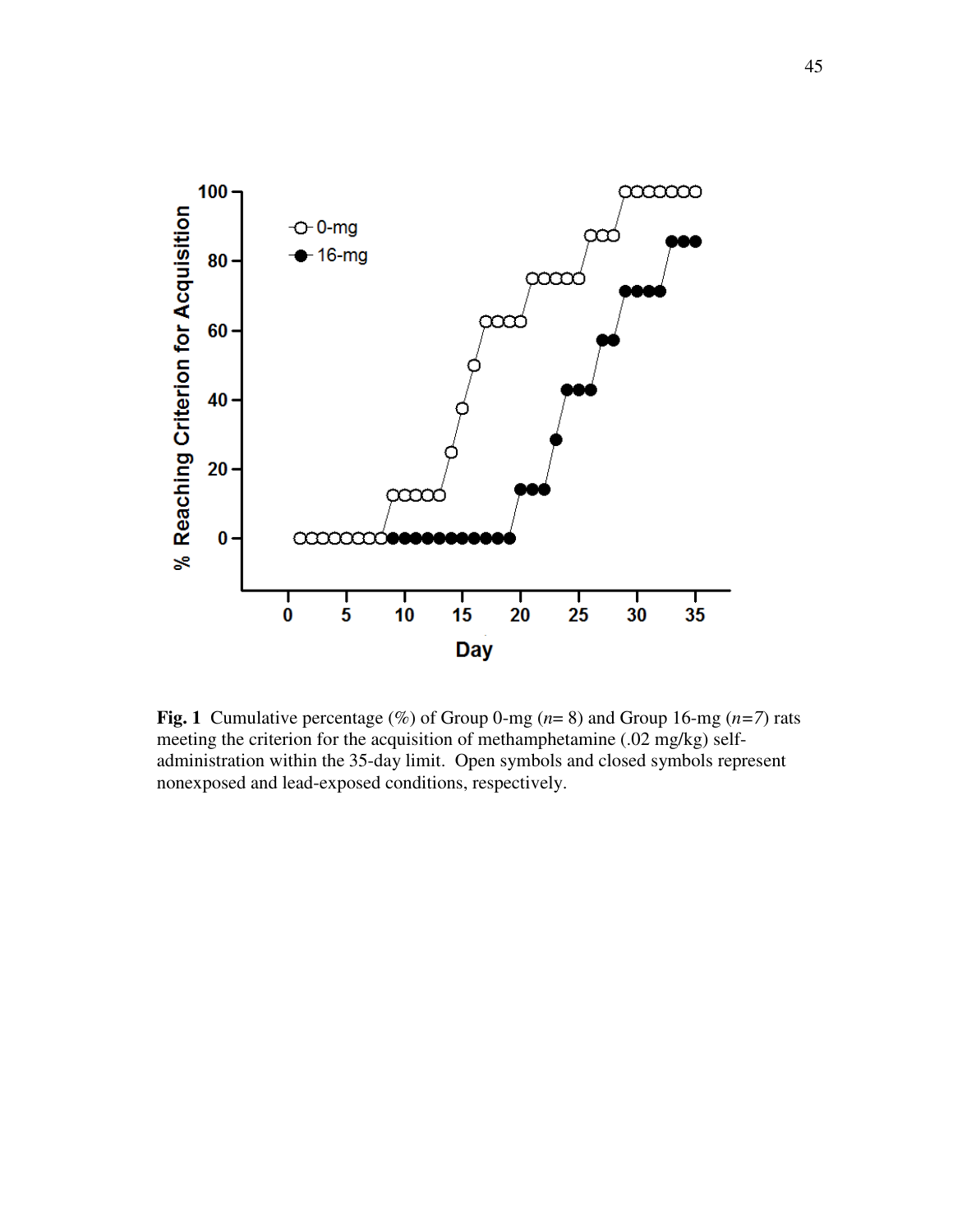

**Fig. 1** Cumulative percentage (%) of Group 0-mg  $(n=8)$  and Group 16-mg  $(n=7)$  rats meeting the criterion for the acquisition of methamphetamine (.02 mg/kg) selfadministration within the 35-day limit. Open symbols and closed symbols represent nonexposed and lead-exposed conditions, respectively.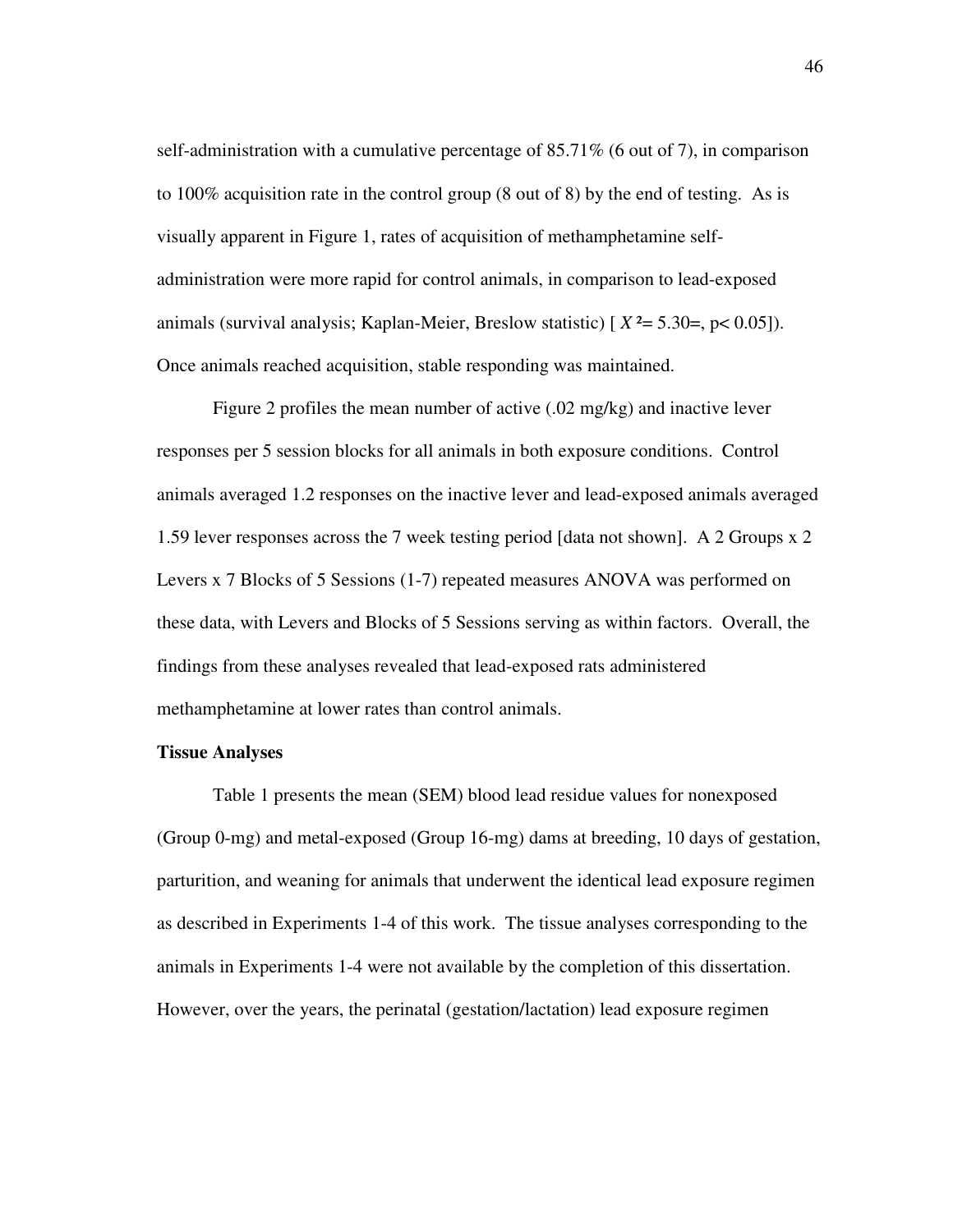self-administration with a cumulative percentage of 85.71% (6 out of 7), in comparison to 100% acquisition rate in the control group (8 out of 8) by the end of testing. As is visually apparent in Figure 1, rates of acquisition of methamphetamine selfadministration were more rapid for control animals, in comparison to lead-exposed animals (survival analysis; Kaplan-Meier, Breslow statistic) [ *X* ²= 5.30=, p< 0.05]). Once animals reached acquisition, stable responding was maintained.

Figure 2 profiles the mean number of active (.02 mg/kg) and inactive lever responses per 5 session blocks for all animals in both exposure conditions. Control animals averaged 1.2 responses on the inactive lever and lead-exposed animals averaged 1.59 lever responses across the 7 week testing period [data not shown]. A 2 Groups x 2 Levers x 7 Blocks of 5 Sessions (1-7) repeated measures ANOVA was performed on these data, with Levers and Blocks of 5 Sessions serving as within factors. Overall, the findings from these analyses revealed that lead-exposed rats administered methamphetamine at lower rates than control animals.

### **Tissue Analyses**

Table 1 presents the mean (SEM) blood lead residue values for nonexposed (Group 0-mg) and metal-exposed (Group 16-mg) dams at breeding, 10 days of gestation, parturition, and weaning for animals that underwent the identical lead exposure regimen as described in Experiments 1-4 of this work. The tissue analyses corresponding to the animals in Experiments 1-4 were not available by the completion of this dissertation. However, over the years, the perinatal (gestation/lactation) lead exposure regimen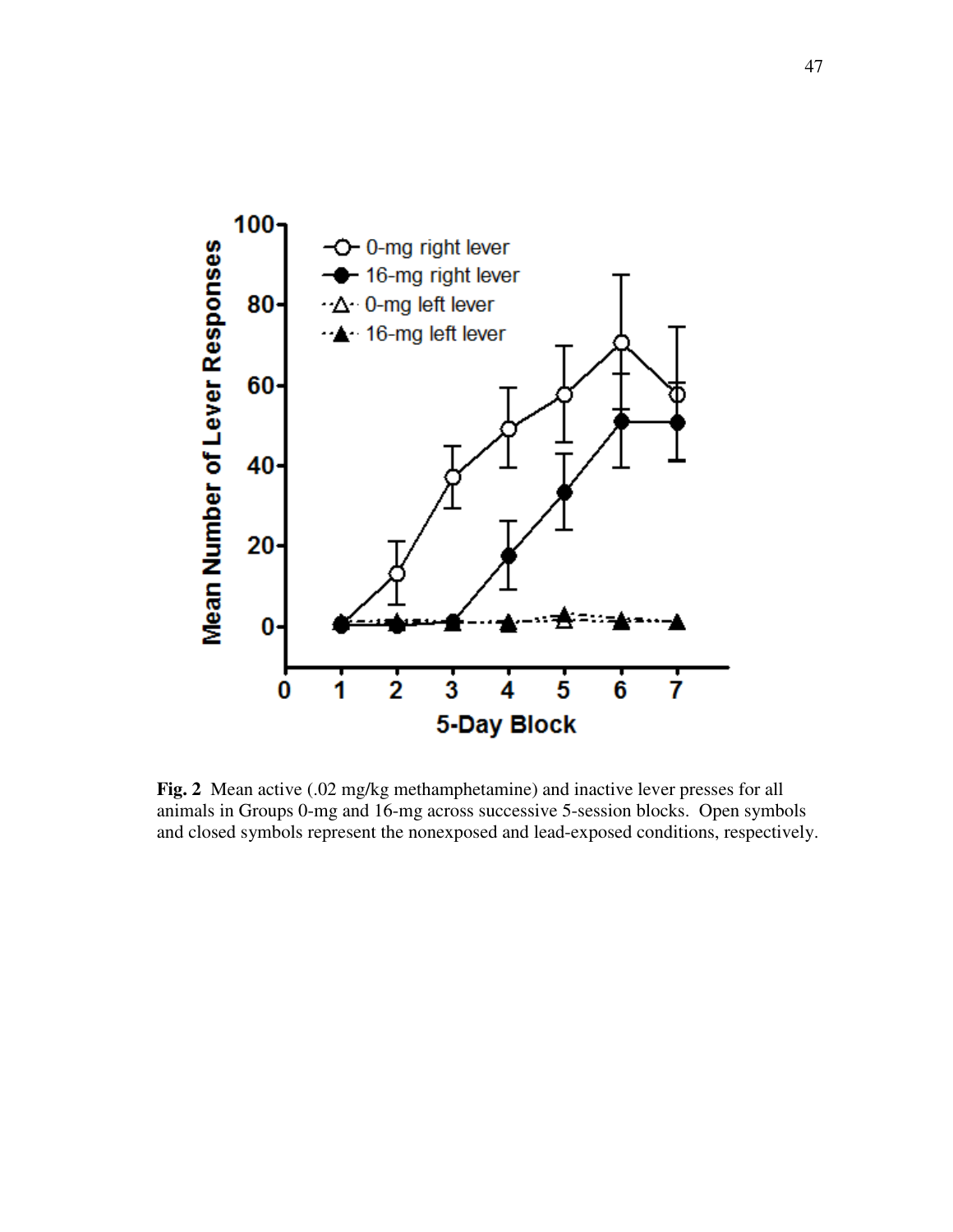

**Fig. 2** Mean active (.02 mg/kg methamphetamine) and inactive lever presses for all animals in Groups 0-mg and 16-mg across successive 5-session blocks. Open symbols and closed symbols represent the nonexposed and lead-exposed conditions, respectively.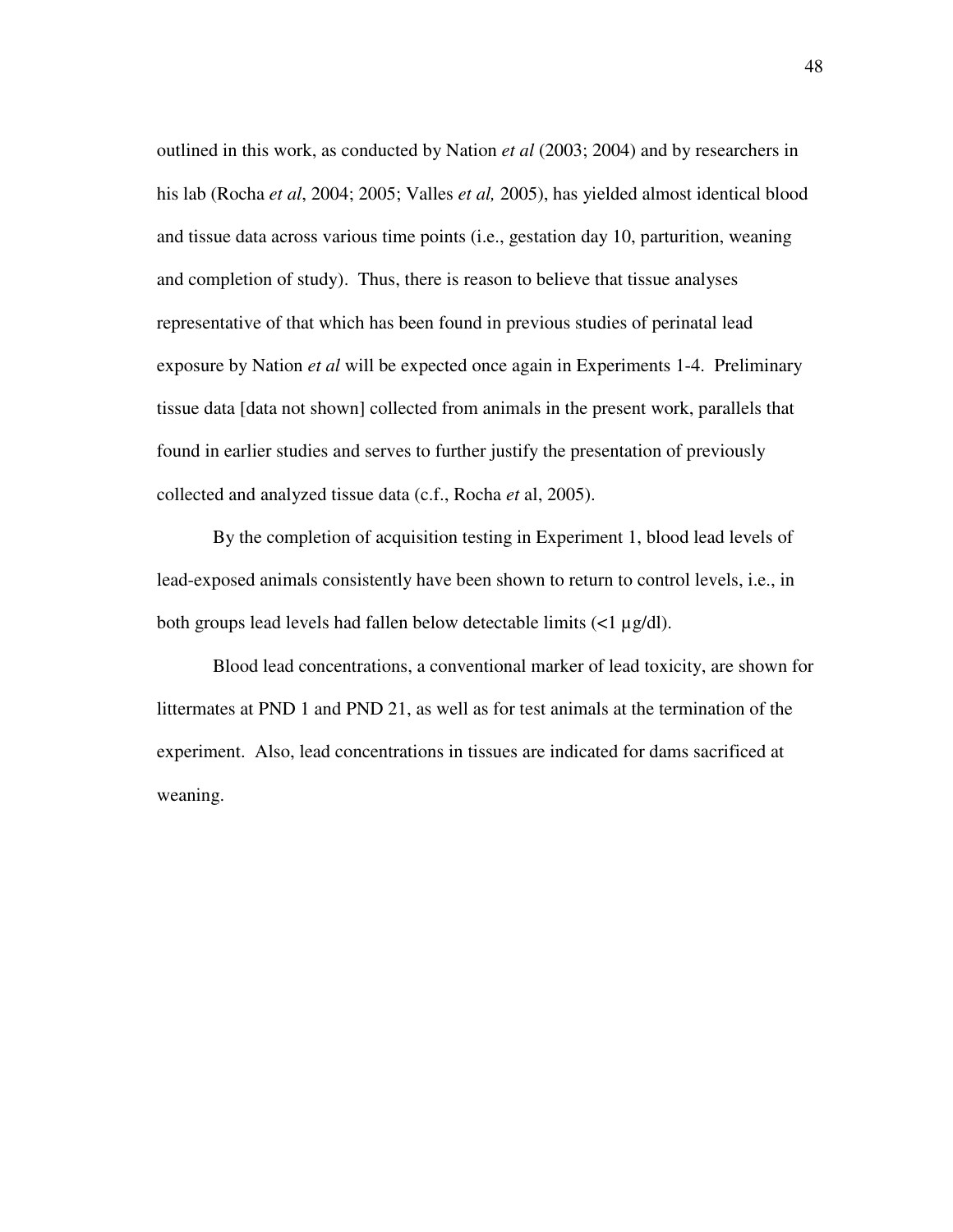outlined in this work, as conducted by Nation *et al* (2003; 2004) and by researchers in his lab (Rocha *et al*, 2004; 2005; Valles *et al,* 2005), has yielded almost identical blood and tissue data across various time points (i.e., gestation day 10, parturition, weaning and completion of study). Thus, there is reason to believe that tissue analyses representative of that which has been found in previous studies of perinatal lead exposure by Nation *et al* will be expected once again in Experiments 1-4. Preliminary tissue data [data not shown] collected from animals in the present work, parallels that found in earlier studies and serves to further justify the presentation of previously collected and analyzed tissue data (c.f., Rocha *et* al, 2005).

By the completion of acquisition testing in Experiment 1, blood lead levels of lead-exposed animals consistently have been shown to return to control levels, i.e., in both groups lead levels had fallen below detectable limits  $\left($  <1  $\mu$ g/dl).

Blood lead concentrations, a conventional marker of lead toxicity, are shown for littermates at PND 1 and PND 21, as well as for test animals at the termination of the experiment. Also, lead concentrations in tissues are indicated for dams sacrificed at weaning.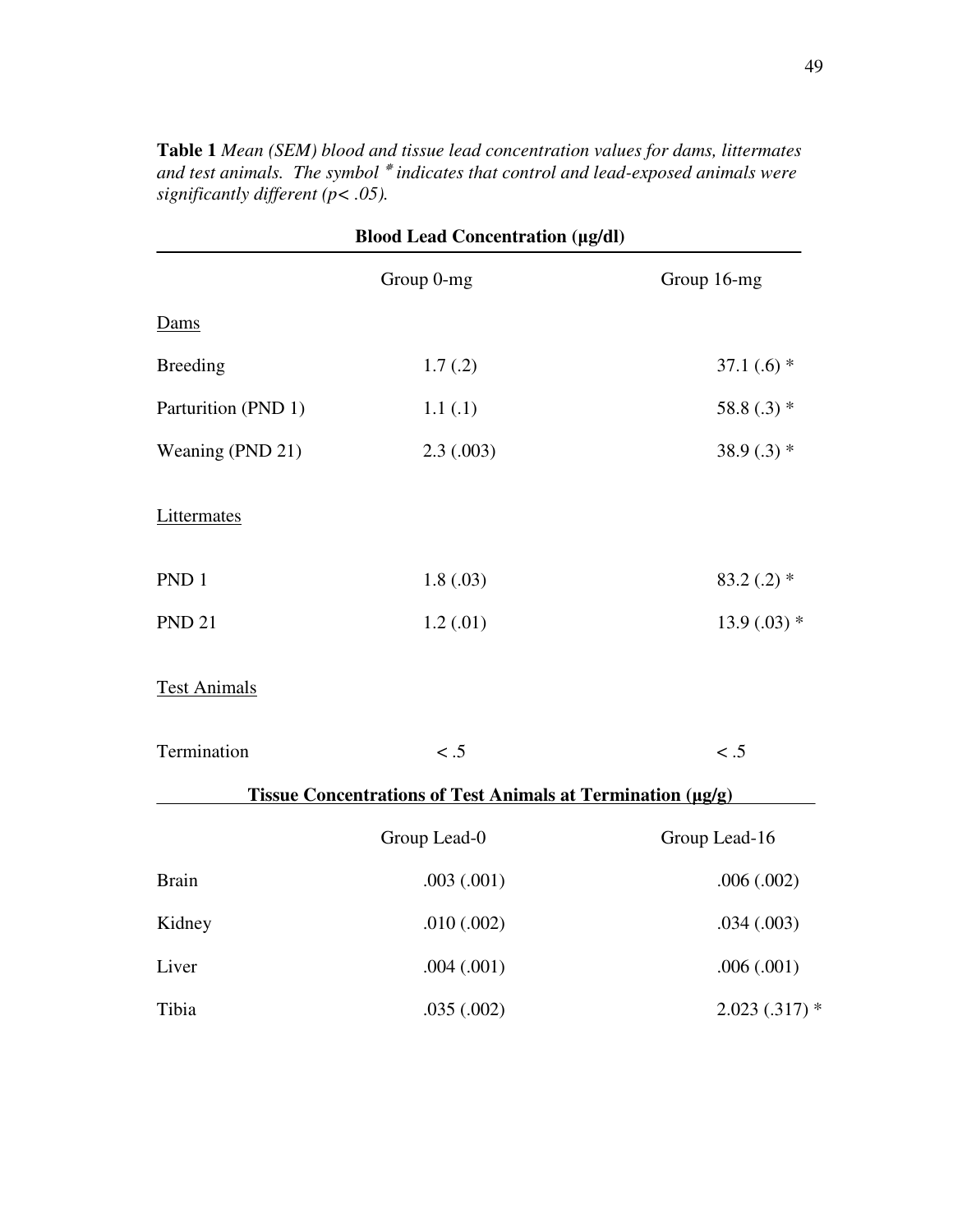**Blood Lead Concentration (g/dl)** Group 0-mg Group 16-mg Dams Breeding  $1.7(.2)$   $37.1(.6)$  \* Parturition (PND 1)  $1.1 (.1)$  58.8 (.3) \* Weaning (PND 21) 2.3 (.003) 38.9 (.3) \* **Littermates** PND 1  $1.8(.03)$   $83.2(.2)$  \* PND 21  $1.2(.01)$   $13.9(.03) *$ Test Animals Termination < .5 < .5 < .5 **Tissue Concentrations of Test Animals at Termination (g/g)** Group Lead-0 Group Lead-16 Brain .003 (.001) .003 .004 .002) Kidney .010 (.002) .034 (.003) Liver .004 (.001) .004 (.001) Tibia .035 (.002) 2.023 (.317) \*

**Table 1** *Mean (SEM) blood and tissue lead concentration values for dams, littermates and test animals. The symbol indicates that control and lead-exposed animals were significantly different (p< .05).*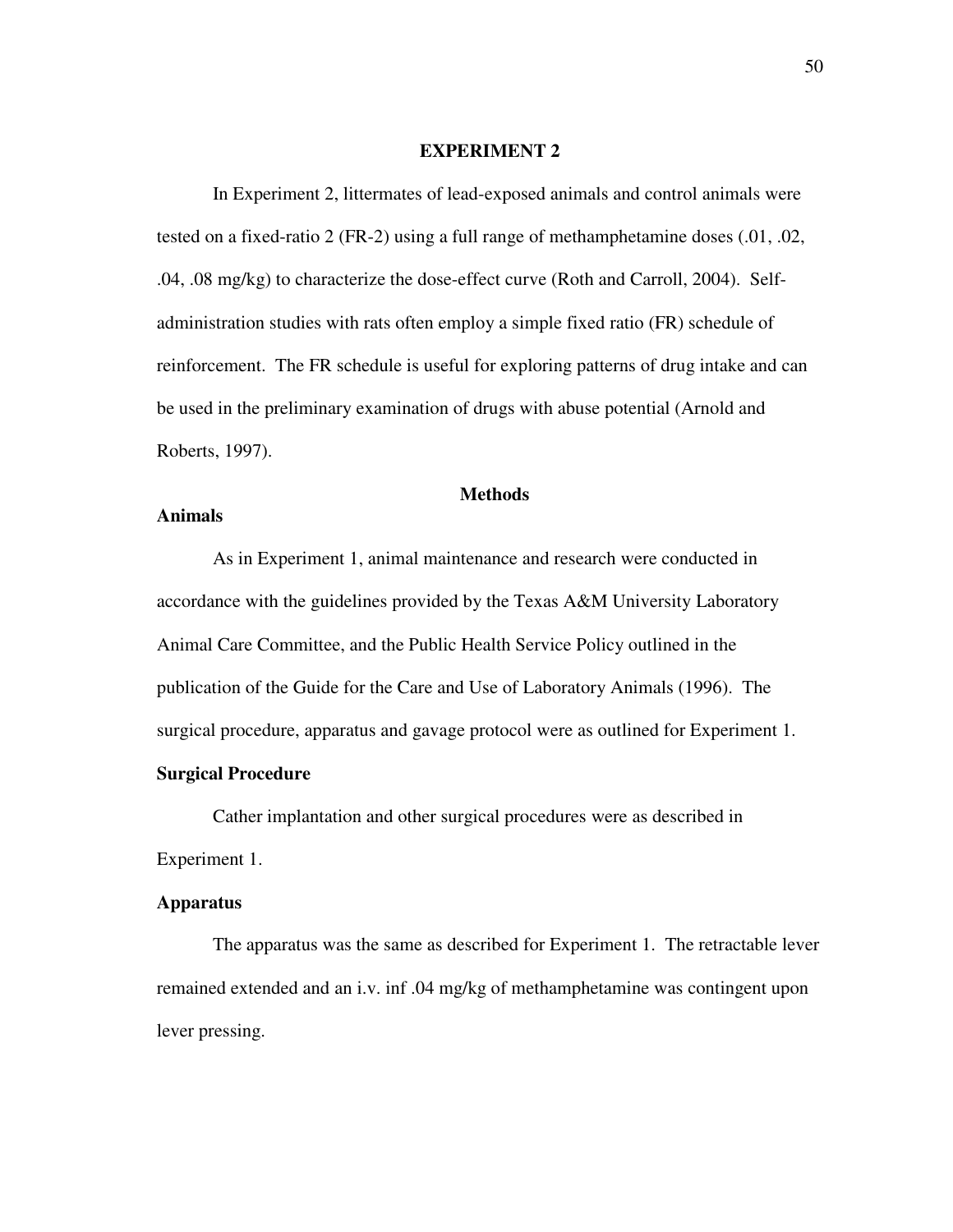#### **EXPERIMENT 2**

In Experiment 2, littermates of lead-exposed animals and control animals were tested on a fixed-ratio 2 (FR-2) using a full range of methamphetamine doses (.01, .02, .04, .08 mg/kg) to characterize the dose-effect curve (Roth and Carroll, 2004). Selfadministration studies with rats often employ a simple fixed ratio (FR) schedule of reinforcement. The FR schedule is useful for exploring patterns of drug intake and can be used in the preliminary examination of drugs with abuse potential (Arnold and Roberts, 1997).

#### **Methods**

# **Animals**

As in Experiment 1, animal maintenance and research were conducted in accordance with the guidelines provided by the Texas A&M University Laboratory Animal Care Committee, and the Public Health Service Policy outlined in the publication of the Guide for the Care and Use of Laboratory Animals (1996). The surgical procedure, apparatus and gavage protocol were as outlined for Experiment 1.

# **Surgical Procedure**

Cather implantation and other surgical procedures were as described in Experiment 1.

# **Apparatus**

The apparatus was the same as described for Experiment 1. The retractable lever remained extended and an i.v. inf .04 mg/kg of methamphetamine was contingent upon lever pressing.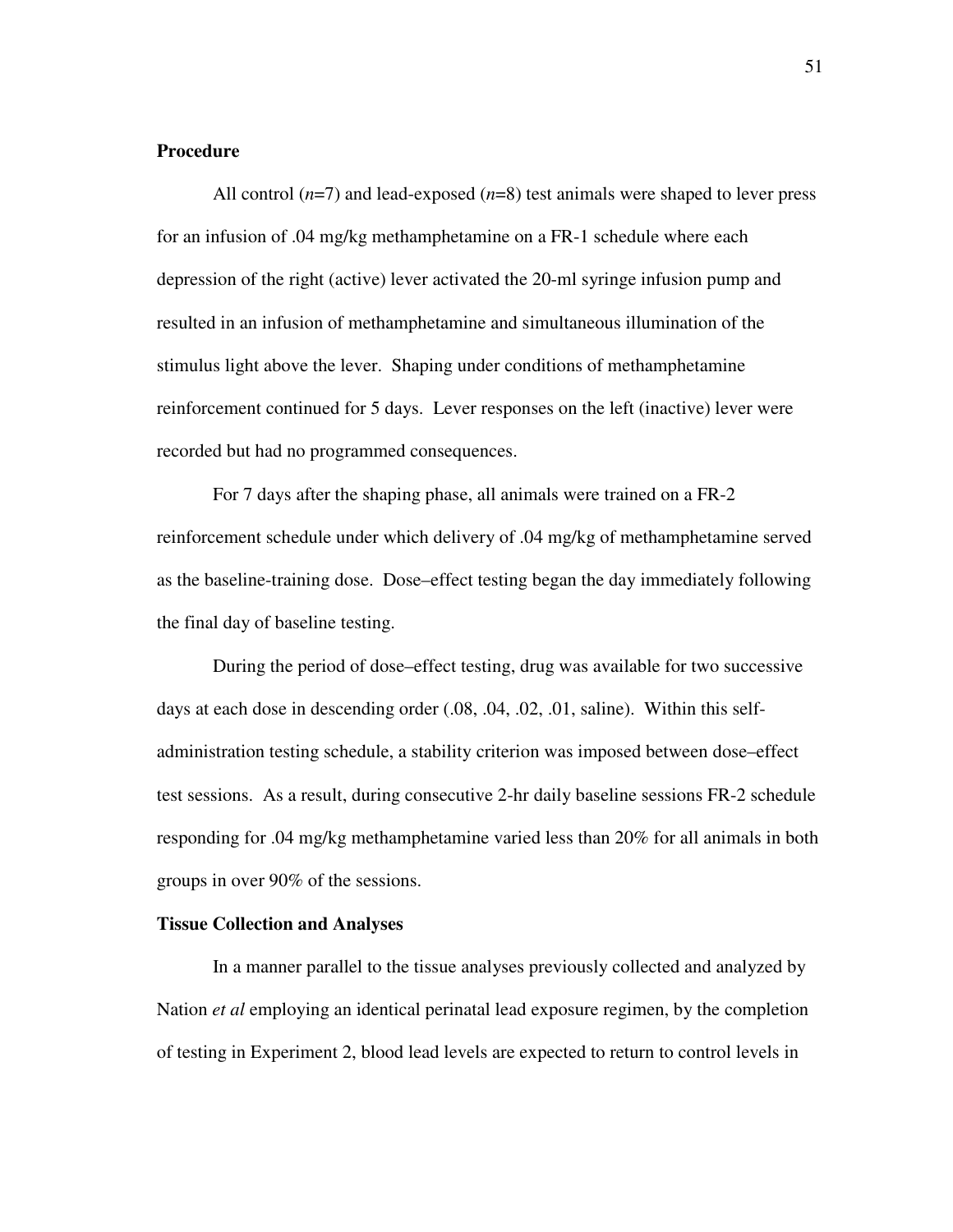### **Procedure**

All control  $(n=7)$  and lead-exposed  $(n=8)$  test animals were shaped to lever press for an infusion of .04 mg/kg methamphetamine on a FR-1 schedule where each depression of the right (active) lever activated the 20-ml syringe infusion pump and resulted in an infusion of methamphetamine and simultaneous illumination of the stimulus light above the lever. Shaping under conditions of methamphetamine reinforcement continued for 5 days. Lever responses on the left (inactive) lever were recorded but had no programmed consequences.

For 7 days after the shaping phase, all animals were trained on a FR-2 reinforcement schedule under which delivery of .04 mg/kg of methamphetamine served as the baseline-training dose. Dose–effect testing began the day immediately following the final day of baseline testing.

During the period of dose–effect testing, drug was available for two successive days at each dose in descending order (.08, .04, .02, .01, saline). Within this selfadministration testing schedule, a stability criterion was imposed between dose–effect test sessions. As a result, during consecutive 2-hr daily baseline sessions FR-2 schedule responding for .04 mg/kg methamphetamine varied less than 20% for all animals in both groups in over 90% of the sessions.

## **Tissue Collection and Analyses**

In a manner parallel to the tissue analyses previously collected and analyzed by Nation *et al* employing an identical perinatal lead exposure regimen, by the completion of testing in Experiment 2, blood lead levels are expected to return to control levels in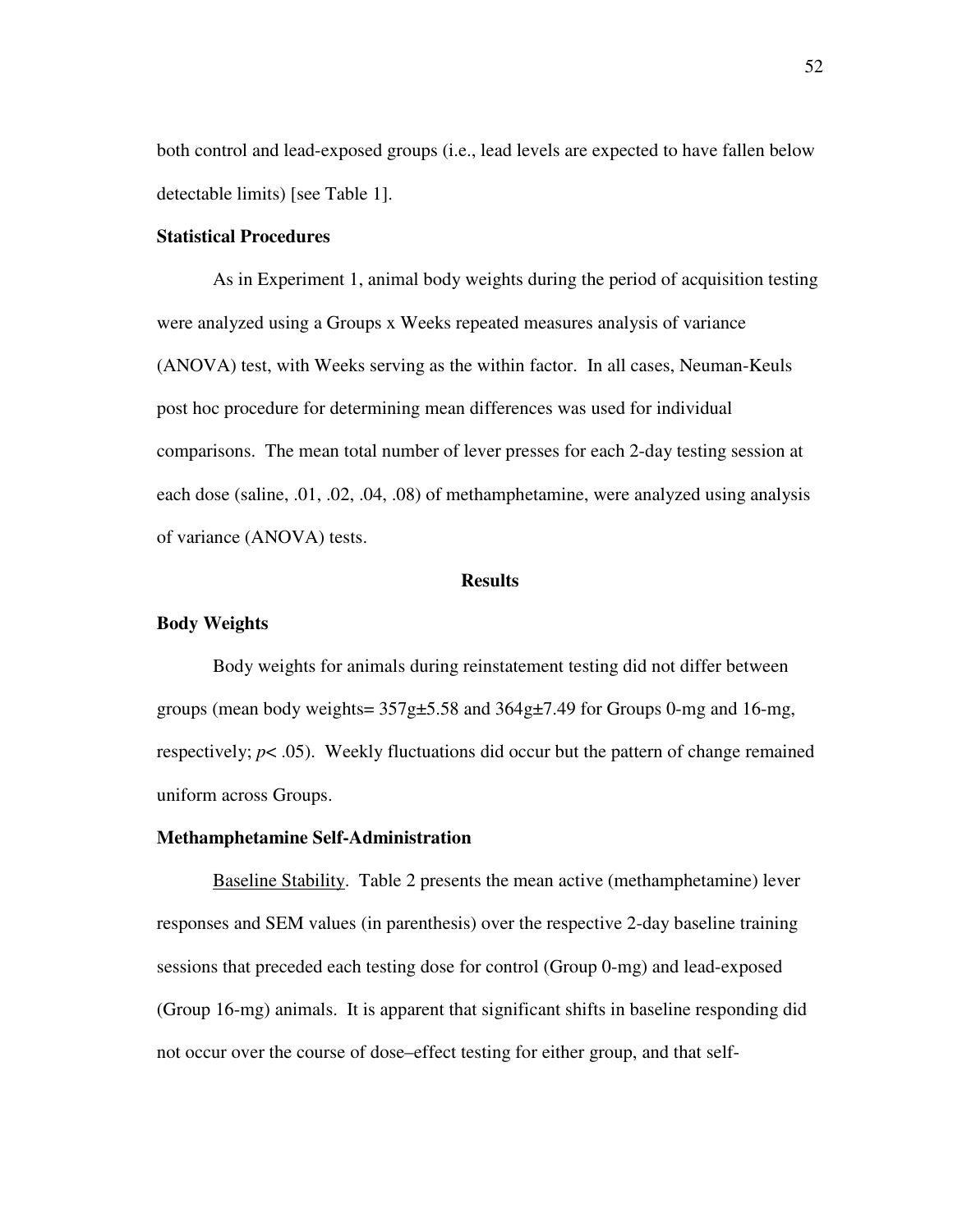both control and lead-exposed groups (i.e., lead levels are expected to have fallen below detectable limits) [see Table 1].

## **Statistical Procedures**

As in Experiment 1, animal body weights during the period of acquisition testing were analyzed using a Groups x Weeks repeated measures analysis of variance (ANOVA) test, with Weeks serving as the within factor. In all cases, Neuman-Keuls post hoc procedure for determining mean differences was used for individual comparisons. The mean total number of lever presses for each 2-day testing session at each dose (saline, .01, .02, .04, .08) of methamphetamine, were analyzed using analysis of variance (ANOVA) tests.

### **Results**

#### **Body Weights**

Body weights for animals during reinstatement testing did not differ between groups (mean body weights=  $357g\text{+}5.58$  and  $364g\text{+}7.49$  for Groups 0-mg and 16-mg, respectively;  $p < .05$ ). Weekly fluctuations did occur but the pattern of change remained uniform across Groups.

# **Methamphetamine Self-Administration**

Baseline Stability. Table 2 presents the mean active (methamphetamine) lever responses and SEM values (in parenthesis) over the respective 2-day baseline training sessions that preceded each testing dose for control (Group 0-mg) and lead-exposed (Group 16-mg) animals. It is apparent that significant shifts in baseline responding did not occur over the course of dose–effect testing for either group, and that self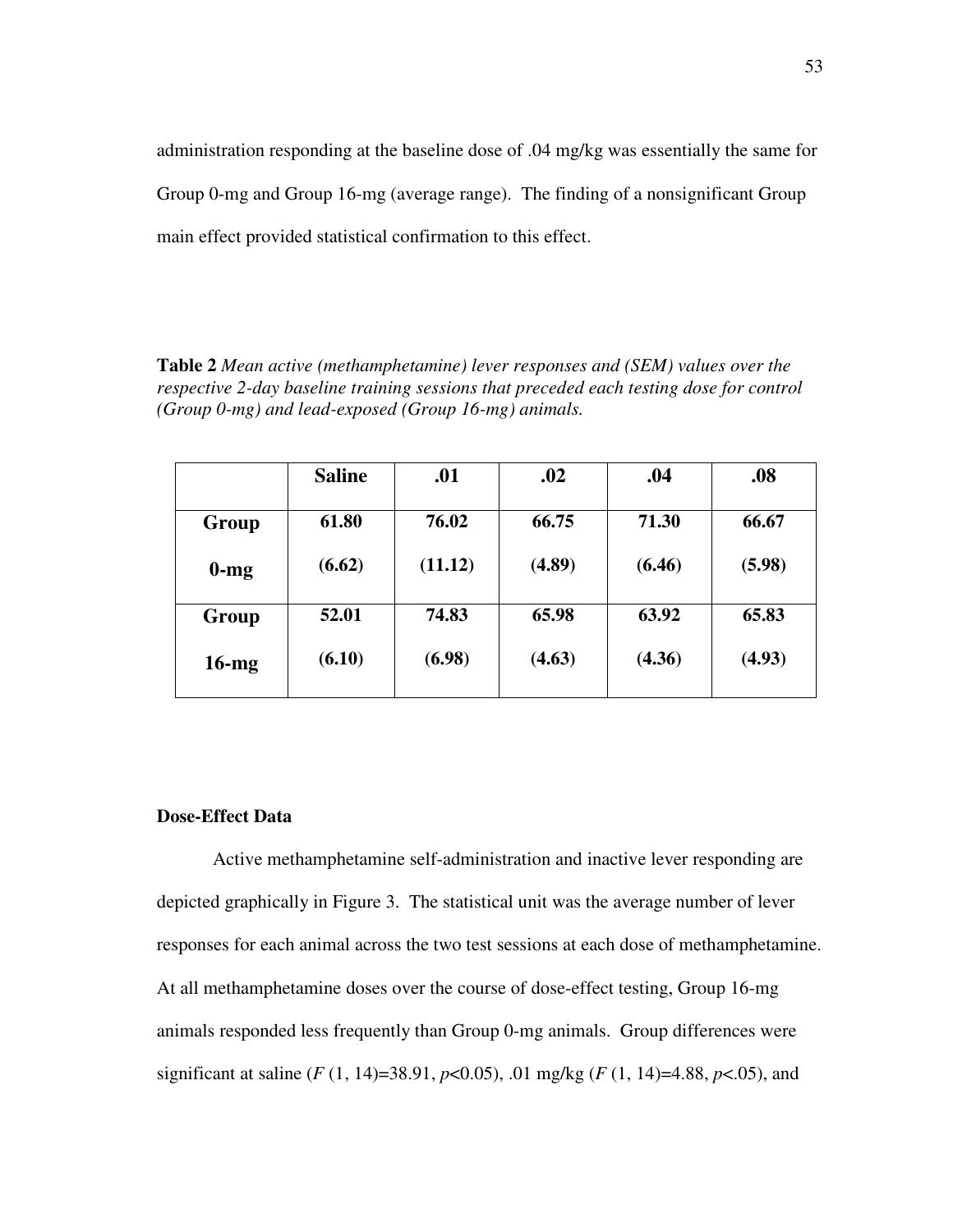administration responding at the baseline dose of .04 mg/kg was essentially the same for Group 0-mg and Group 16-mg (average range). The finding of a nonsignificant Group main effect provided statistical confirmation to this effect.

**Table 2** *Mean active (methamphetamine) lever responses and (SEM) values over the respective 2-day baseline training sessions that preceded each testing dose for control (Group 0-mg) and lead-exposed (Group 16-mg) animals.*

|          | <b>Saline</b> | .01     | .02    | .04    | .08    |
|----------|---------------|---------|--------|--------|--------|
|          | 61.80         | 76.02   | 66.75  | 71.30  | 66.67  |
| Group    |               |         |        |        |        |
| $0$ -mg  | (6.62)        | (11.12) | (4.89) | (6.46) | (5.98) |
| Group    | 52.01         | 74.83   | 65.98  | 63.92  | 65.83  |
| $16$ -mg | (6.10)        | (6.98)  | (4.63) | (4.36) | (4.93) |

# **Dose-Effect Data**

Active methamphetamine self-administration and inactive lever responding are depicted graphically in Figure 3. The statistical unit was the average number of lever responses for each animal across the two test sessions at each dose of methamphetamine. At all methamphetamine doses over the course of dose-effect testing, Group 16-mg animals responded less frequently than Group 0-mg animals. Group differences were significant at saline (*F* (1, 14)=38.91, *p*<0.05), .01 mg/kg (*F* (1, 14)=4.88, *p*<.05), and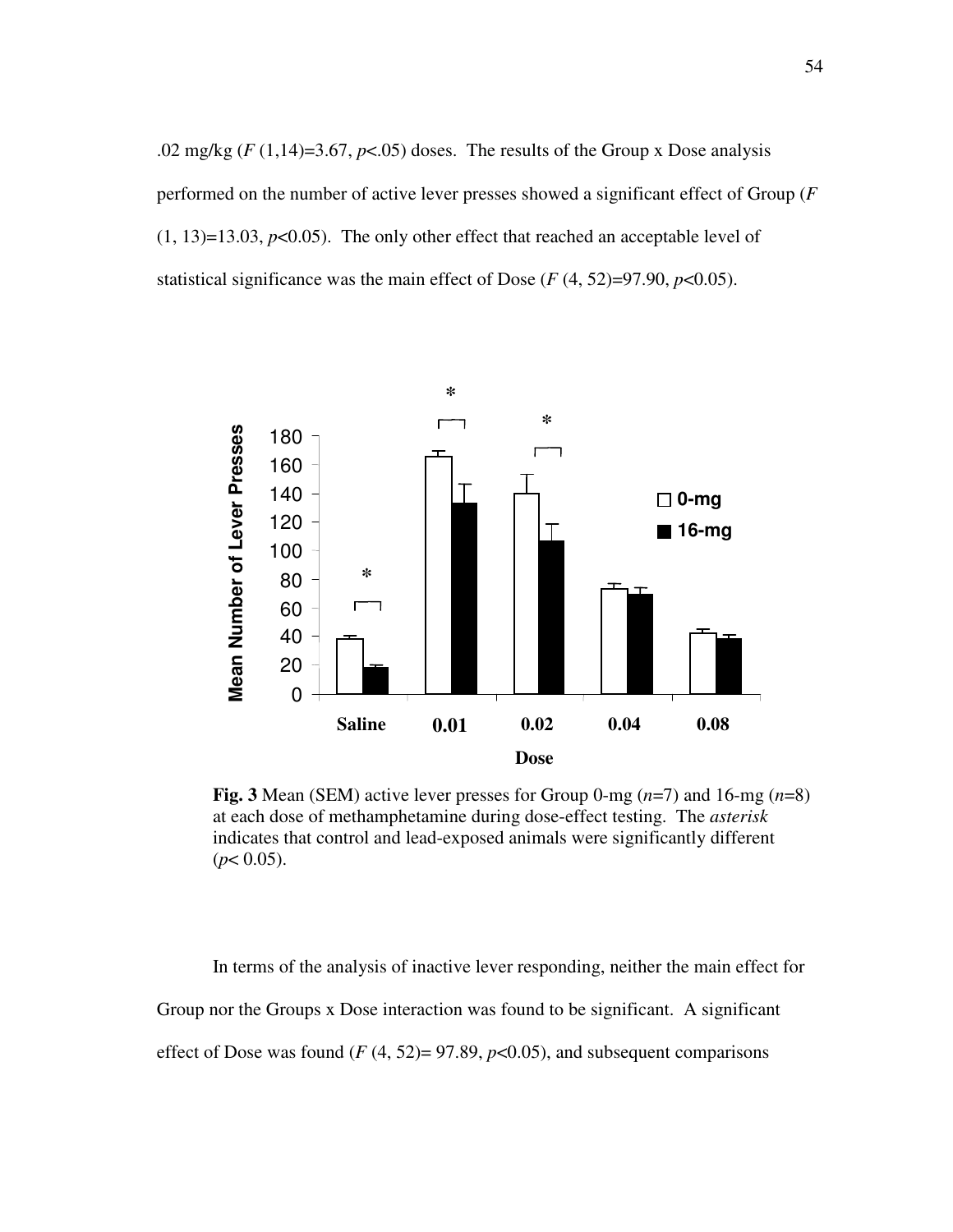.02 mg/kg  $(F(1,14)=3.67, p<0.05)$  doses. The results of the Group x Dose analysis performed on the number of active lever presses showed a significant effect of Group (*F*  $(1, 13)=13.03$ ,  $p<0.05$ ). The only other effect that reached an acceptable level of statistical significance was the main effect of Dose  $(F(4, 52)=97.90, p<0.05)$ .



**Fig. 3** Mean (SEM) active lever presses for Group 0-mg (*n*=7) and 16-mg (*n*=8) at each dose of methamphetamine during dose-effect testing. The *asterisk* indicates that control and lead-exposed animals were significantly different  $(p< 0.05)$ .

In terms of the analysis of inactive lever responding, neither the main effect for Group nor the Groups x Dose interaction was found to be significant. A significant effect of Dose was found  $(F(4, 52)=97.89, p<0.05)$ , and subsequent comparisons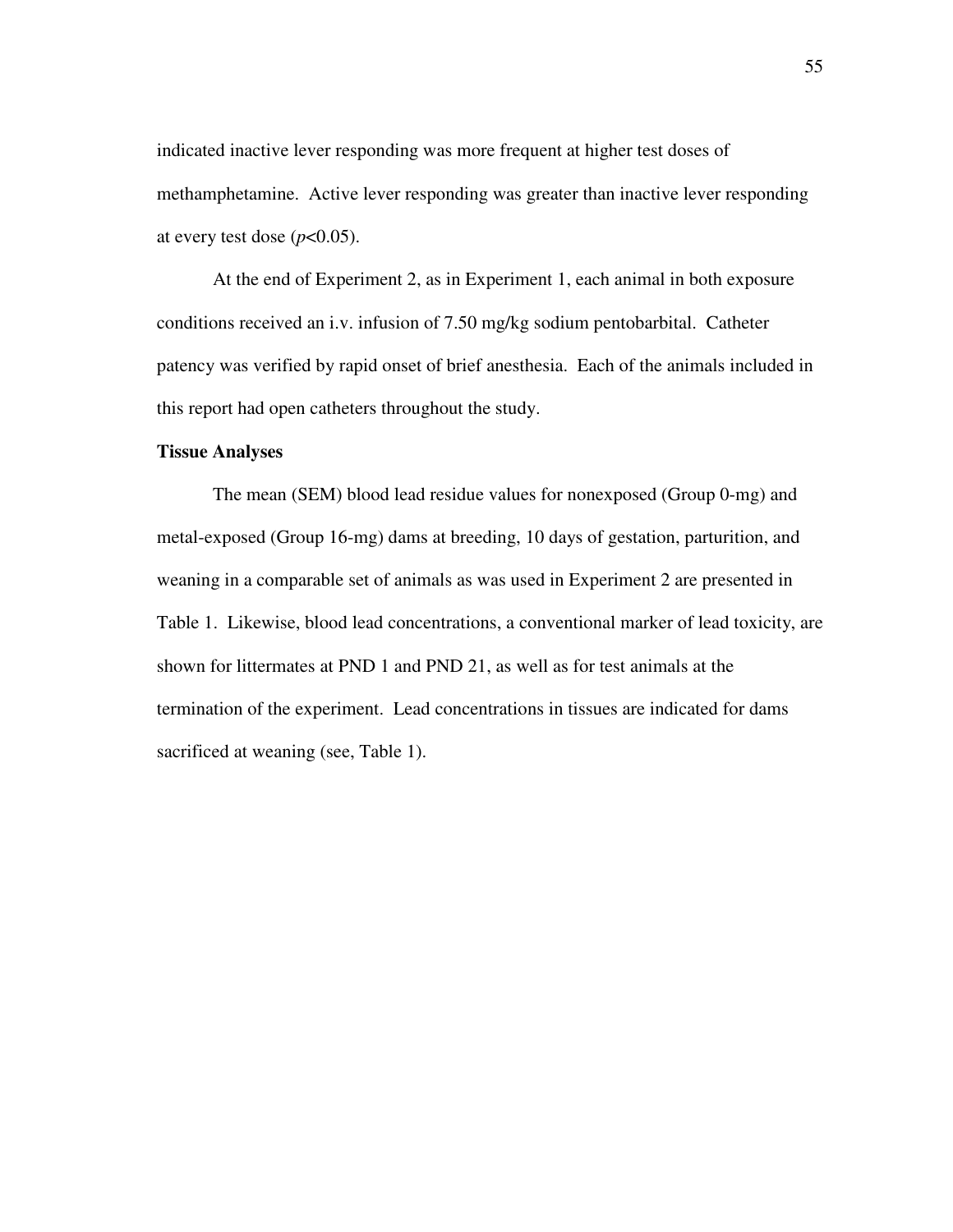indicated inactive lever responding was more frequent at higher test doses of methamphetamine. Active lever responding was greater than inactive lever responding at every test dose  $(p<0.05)$ .

At the end of Experiment 2, as in Experiment 1, each animal in both exposure conditions received an i.v. infusion of 7.50 mg/kg sodium pentobarbital. Catheter patency was verified by rapid onset of brief anesthesia. Each of the animals included in this report had open catheters throughout the study.

#### **Tissue Analyses**

The mean (SEM) blood lead residue values for nonexposed (Group 0-mg) and metal-exposed (Group 16-mg) dams at breeding, 10 days of gestation, parturition, and weaning in a comparable set of animals as was used in Experiment 2 are presented in Table 1. Likewise, blood lead concentrations, a conventional marker of lead toxicity, are shown for littermates at PND 1 and PND 21, as well as for test animals at the termination of the experiment. Lead concentrations in tissues are indicated for dams sacrificed at weaning (see, Table 1).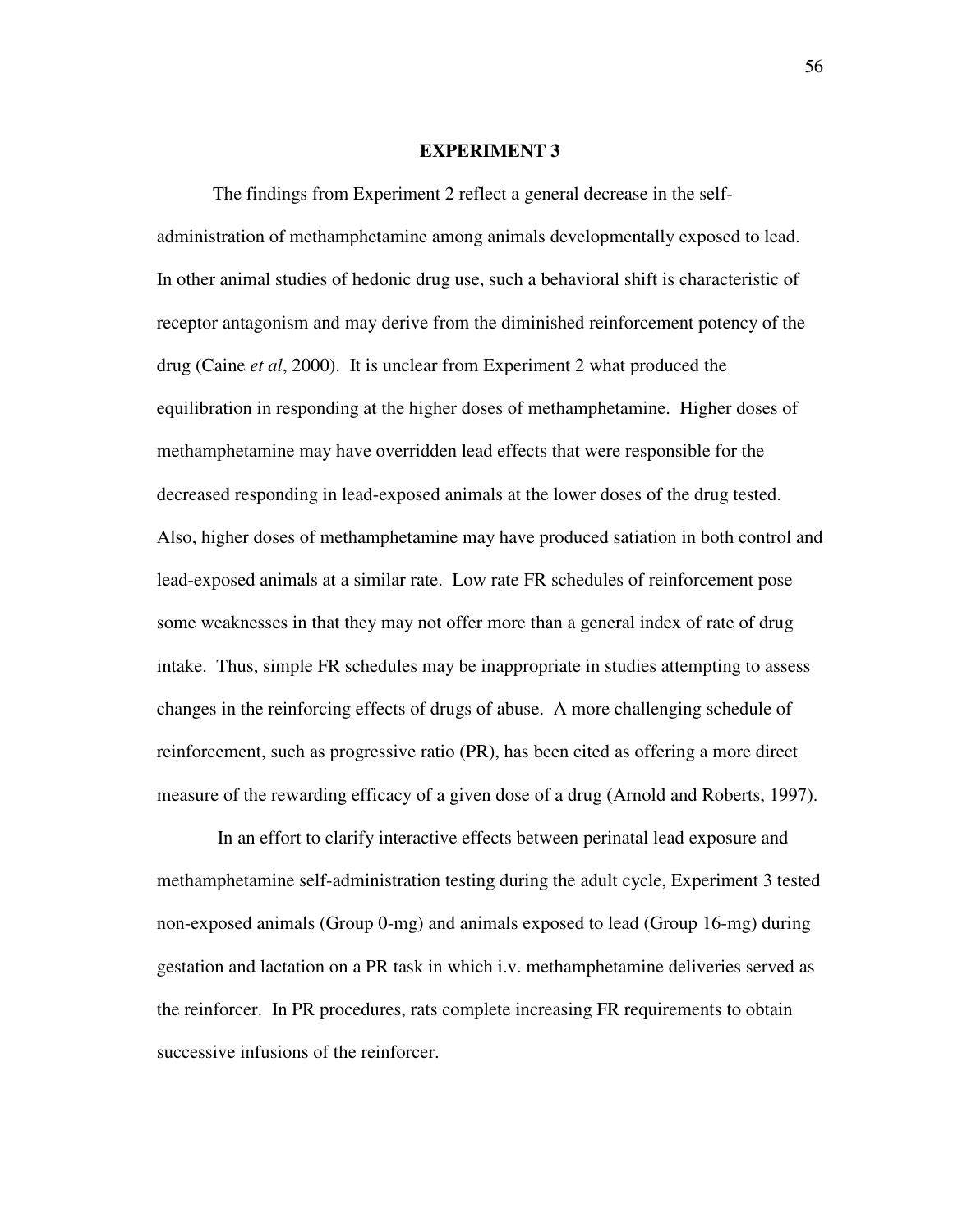#### **EXPERIMENT 3**

The findings from Experiment 2 reflect a general decrease in the selfadministration of methamphetamine among animals developmentally exposed to lead. In other animal studies of hedonic drug use, such a behavioral shift is characteristic of receptor antagonism and may derive from the diminished reinforcement potency of the drug (Caine *et al*, 2000). It is unclear from Experiment 2 what produced the equilibration in responding at the higher doses of methamphetamine. Higher doses of methamphetamine may have overridden lead effects that were responsible for the decreased responding in lead-exposed animals at the lower doses of the drug tested. Also, higher doses of methamphetamine may have produced satiation in both control and lead-exposed animals at a similar rate. Low rate FR schedules of reinforcement pose some weaknesses in that they may not offer more than a general index of rate of drug intake. Thus, simple FR schedules may be inappropriate in studies attempting to assess changes in the reinforcing effects of drugs of abuse. A more challenging schedule of reinforcement, such as progressive ratio (PR), has been cited as offering a more direct measure of the rewarding efficacy of a given dose of a drug (Arnold and Roberts, 1997).

In an effort to clarify interactive effects between perinatal lead exposure and methamphetamine self-administration testing during the adult cycle, Experiment 3 tested non-exposed animals (Group 0-mg) and animals exposed to lead (Group 16-mg) during gestation and lactation on a PR task in which i.v. methamphetamine deliveries served as the reinforcer. In PR procedures, rats complete increasing FR requirements to obtain successive infusions of the reinforcer.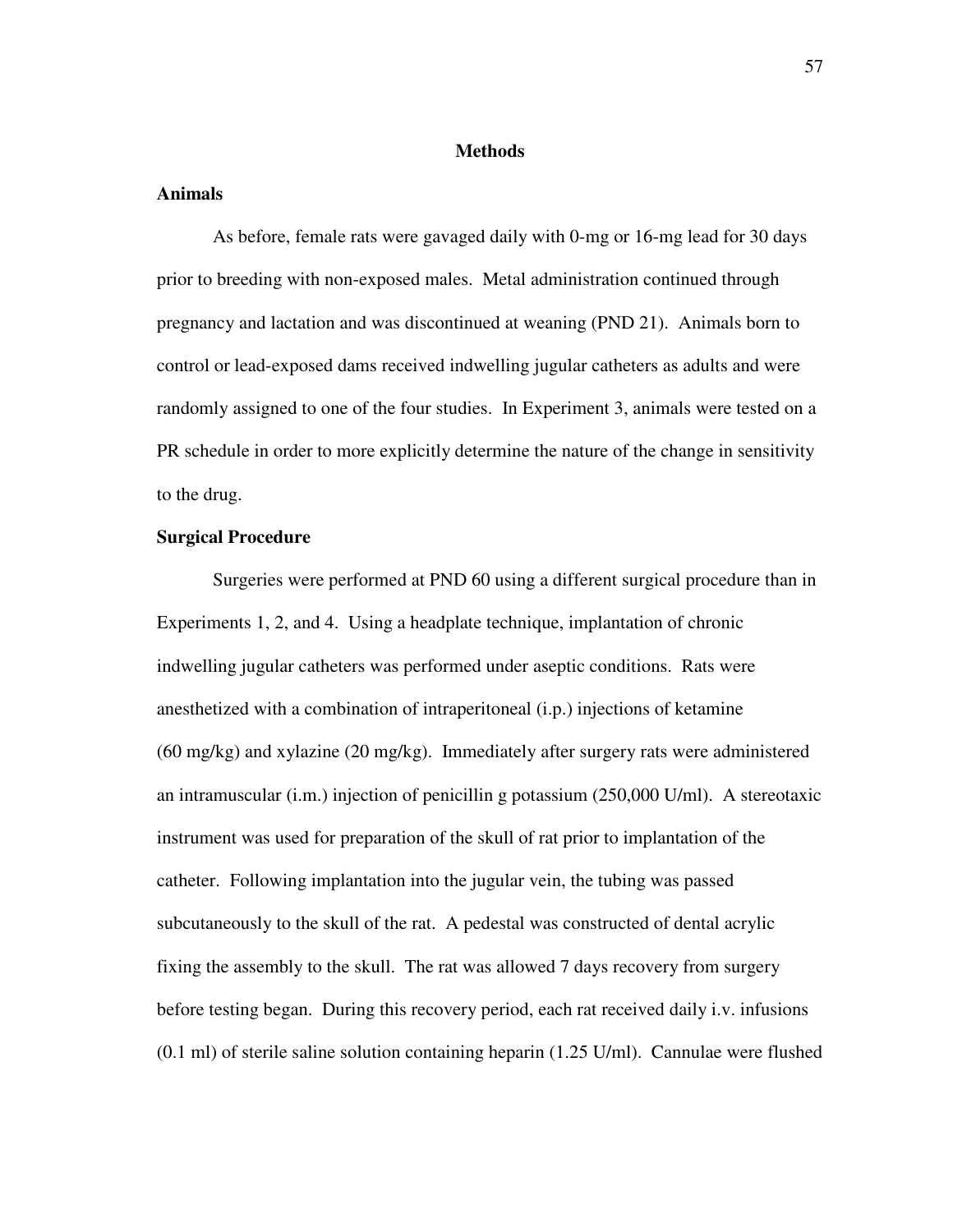#### **Methods**

### **Animals**

As before, female rats were gavaged daily with 0-mg or 16-mg lead for 30 days prior to breeding with non-exposed males. Metal administration continued through pregnancy and lactation and was discontinued at weaning (PND 21). Animals born to control or lead-exposed dams received indwelling jugular catheters as adults and were randomly assigned to one of the four studies. In Experiment 3, animals were tested on a PR schedule in order to more explicitly determine the nature of the change in sensitivity to the drug.

# **Surgical Procedure**

Surgeries were performed at PND 60 using a different surgical procedure than in Experiments 1, 2, and 4. Using a headplate technique, implantation of chronic indwelling jugular catheters was performed under aseptic conditions. Rats were anesthetized with a combination of intraperitoneal (i.p.) injections of ketamine (60 mg/kg) and xylazine (20 mg/kg). Immediately after surgery rats were administered an intramuscular (i.m.) injection of penicillin g potassium (250,000 U/ml). A stereotaxic instrument was used for preparation of the skull of rat prior to implantation of the catheter. Following implantation into the jugular vein, the tubing was passed subcutaneously to the skull of the rat. A pedestal was constructed of dental acrylic fixing the assembly to the skull. The rat was allowed 7 days recovery from surgery before testing began. During this recovery period, each rat received daily i.v. infusions (0.1 ml) of sterile saline solution containing heparin (1.25 U/ml). Cannulae were flushed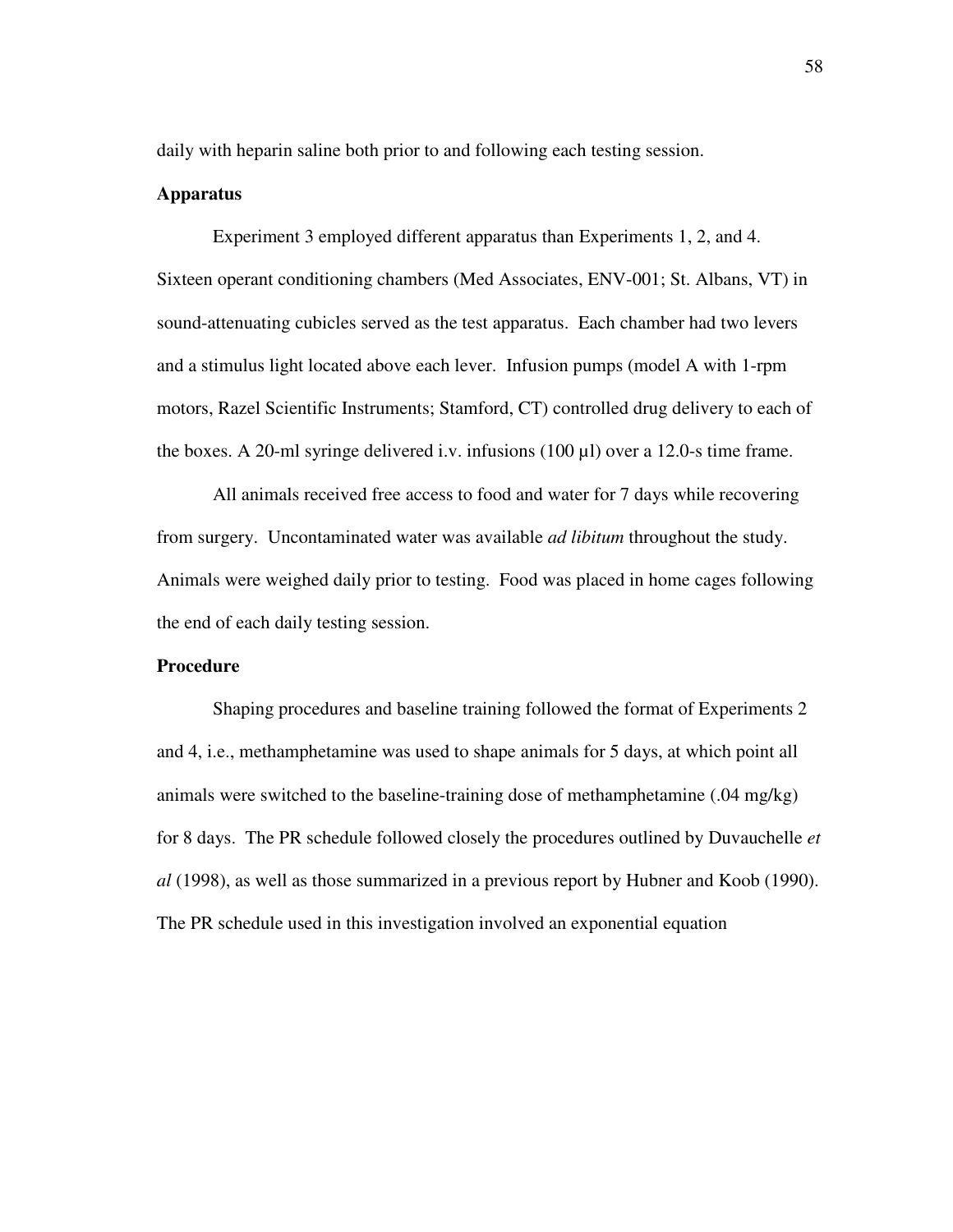daily with heparin saline both prior to and following each testing session.

### **Apparatus**

Experiment 3 employed different apparatus than Experiments 1, 2, and 4. Sixteen operant conditioning chambers (Med Associates, ENV-001; St. Albans, VT) in sound-attenuating cubicles served as the test apparatus. Each chamber had two levers and a stimulus light located above each lever. Infusion pumps (model A with 1-rpm motors, Razel Scientific Instruments; Stamford, CT) controlled drug delivery to each of the boxes. A 20-ml syringe delivered i.v. infusions  $(100 \mu l)$  over a 12.0-s time frame.

All animals received free access to food and water for 7 days while recovering from surgery. Uncontaminated water was available *ad libitum* throughout the study. Animals were weighed daily prior to testing. Food was placed in home cages following the end of each daily testing session.

# **Procedure**

Shaping procedures and baseline training followed the format of Experiments 2 and 4, i.e., methamphetamine was used to shape animals for 5 days, at which point all animals were switched to the baseline-training dose of methamphetamine (.04 mg/kg) for 8 days. The PR schedule followed closely the procedures outlined by Duvauchelle *et al* (1998), as well as those summarized in a previous report by Hubner and Koob (1990). The PR schedule used in this investigation involved an exponential equation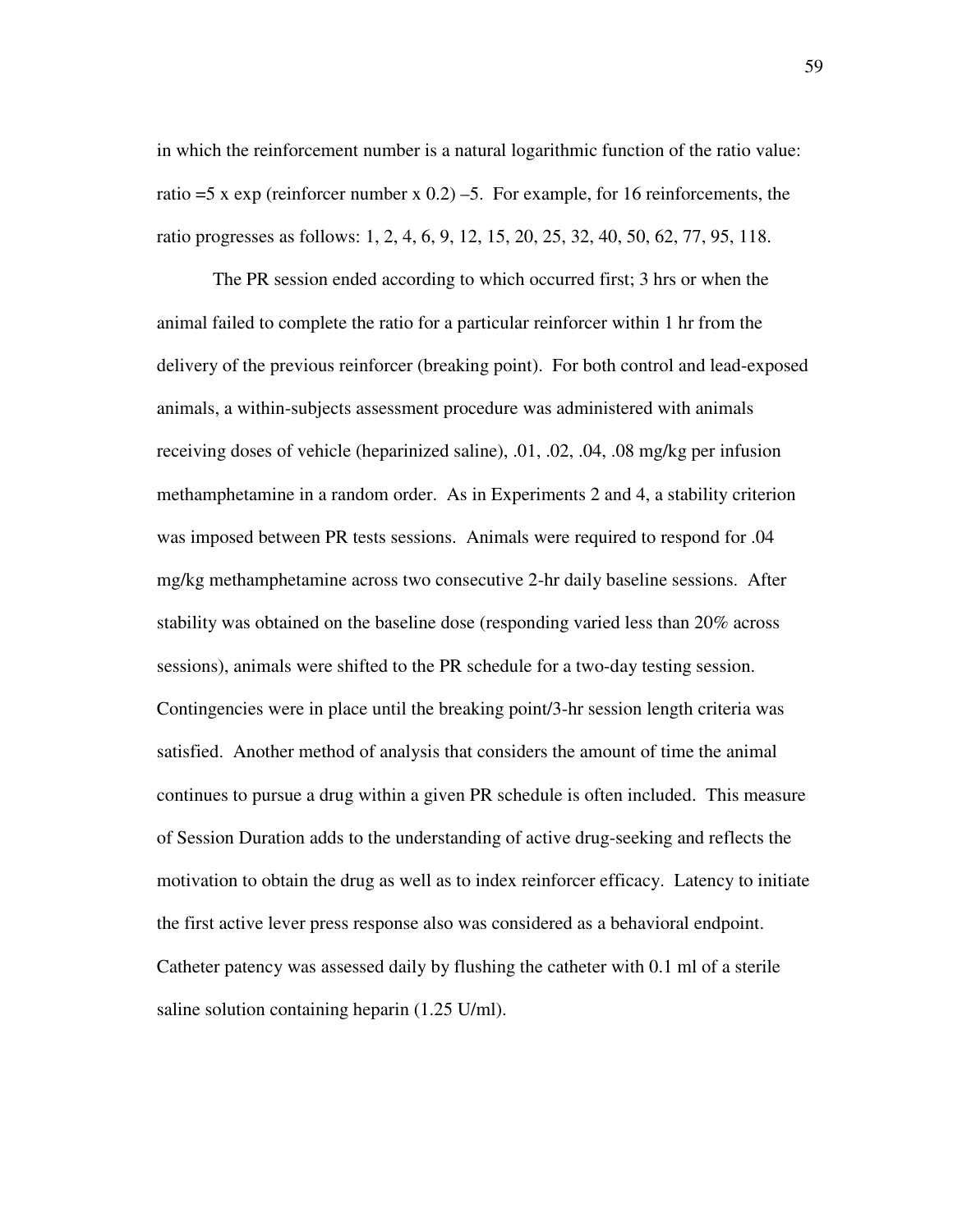in which the reinforcement number is a natural logarithmic function of the ratio value: ratio  $=5 \times \exp$  (reinforcer number  $\times$  0.2) –5. For example, for 16 reinforcements, the ratio progresses as follows: 1, 2, 4, 6, 9, 12, 15, 20, 25, 32, 40, 50, 62, 77, 95, 118.

The PR session ended according to which occurred first; 3 hrs or when the animal failed to complete the ratio for a particular reinforcer within 1 hr from the delivery of the previous reinforcer (breaking point). For both control and lead-exposed animals, a within-subjects assessment procedure was administered with animals receiving doses of vehicle (heparinized saline), .01, .02, .04, .08 mg/kg per infusion methamphetamine in a random order. As in Experiments 2 and 4, a stability criterion was imposed between PR tests sessions. Animals were required to respond for .04 mg/kg methamphetamine across two consecutive 2-hr daily baseline sessions. After stability was obtained on the baseline dose (responding varied less than 20% across sessions), animals were shifted to the PR schedule for a two-day testing session. Contingencies were in place until the breaking point/3-hr session length criteria was satisfied. Another method of analysis that considers the amount of time the animal continues to pursue a drug within a given PR schedule is often included. This measure of Session Duration adds to the understanding of active drug-seeking and reflects the motivation to obtain the drug as well as to index reinforcer efficacy. Latency to initiate the first active lever press response also was considered as a behavioral endpoint. Catheter patency was assessed daily by flushing the catheter with 0.1 ml of a sterile saline solution containing heparin (1.25 U/ml).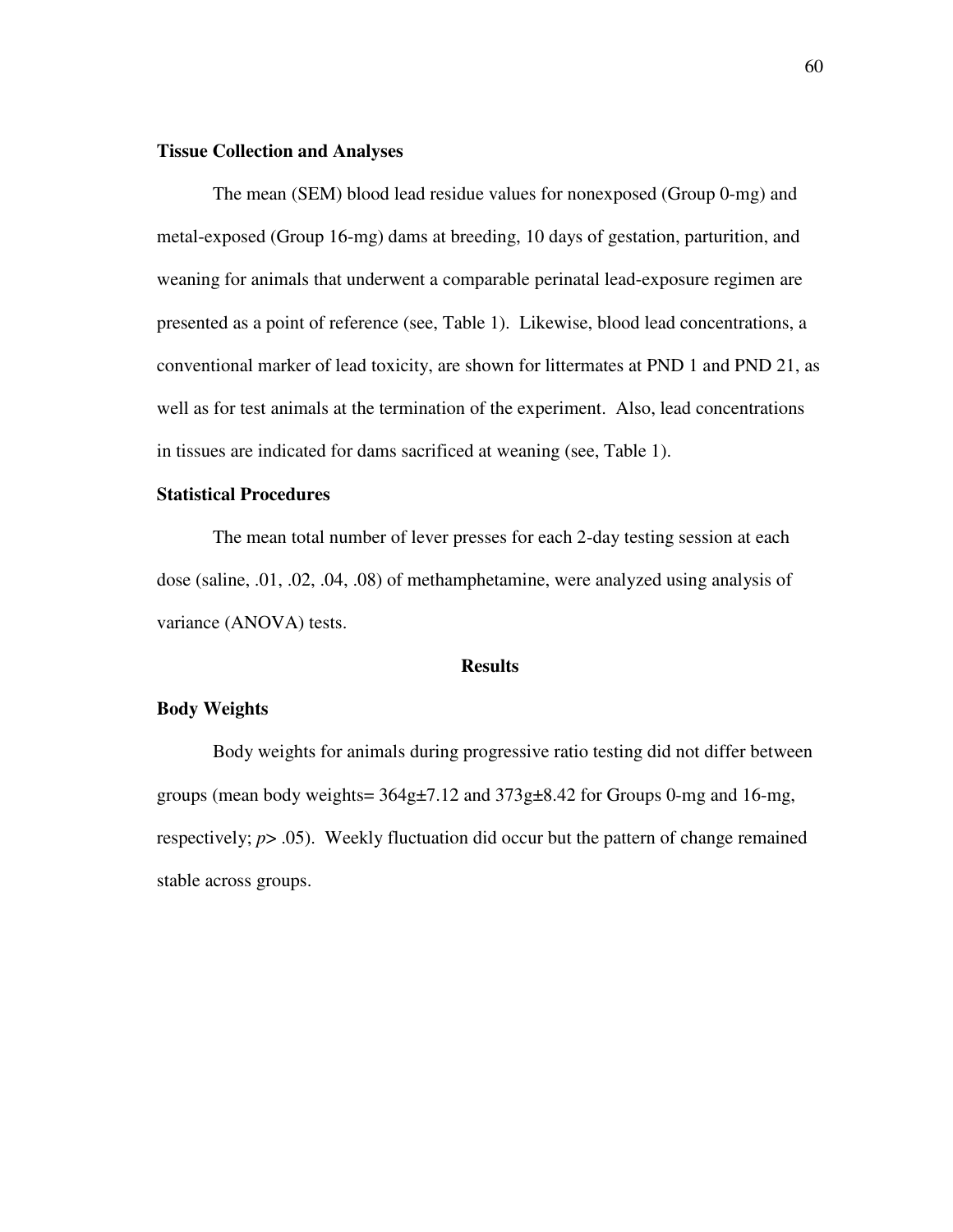## **Tissue Collection and Analyses**

The mean (SEM) blood lead residue values for nonexposed (Group 0-mg) and metal-exposed (Group 16-mg) dams at breeding, 10 days of gestation, parturition, and weaning for animals that underwent a comparable perinatal lead-exposure regimen are presented as a point of reference (see, Table 1). Likewise, blood lead concentrations, a conventional marker of lead toxicity, are shown for littermates at PND 1 and PND 21, as well as for test animals at the termination of the experiment. Also, lead concentrations in tissues are indicated for dams sacrificed at weaning (see, Table 1).

### **Statistical Procedures**

The mean total number of lever presses for each 2-day testing session at each dose (saline, .01, .02, .04, .08) of methamphetamine, were analyzed using analysis of variance (ANOVA) tests.

#### **Results**

## **Body Weights**

Body weights for animals during progressive ratio testing did not differ between groups (mean body weights= 364g±7.12 and 373g±8.42 for Groups 0-mg and 16-mg, respectively; *p*> .05). Weekly fluctuation did occur but the pattern of change remained stable across groups.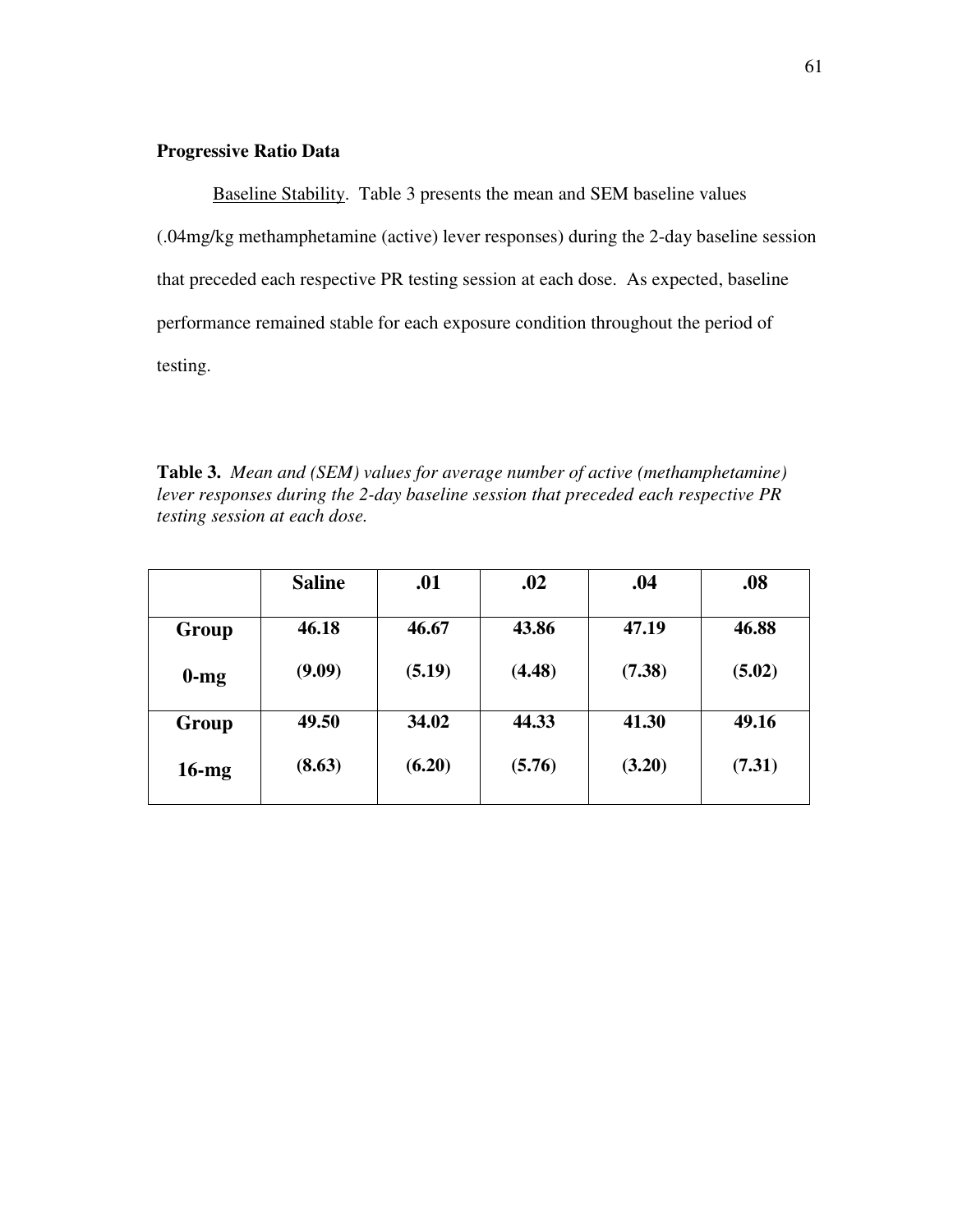# **Progressive Ratio Data**

Baseline Stability. Table 3 presents the mean and SEM baseline values (.04mg/kg methamphetamine (active) lever responses) during the 2-day baseline session that preceded each respective PR testing session at each dose. As expected, baseline performance remained stable for each exposure condition throughout the period of testing.

**Table 3.** *Mean and (SEM) values for average number of active (methamphetamine) lever responses during the 2-day baseline session that preceded each respective PR testing session at each dose.*

|          | <b>Saline</b> | .01    | .02    | .04    | .08    |
|----------|---------------|--------|--------|--------|--------|
| Group    | 46.18         | 46.67  | 43.86  | 47.19  | 46.88  |
| $0$ -mg  | (9.09)        | (5.19) | (4.48) | (7.38) | (5.02) |
| Group    | 49.50         | 34.02  | 44.33  | 41.30  | 49.16  |
| $16$ -mg | (8.63)        | (6.20) | (5.76) | (3.20) | (7.31) |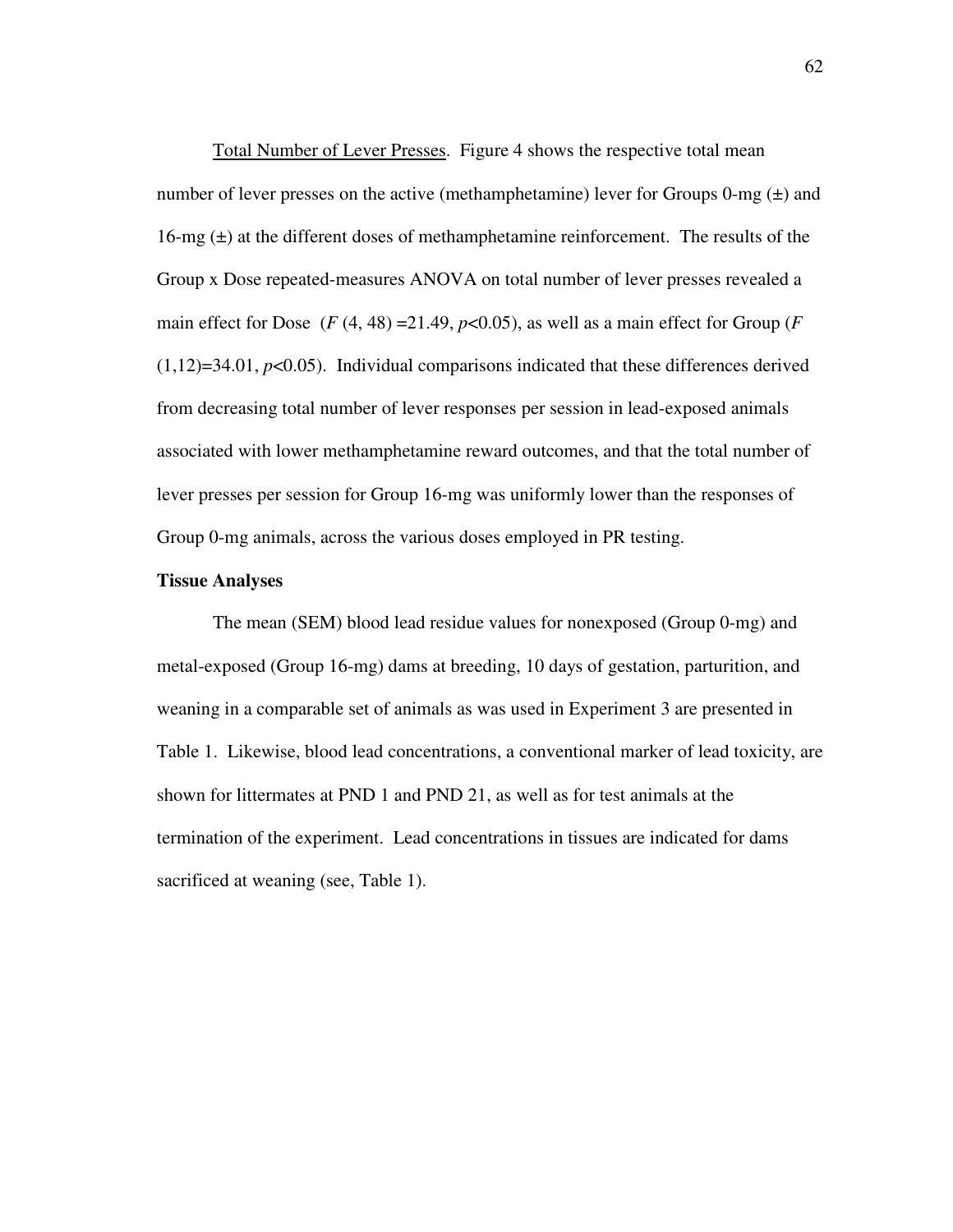Total Number of Lever Presses. Figure 4 shows the respective total mean number of lever presses on the active (methamphetamine) lever for Groups 0-mg  $(\pm)$  and 16-mg  $(\pm)$  at the different doses of methamphetamine reinforcement. The results of the Group x Dose repeated-measures ANOVA on total number of lever presses revealed a main effect for Dose  $(F(4, 48) = 21.49, p < 0.05)$ , as well as a main effect for Group  $(F$  $(1,12)=34.01$ ,  $p<0.05$ ). Individual comparisons indicated that these differences derived from decreasing total number of lever responses per session in lead-exposed animals associated with lower methamphetamine reward outcomes, and that the total number of lever presses per session for Group 16-mg was uniformly lower than the responses of Group 0-mg animals, across the various doses employed in PR testing.

### **Tissue Analyses**

The mean (SEM) blood lead residue values for nonexposed (Group 0-mg) and metal-exposed (Group 16-mg) dams at breeding, 10 days of gestation, parturition, and weaning in a comparable set of animals as was used in Experiment 3 are presented in Table 1. Likewise, blood lead concentrations, a conventional marker of lead toxicity, are shown for littermates at PND 1 and PND 21, as well as for test animals at the termination of the experiment. Lead concentrations in tissues are indicated for dams sacrificed at weaning (see, Table 1).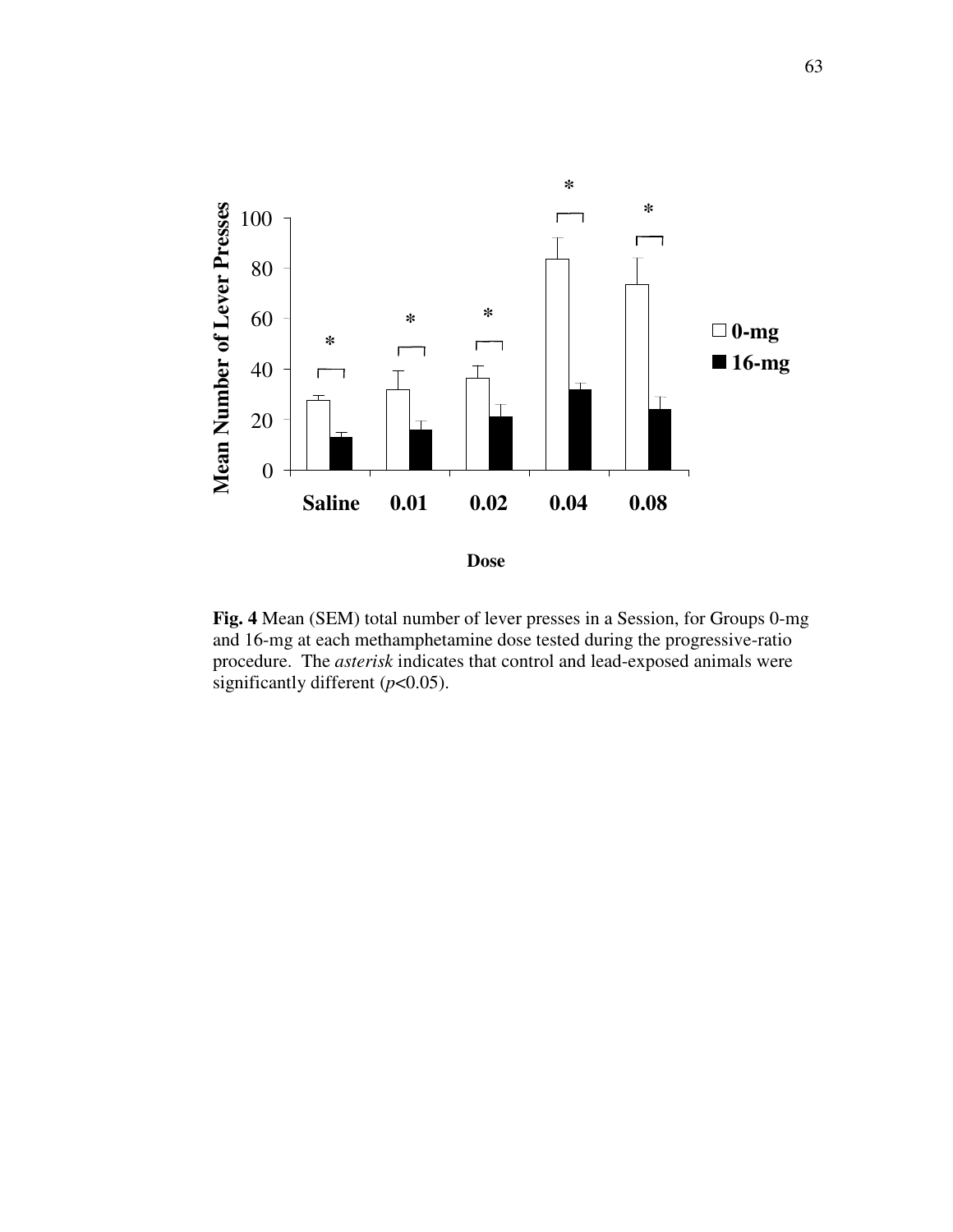

**Fig. 4** Mean (SEM) total number of lever presses in a Session, for Groups 0-mg and 16-mg at each methamphetamine dose tested during the progressive-ratio procedure. The *asterisk* indicates that control and lead-exposed animals were significantly different (*p*<0.05).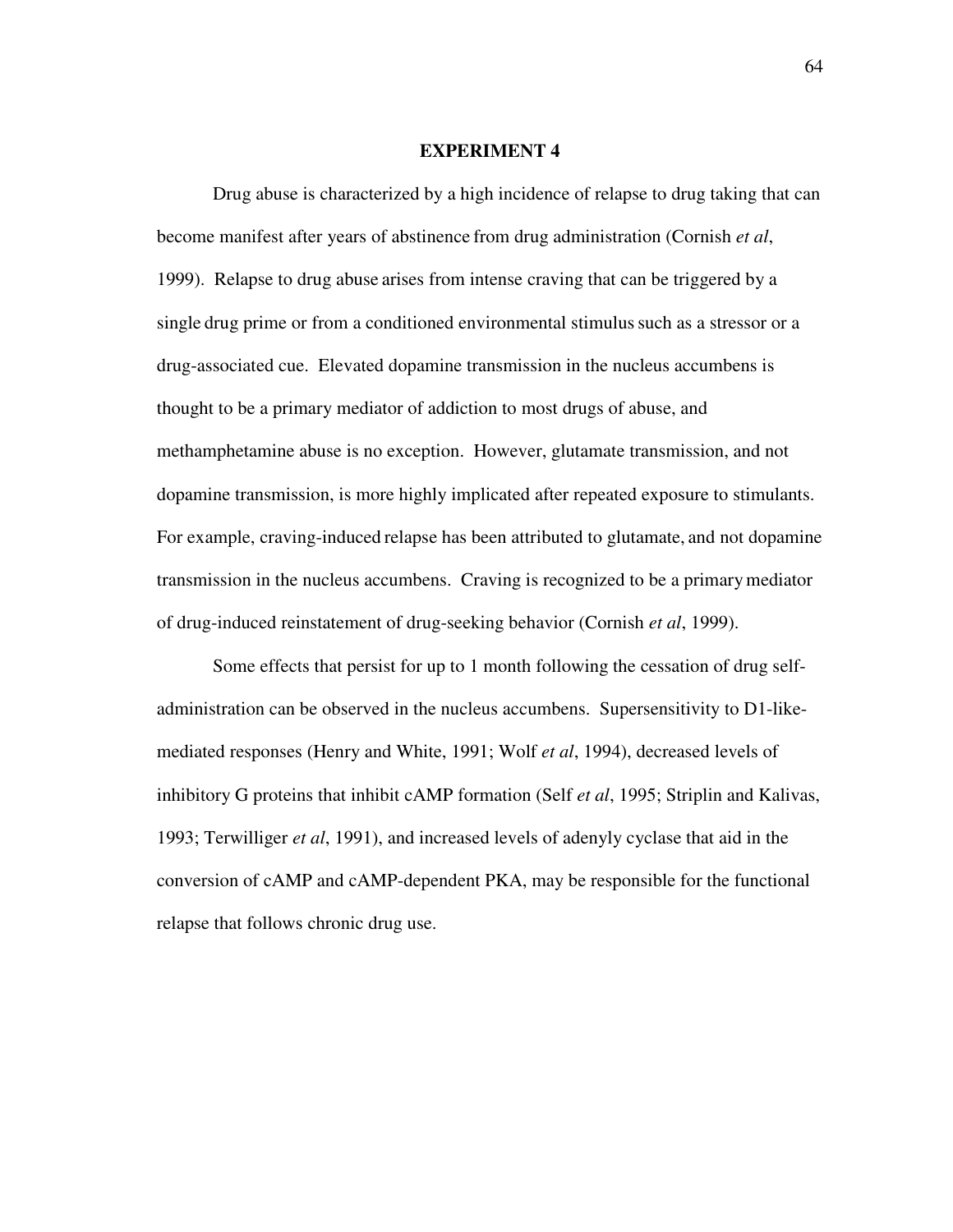#### **EXPERIMENT 4**

Drug abuse is characterized by a high incidence of relapse to drug taking that can become manifest after years of abstinence from drug administration (Cornish *et al*, 1999). Relapse to drug abuse arises from intense craving that can be triggered by a single drug prime or from a conditioned environmental stimulussuch as a stressor or a drug-associated cue. Elevated dopamine transmission in the nucleus accumbens is thought to be a primary mediator of addiction to most drugs of abuse, and methamphetamine abuse is no exception. However, glutamate transmission, and not dopamine transmission, is more highly implicated after repeated exposure to stimulants. For example, craving-induced relapse has been attributed to glutamate, and not dopamine transmission in the nucleus accumbens. Craving is recognized to be a primarymediator of drug-induced reinstatement of drug-seeking behavior (Cornish *et al*, 1999).

Some effects that persist for up to 1 month following the cessation of drug selfadministration can be observed in the nucleus accumbens. Supersensitivity to D1-likemediated responses (Henry and White, 1991; Wolf *et al*, 1994), decreased levels of inhibitory G proteins that inhibit cAMP formation (Self *et al*, 1995; Striplin and Kalivas, 1993; Terwilliger *et al*, 1991), and increased levels of adenyly cyclase that aid in the conversion of cAMP and cAMP-dependent PKA, may be responsible for the functional relapse that follows chronic drug use.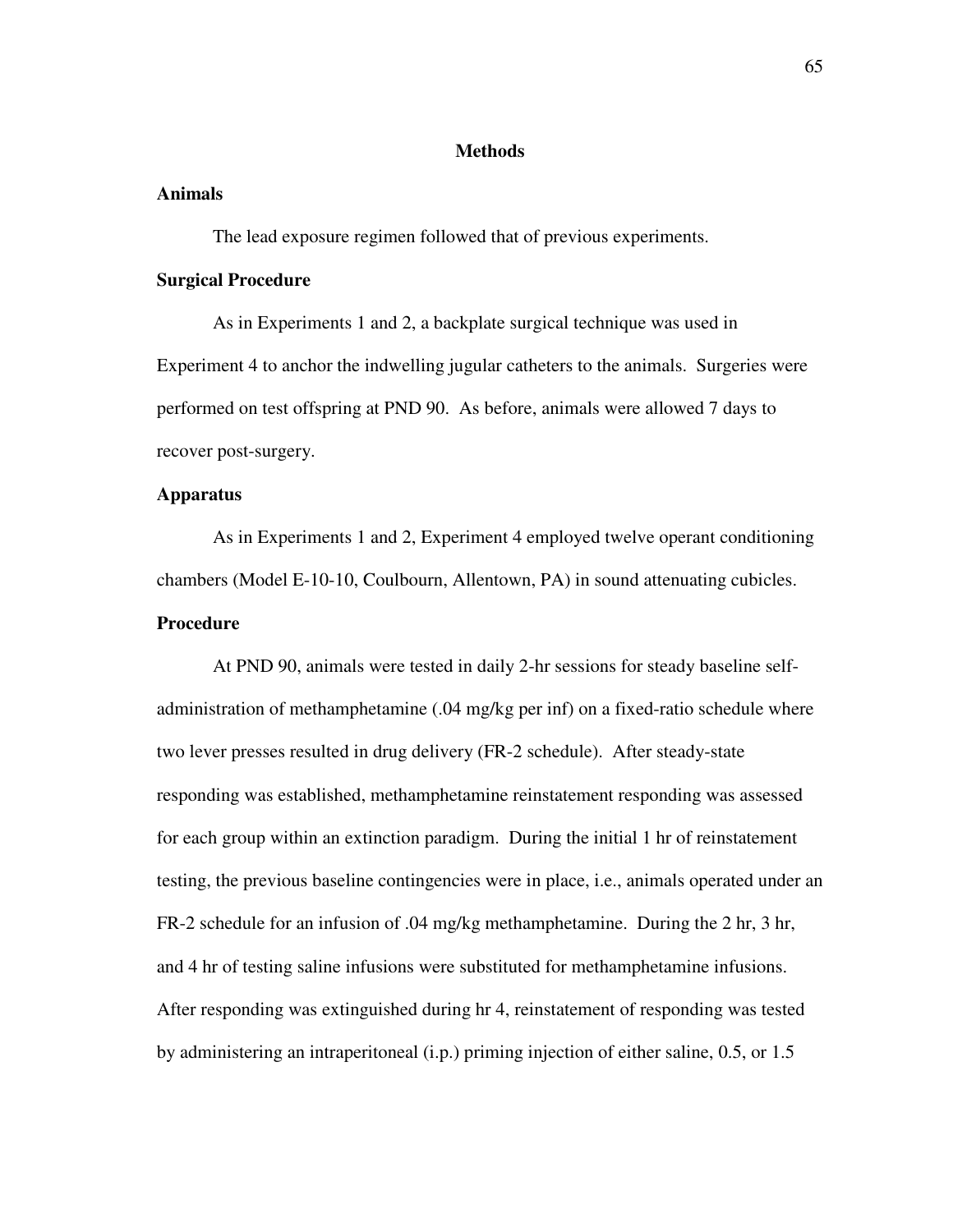## **Methods**

## **Animals**

The lead exposure regimen followed that of previous experiments.

## **Surgical Procedure**

As in Experiments 1 and 2, a backplate surgical technique was used in Experiment 4 to anchor the indwelling jugular catheters to the animals. Surgeries were performed on test offspring at PND 90. As before, animals were allowed 7 days to recover post-surgery.

## **Apparatus**

As in Experiments 1 and 2, Experiment 4 employed twelve operant conditioning chambers (Model E-10-10, Coulbourn, Allentown, PA) in sound attenuating cubicles. **Procedure**

At PND 90, animals were tested in daily 2-hr sessions for steady baseline selfadministration of methamphetamine (.04 mg/kg per inf) on a fixed-ratio schedule where two lever presses resulted in drug delivery (FR-2 schedule). After steady-state responding was established, methamphetamine reinstatement responding was assessed for each group within an extinction paradigm. During the initial 1 hr of reinstatement testing, the previous baseline contingencies were in place, i.e., animals operated under an FR-2 schedule for an infusion of .04 mg/kg methamphetamine. During the 2 hr, 3 hr, and 4 hr of testing saline infusions were substituted for methamphetamine infusions. After responding was extinguished during hr 4, reinstatement of responding was tested by administering an intraperitoneal (i.p.) priming injection of either saline, 0.5, or 1.5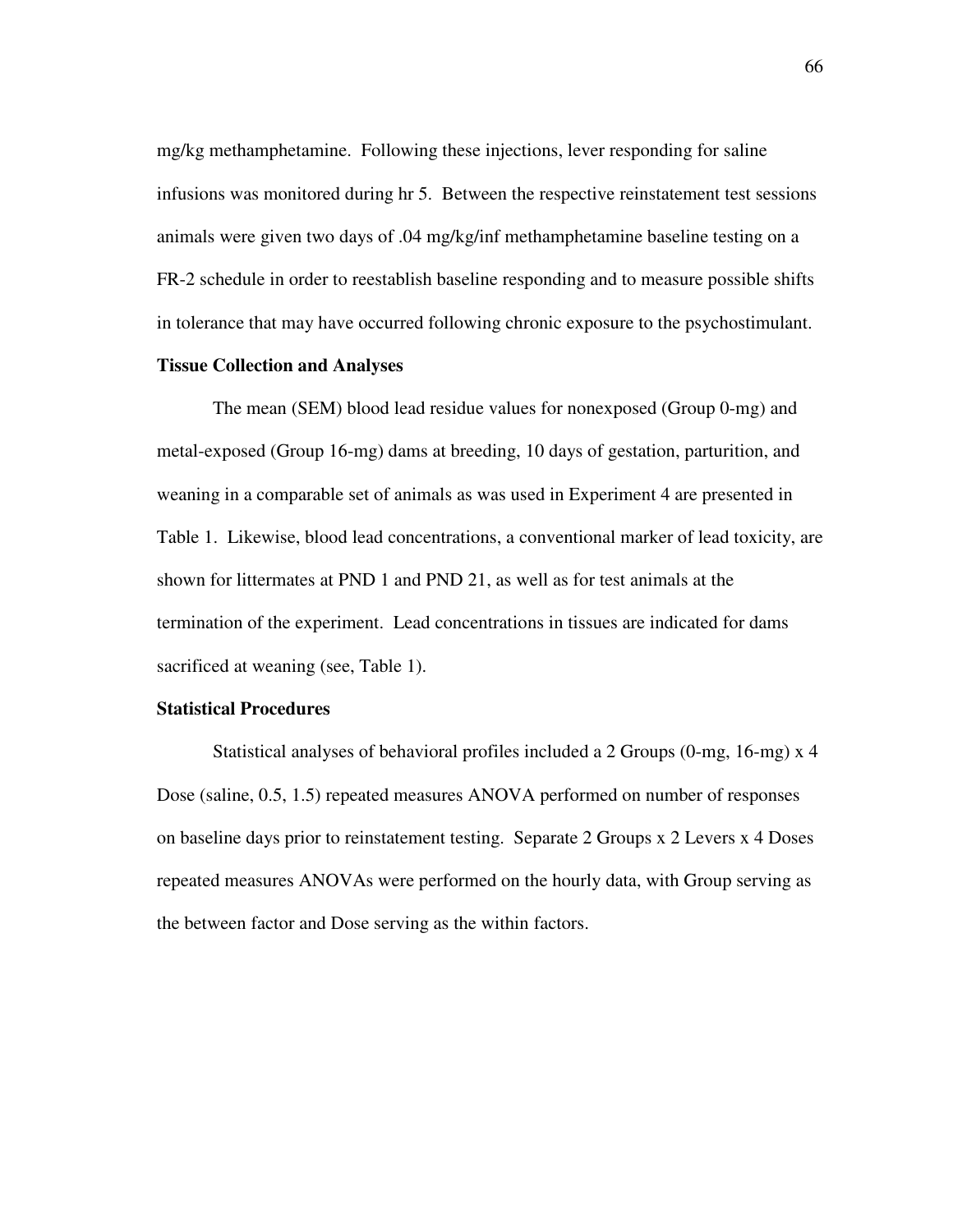mg/kg methamphetamine. Following these injections, lever responding for saline infusions was monitored during hr 5. Between the respective reinstatement test sessions animals were given two days of .04 mg/kg/inf methamphetamine baseline testing on a FR-2 schedule in order to reestablish baseline responding and to measure possible shifts in tolerance that may have occurred following chronic exposure to the psychostimulant.

### **Tissue Collection and Analyses**

The mean (SEM) blood lead residue values for nonexposed (Group 0-mg) and metal-exposed (Group 16-mg) dams at breeding, 10 days of gestation, parturition, and weaning in a comparable set of animals as was used in Experiment 4 are presented in Table 1. Likewise, blood lead concentrations, a conventional marker of lead toxicity, are shown for littermates at PND 1 and PND 21, as well as for test animals at the termination of the experiment. Lead concentrations in tissues are indicated for dams sacrificed at weaning (see, Table 1).

## **Statistical Procedures**

Statistical analyses of behavioral profiles included a 2 Groups (0-mg, 16-mg) x 4 Dose (saline, 0.5, 1.5) repeated measures ANOVA performed on number of responses on baseline days prior to reinstatement testing. Separate 2 Groups x 2 Levers x 4 Doses repeated measures ANOVAs were performed on the hourly data, with Group serving as the between factor and Dose serving as the within factors.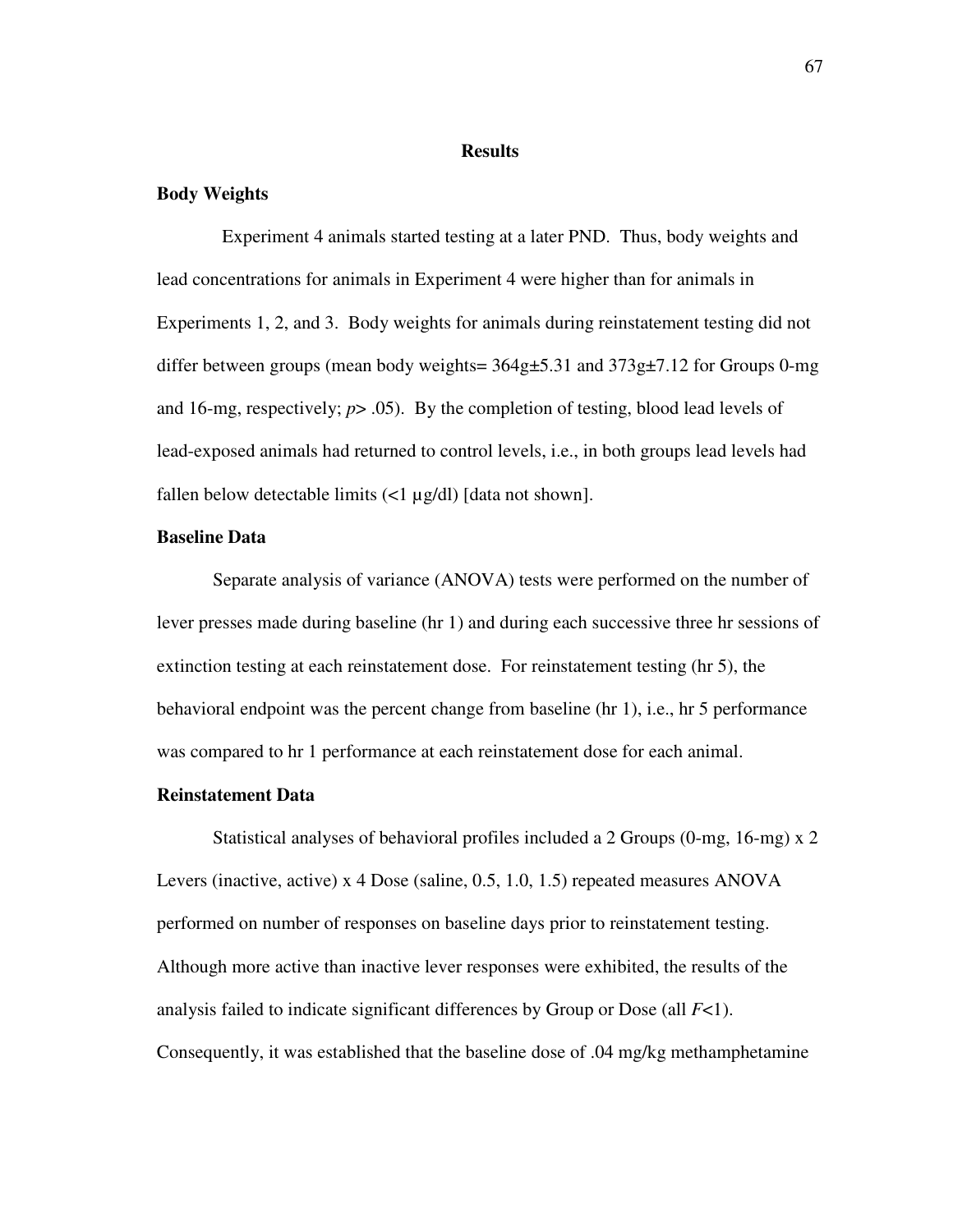### **Results**

## **Body Weights**

Experiment 4 animals started testing at a later PND. Thus, body weights and lead concentrations for animals in Experiment 4 were higher than for animals in Experiments 1, 2, and 3. Body weights for animals during reinstatement testing did not differ between groups (mean body weights=  $364g\text{±}5.31$  and  $373g\text{±}7.12$  for Groups 0-mg and 16-mg, respectively; *p*> .05). By the completion of testing, blood lead levels of lead-exposed animals had returned to control levels, i.e., in both groups lead levels had fallen below detectable limits  $\left($ <1  $\mu$ g/dl) [data not shown].

## **Baseline Data**

Separate analysis of variance (ANOVA) tests were performed on the number of lever presses made during baseline (hr 1) and during each successive three hr sessions of extinction testing at each reinstatement dose. For reinstatement testing (hr 5), the behavioral endpoint was the percent change from baseline (hr 1), i.e., hr 5 performance was compared to hr 1 performance at each reinstatement dose for each animal.

## **Reinstatement Data**

Statistical analyses of behavioral profiles included a 2 Groups (0-mg, 16-mg) x 2 Levers (inactive, active) x 4 Dose (saline, 0.5, 1.0, 1.5) repeated measures ANOVA performed on number of responses on baseline days prior to reinstatement testing. Although more active than inactive lever responses were exhibited, the results of the analysis failed to indicate significant differences by Group or Dose (all *F*<1). Consequently, it was established that the baseline dose of .04 mg/kg methamphetamine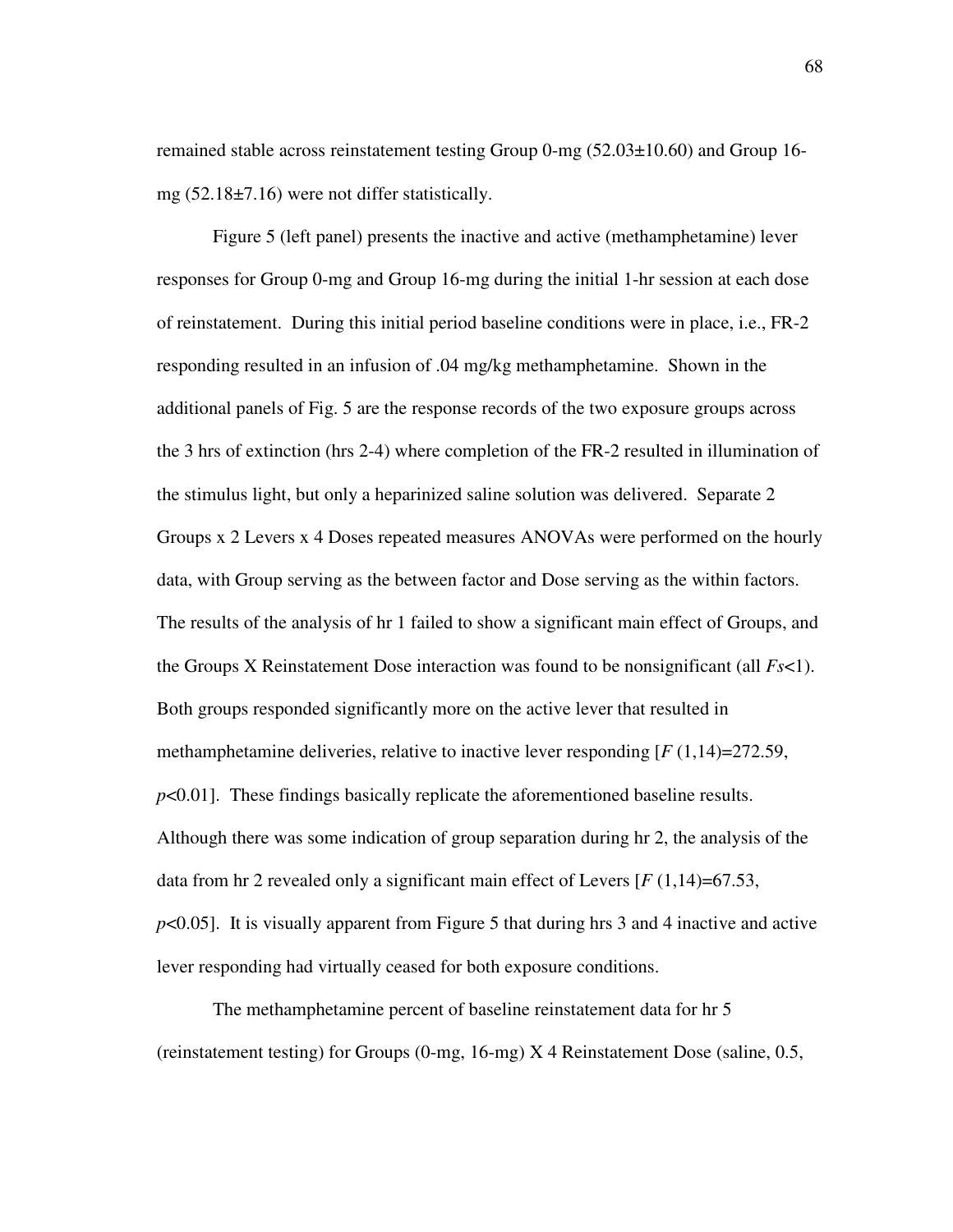remained stable across reinstatement testing Group 0-mg (52.03±10.60) and Group 16 mg  $(52.18\pm7.16)$  were not differ statistically.

Figure 5 (left panel) presents the inactive and active (methamphetamine) lever responses for Group 0-mg and Group 16-mg during the initial 1-hr session at each dose of reinstatement. During this initial period baseline conditions were in place, i.e., FR-2 responding resulted in an infusion of .04 mg/kg methamphetamine. Shown in the additional panels of Fig. 5 are the response records of the two exposure groups across the 3 hrs of extinction (hrs 2-4) where completion of the FR-2 resulted in illumination of the stimulus light, but only a heparinized saline solution was delivered. Separate 2 Groups x 2 Levers x 4 Doses repeated measures ANOVAs were performed on the hourly data, with Group serving as the between factor and Dose serving as the within factors. The results of the analysis of hr 1 failed to show a significant main effect of Groups, and the Groups X Reinstatement Dose interaction was found to be nonsignificant (all *Fs*<1). Both groups responded significantly more on the active lever that resulted in methamphetamine deliveries, relative to inactive lever responding [*F* (1,14)=272.59, *p*<0.01]. These findings basically replicate the aforementioned baseline results. Although there was some indication of group separation during hr 2, the analysis of the data from hr 2 revealed only a significant main effect of Levers [*F* (1,14)=67.53, *p*<0.05]. It is visually apparent from Figure 5 that during hrs 3 and 4 inactive and active lever responding had virtually ceased for both exposure conditions.

The methamphetamine percent of baseline reinstatement data for hr 5 (reinstatement testing) for Groups (0-mg, 16-mg) X 4 Reinstatement Dose (saline, 0.5,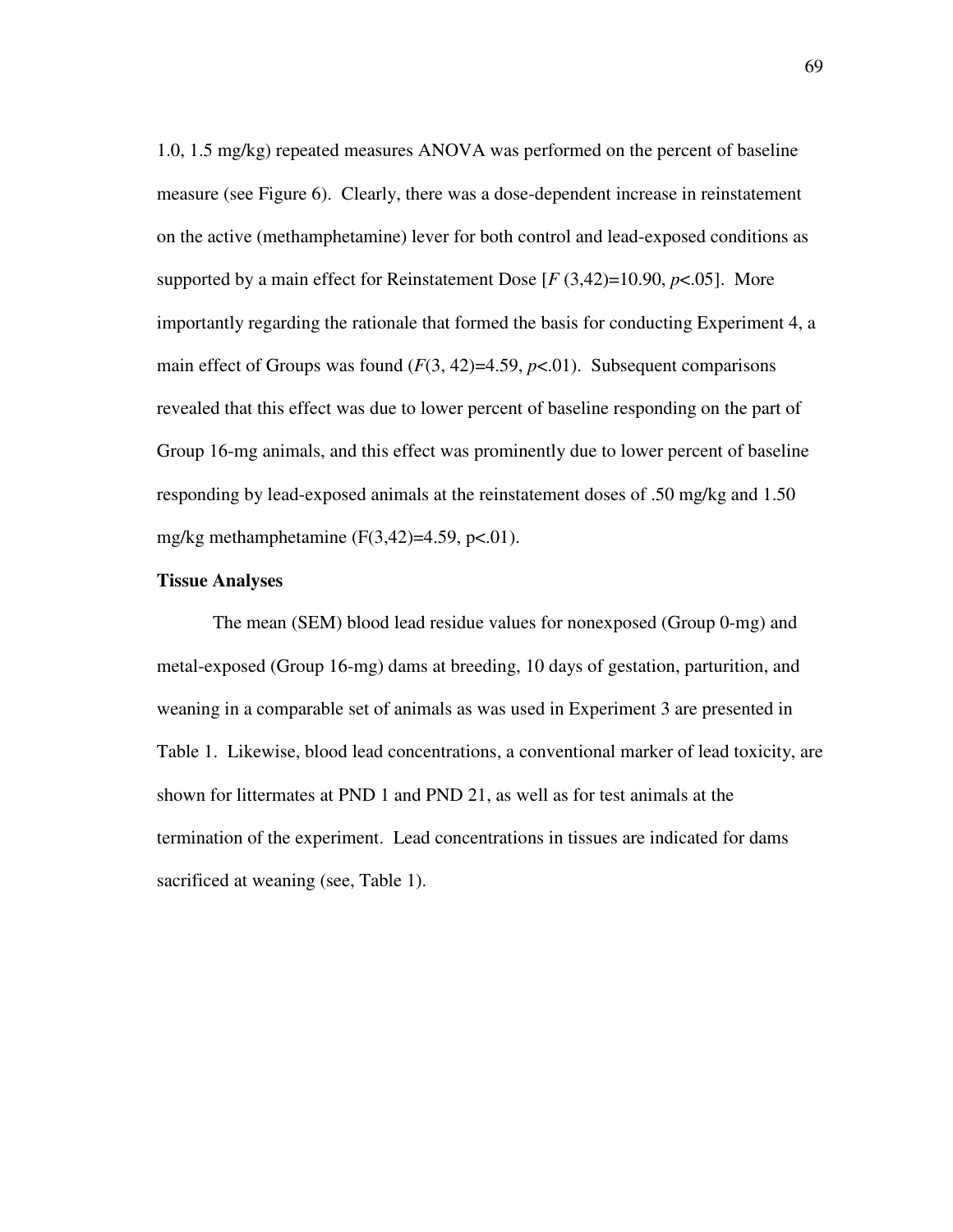1.0, 1.5 mg/kg) repeated measures ANOVA was performed on the percent of baseline measure (see Figure 6). Clearly, there was a dose-dependent increase in reinstatement on the active (methamphetamine) lever for both control and lead-exposed conditions as supported by a main effect for Reinstatement Dose  $[F(3,42)=10.90, p<.05]$ . More importantly regarding the rationale that formed the basis for conducting Experiment 4, a main effect of Groups was found  $(F(3, 42)=4.59, p<0.01)$ . Subsequent comparisons revealed that this effect was due to lower percent of baseline responding on the part of Group 16-mg animals, and this effect was prominently due to lower percent of baseline responding by lead-exposed animals at the reinstatement doses of .50 mg/kg and 1.50 mg/kg methamphetamine  $(F(3,42)=4.59, p<.01)$ .

## **Tissue Analyses**

The mean (SEM) blood lead residue values for nonexposed (Group 0-mg) and metal-exposed (Group 16-mg) dams at breeding, 10 days of gestation, parturition, and weaning in a comparable set of animals as was used in Experiment 3 are presented in Table 1. Likewise, blood lead concentrations, a conventional marker of lead toxicity, are shown for littermates at PND 1 and PND 21, as well as for test animals at the termination of the experiment. Lead concentrations in tissues are indicated for dams sacrificed at weaning (see, Table 1).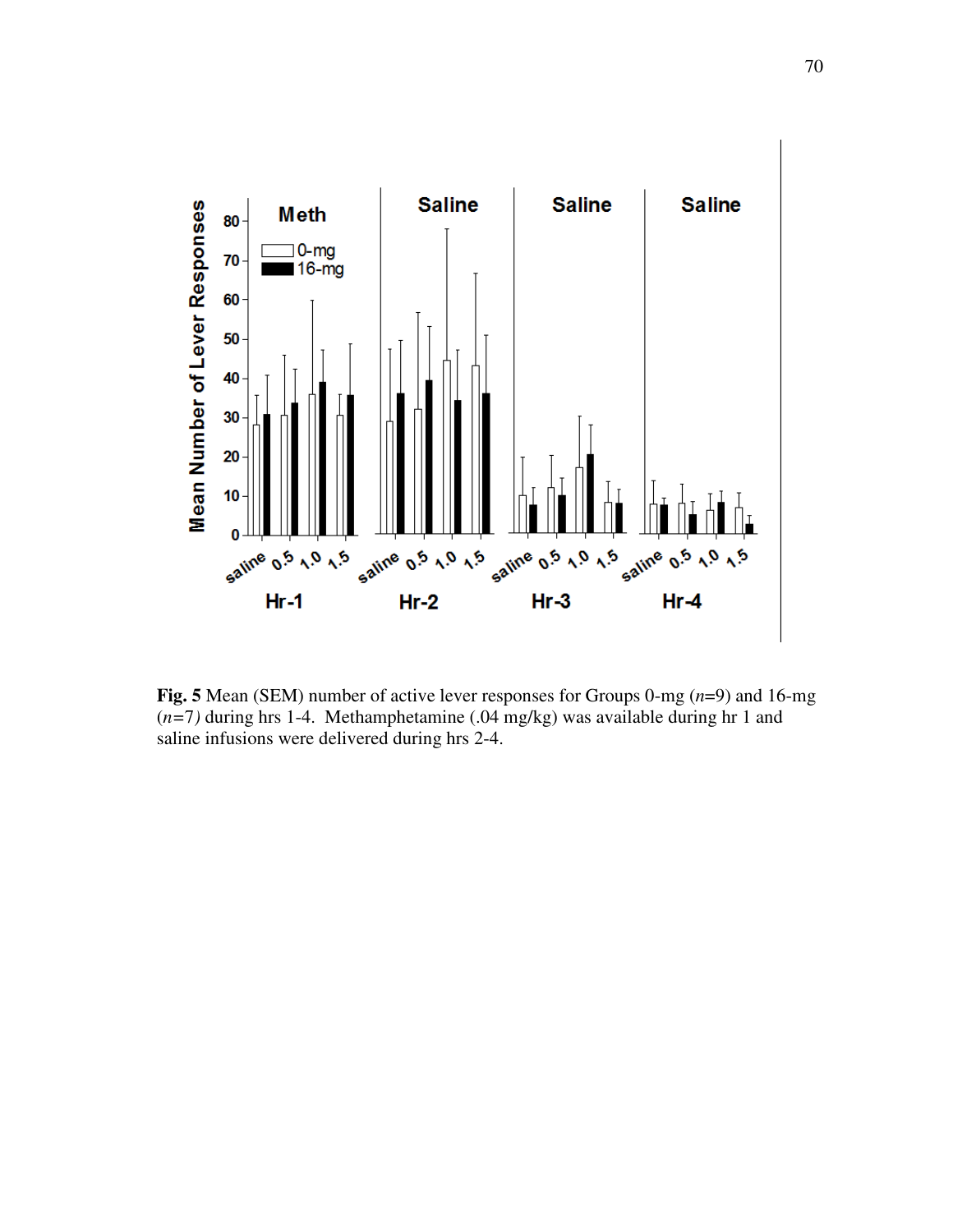

**Fig. 5** Mean (SEM) number of active lever responses for Groups 0-mg (*n*=9) and 16-mg (*n=*7*)* during hrs 1-4. Methamphetamine (.04 mg/kg) was available during hr 1 and saline infusions were delivered during hrs 2-4.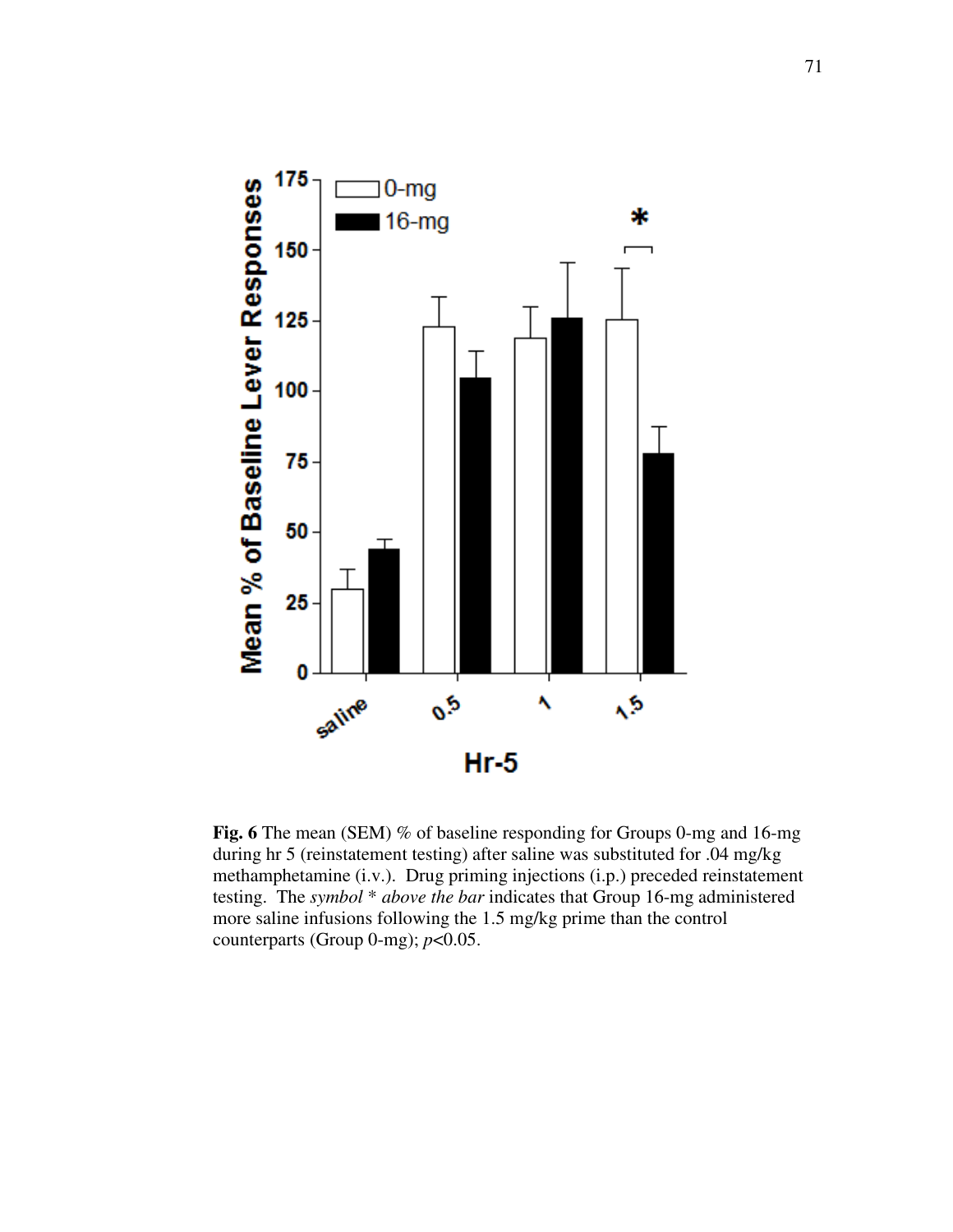

**Fig.** 6 The mean (SEM) % of baseline responding for Groups 0-mg and 16-mg during hr 5 (reinstatement testing) after saline was substituted for .04 mg/kg methamphetamine (i.v.). Drug priming injections (i.p.) preceded reinstatement testing. The *symbol* \* *above the bar* indicates that Group 16-mg administered more saline infusions following the 1.5 mg/kg prime than the control counterparts (Group 0-mg); *p*<0.05.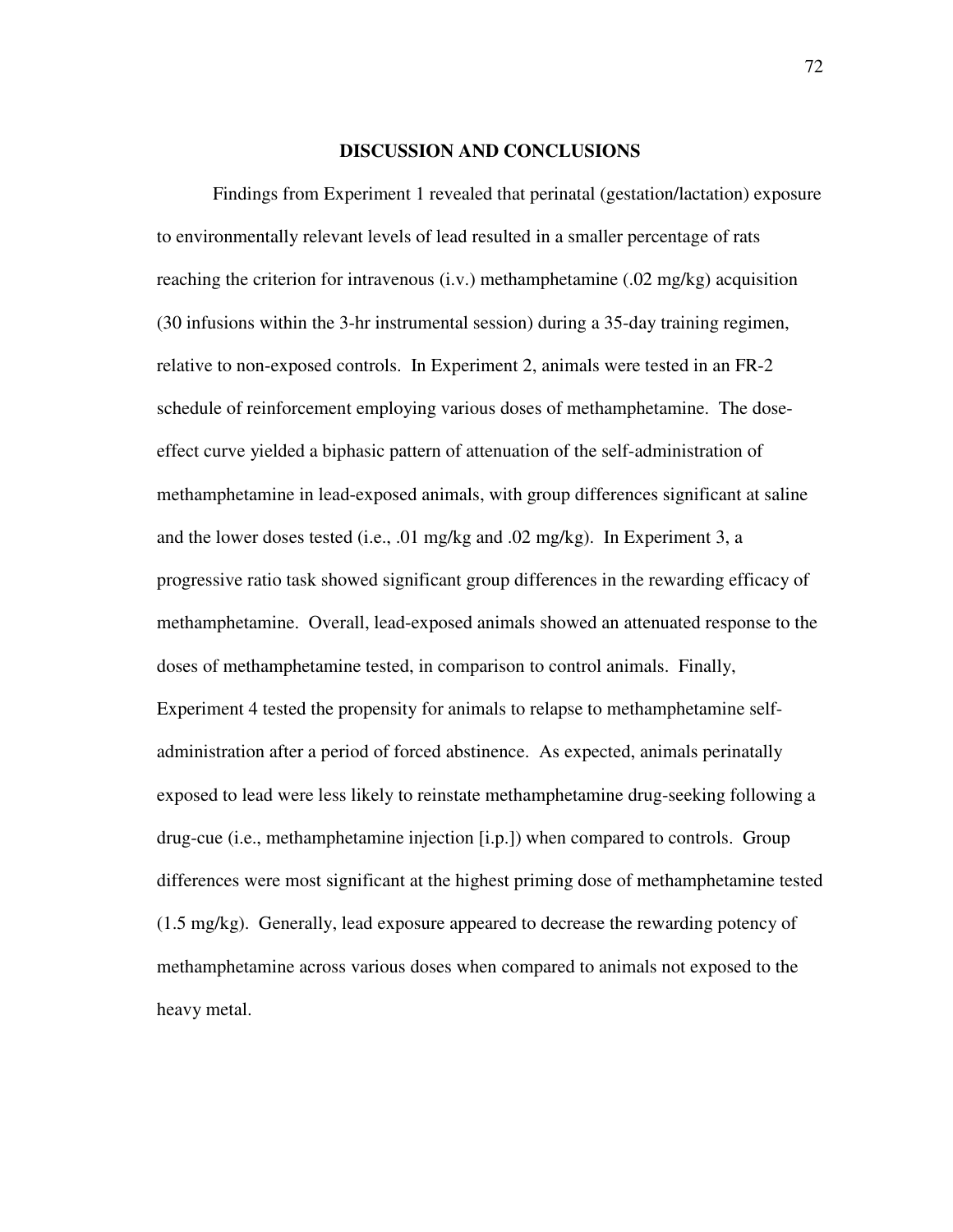### **DISCUSSION AND CONCLUSIONS**

Findings from Experiment 1 revealed that perinatal (gestation/lactation) exposure to environmentally relevant levels of lead resulted in a smaller percentage of rats reaching the criterion for intravenous  $(i.v.)$  methamphetamine  $(0.02 \text{ mg/kg})$  acquisition (30 infusions within the 3-hr instrumental session) during a 35-day training regimen, relative to non-exposed controls. In Experiment 2, animals were tested in an FR-2 schedule of reinforcement employing various doses of methamphetamine. The doseeffect curve yielded a biphasic pattern of attenuation of the self-administration of methamphetamine in lead-exposed animals, with group differences significant at saline and the lower doses tested (i.e., .01 mg/kg and .02 mg/kg). In Experiment 3, a progressive ratio task showed significant group differences in the rewarding efficacy of methamphetamine. Overall, lead-exposed animals showed an attenuated response to the doses of methamphetamine tested, in comparison to control animals. Finally, Experiment 4 tested the propensity for animals to relapse to methamphetamine selfadministration after a period of forced abstinence. As expected, animals perinatally exposed to lead were less likely to reinstate methamphetamine drug-seeking following a drug-cue (i.e., methamphetamine injection [i.p.]) when compared to controls. Group differences were most significant at the highest priming dose of methamphetamine tested (1.5 mg/kg). Generally, lead exposure appeared to decrease the rewarding potency of methamphetamine across various doses when compared to animals not exposed to the heavy metal.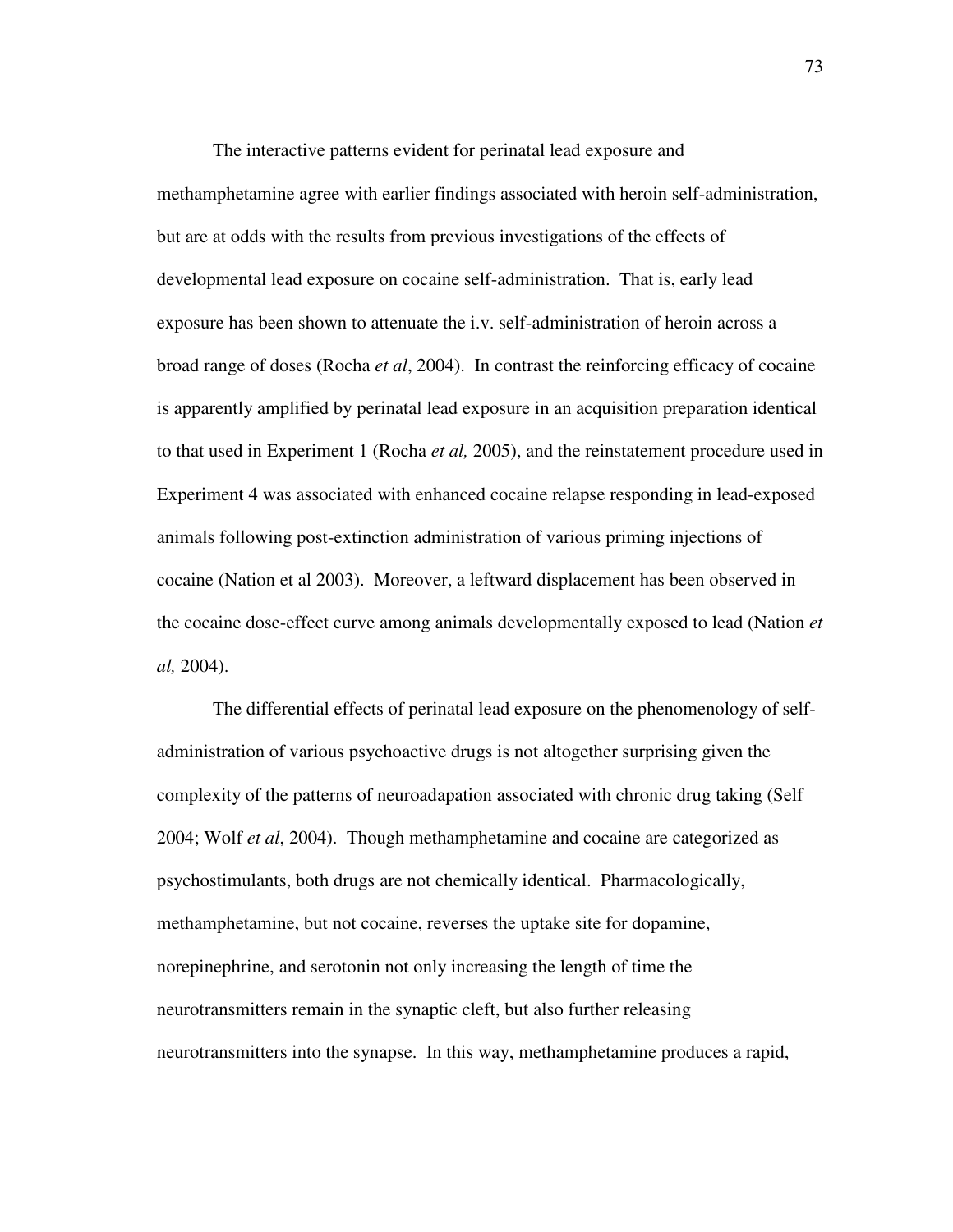The interactive patterns evident for perinatal lead exposure and methamphetamine agree with earlier findings associated with heroin self-administration, but are at odds with the results from previous investigations of the effects of developmental lead exposure on cocaine self-administration. That is, early lead exposure has been shown to attenuate the i.v. self-administration of heroin across a broad range of doses (Rocha *et al*, 2004). In contrast the reinforcing efficacy of cocaine is apparently amplified by perinatal lead exposure in an acquisition preparation identical to that used in Experiment 1 (Rocha *et al,* 2005), and the reinstatement procedure used in Experiment 4 was associated with enhanced cocaine relapse responding in lead-exposed animals following post-extinction administration of various priming injections of cocaine (Nation et al 2003). Moreover, a leftward displacement has been observed in the cocaine dose-effect curve among animals developmentally exposed to lead (Nation *et al,* 2004).

The differential effects of perinatal lead exposure on the phenomenology of selfadministration of various psychoactive drugs is not altogether surprising given the complexity of the patterns of neuroadapation associated with chronic drug taking (Self 2004; Wolf *et al*, 2004). Though methamphetamine and cocaine are categorized as psychostimulants, both drugs are not chemically identical. Pharmacologically, methamphetamine, but not cocaine, reverses the uptake site for dopamine, norepinephrine, and serotonin not only increasing the length of time the neurotransmitters remain in the synaptic cleft, but also further releasing neurotransmitters into the synapse. In this way, methamphetamine produces a rapid,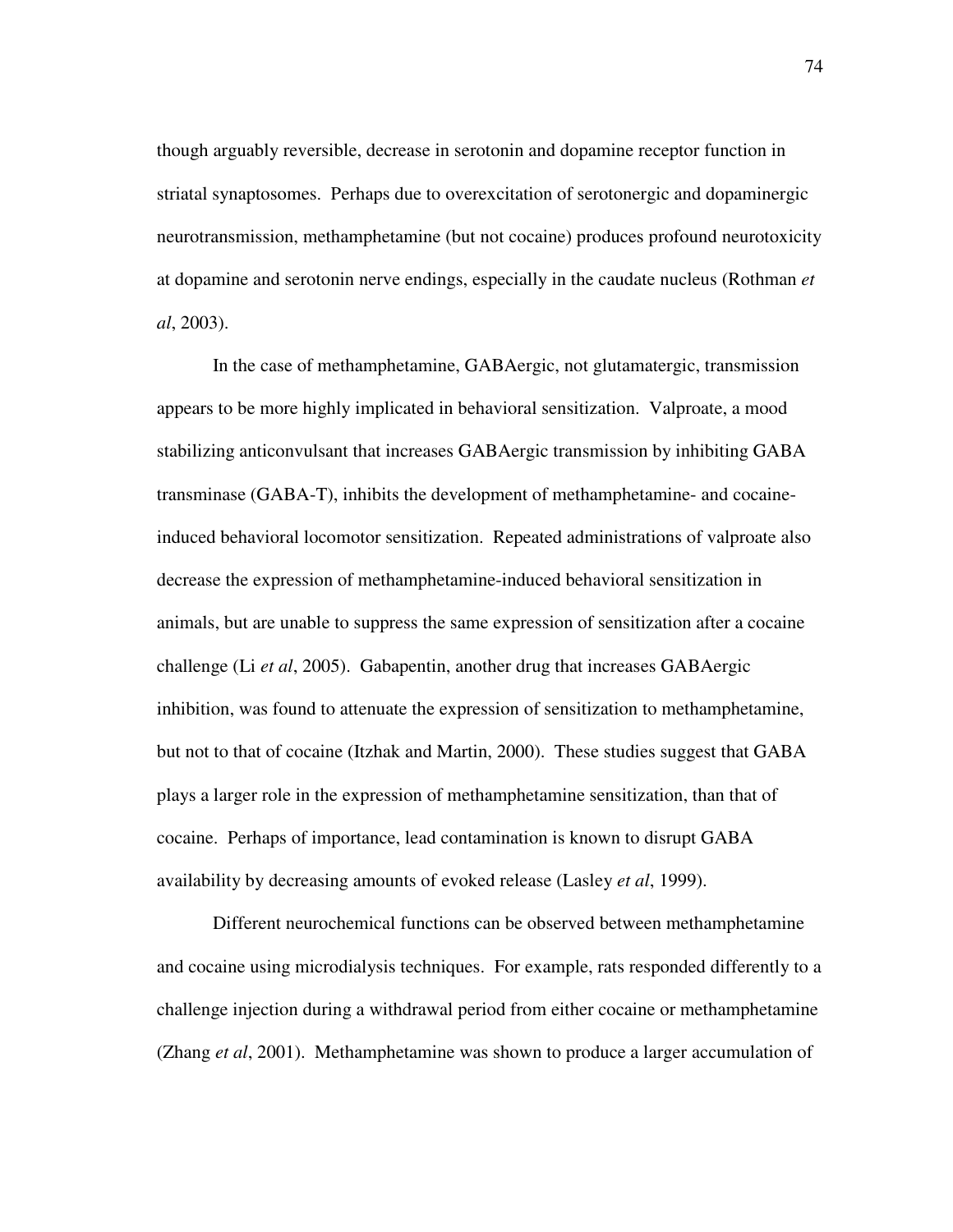though arguably reversible, decrease in serotonin and dopamine receptor function in striatal synaptosomes. Perhaps due to overexcitation of serotonergic and dopaminergic neurotransmission, methamphetamine (but not cocaine) produces profound neurotoxicity at dopamine and serotonin nerve endings, especially in the caudate nucleus (Rothman *et al*, 2003).

In the case of methamphetamine, GABAergic, not glutamatergic, transmission appears to be more highly implicated in behavioral sensitization. Valproate, a mood stabilizing anticonvulsant that increases GABAergic transmission by inhibiting GABA transminase (GABA-T), inhibits the development of methamphetamine- and cocaineinduced behavioral locomotor sensitization. Repeated administrations of valproate also decrease the expression of methamphetamine-induced behavioral sensitization in animals, but are unable to suppress the same expression of sensitization after a cocaine challenge (Li *et al*, 2005). Gabapentin, another drug that increases GABAergic inhibition, was found to attenuate the expression of sensitization to methamphetamine, but not to that of cocaine (Itzhak and Martin, 2000). These studies suggest that GABA plays a larger role in the expression of methamphetamine sensitization, than that of cocaine. Perhaps of importance, lead contamination is known to disrupt GABA availability by decreasing amounts of evoked release (Lasley *et al*, 1999).

Different neurochemical functions can be observed between methamphetamine and cocaine using microdialysis techniques. For example, rats responded differently to a challenge injection during a withdrawal period from either cocaine or methamphetamine (Zhang *et al*, 2001). Methamphetamine was shown to produce a larger accumulation of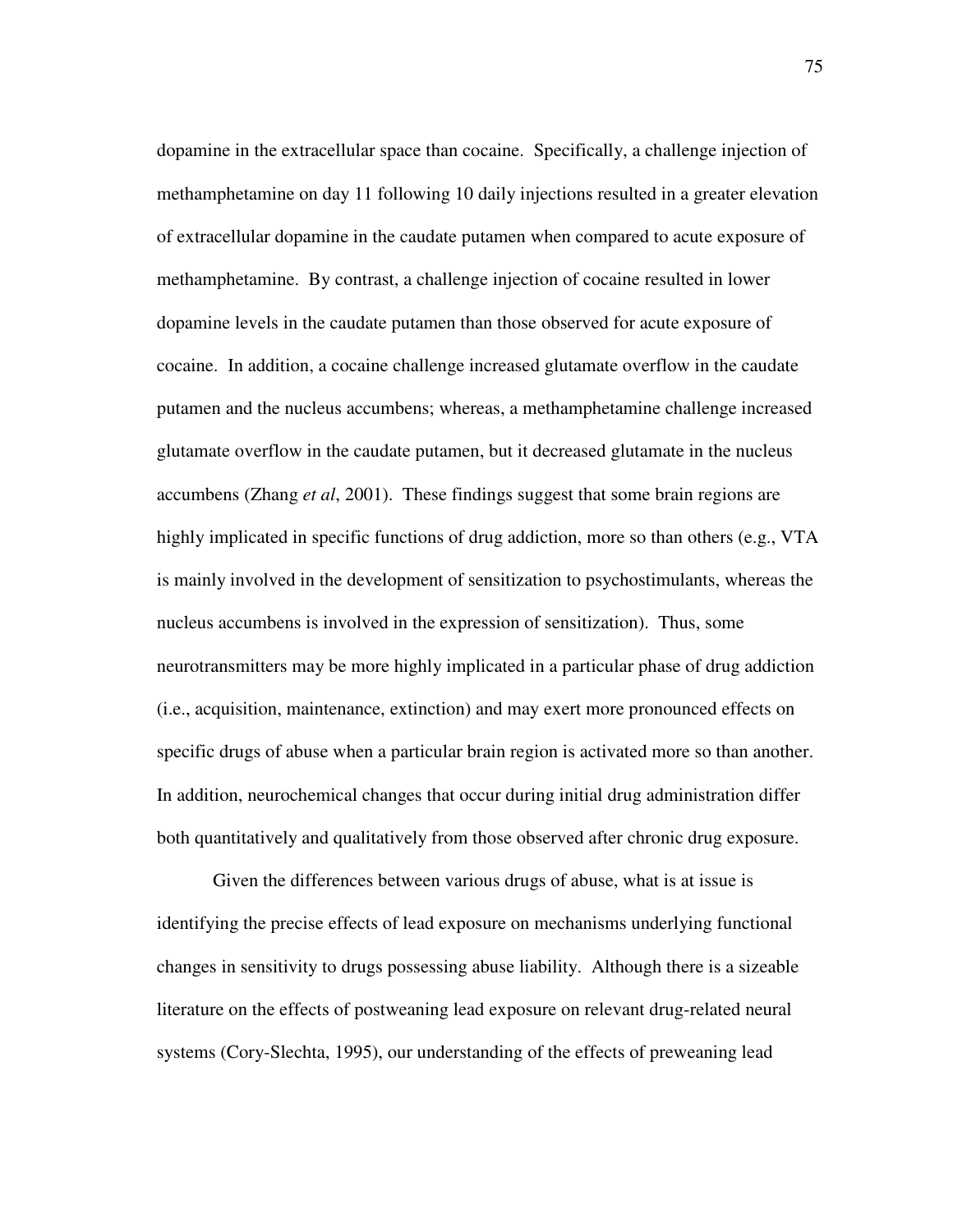dopamine in the extracellular space than cocaine. Specifically, a challenge injection of methamphetamine on day 11 following 10 daily injections resulted in a greater elevation of extracellular dopamine in the caudate putamen when compared to acute exposure of methamphetamine. By contrast, a challenge injection of cocaine resulted in lower dopamine levels in the caudate putamen than those observed for acute exposure of cocaine. In addition, a cocaine challenge increased glutamate overflow in the caudate putamen and the nucleus accumbens; whereas, a methamphetamine challenge increased glutamate overflow in the caudate putamen, but it decreased glutamate in the nucleus accumbens (Zhang *et al*, 2001). These findings suggest that some brain regions are highly implicated in specific functions of drug addiction, more so than others (e.g., VTA is mainly involved in the development of sensitization to psychostimulants, whereas the nucleus accumbens is involved in the expression of sensitization). Thus, some neurotransmitters may be more highly implicated in a particular phase of drug addiction (i.e., acquisition, maintenance, extinction) and may exert more pronounced effects on specific drugs of abuse when a particular brain region is activated more so than another. In addition, neurochemical changes that occur during initial drug administration differ both quantitatively and qualitatively from those observed after chronic drug exposure.

Given the differences between various drugs of abuse, what is at issue is identifying the precise effects of lead exposure on mechanisms underlying functional changes in sensitivity to drugs possessing abuse liability. Although there is a sizeable literature on the effects of postweaning lead exposure on relevant drug-related neural systems (Cory-Slechta, 1995), our understanding of the effects of preweaning lead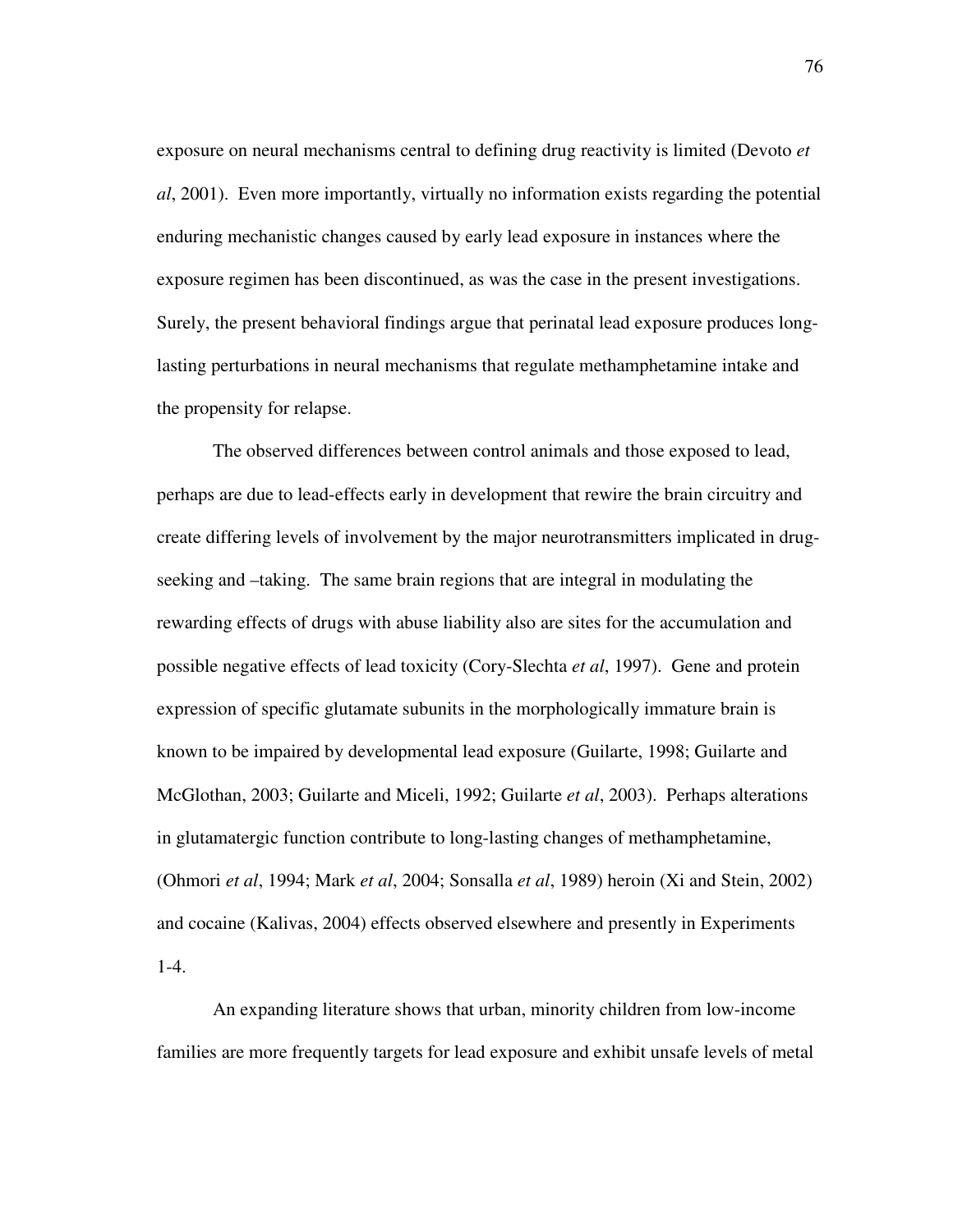exposure on neural mechanisms central to defining drug reactivity is limited (Devoto *et al*, 2001). Even more importantly, virtually no information exists regarding the potential enduring mechanistic changes caused by early lead exposure in instances where the exposure regimen has been discontinued, as was the case in the present investigations. Surely, the present behavioral findings argue that perinatal lead exposure produces longlasting perturbations in neural mechanisms that regulate methamphetamine intake and the propensity for relapse.

The observed differences between control animals and those exposed to lead, perhaps are due to lead-effects early in development that rewire the brain circuitry and create differing levels of involvement by the major neurotransmitters implicated in drugseeking and –taking. The same brain regions that are integral in modulating the rewarding effects of drugs with abuse liability also are sites for the accumulation and possible negative effects of lead toxicity (Cory-Slechta *et al*, 1997). Gene and protein expression of specific glutamate subunits in the morphologically immature brain is known to be impaired by developmental lead exposure (Guilarte, 1998; Guilarte and McGlothan, 2003; Guilarte and Miceli, 1992; Guilarte *et al*, 2003). Perhaps alterations in glutamatergic function contribute to long-lasting changes of methamphetamine, (Ohmori *et al*, 1994; Mark *et al*, 2004; Sonsalla *et al*, 1989) heroin (Xi and Stein, 2002) and cocaine (Kalivas, 2004) effects observed elsewhere and presently in Experiments 1-4.

An expanding literature shows that urban, minority children from low-income families are more frequently targets for lead exposure and exhibit unsafe levels of metal

76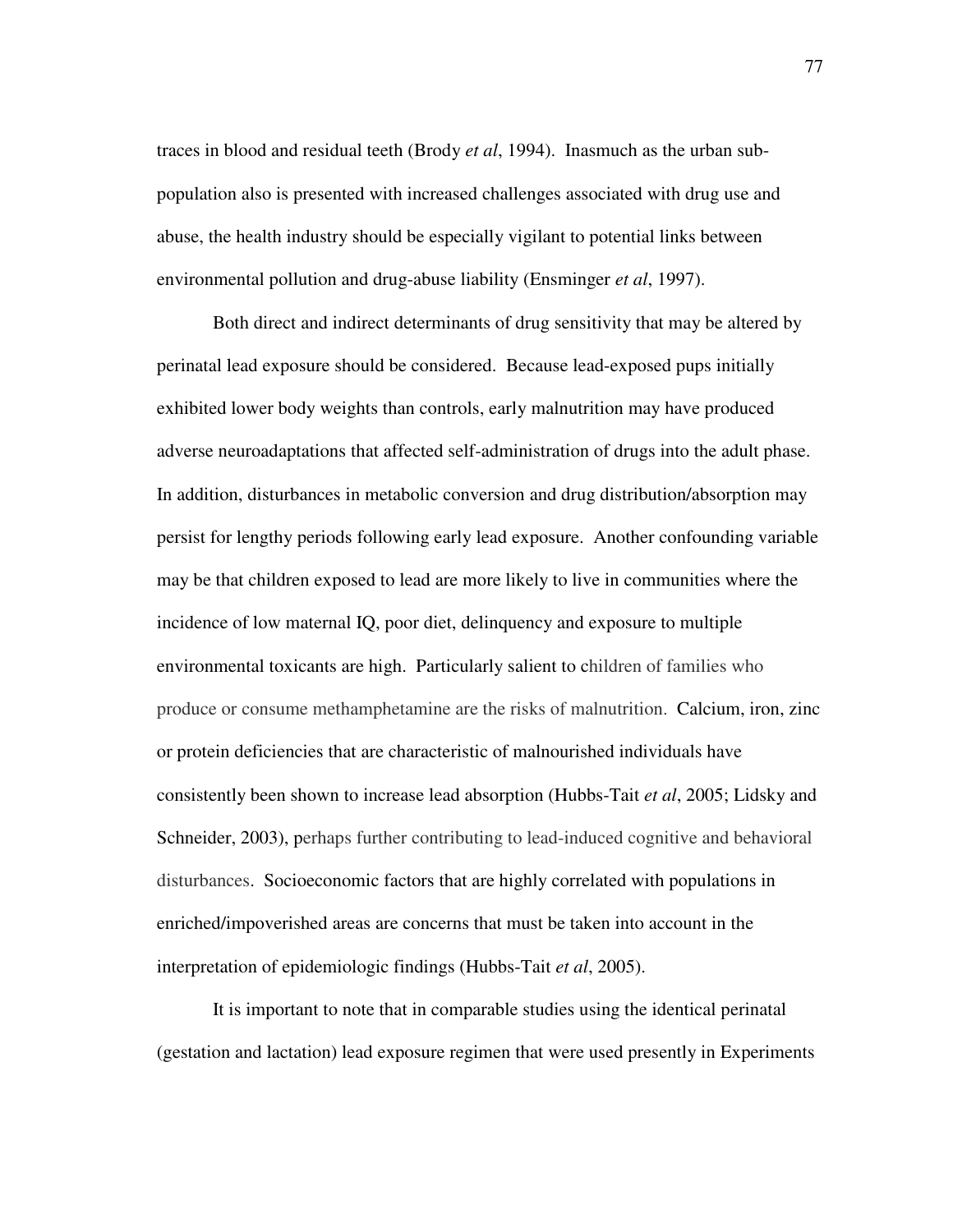traces in blood and residual teeth (Brody *et al*, 1994). Inasmuch as the urban subpopulation also is presented with increased challenges associated with drug use and abuse, the health industry should be especially vigilant to potential links between environmental pollution and drug-abuse liability (Ensminger *et al*, 1997).

Both direct and indirect determinants of drug sensitivity that may be altered by perinatal lead exposure should be considered. Because lead-exposed pups initially exhibited lower body weights than controls, early malnutrition may have produced adverse neuroadaptations that affected self-administration of drugs into the adult phase. In addition, disturbances in metabolic conversion and drug distribution/absorption may persist for lengthy periods following early lead exposure. Another confounding variable may be that children exposed to lead are more likely to live in communities where the incidence of low maternal IQ, poor diet, delinquency and exposure to multiple environmental toxicants are high. Particularly salient to children of families who produce or consume methamphetamine are the risks of malnutrition. Calcium, iron, zinc or protein deficiencies that are characteristic of malnourished individuals have consistently been shown to increase lead absorption (Hubbs-Tait *et al*, 2005; Lidsky and Schneider, 2003), perhaps further contributing to lead-induced cognitive and behavioral disturbances. Socioeconomic factors that are highly correlated with populations in enriched/impoverished areas are concerns that must be taken into account in the interpretation of epidemiologic findings (Hubbs-Tait *et al*, 2005).

It is important to note that in comparable studies using the identical perinatal (gestation and lactation) lead exposure regimen that were used presently in Experiments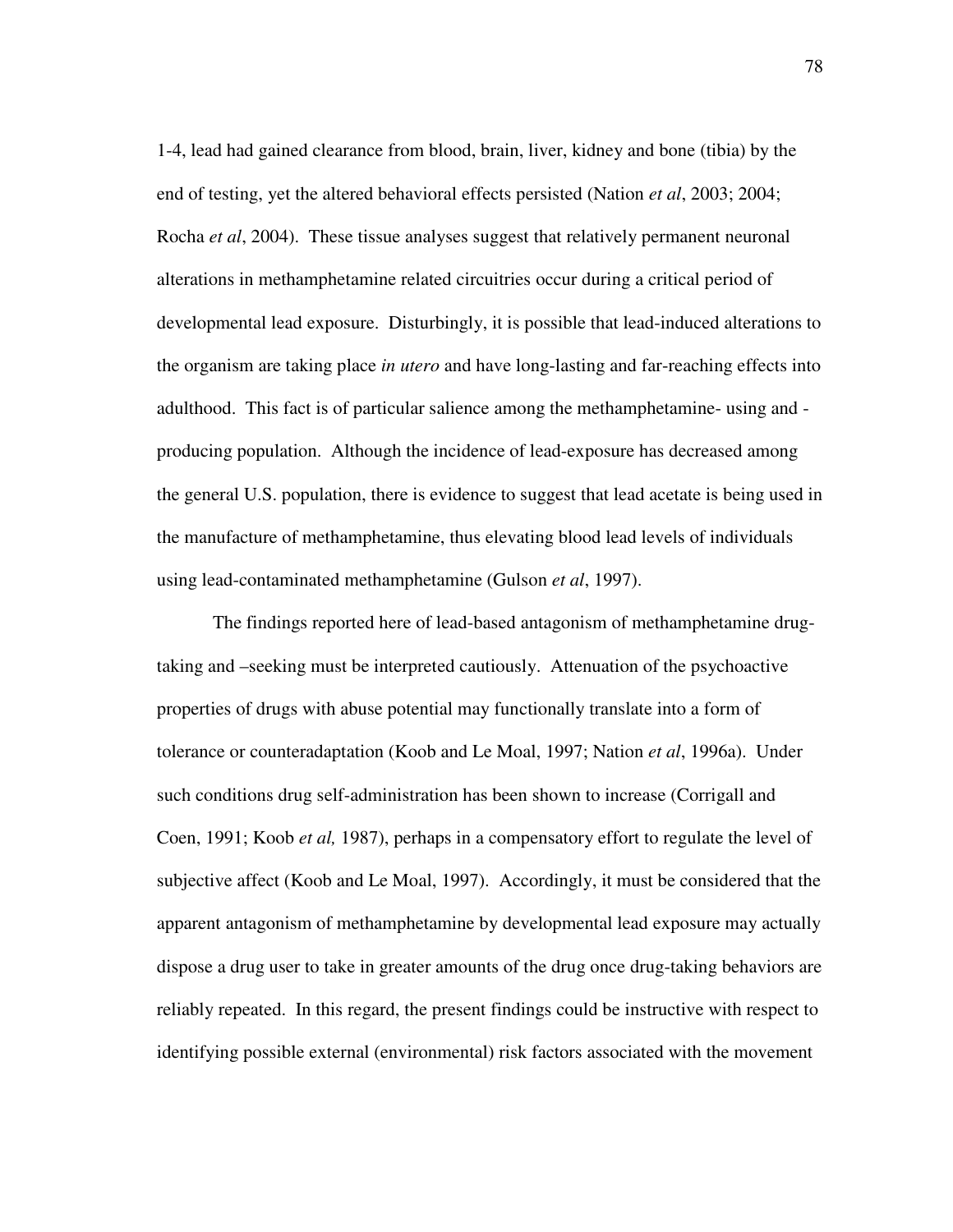1-4, lead had gained clearance from blood, brain, liver, kidney and bone (tibia) by the end of testing, yet the altered behavioral effects persisted (Nation *et al*, 2003; 2004; Rocha *et al*, 2004). These tissue analyses suggest that relatively permanent neuronal alterations in methamphetamine related circuitries occur during a critical period of developmental lead exposure. Disturbingly, it is possible that lead-induced alterations to the organism are taking place *in utero* and have long-lasting and far-reaching effects into adulthood. This fact is of particular salience among the methamphetamine- using and producing population. Although the incidence of lead-exposure has decreased among the general U.S. population, there is evidence to suggest that lead acetate is being used in the manufacture of methamphetamine, thus elevating blood lead levels of individuals using lead-contaminated methamphetamine (Gulson *et al*, 1997).

The findings reported here of lead-based antagonism of methamphetamine drugtaking and –seeking must be interpreted cautiously. Attenuation of the psychoactive properties of drugs with abuse potential may functionally translate into a form of tolerance or counteradaptation (Koob and Le Moal, 1997; Nation *et al*, 1996a). Under such conditions drug self-administration has been shown to increase (Corrigall and Coen, 1991; Koob *et al,* 1987), perhaps in a compensatory effort to regulate the level of subjective affect (Koob and Le Moal, 1997). Accordingly, it must be considered that the apparent antagonism of methamphetamine by developmental lead exposure may actually dispose a drug user to take in greater amounts of the drug once drug-taking behaviors are reliably repeated. In this regard, the present findings could be instructive with respect to identifying possible external (environmental) risk factors associated with the movement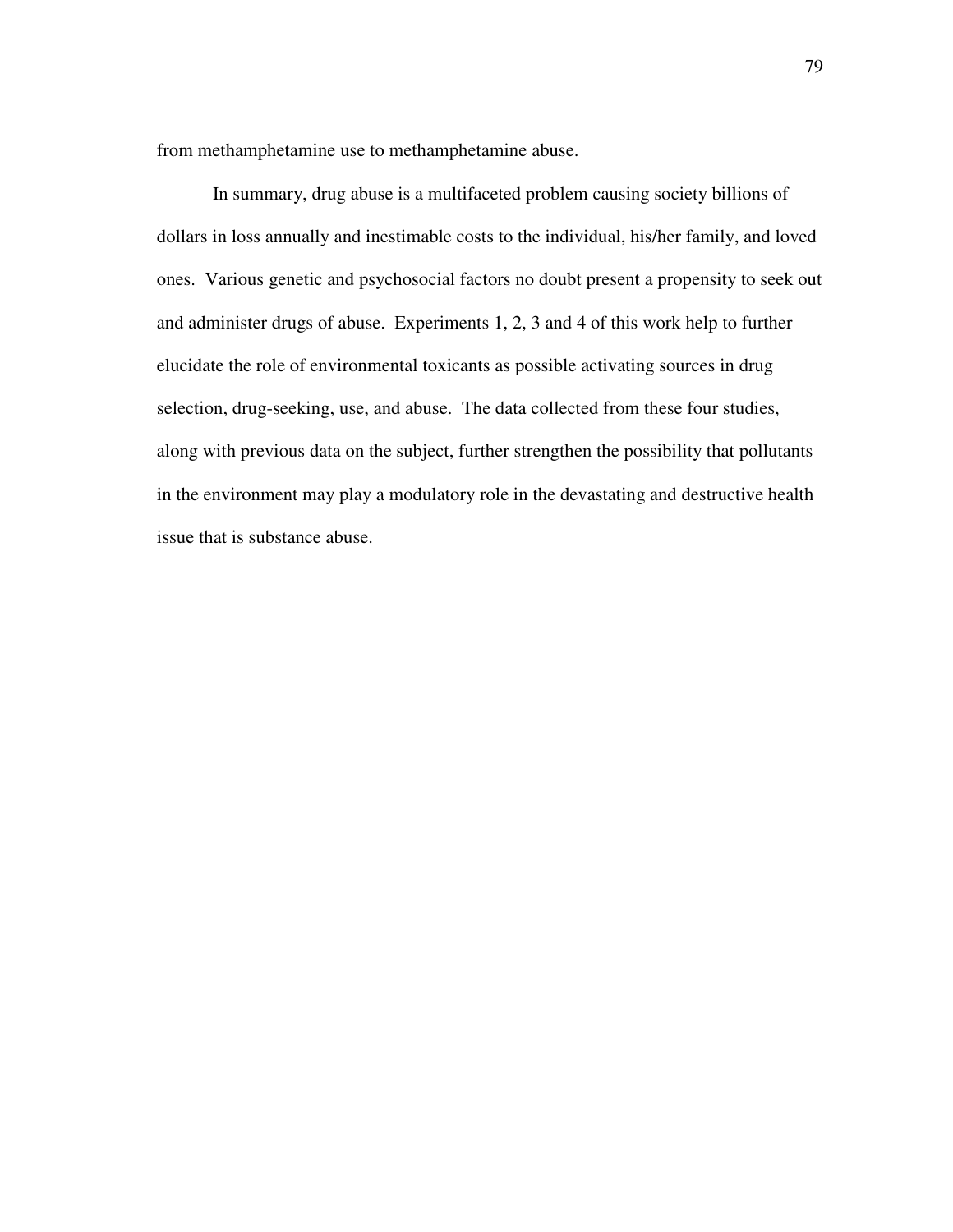from methamphetamine use to methamphetamine abuse.

In summary, drug abuse is a multifaceted problem causing society billions of dollars in loss annually and inestimable costs to the individual, his/her family, and loved ones. Various genetic and psychosocial factors no doubt present a propensity to seek out and administer drugs of abuse. Experiments 1, 2, 3 and 4 of this work help to further elucidate the role of environmental toxicants as possible activating sources in drug selection, drug-seeking, use, and abuse. The data collected from these four studies, along with previous data on the subject, further strengthen the possibility that pollutants in the environment may play a modulatory role in the devastating and destructive health issue that is substance abuse.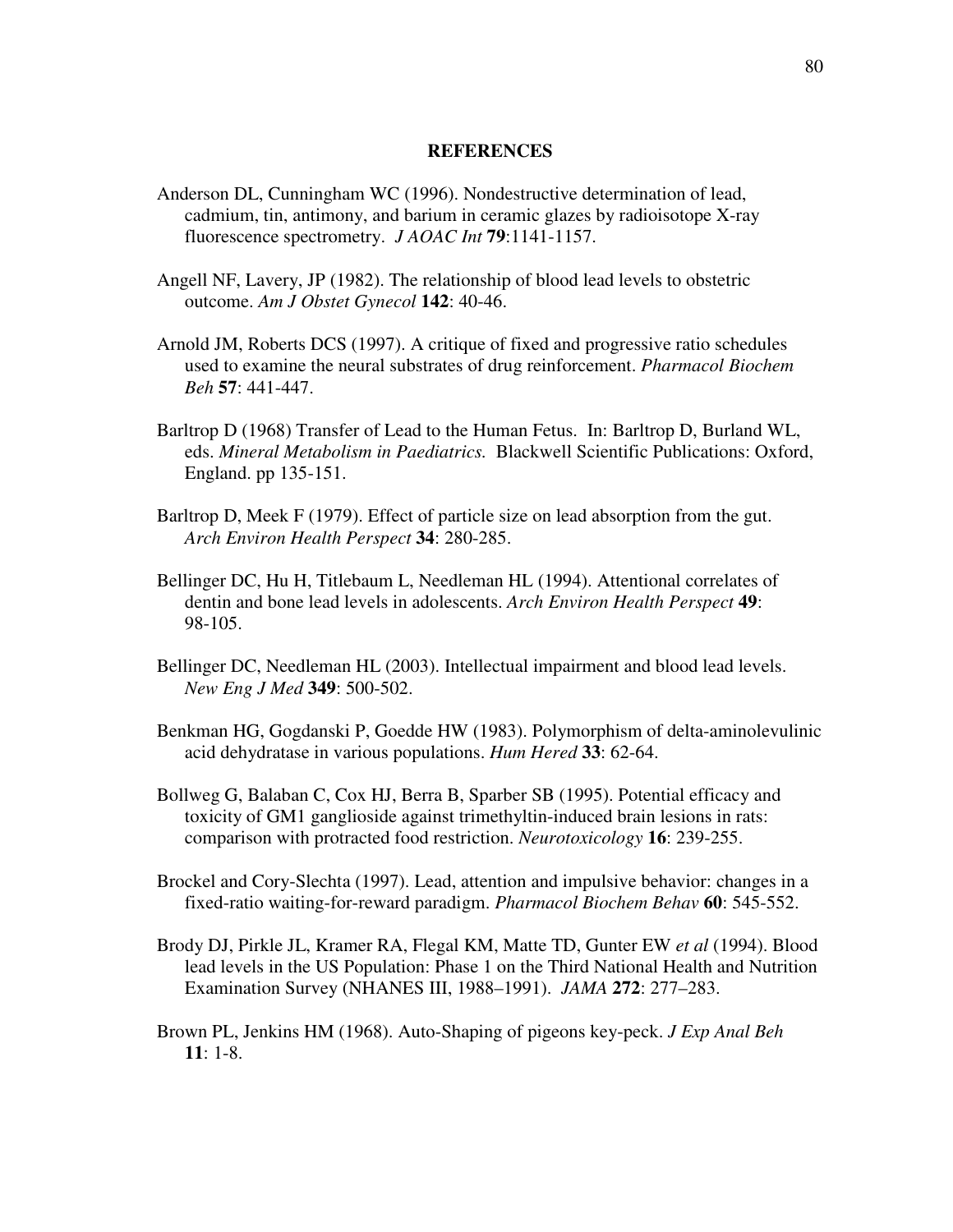#### **REFERENCES**

- Anderson DL, Cunningham WC (1996). Nondestructive determination of lead, cadmium, tin, antimony, and barium in ceramic glazes by radioisotope X-ray fluorescence spectrometry. *J AOAC Int* **79**:1141-1157.
- Angell NF, Lavery, JP (1982). The relationship of blood lead levels to obstetric outcome. *Am J Obstet Gynecol* **142**: 40-46.
- Arnold JM, Roberts DCS (1997). A critique of fixed and progressive ratio schedules used to examine the neural substrates of drug reinforcement. *Pharmacol Biochem Beh* **57**: 441-447.
- Barltrop D (1968) Transfer of Lead to the Human Fetus. In: Barltrop D, Burland WL, eds. *Mineral Metabolism in Paediatrics.* Blackwell Scientific Publications: Oxford, England. pp 135-151.
- Barltrop D, Meek F (1979). Effect of particle size on lead absorption from the gut. *Arch Environ Health Perspect* **34**: 280-285.
- Bellinger DC, Hu H, Titlebaum L, Needleman HL (1994). Attentional correlates of dentin and bone lead levels in adolescents. *Arch Environ Health Perspect* **49**: 98-105.
- Bellinger DC, Needleman HL (2003). Intellectual impairment and blood lead levels. *New Eng J Med* **349**: 500-502.
- Benkman HG, Gogdanski P, Goedde HW (1983). Polymorphism of delta-aminolevulinic acid dehydratase in various populations. *Hum Hered* **33**: 62-64.
- Bollweg G, Balaban C, Cox HJ, Berra B, Sparber SB (1995). Potential efficacy and toxicity of GM1 ganglioside against trimethyltin-induced brain lesions in rats: comparison with protracted food restriction. *Neurotoxicology* **16**: 239-255.
- Brockel and Cory-Slechta (1997). Lead, attention and impulsive behavior: changes in a fixed-ratio waiting-for-reward paradigm. *Pharmacol Biochem Behav* **60**: 545-552.
- Brody DJ, Pirkle JL, Kramer RA, Flegal KM, Matte TD, Gunter EW *et al* (1994). Blood lead levels in the US Population: Phase 1 on the Third National Health and Nutrition Examination Survey (NHANES III, 1988–1991). *JAMA* **272**: 277–283.
- Brown PL, Jenkins HM (1968). Auto-Shaping of pigeons key-peck. *J Exp Anal Beh* **11**: 1-8.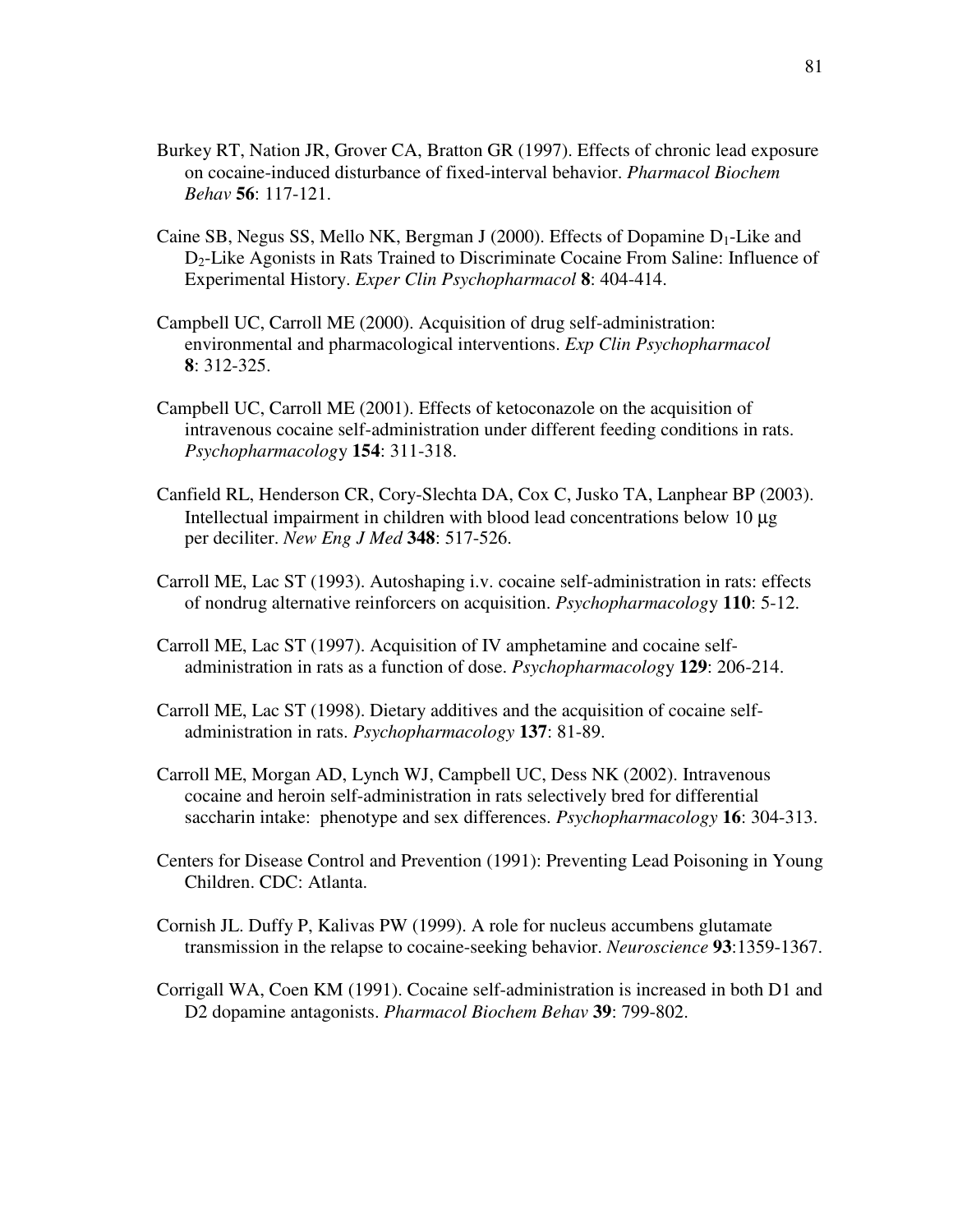- Burkey RT, Nation JR, Grover CA, Bratton GR (1997). Effects of chronic lead exposure on cocaine-induced disturbance of fixed-interval behavior. *Pharmacol Biochem Behav* **56**: 117-121.
- Caine SB, Negus SS, Mello NK, Bergman J (2000). Effects of Dopamine D1-Like and D2-Like Agonists in Rats Trained to Discriminate Cocaine From Saline: Influence of Experimental History. *Exper Clin Psychopharmacol* **8**: 404-414.
- Campbell UC, Carroll ME (2000). Acquisition of drug self-administration: environmental and pharmacological interventions. *Exp Clin Psychopharmacol* **8**: 312-325.
- Campbell UC, Carroll ME (2001). Effects of ketoconazole on the acquisition of intravenous cocaine self-administration under different feeding conditions in rats. *Psychopharmacolog*y **154**: 311-318.
- Canfield RL, Henderson CR, Cory-Slechta DA, Cox C, Jusko TA, Lanphear BP (2003). Intellectual impairment in children with blood lead concentrations below 10 µg per deciliter. *New Eng J Med* **348**: 517-526.
- Carroll ME, Lac ST (1993). Autoshaping i.v. cocaine self-administration in rats: effects of nondrug alternative reinforcers on acquisition. *Psychopharmacolog*y **110**: 5-12.
- Carroll ME, Lac ST (1997). Acquisition of IV amphetamine and cocaine selfadministration in rats as a function of dose. *Psychopharmacolog*y **129**: 206-214.
- Carroll ME, Lac ST (1998). Dietary additives and the acquisition of cocaine selfadministration in rats. *Psychopharmacology* **137**: 81-89.
- Carroll ME, Morgan AD, Lynch WJ, Campbell UC, Dess NK (2002). Intravenous cocaine and heroin self-administration in rats selectively bred for differential saccharin intake: phenotype and sex differences. *Psychopharmacology* **16**: 304-313.
- Centers for Disease Control and Prevention (1991): Preventing Lead Poisoning in Young Children. CDC: Atlanta.
- Cornish JL. Duffy P, Kalivas PW (1999). A role for nucleus accumbens glutamate transmission in the relapse to cocaine-seeking behavior. *Neuroscience* **93**:1359-1367.
- Corrigall WA, Coen KM (1991). Cocaine self-administration is increased in both D1 and D2 dopamine antagonists. *Pharmacol Biochem Behav* **39**: 799-802.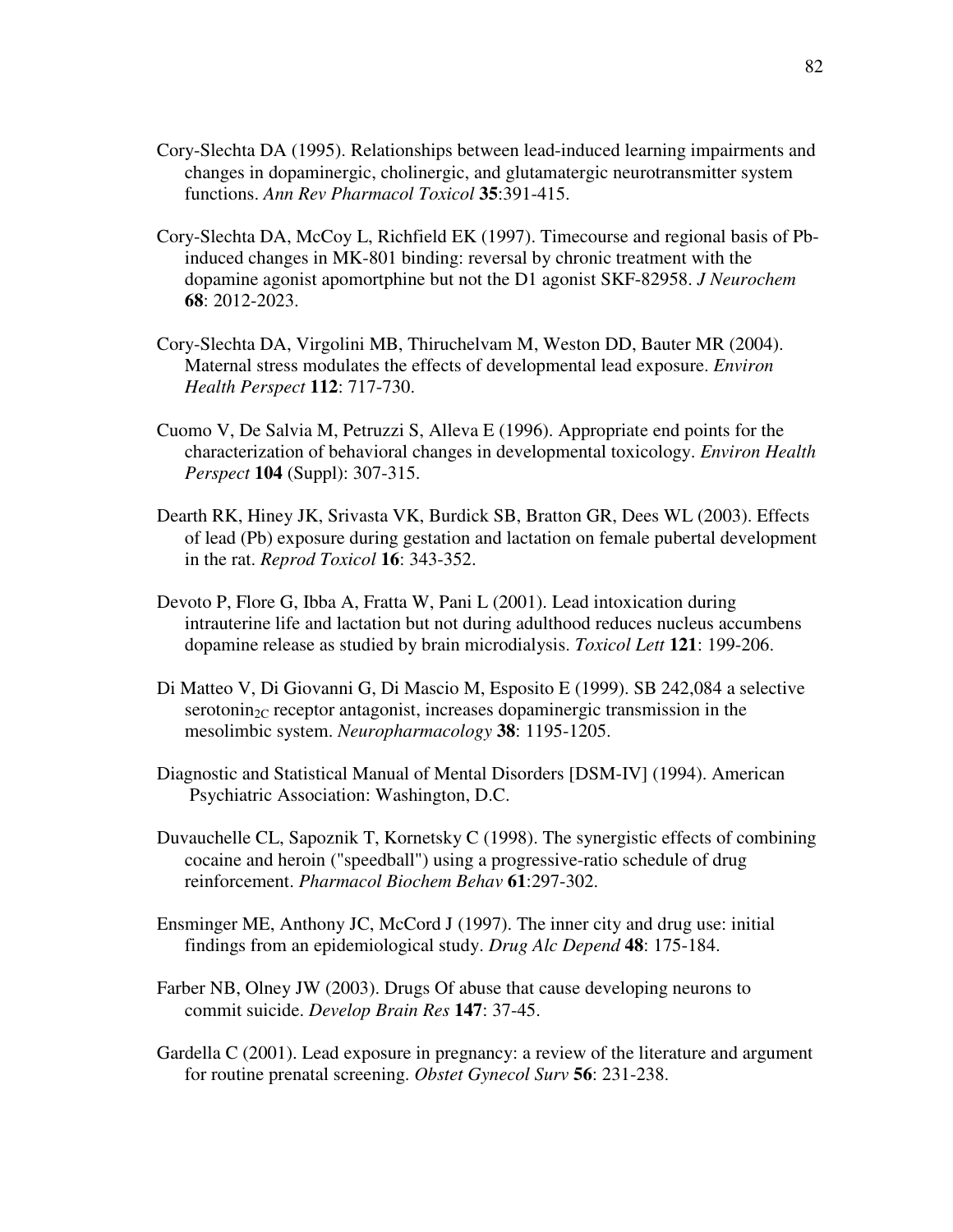- Cory-Slechta DA (1995). Relationships between lead-induced learning impairments and changes in dopaminergic, cholinergic, and glutamatergic neurotransmitter system functions. *Ann Rev Pharmacol Toxicol* **35**:391-415.
- Cory-Slechta DA, McCoy L, Richfield EK (1997). Timecourse and regional basis of Pbinduced changes in MK-801 binding: reversal by chronic treatment with the dopamine agonist apomortphine but not the D1 agonist SKF-82958. *J Neurochem* **68**: 2012-2023.
- Cory-Slechta DA, Virgolini MB, Thiruchelvam M, Weston DD, Bauter MR (2004). Maternal stress modulates the effects of developmental lead exposure. *Environ Health Perspect* **112**: 717-730.
- Cuomo V, De Salvia M, Petruzzi S, Alleva E (1996). Appropriate end points for the characterization of behavioral changes in developmental toxicology. *Environ Health Perspect* **104** (Suppl): 307-315.
- Dearth RK, Hiney JK, Srivasta VK, Burdick SB, Bratton GR, Dees WL (2003). Effects of lead (Pb) exposure during gestation and lactation on female pubertal development in the rat. *Reprod Toxicol* **16**: 343-352.
- Devoto P, Flore G, Ibba A, Fratta W, Pani L (2001). Lead intoxication during intrauterine life and lactation but not during adulthood reduces nucleus accumbens dopamine release as studied by brain microdialysis. *Toxicol Lett* **121**: 199-206.
- Di Matteo V, Di Giovanni G, Di Mascio M, Esposito E (1999). SB 242,084 a selective serotonin<sub>2C</sub> receptor antagonist, increases dopaminergic transmission in the mesolimbic system. *Neuropharmacology* **38**: 1195-1205.
- Diagnostic and Statistical Manual of Mental Disorders [DSM-IV] (1994). American Psychiatric Association: Washington, D.C.
- Duvauchelle CL, Sapoznik T, Kornetsky C (1998). The synergistic effects of combining cocaine and heroin ("speedball") using a progressive-ratio schedule of drug reinforcement. *Pharmacol Biochem Behav* **61**:297-302.
- Ensminger ME, Anthony JC, McCord J (1997). The inner city and drug use: initial findings from an epidemiological study. *Drug Alc Depend* **48**: 175-184.
- Farber NB, Olney JW (2003). Drugs Of abuse that cause developing neurons to commit suicide. *Develop Brain Res* **147**: 37-45.
- Gardella C (2001). Lead exposure in pregnancy: a review of the literature and argument for routine prenatal screening. *Obstet Gynecol Surv* **56**: 231-238.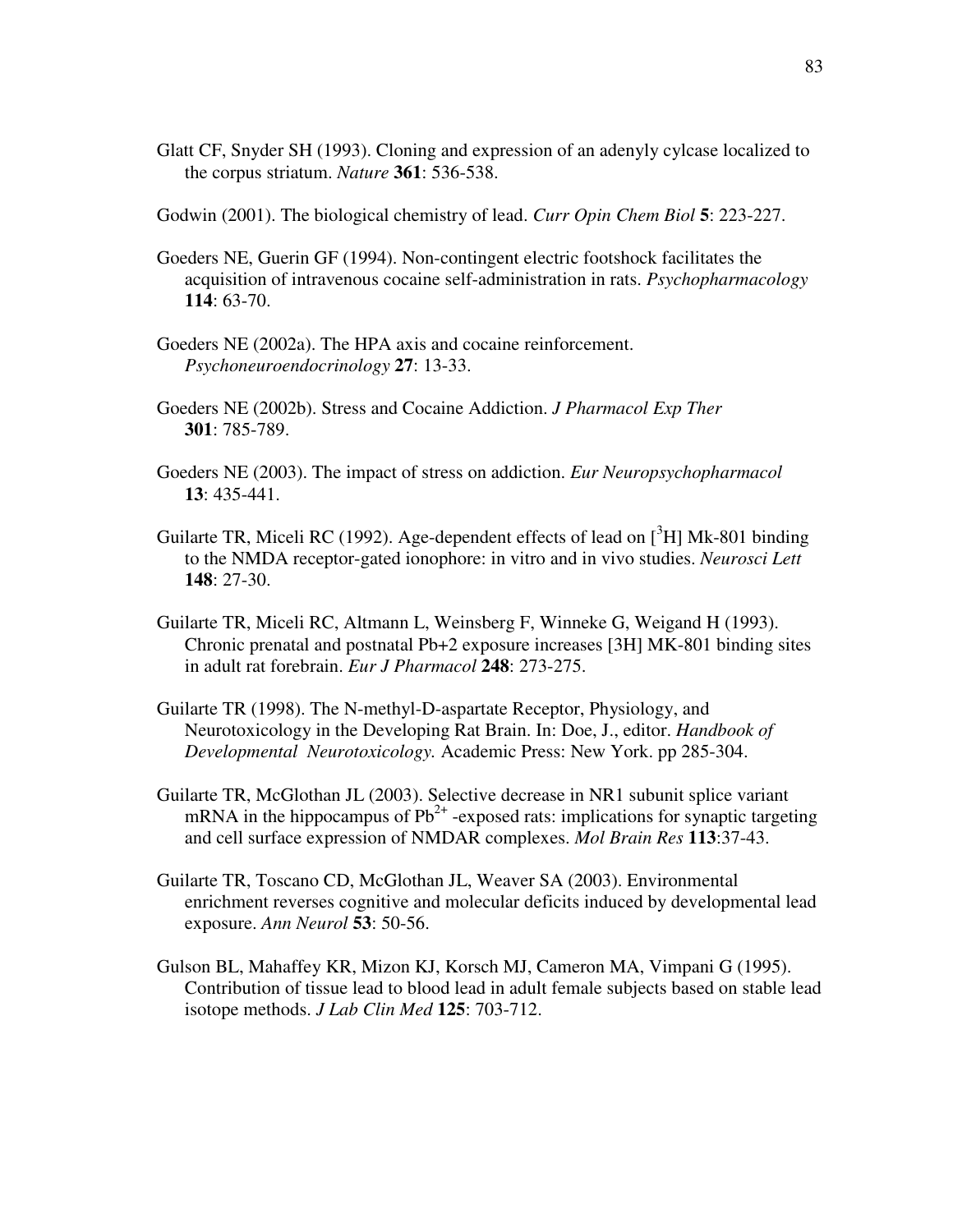- Glatt CF, Snyder SH (1993). Cloning and expression of an adenyly cylcase localized to the corpus striatum. *Nature* **361**: 536-538.
- Godwin (2001). The biological chemistry of lead. *Curr Opin Chem Biol* **5**: 223-227.
- Goeders NE, Guerin GF (1994). Non-contingent electric footshock facilitates the acquisition of intravenous cocaine self-administration in rats. *Psychopharmacology* **114**: 63-70.
- Goeders NE (2002a). The HPA axis and cocaine reinforcement. *Psychoneuroendocrinology* **27**: 13-33.
- Goeders NE (2002b). Stress and Cocaine Addiction. *J Pharmacol Exp Ther* **301**: 785-789.
- Goeders NE (2003). The impact of stress on addiction. *Eur Neuropsychopharmacol* **13**: 435-441.
- Guilarte TR, Miceli RC (1992). Age-dependent effects of lead on  $[^{3}H]$  Mk-801 binding to the NMDA receptor-gated ionophore: in vitro and in vivo studies. *Neurosci Lett* **148**: 27-30.
- Guilarte TR, Miceli RC, Altmann L, Weinsberg F, Winneke G, Weigand H (1993). Chronic prenatal and postnatal Pb+2 exposure increases [3H] MK-801 binding sites in adult rat forebrain. *Eur J Pharmacol* **248**: 273-275.
- Guilarte TR (1998). The N-methyl-D-aspartate Receptor, Physiology, and Neurotoxicology in the Developing Rat Brain. In: Doe, J., editor. *Handbook of Developmental Neurotoxicology.* Academic Press: New York. pp 285-304.
- Guilarte TR, McGlothan JL (2003). Selective decrease in NR1 subunit splice variant mRNA in the hippocampus of  $Pb^{2+}$  -exposed rats: implications for synaptic targeting and cell surface expression of NMDAR complexes. *Mol Brain Res* **113**:37-43.
- Guilarte TR, Toscano CD, McGlothan JL, Weaver SA (2003). Environmental enrichment reverses cognitive and molecular deficits induced by developmental lead exposure. *Ann Neurol* **53**: 50-56.
- Gulson BL, Mahaffey KR, Mizon KJ, Korsch MJ, Cameron MA, Vimpani G (1995). Contribution of tissue lead to blood lead in adult female subjects based on stable lead isotope methods. *J Lab Clin Med* **125**: 703-712.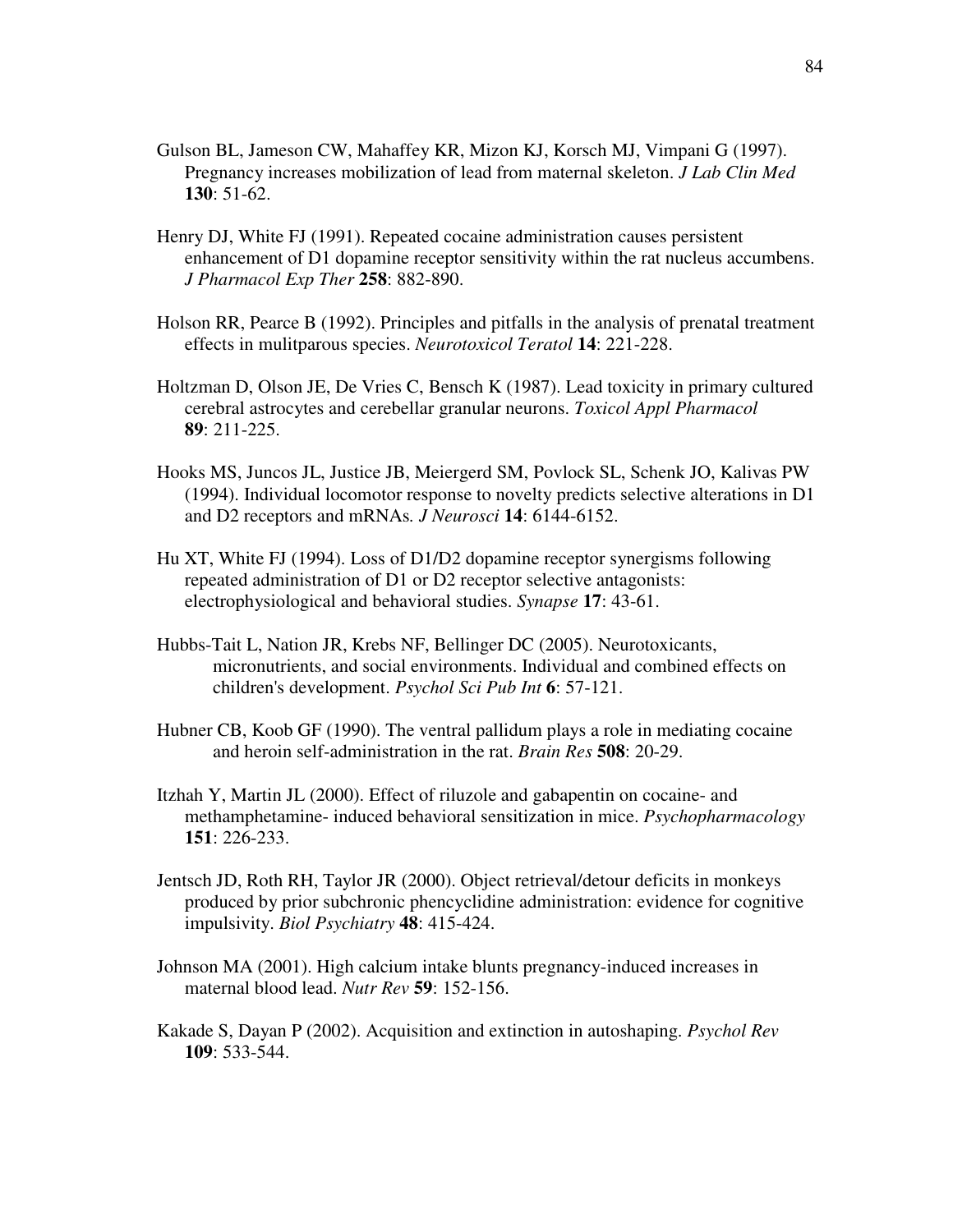- Gulson BL, Jameson CW, Mahaffey KR, Mizon KJ, Korsch MJ, Vimpani G (1997). Pregnancy increases mobilization of lead from maternal skeleton. *J Lab Clin Med* **130**: 51-62.
- Henry DJ, White FJ (1991). Repeated cocaine administration causes persistent enhancement of D1 dopamine receptor sensitivity within the rat nucleus accumbens. *J Pharmacol Exp Ther* **258**: 882-890.
- Holson RR, Pearce B (1992). Principles and pitfalls in the analysis of prenatal treatment effects in mulitparous species. *Neurotoxicol Teratol* **14**: 221-228.
- Holtzman D, Olson JE, De Vries C, Bensch K (1987). Lead toxicity in primary cultured cerebral astrocytes and cerebellar granular neurons. *Toxicol Appl Pharmacol* **89**: 211-225.
- Hooks MS, Juncos JL, Justice JB, Meiergerd SM, Povlock SL, Schenk JO, Kalivas PW (1994). Individual locomotor response to novelty predicts selective alterations in D1 and D2 receptors and mRNAs*. J Neurosci* **14**: 6144-6152.
- Hu XT, White FJ (1994). Loss of D1/D2 dopamine receptor synergisms following repeated administration of D1 or D2 receptor selective antagonists: electrophysiological and behavioral studies. *Synapse* **17**: 43-61.
- Hubbs-Tait L, Nation JR, Krebs NF, Bellinger DC (2005). Neurotoxicants, micronutrients, and social environments. Individual and combined effects on children's development. *Psychol Sci Pub Int* **6**: 57-121.
- Hubner CB, Koob GF (1990). The ventral pallidum plays a role in mediating cocaine and heroin self-administration in the rat. *Brain Res* **508**: 20-29.
- Itzhah Y, Martin JL (2000). Effect of riluzole and gabapentin on cocaine- and methamphetamine- induced behavioral sensitization in mice. *Psychopharmacology* **151**: 226-233.
- Jentsch JD, Roth RH, Taylor JR (2000). Object retrieval/detour deficits in monkeys produced by prior subchronic phencyclidine administration: evidence for cognitive impulsivity. *Biol Psychiatry* **48**: 415-424.
- Johnson MA (2001). High calcium intake blunts pregnancy-induced increases in maternal blood lead. *Nutr Rev* **59**: 152-156.
- Kakade S, Dayan P (2002). Acquisition and extinction in autoshaping. *Psychol Rev* **109**: 533-544.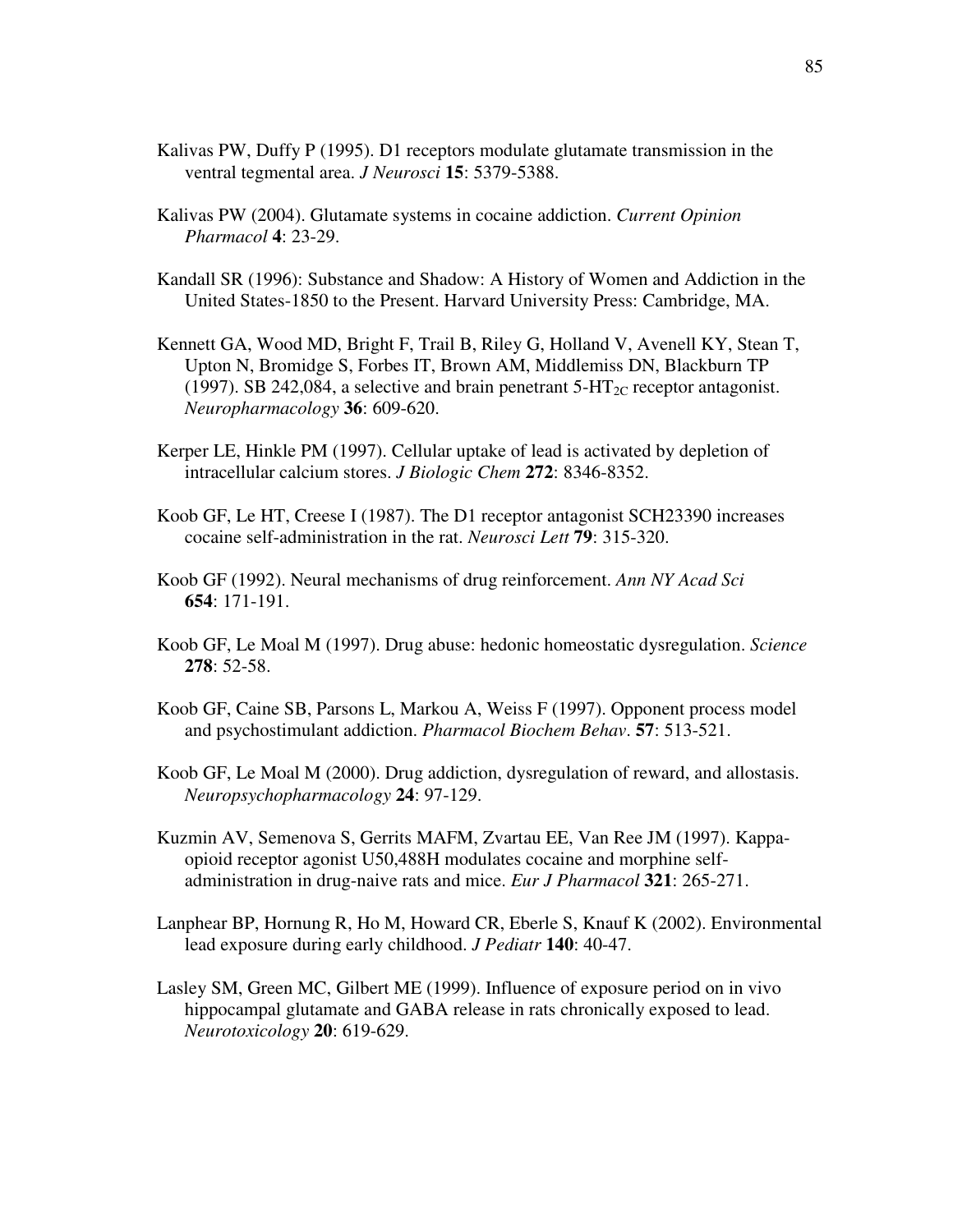- Kalivas PW, Duffy P (1995). D1 receptors modulate glutamate transmission in the ventral tegmental area. *J Neurosci* **15**: 5379-5388.
- Kalivas PW (2004). Glutamate systems in cocaine addiction. *Current Opinion Pharmacol* **4**: 23-29.
- Kandall SR (1996): Substance and Shadow: A History of Women and Addiction in the United States-1850 to the Present. Harvard University Press: Cambridge, MA.
- Kennett GA, Wood MD, Bright F, Trail B, Riley G, Holland V, Avenell KY, Stean T, Upton N, Bromidge S, Forbes IT, Brown AM, Middlemiss DN, Blackburn TP (1997). SB 242,084, a selective and brain penetrant  $5-HT_{2C}$  receptor antagonist. *Neuropharmacology* **36**: 609-620.
- Kerper LE, Hinkle PM (1997). Cellular uptake of lead is activated by depletion of intracellular calcium stores. *J Biologic Chem* **272**: 8346-8352.
- Koob GF, Le HT, Creese I (1987). The D1 receptor antagonist SCH23390 increases cocaine self-administration in the rat. *Neurosci Lett* **79**: 315-320.
- Koob GF (1992). Neural mechanisms of drug reinforcement. *Ann NY Acad Sci* **654**: 171-191.
- Koob GF, Le Moal M (1997). Drug abuse: hedonic homeostatic dysregulation. *Science* **278**: 52-58.
- Koob GF, Caine SB, Parsons L, Markou A, Weiss F (1997). Opponent process model and psychostimulant addiction. *Pharmacol Biochem Behav*. **57**: 513-521.
- Koob GF, Le Moal M (2000). Drug addiction, dysregulation of reward, and allostasis. *Neuropsychopharmacology* **24**: 97-129.
- Kuzmin AV, Semenova S, Gerrits MAFM, Zvartau EE, Van Ree JM (1997). Kappaopioid receptor agonist U50,488H modulates cocaine and morphine selfadministration in drug-naive rats and mice. *Eur J Pharmacol* **321**: 265-271.
- Lanphear BP, Hornung R, Ho M, Howard CR, Eberle S, Knauf K (2002). Environmental lead exposure during early childhood. *J Pediatr* **140**: 40-47.
- Lasley SM, Green MC, Gilbert ME (1999). Influence of exposure period on in vivo hippocampal glutamate and GABA release in rats chronically exposed to lead. *Neurotoxicology* **20**: 619-629.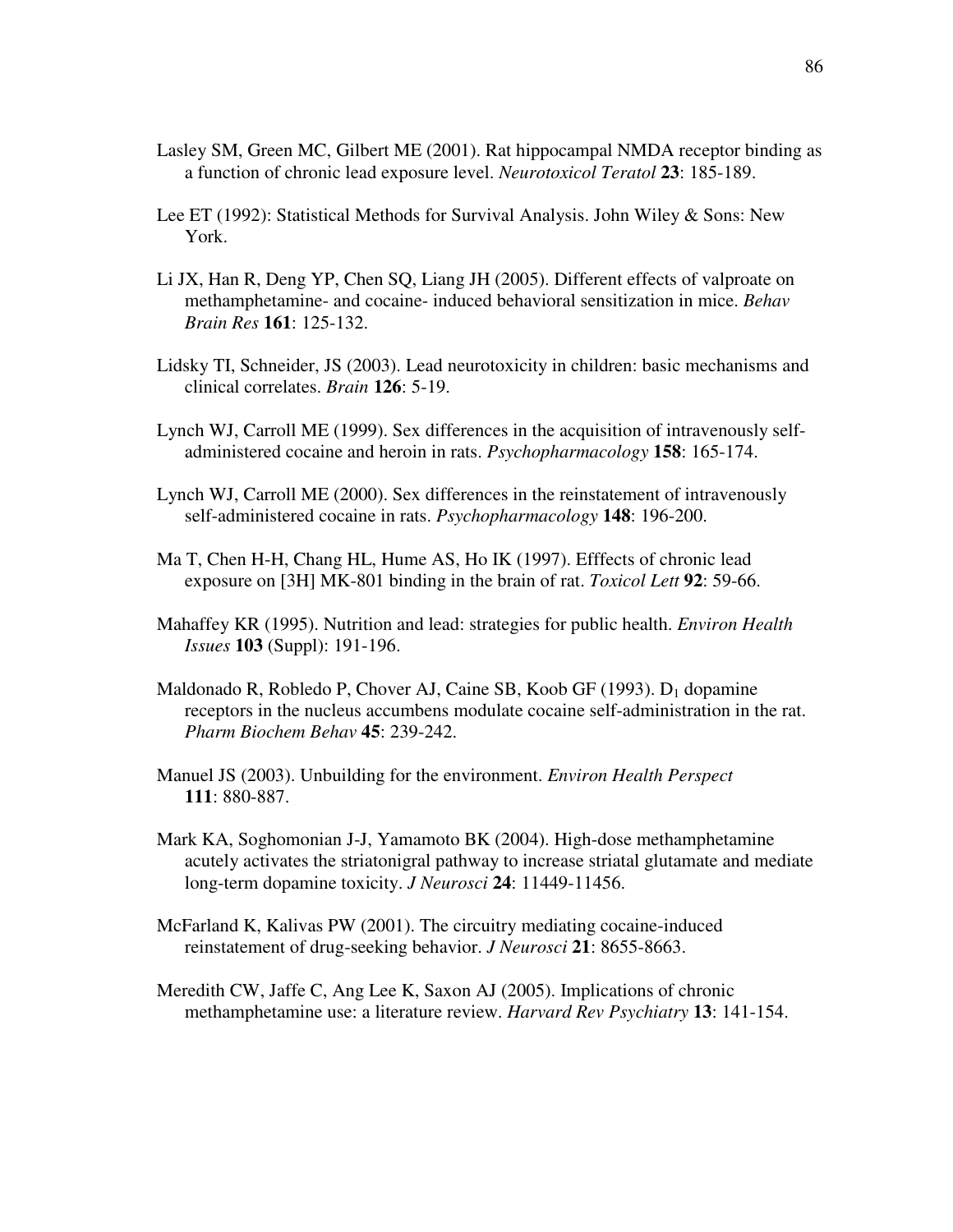- Lasley SM, Green MC, Gilbert ME (2001). Rat hippocampal NMDA receptor binding as a function of chronic lead exposure level. *Neurotoxicol Teratol* **23**: 185-189.
- Lee ET (1992): Statistical Methods for Survival Analysis. John Wiley & Sons: New York.
- Li JX, Han R, Deng YP, Chen SQ, Liang JH (2005). Different effects of valproate on methamphetamine- and cocaine- induced behavioral sensitization in mice. *Behav Brain Res* **161**: 125-132.
- Lidsky TI, Schneider, JS (2003). Lead neurotoxicity in children: basic mechanisms and clinical correlates. *Brain* **126**: 5-19.
- Lynch WJ, Carroll ME (1999). Sex differences in the acquisition of intravenously selfadministered cocaine and heroin in rats. *Psychopharmacology* **158**: 165-174.
- Lynch WJ, Carroll ME (2000). Sex differences in the reinstatement of intravenously self-administered cocaine in rats. *Psychopharmacology* **148**: 196-200.
- Ma T, Chen H-H, Chang HL, Hume AS, Ho IK (1997). Efffects of chronic lead exposure on [3H] MK-801 binding in the brain of rat. *Toxicol Lett* **92**: 59-66.
- Mahaffey KR (1995). Nutrition and lead: strategies for public health. *Environ Health Issues* **103** (Suppl): 191-196.
- Maldonado R, Robledo P, Chover AJ, Caine SB, Koob GF (1993). D<sup>1</sup> dopamine receptors in the nucleus accumbens modulate cocaine self-administration in the rat. *Pharm Biochem Behav* **45**: 239-242.
- Manuel JS (2003). Unbuilding for the environment. *Environ Health Perspect* **111**: 880-887.
- Mark KA, Soghomonian J-J, Yamamoto BK (2004). High-dose methamphetamine acutely activates the striatonigral pathway to increase striatal glutamate and mediate long-term dopamine toxicity. *J Neurosci* **24**: 11449-11456.
- McFarland K, Kalivas PW (2001). The circuitry mediating cocaine-induced reinstatement of drug-seeking behavior. *J Neurosci* **21**: 8655-8663.
- Meredith CW, Jaffe C, Ang Lee K, Saxon AJ (2005). Implications of chronic methamphetamine use: a literature review. *Harvard Rev Psychiatry* **13**: 141-154.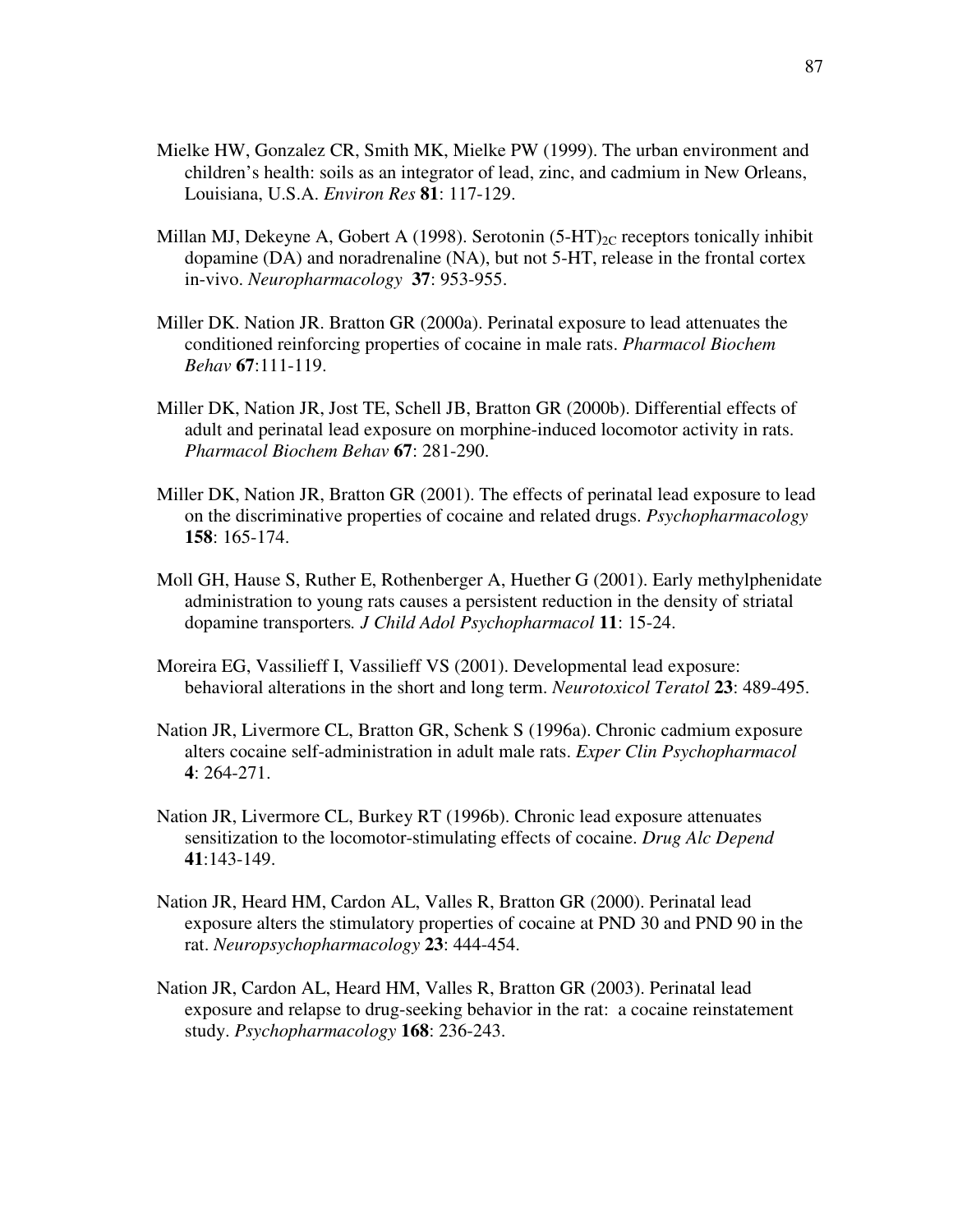- Mielke HW, Gonzalez CR, Smith MK, Mielke PW (1999). The urban environment and children's health: soils as an integrator of lead, zinc, and cadmium in New Orleans, Louisiana, U.S.A. *Environ Res* **81**: 117-129.
- Millan MJ, Dekeyne A, Gobert A (1998). Serotonin  $(5-HT)_{2C}$  receptors tonically inhibit dopamine (DA) and noradrenaline (NA), but not 5-HT, release in the frontal cortex in-vivo. *Neuropharmacology* **37**: 953-955.
- Miller DK. Nation JR. Bratton GR (2000a). Perinatal exposure to lead attenuates the conditioned reinforcing properties of cocaine in male rats. *Pharmacol Biochem Behav* **67**:111-119.
- Miller DK, Nation JR, Jost TE, Schell JB, Bratton GR (2000b). Differential effects of adult and perinatal lead exposure on morphine-induced locomotor activity in rats. *Pharmacol Biochem Behav* **67**: 281-290.
- Miller DK, Nation JR, Bratton GR (2001). The effects of perinatal lead exposure to lead on the discriminative properties of cocaine and related drugs. *Psychopharmacology* **158**: 165-174.
- Moll GH, Hause S, Ruther E, Rothenberger A, Huether G (2001). Early methylphenidate administration to young rats causes a persistent reduction in the density of striatal dopamine transporters*. J Child Adol Psychopharmacol* **11**: 15-24.
- Moreira EG, Vassilieff I, Vassilieff VS (2001). Developmental lead exposure: behavioral alterations in the short and long term. *Neurotoxicol Teratol* **23**: 489-495.
- Nation JR, Livermore CL, Bratton GR, Schenk S (1996a). Chronic cadmium exposure alters cocaine self-administration in adult male rats. *Exper Clin Psychopharmacol* **4**: 264-271.
- Nation JR, Livermore CL, Burkey RT (1996b). Chronic lead exposure attenuates sensitization to the locomotor-stimulating effects of cocaine. *Drug Alc Depend* **41**:143-149.
- Nation JR, Heard HM, Cardon AL, Valles R, Bratton GR (2000). Perinatal lead exposure alters the stimulatory properties of cocaine at PND 30 and PND 90 in the rat. *Neuropsychopharmacology* **23**: 444-454.
- Nation JR, Cardon AL, Heard HM, Valles R, Bratton GR (2003). Perinatal lead exposure and relapse to drug-seeking behavior in the rat: a cocaine reinstatement study. *Psychopharmacology* **168**: 236-243.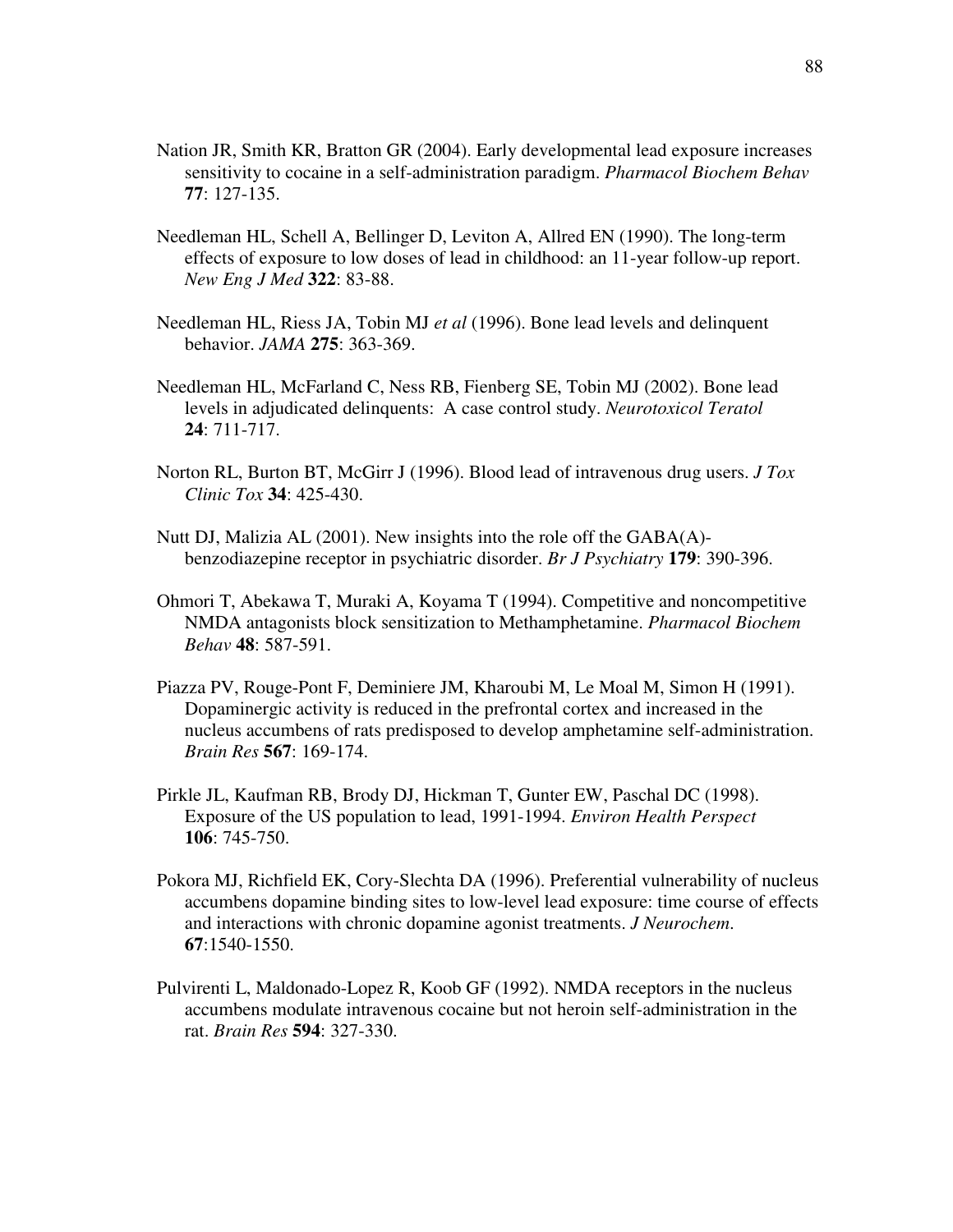- Nation JR, Smith KR, Bratton GR (2004). Early developmental lead exposure increases sensitivity to cocaine in a self-administration paradigm. *Pharmacol Biochem Behav* **77**: 127-135.
- Needleman HL, Schell A, Bellinger D, Leviton A, Allred EN (1990). The long-term effects of exposure to low doses of lead in childhood: an 11-year follow-up report. *New Eng J Med* **322**: 83-88.
- Needleman HL, Riess JA, Tobin MJ *et al* (1996). Bone lead levels and delinquent behavior. *JAMA* **275**: 363-369.
- Needleman HL, McFarland C, Ness RB, Fienberg SE, Tobin MJ (2002). Bone lead levels in adjudicated delinquents: A case control study. *Neurotoxicol Teratol* **24**: 711-717.
- Norton RL, Burton BT, McGirr J (1996). Blood lead of intravenous drug users. *J Tox Clinic Tox* **34**: 425-430.
- Nutt DJ, Malizia AL (2001). New insights into the role off the GABA(A) benzodiazepine receptor in psychiatric disorder. *Br J Psychiatry* **179**: 390-396.
- Ohmori T, Abekawa T, Muraki A, Koyama T (1994). Competitive and noncompetitive NMDA antagonists block sensitization to Methamphetamine. *Pharmacol Biochem Behav* **48**: 587-591.
- Piazza PV, Rouge-Pont F, Deminiere JM, Kharoubi M, Le Moal M, Simon H (1991). Dopaminergic activity is reduced in the prefrontal cortex and increased in the nucleus accumbens of rats predisposed to develop amphetamine self-administration. *Brain Res* **567**: 169-174.
- Pirkle JL, Kaufman RB, Brody DJ, Hickman T, Gunter EW, Paschal DC (1998). Exposure of the US population to lead, 1991-1994. *Environ Health Perspect* **106**: 745-750.
- Pokora MJ, Richfield EK, Cory-Slechta DA (1996). Preferential vulnerability of nucleus accumbens dopamine binding sites to low-level lead exposure: time course of effects and interactions with chronic dopamine agonist treatments. *J Neurochem*. **67**:1540-1550.
- Pulvirenti L, Maldonado-Lopez R, Koob GF (1992). NMDA receptors in the nucleus accumbens modulate intravenous cocaine but not heroin self-administration in the rat. *Brain Res* **594**: 327-330.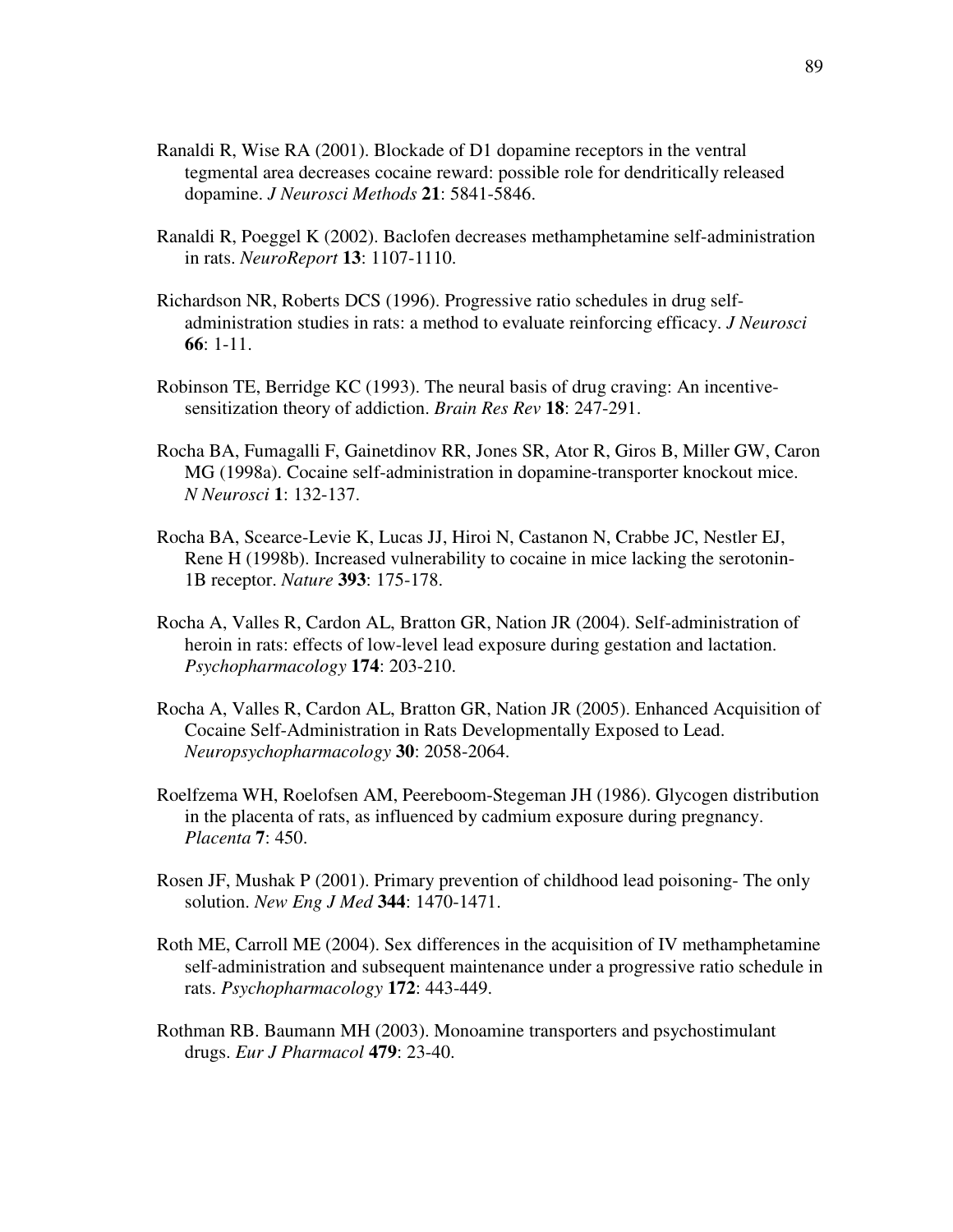- Ranaldi R, Wise RA (2001). Blockade of D1 dopamine receptors in the ventral tegmental area decreases cocaine reward: possible role for dendritically released dopamine. *J Neurosci Methods* **21**: 5841-5846.
- Ranaldi R, Poeggel K (2002). Baclofen decreases methamphetamine self-administration in rats. *NeuroReport* **13**: 1107-1110.
- Richardson NR, Roberts DCS (1996). Progressive ratio schedules in drug selfadministration studies in rats: a method to evaluate reinforcing efficacy. *J Neurosci* **66**: 1-11.
- Robinson TE, Berridge KC (1993). The neural basis of drug craving: An incentivesensitization theory of addiction. *Brain Res Rev* **18**: 247-291.
- Rocha BA, Fumagalli F, Gainetdinov RR, Jones SR, Ator R, Giros B, Miller GW, Caron MG (1998a). Cocaine self-administration in dopamine-transporter knockout mice. *N Neurosci* **1**: 132-137.
- Rocha BA, Scearce-Levie K, Lucas JJ, Hiroi N, Castanon N, Crabbe JC, Nestler EJ, Rene H (1998b). Increased vulnerability to cocaine in mice lacking the serotonin-1B receptor. *Nature* **393**: 175-178.
- Rocha A, Valles R, Cardon AL, Bratton GR, Nation JR (2004). Self-administration of heroin in rats: effects of low-level lead exposure during gestation and lactation. *Psychopharmacology* **174**: 203-210.
- Rocha A, Valles R, Cardon AL, Bratton GR, Nation JR (2005). Enhanced Acquisition of Cocaine Self-Administration in Rats Developmentally Exposed to Lead. *Neuropsychopharmacology* **30**: 2058-2064.
- Roelfzema WH, Roelofsen AM, Peereboom-Stegeman JH (1986). Glycogen distribution in the placenta of rats, as influenced by cadmium exposure during pregnancy. *Placenta* **7**: 450.
- Rosen JF, Mushak P (2001). Primary prevention of childhood lead poisoning- The only solution. *New Eng J Med* **344**: 1470-1471.
- Roth ME, Carroll ME (2004). Sex differences in the acquisition of IV methamphetamine self-administration and subsequent maintenance under a progressive ratio schedule in rats. *Psychopharmacology* **172**: 443-449.
- Rothman RB. Baumann MH (2003). Monoamine transporters and psychostimulant drugs. *Eur J Pharmacol* **479**: 23-40.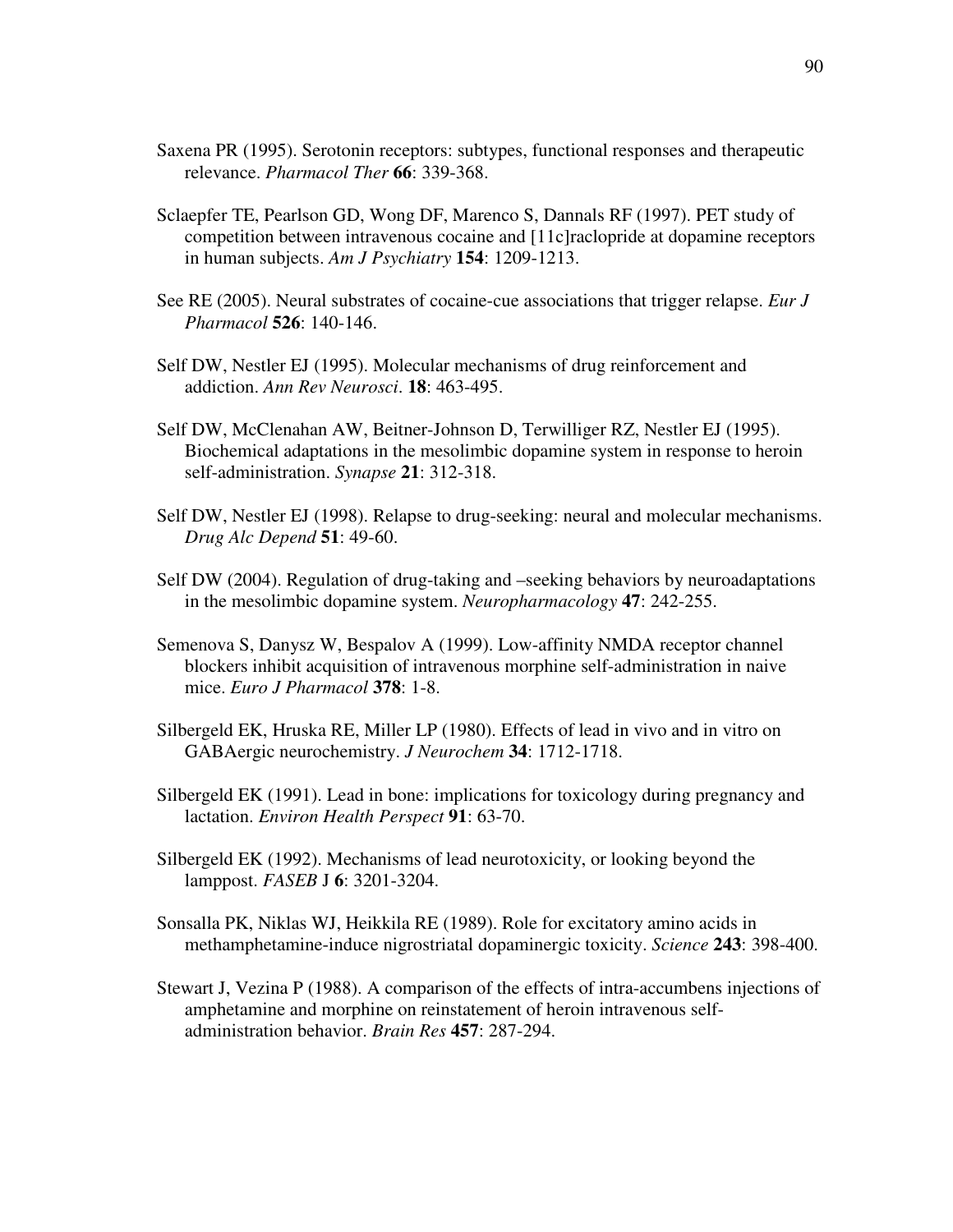- Saxena PR (1995). Serotonin receptors: subtypes, functional responses and therapeutic relevance. *Pharmacol Ther* **66**: 339-368.
- Sclaepfer TE, Pearlson GD, Wong DF, Marenco S, Dannals RF (1997). PET study of competition between intravenous cocaine and [11c]raclopride at dopamine receptors in human subjects. *Am J Psychiatry* **154**: 1209-1213.
- See RE (2005). Neural substrates of cocaine-cue associations that trigger relapse. *Eur J Pharmacol* **526**: 140-146.
- Self DW, Nestler EJ (1995). Molecular mechanisms of drug reinforcement and addiction. *Ann Rev Neurosci*. **18**: 463-495.
- Self DW, McClenahan AW, Beitner-Johnson D, Terwilliger RZ, Nestler EJ (1995). Biochemical adaptations in the mesolimbic dopamine system in response to heroin self-administration. *Synapse* **21**: 312-318.
- Self DW, Nestler EJ (1998). Relapse to drug-seeking: neural and molecular mechanisms. *Drug Alc Depend* **51**: 49-60.
- Self DW (2004). Regulation of drug-taking and –seeking behaviors by neuroadaptations in the mesolimbic dopamine system. *Neuropharmacology* **47**: 242-255.
- Semenova S, Danysz W, Bespalov A (1999). Low-affinity NMDA receptor channel blockers inhibit acquisition of intravenous morphine self-administration in naive mice. *Euro J Pharmacol* **378**: 1-8.
- Silbergeld EK, Hruska RE, Miller LP (1980). Effects of lead in vivo and in vitro on GABAergic neurochemistry. *J Neurochem* **34**: 1712-1718.
- Silbergeld EK (1991). Lead in bone: implications for toxicology during pregnancy and lactation. *Environ Health Perspect* **91**: 63-70.
- Silbergeld EK (1992). Mechanisms of lead neurotoxicity, or looking beyond the lamppost. *FASEB* J **6**: 3201-3204.
- Sonsalla PK, Niklas WJ, Heikkila RE (1989). Role for excitatory amino acids in methamphetamine-induce nigrostriatal dopaminergic toxicity. *Science* **243**: 398-400.
- Stewart J, Vezina P (1988). A comparison of the effects of intra-accumbens injections of amphetamine and morphine on reinstatement of heroin intravenous selfadministration behavior. *Brain Res* **457**: 287-294.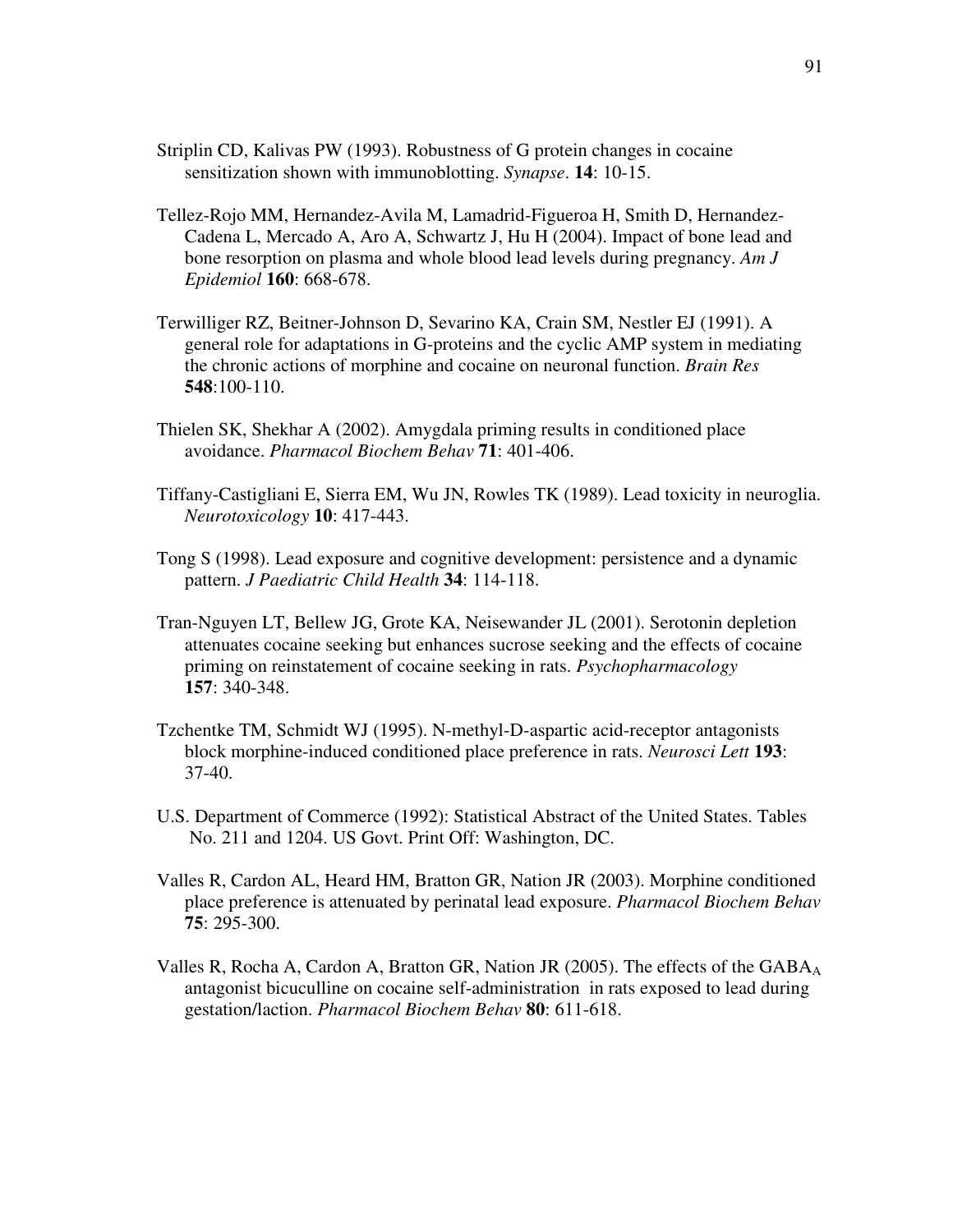- Striplin CD, Kalivas PW (1993). Robustness of G protein changes in cocaine sensitization shown with immunoblotting. *Synapse*. **14**: 10-15.
- Tellez-Rojo MM, Hernandez-Avila M, Lamadrid-Figueroa H, Smith D, Hernandez-Cadena L, Mercado A, Aro A, Schwartz J, Hu H (2004). Impact of bone lead and bone resorption on plasma and whole blood lead levels during pregnancy. *Am J Epidemiol* **160**: 668-678.
- Terwilliger RZ, Beitner-Johnson D, Sevarino KA, Crain SM, Nestler EJ (1991). A general role for adaptations in G-proteins and the cyclic AMP system in mediating the chronic actions of morphine and cocaine on neuronal function. *Brain Res* **548**:100-110.
- Thielen SK, Shekhar A (2002). Amygdala priming results in conditioned place avoidance. *Pharmacol Biochem Behav* **71**: 401-406.
- Tiffany-Castigliani E, Sierra EM, Wu JN, Rowles TK (1989). Lead toxicity in neuroglia. *Neurotoxicology* **10**: 417-443.
- Tong S (1998). Lead exposure and cognitive development: persistence and a dynamic pattern. *J Paediatric Child Health* **34**: 114-118.
- Tran-Nguyen LT, Bellew JG, Grote KA, Neisewander JL (2001). Serotonin depletion attenuates cocaine seeking but enhances sucrose seeking and the effects of cocaine priming on reinstatement of cocaine seeking in rats. *Psychopharmacology* **157**: 340-348.
- Tzchentke TM, Schmidt WJ (1995). N-methyl-D-aspartic acid-receptor antagonists block morphine-induced conditioned place preference in rats. *Neurosci Lett* **193**: 37-40.
- U.S. Department of Commerce (1992): Statistical Abstract of the United States. Tables No. 211 and 1204. US Govt. Print Off: Washington, DC.
- Valles R, Cardon AL, Heard HM, Bratton GR, Nation JR (2003). Morphine conditioned place preference is attenuated by perinatal lead exposure. *Pharmacol Biochem Behav* **75**: 295-300.
- Valles R, Rocha A, Cardon A, Bratton GR, Nation JR (2005). The effects of the GABA<sub>A</sub> antagonist bicuculline on cocaine self-administration in rats exposed to lead during gestation/laction. *Pharmacol Biochem Behav* **80**: 611-618.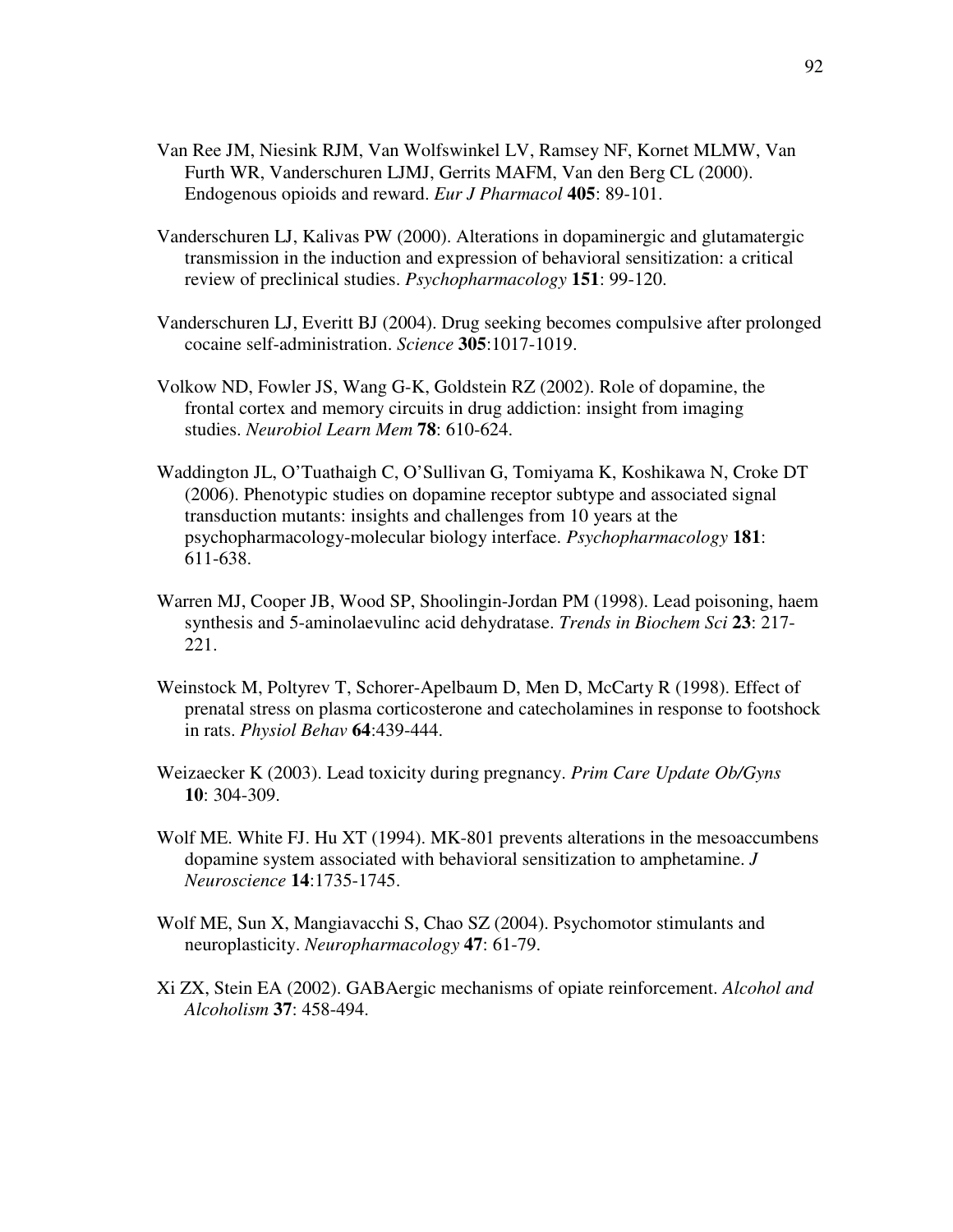- Van Ree JM, Niesink RJM, Van Wolfswinkel LV, Ramsey NF, Kornet MLMW, Van Furth WR, Vanderschuren LJMJ, Gerrits MAFM, Van den Berg CL (2000). Endogenous opioids and reward. *Eur J Pharmacol* **405**: 89-101.
- Vanderschuren LJ, Kalivas PW (2000). Alterations in dopaminergic and glutamatergic transmission in the induction and expression of behavioral sensitization: a critical review of preclinical studies. *Psychopharmacology* **151**: 99-120.
- Vanderschuren LJ, Everitt BJ (2004). Drug seeking becomes compulsive after prolonged cocaine self-administration. *Science* **305**:1017-1019.
- Volkow ND, Fowler JS, Wang G-K, Goldstein RZ (2002). Role of dopamine, the frontal cortex and memory circuits in drug addiction: insight from imaging studies. *Neurobiol Learn Mem* **78**: 610-624.
- Waddington JL, O'Tuathaigh C, O'Sullivan G, Tomiyama K, Koshikawa N, Croke DT (2006). Phenotypic studies on dopamine receptor subtype and associated signal transduction mutants: insights and challenges from 10 years at the psychopharmacology-molecular biology interface. *Psychopharmacology* **181**: 611-638.
- Warren MJ, Cooper JB, Wood SP, Shoolingin-Jordan PM (1998). Lead poisoning, haem synthesis and 5-aminolaevulinc acid dehydratase. *Trends in Biochem Sci* **23**: 217- 221.
- Weinstock M, Poltyrev T, Schorer-Apelbaum D, Men D, McCarty R (1998). Effect of prenatal stress on plasma corticosterone and catecholamines in response to footshock in rats. *Physiol Behav* **64**:439-444.
- Weizaecker K (2003). Lead toxicity during pregnancy. *Prim Care Update Ob/Gyns* **10**: 304-309.
- Wolf ME. White FJ. Hu XT (1994). MK-801 prevents alterations in the mesoaccumbens dopamine system associated with behavioral sensitization to amphetamine. *J Neuroscience* **14**:1735-1745.
- Wolf ME, Sun X, Mangiavacchi S, Chao SZ (2004). Psychomotor stimulants and neuroplasticity. *Neuropharmacology* **47**: 61-79.
- Xi ZX, Stein EA (2002). GABAergic mechanisms of opiate reinforcement. *Alcohol and Alcoholism* **37**: 458-494.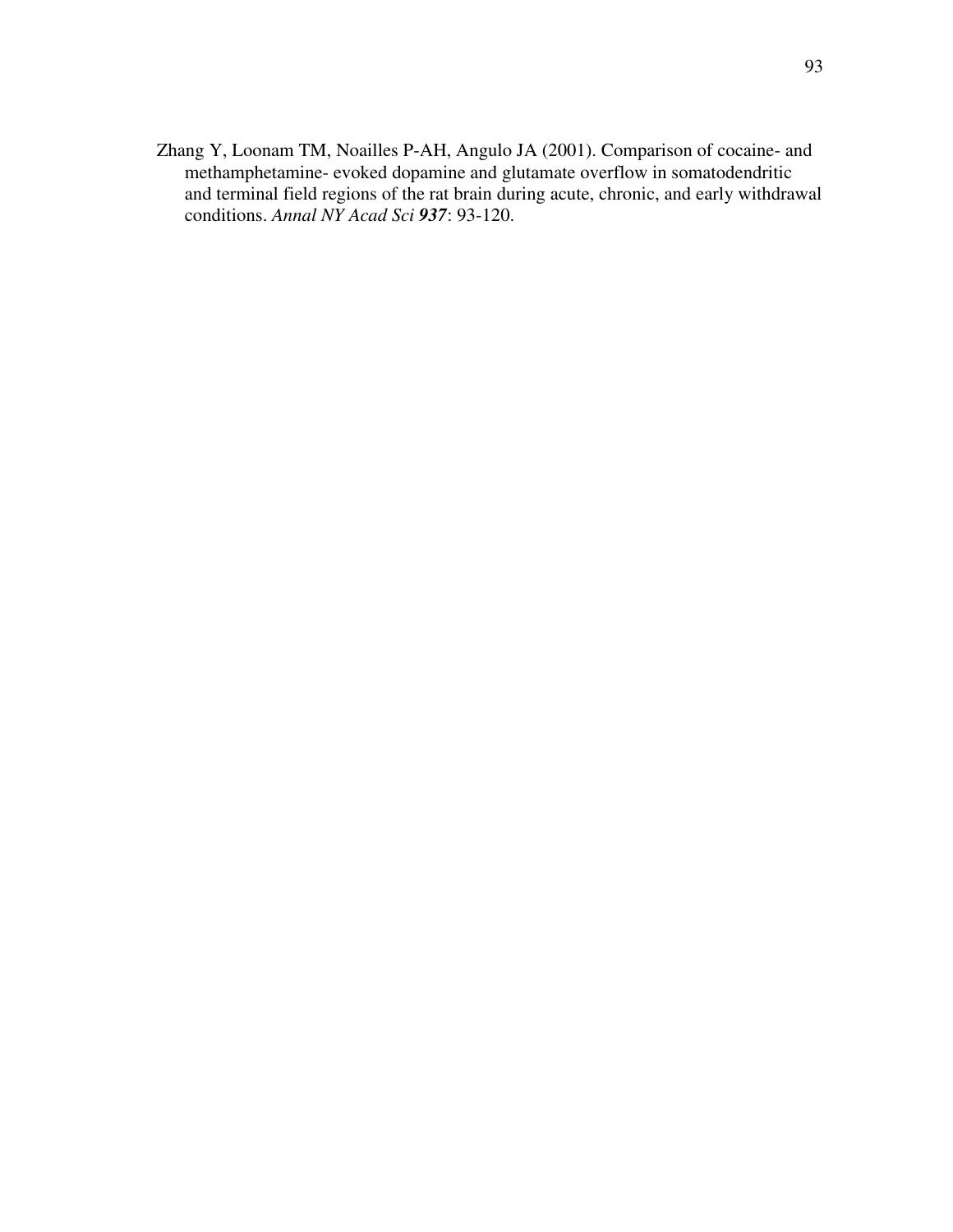Zhang Y, Loonam TM, Noailles P-AH, Angulo JA (2001). Comparison of cocaine- and methamphetamine- evoked dopamine and glutamate overflow in somatodendritic and terminal field regions of the rat brain during acute, chronic, and early withdrawal conditions. *Annal NY Acad Sci 937*: 93-120.